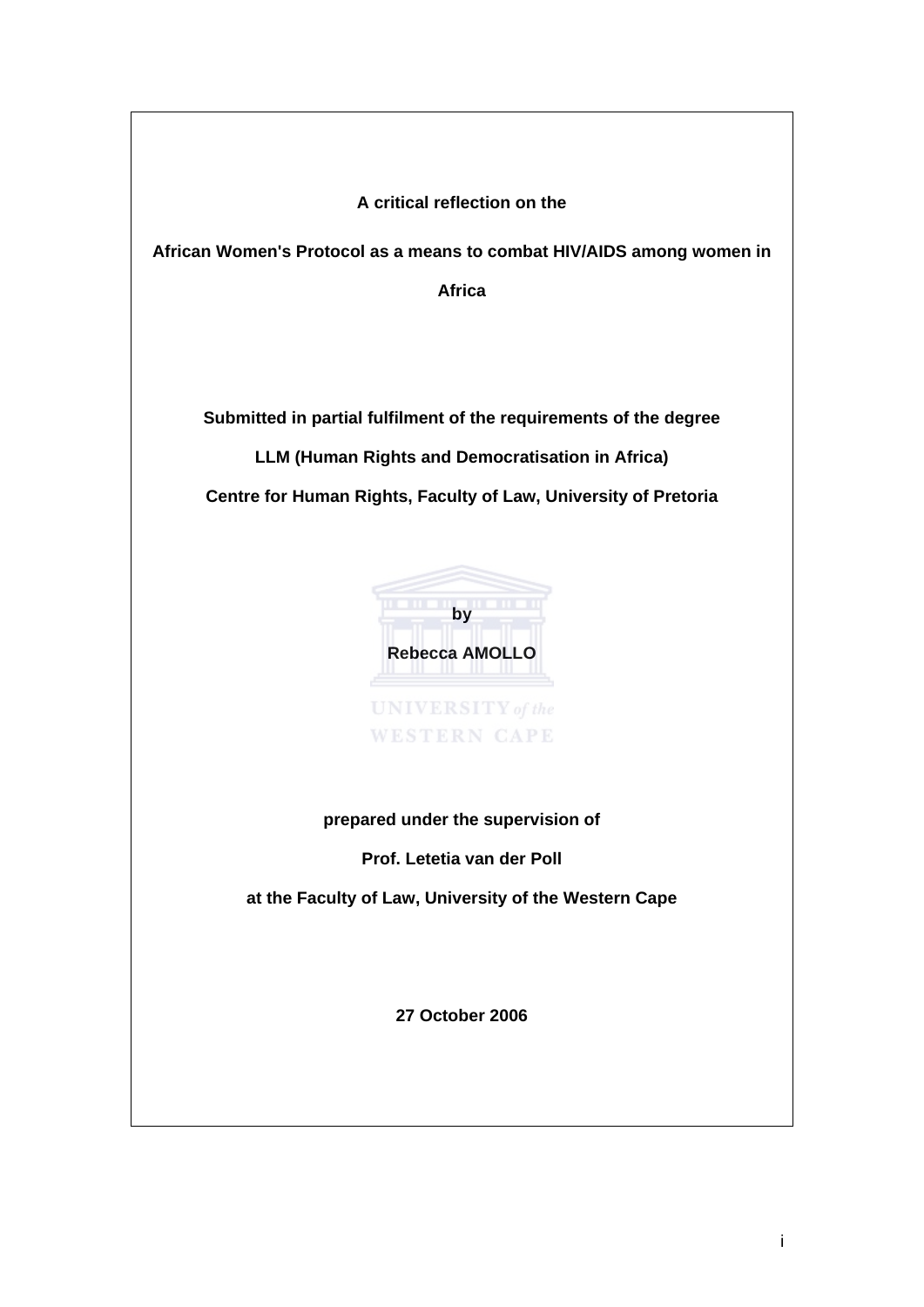**A critical reflection on the** 

**African Women's Protocol as a means to combat HIV/AIDS among women in** 

**Africa** 

**Submitted in partial fulfilment of the requirements of the degree LLM (Human Rights and Democratisation in Africa) Centre for Human Rights, Faculty of Law, University of Pretoria** 

| by                    |
|-----------------------|
| <b>Rebecca AMOLLO</b> |
|                       |

**UNIVERSITY** of the **WESTERN CAPE** 

**prepared under the supervision of** 

**Prof. Letetia van der Poll** 

**at the Faculty of Law, University of the Western Cape** 

**27 October 2006**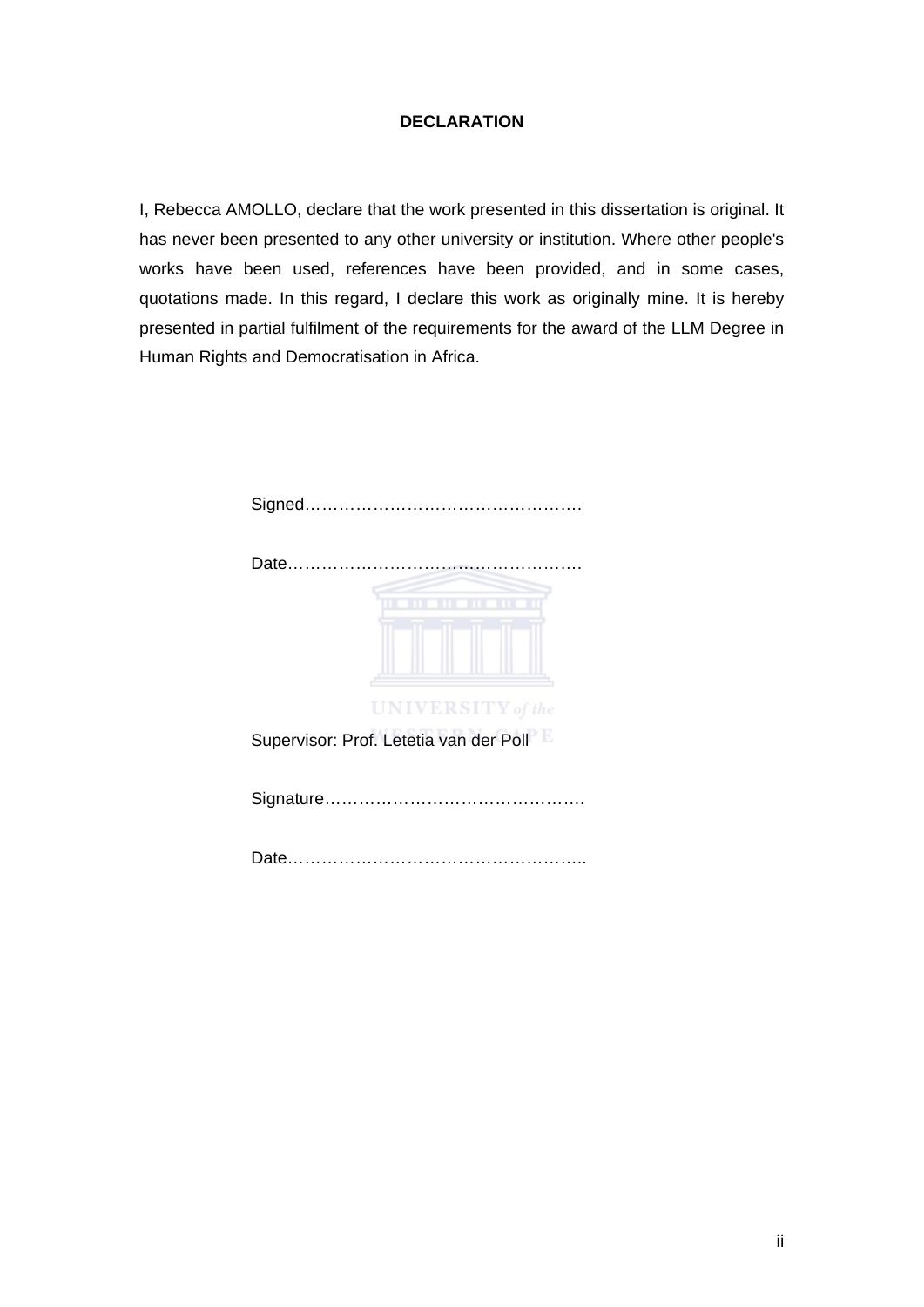#### **DECLARATION**

I, Rebecca AMOLLO, declare that the work presented in this dissertation is original. It has never been presented to any other university or institution. Where other people's works have been used, references have been provided, and in some cases, quotations made. In this regard, I declare this work as originally mine. It is hereby presented in partial fulfilment of the requirements for the award of the LLM Degree in Human Rights and Democratisation in Africa.

| Date                                   |
|----------------------------------------|
|                                        |
| <b>UNIVERSITY</b> of the               |
| Supervisor: Prof. Letetia van der Poll |
|                                        |
|                                        |

ii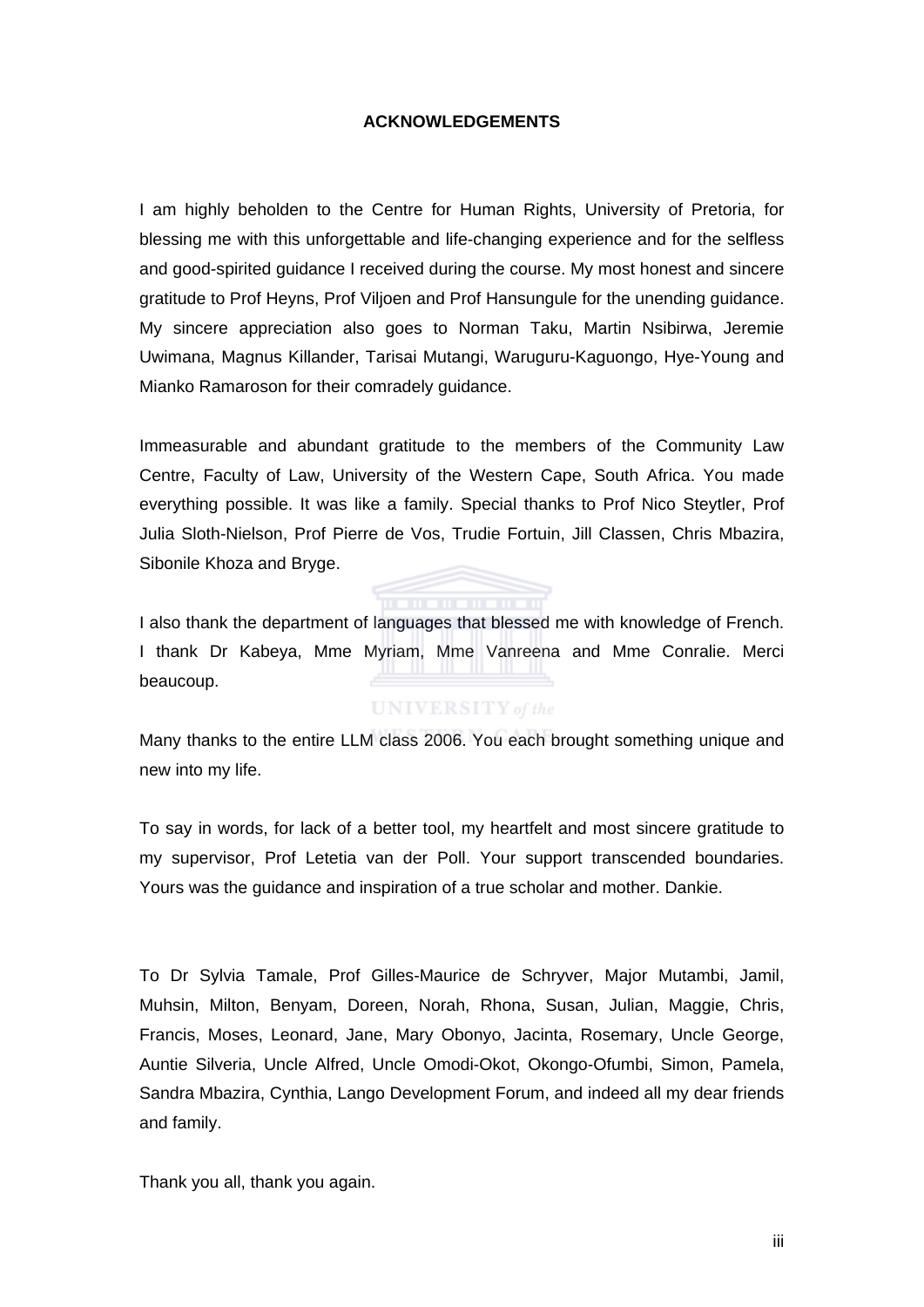#### **ACKNOWLEDGEMENTS**

I am highly beholden to the Centre for Human Rights, University of Pretoria, for blessing me with this unforgettable and life-changing experience and for the selfless and good-spirited guidance I received during the course. My most honest and sincere gratitude to Prof Heyns, Prof Viljoen and Prof Hansungule for the unending guidance. My sincere appreciation also goes to Norman Taku, Martin Nsibirwa, Jeremie Uwimana, Magnus Killander, Tarisai Mutangi, Waruguru-Kaguongo, Hye-Young and Mianko Ramaroson for their comradely guidance.

Immeasurable and abundant gratitude to the members of the Community Law Centre, Faculty of Law, University of the Western Cape, South Africa. You made everything possible. It was like a family. Special thanks to Prof Nico Steytler, Prof Julia Sloth-Nielson, Prof Pierre de Vos, Trudie Fortuin, Jill Classen, Chris Mbazira, Sibonile Khoza and Bryge.

I also thank the department of languages that blessed me with knowledge of French. I thank Dr Kabeya, Mme Myriam, Mme Vanreena and Mme Conralie. Merci beaucoup.

#### **UNIVERSITY** of the

Many thanks to the entire LLM class 2006. You each brought something unique and new into my life.

To say in words, for lack of a better tool, my heartfelt and most sincere gratitude to my supervisor, Prof Letetia van der Poll. Your support transcended boundaries. Yours was the guidance and inspiration of a true scholar and mother. Dankie.

To Dr Sylvia Tamale, Prof Gilles-Maurice de Schryver, Major Mutambi, Jamil, Muhsin, Milton, Benyam, Doreen, Norah, Rhona, Susan, Julian, Maggie, Chris, Francis, Moses, Leonard, Jane, Mary Obonyo, Jacinta, Rosemary, Uncle George, Auntie Silveria, Uncle Alfred, Uncle Omodi-Okot, Okongo-Ofumbi, Simon, Pamela, Sandra Mbazira, Cynthia, Lango Development Forum, and indeed all my dear friends and family.

Thank you all, thank you again.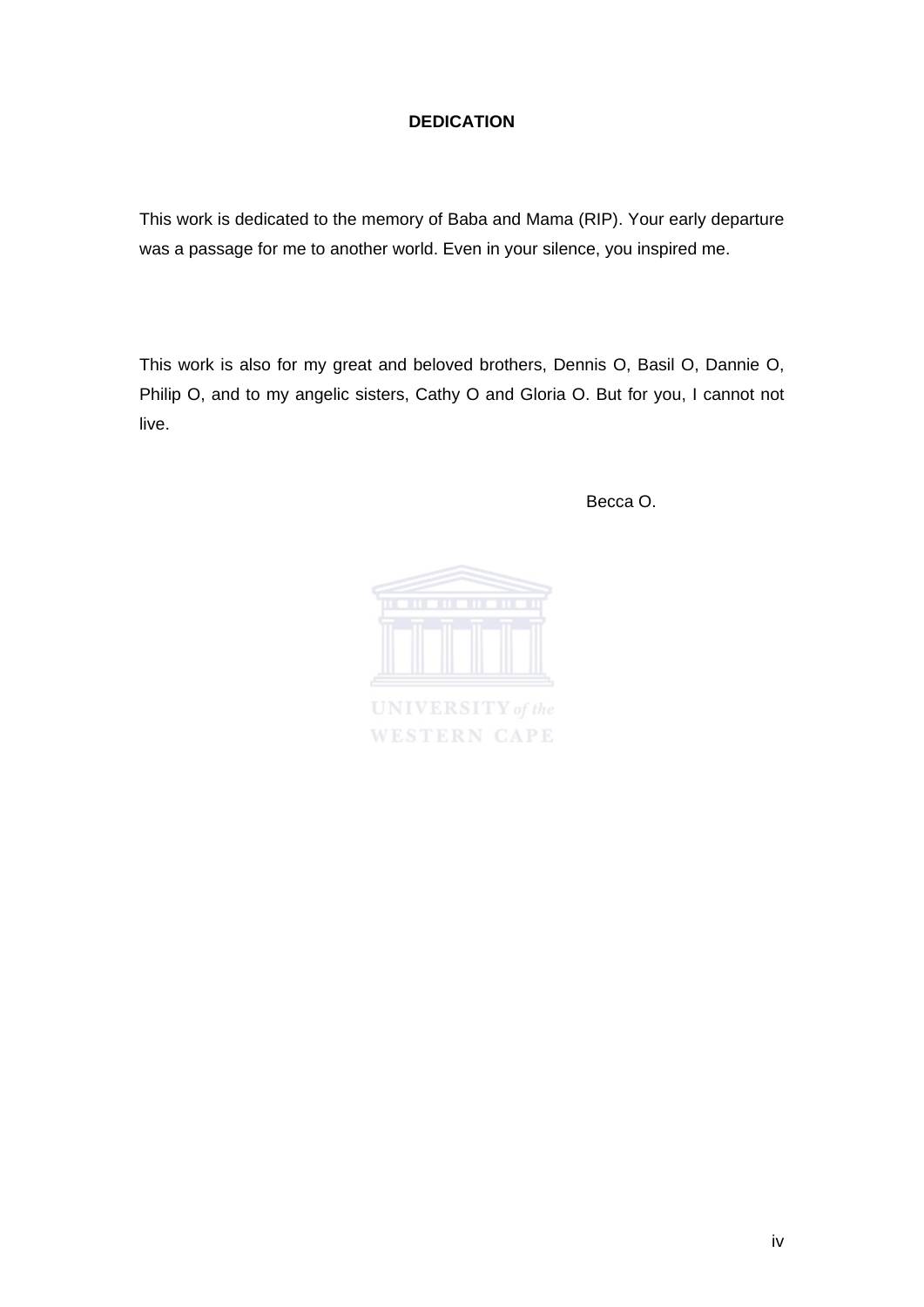#### **DEDICATION**

This work is dedicated to the memory of Baba and Mama (RIP). Your early departure was a passage for me to another world. Even in your silence, you inspired me.

This work is also for my great and beloved brothers, Dennis O, Basil O, Dannie O, Philip O, and to my angelic sisters, Cathy O and Gloria O. But for you, I cannot not live.

Becca O.

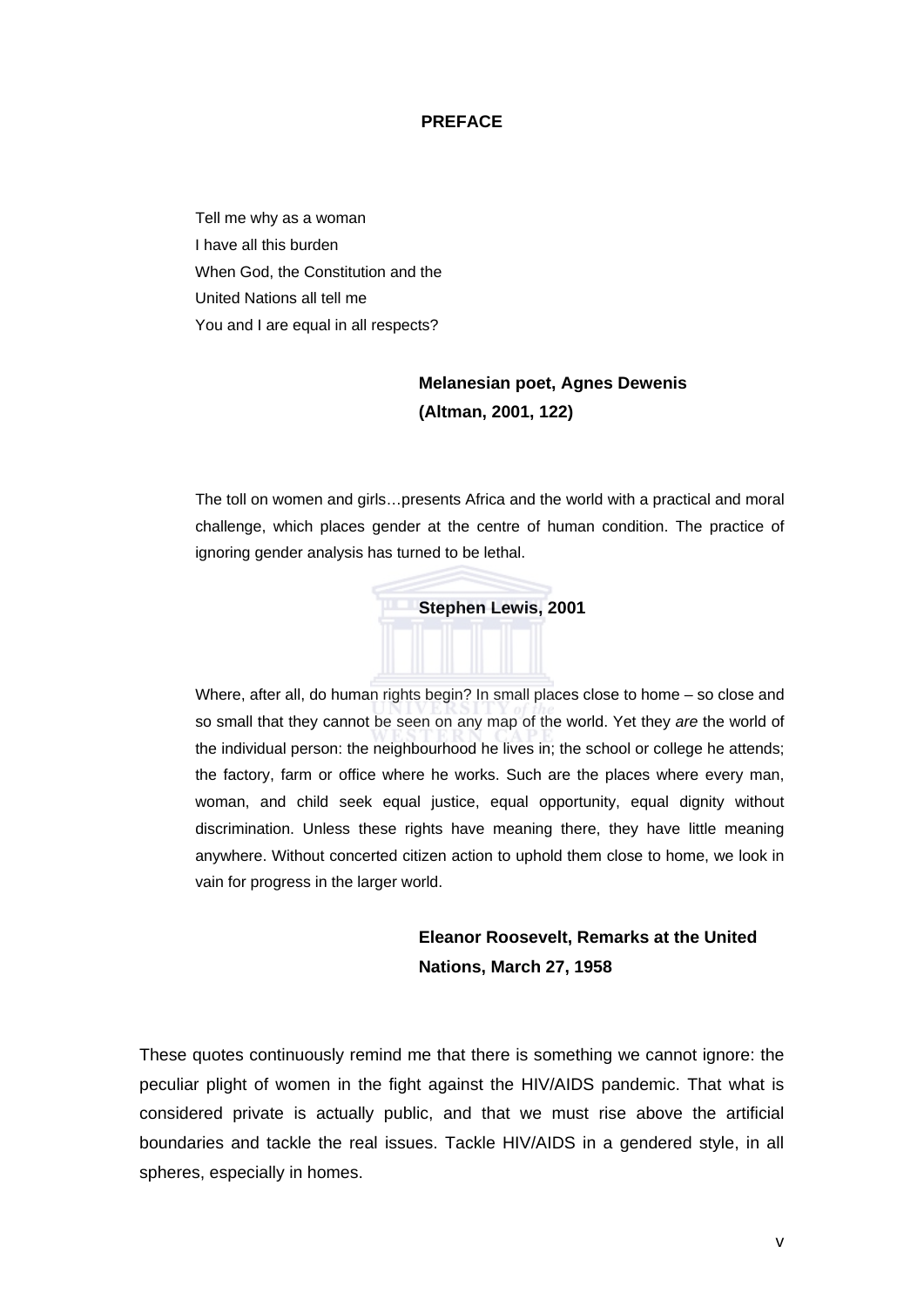#### **PREFACE**

Tell me why as a woman I have all this burden When God, the Constitution and the United Nations all tell me You and I are equal in all respects?

# **Melanesian poet, Agnes Dewenis (Altman, 2001, 122)**

The toll on women and girls…presents Africa and the world with a practical and moral challenge, which places gender at the centre of human condition. The practice of ignoring gender analysis has turned to be lethal.



Where, after all, do human rights begin? In small places close to home – so close and so small that they cannot be seen on any map of the world. Yet they *are* the world of the individual person: the neighbourhood he lives in; the school or college he attends; the factory, farm or office where he works. Such are the places where every man, woman, and child seek equal justice, equal opportunity, equal dignity without discrimination. Unless these rights have meaning there, they have little meaning anywhere. Without concerted citizen action to uphold them close to home, we look in vain for progress in the larger world.

# **Eleanor Roosevelt, Remarks at the United Nations, March 27, 1958**

These quotes continuously remind me that there is something we cannot ignore: the peculiar plight of women in the fight against the HIV/AIDS pandemic. That what is considered private is actually public, and that we must rise above the artificial boundaries and tackle the real issues. Tackle HIV/AIDS in a gendered style, in all spheres, especially in homes.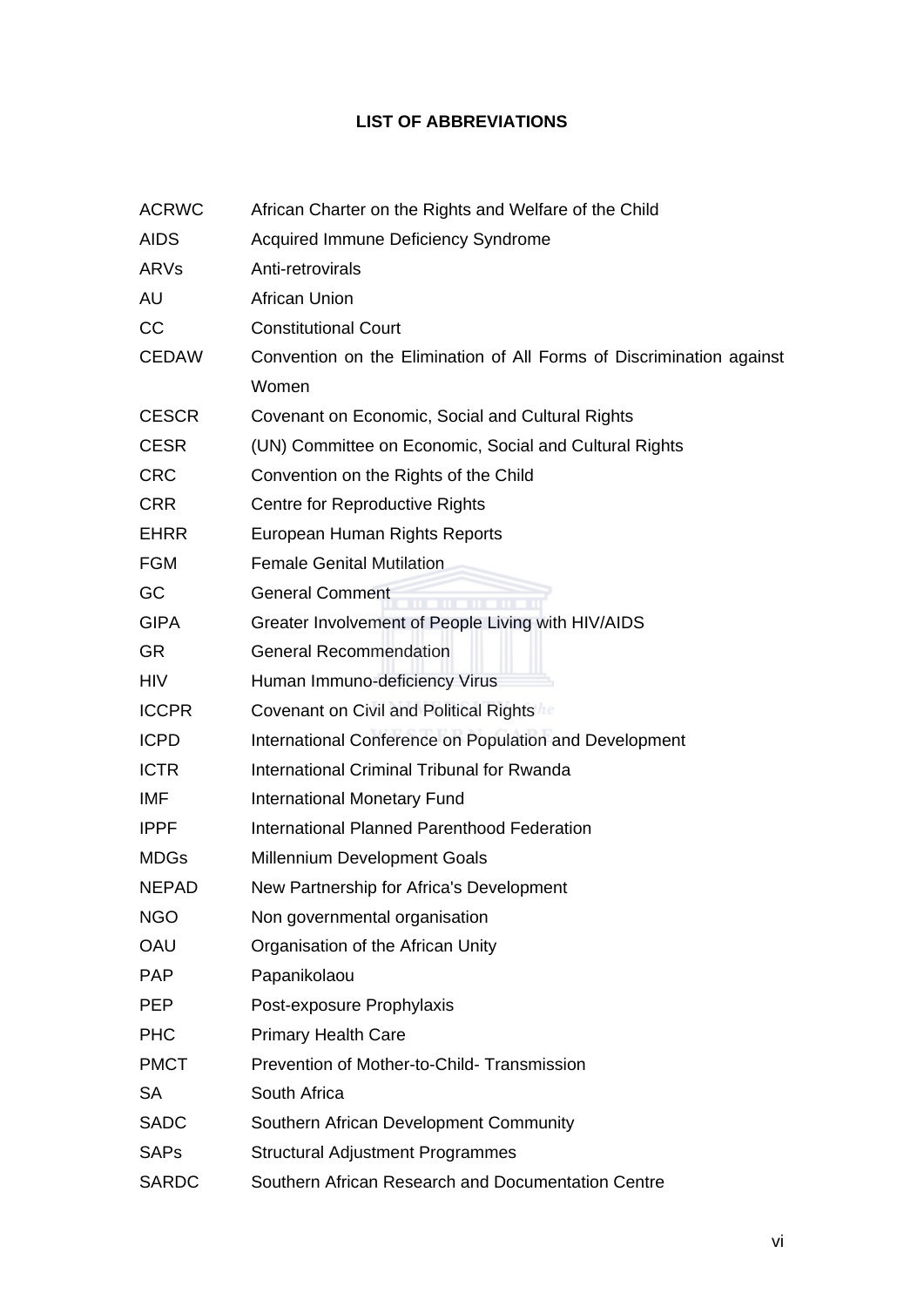# **LIST OF ABBREVIATIONS**

| <b>ACRWC</b> | African Charter on the Rights and Welfare of the Child               |
|--------------|----------------------------------------------------------------------|
| <b>AIDS</b>  | Acquired Immune Deficiency Syndrome                                  |
| ARVs         | Anti-retrovirals                                                     |
| <b>AU</b>    | <b>African Union</b>                                                 |
| CC           | <b>Constitutional Court</b>                                          |
| <b>CEDAW</b> | Convention on the Elimination of All Forms of Discrimination against |
|              | Women                                                                |
| <b>CESCR</b> | Covenant on Economic, Social and Cultural Rights                     |
| <b>CESR</b>  | (UN) Committee on Economic, Social and Cultural Rights               |
| <b>CRC</b>   | Convention on the Rights of the Child                                |
| <b>CRR</b>   | Centre for Reproductive Rights                                       |
| <b>EHRR</b>  | European Human Rights Reports                                        |
| <b>FGM</b>   | <b>Female Genital Mutilation</b>                                     |
| GC           | <b>General Comment</b>                                               |
| <b>GIPA</b>  | Greater Involvement of People Living with HIV/AIDS                   |
| <b>GR</b>    | <b>General Recommendation</b>                                        |
| <b>HIV</b>   | Human Immuno-deficiency Virus                                        |
| <b>ICCPR</b> | <b>Covenant on Civil and Political Rights to</b>                     |
| <b>ICPD</b>  | International Conference on Population and Development               |
| <b>ICTR</b>  | International Criminal Tribunal for Rwanda                           |
| IMF          | International Monetary Fund                                          |
| <b>IPPF</b>  | International Planned Parenthood Federation                          |
| <b>MDGs</b>  | <b>Millennium Development Goals</b>                                  |
| <b>NEPAD</b> | New Partnership for Africa's Development                             |
| <b>NGO</b>   | Non governmental organisation                                        |
| OAU          | Organisation of the African Unity                                    |
| <b>PAP</b>   | Papanikolaou                                                         |
| <b>PEP</b>   | Post-exposure Prophylaxis                                            |
| <b>PHC</b>   | <b>Primary Health Care</b>                                           |
| <b>PMCT</b>  | Prevention of Mother-to-Child- Transmission                          |
| <b>SA</b>    | South Africa                                                         |
| <b>SADC</b>  | Southern African Development Community                               |
| <b>SAPs</b>  | <b>Structural Adjustment Programmes</b>                              |
| <b>SARDC</b> | Southern African Research and Documentation Centre                   |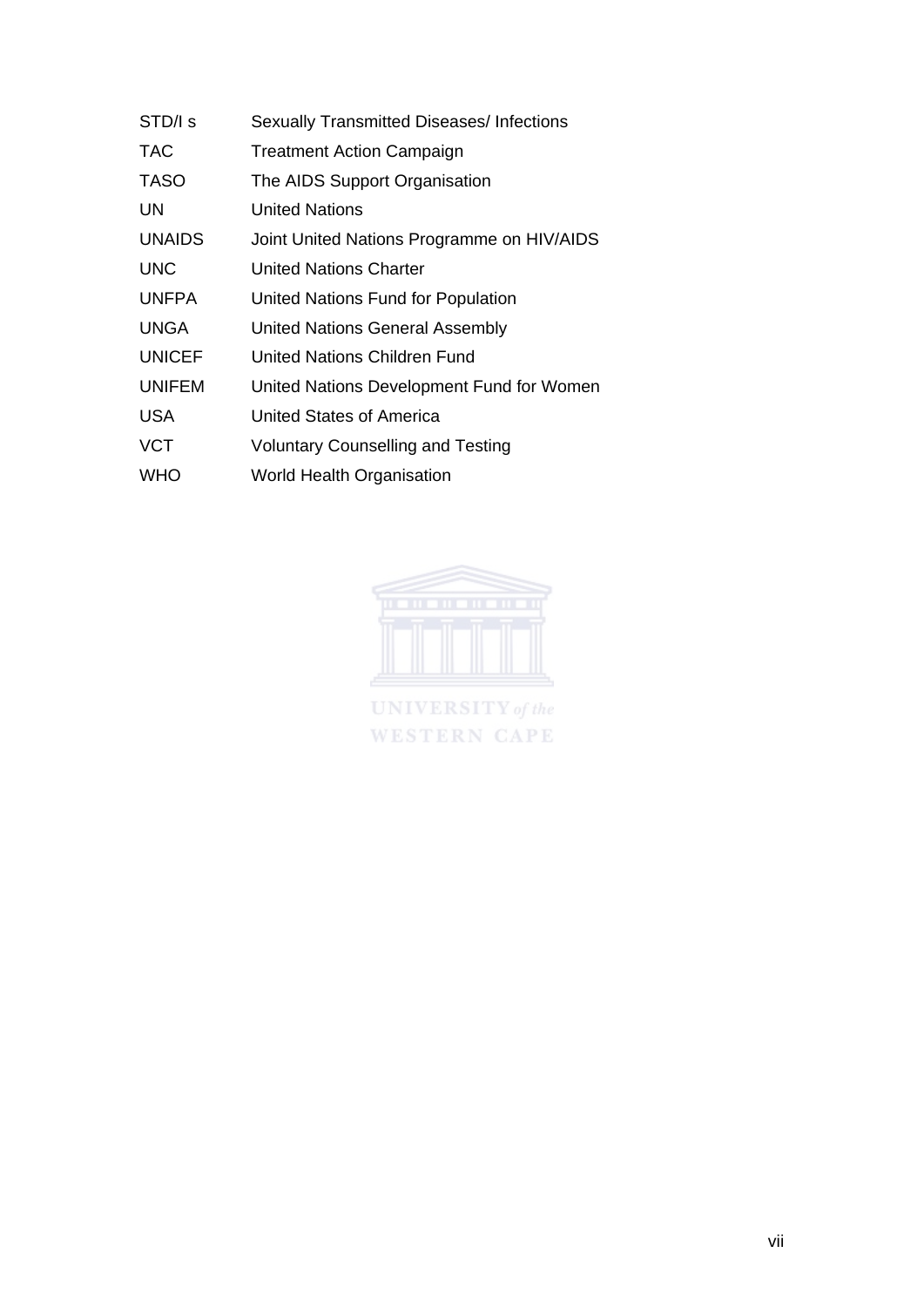| STD/I s       | Sexually Transmitted Diseases/Infections   |
|---------------|--------------------------------------------|
| <b>TAC</b>    | <b>Treatment Action Campaign</b>           |
| <b>TASO</b>   | The AIDS Support Organisation              |
| <b>UN</b>     | United Nations                             |
| <b>UNAIDS</b> | Joint United Nations Programme on HIV/AIDS |
| <b>UNC</b>    | United Nations Charter                     |
| <b>UNFPA</b>  | United Nations Fund for Population         |
| <b>UNGA</b>   | United Nations General Assembly            |
| <b>UNICEF</b> | United Nations Children Fund               |
| <b>UNIFEM</b> | United Nations Development Fund for Women  |
| <b>USA</b>    | United States of America                   |
| <b>VCT</b>    | <b>Voluntary Counselling and Testing</b>   |
| <b>WHO</b>    | <b>World Health Organisation</b>           |
|               |                                            |



vii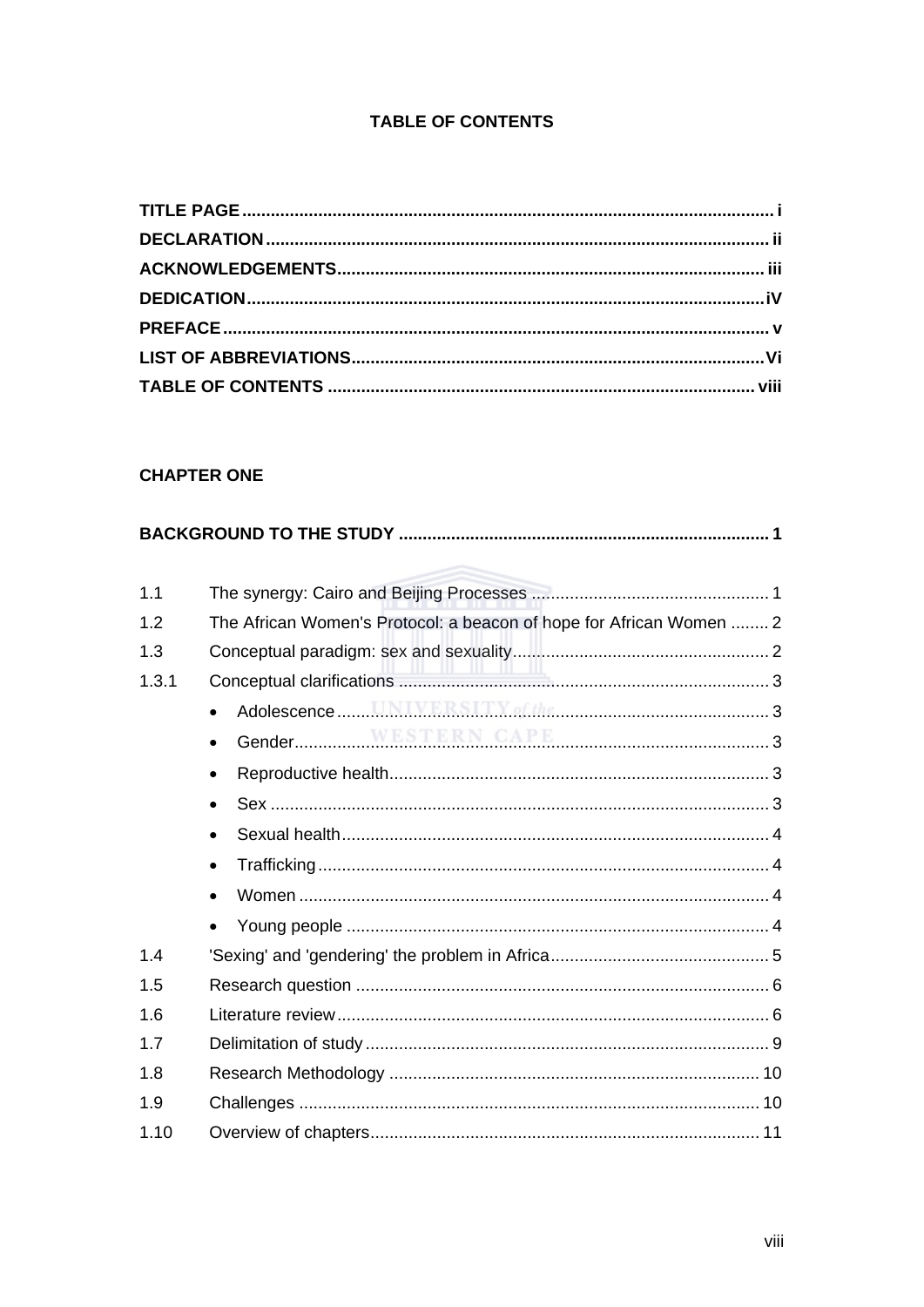# **TABLE OF CONTENTS**

# **CHAPTER ONE**

| 1.1   |                                                                     |  |
|-------|---------------------------------------------------------------------|--|
| 1.2   | The African Women's Protocol: a beacon of hope for African Women  2 |  |
| 1.3   |                                                                     |  |
| 1.3.1 |                                                                     |  |
|       |                                                                     |  |
|       |                                                                     |  |
|       |                                                                     |  |
|       |                                                                     |  |
|       |                                                                     |  |
|       |                                                                     |  |
|       |                                                                     |  |
|       |                                                                     |  |
| 1.4   |                                                                     |  |
| 1.5   |                                                                     |  |
| 1.6   |                                                                     |  |
| 1.7   |                                                                     |  |
| 1.8   |                                                                     |  |
| 1.9   |                                                                     |  |
| 1.10  |                                                                     |  |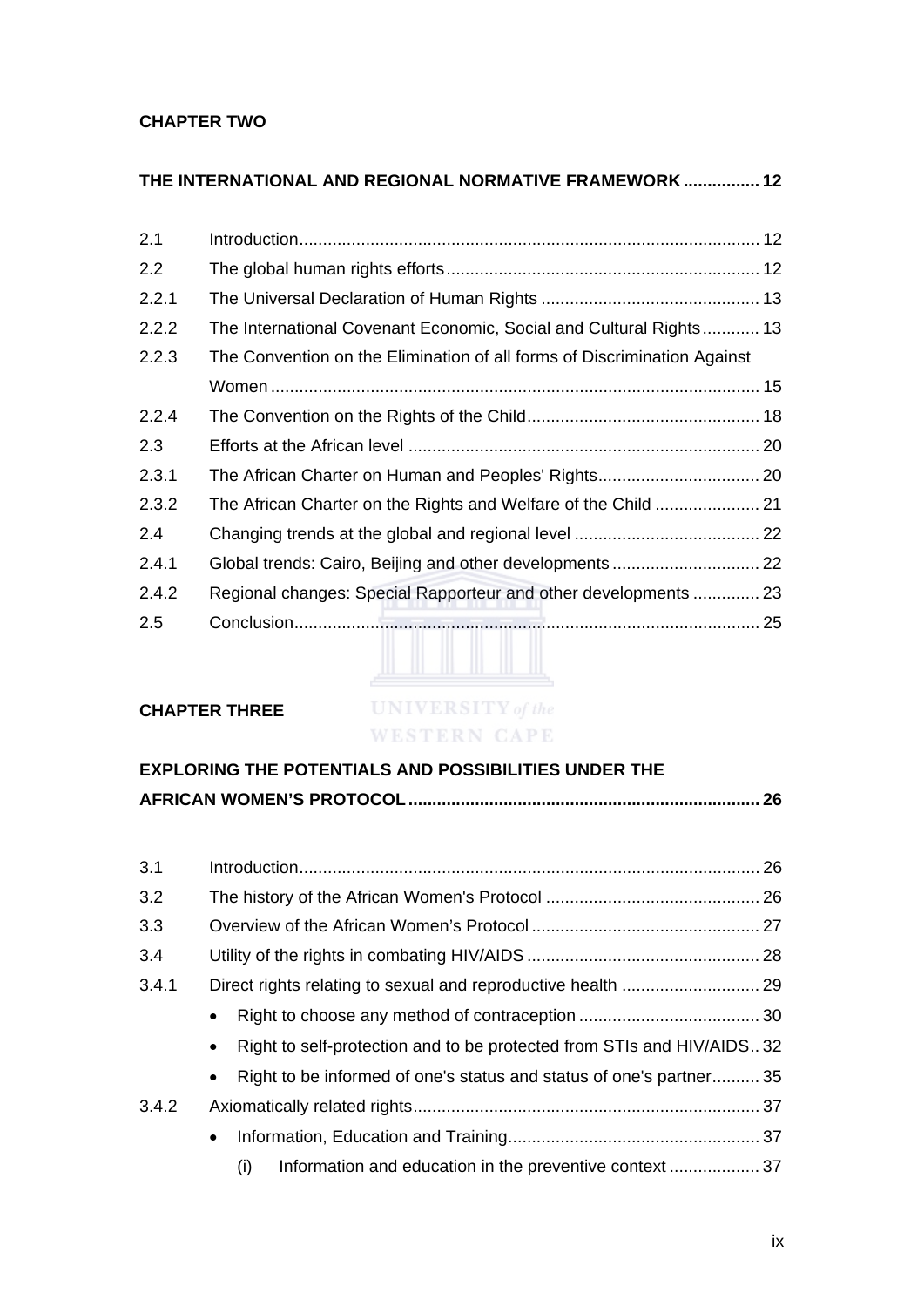#### **CHAPTER TWO**

|       | THE INTERNATIONAL AND REGIONAL NORMATIVE FRAMEWORK  12                   |  |
|-------|--------------------------------------------------------------------------|--|
| 2.1   |                                                                          |  |
| 2.2   |                                                                          |  |
| 2.2.1 |                                                                          |  |
| 2.2.2 | The International Covenant Economic, Social and Cultural Rights 13       |  |
| 2.2.3 | The Convention on the Elimination of all forms of Discrimination Against |  |
|       |                                                                          |  |
| 2.2.4 |                                                                          |  |
| 2.3   |                                                                          |  |
| 2.3.1 |                                                                          |  |
| 2.3.2 | The African Charter on the Rights and Welfare of the Child  21           |  |
| 2.4   |                                                                          |  |
| 2.4.1 |                                                                          |  |
| 2.4.2 | Regional changes: Special Rapporteur and other developments  23          |  |
| 2.5   |                                                                          |  |

#### **CHAPTER THREE**

# **UNIVERSITY** of the **WESTERN CAPE**

| <b>EXPLORING THE POTENTIALS AND POSSIBILITIES UNDER THE</b> |  |
|-------------------------------------------------------------|--|
|                                                             |  |

| 3.1   |                                                                                    |  |
|-------|------------------------------------------------------------------------------------|--|
| 3.2   |                                                                                    |  |
| 3.3   |                                                                                    |  |
| 3.4   |                                                                                    |  |
| 3.4.1 |                                                                                    |  |
|       | $\bullet$                                                                          |  |
|       | Right to self-protection and to be protected from STIs and HIV/AIDS32<br>$\bullet$ |  |
|       | Right to be informed of one's status and status of one's partner 35<br>$\bullet$   |  |
| 3.4.2 |                                                                                    |  |
|       | $\bullet$                                                                          |  |
|       | (i)                                                                                |  |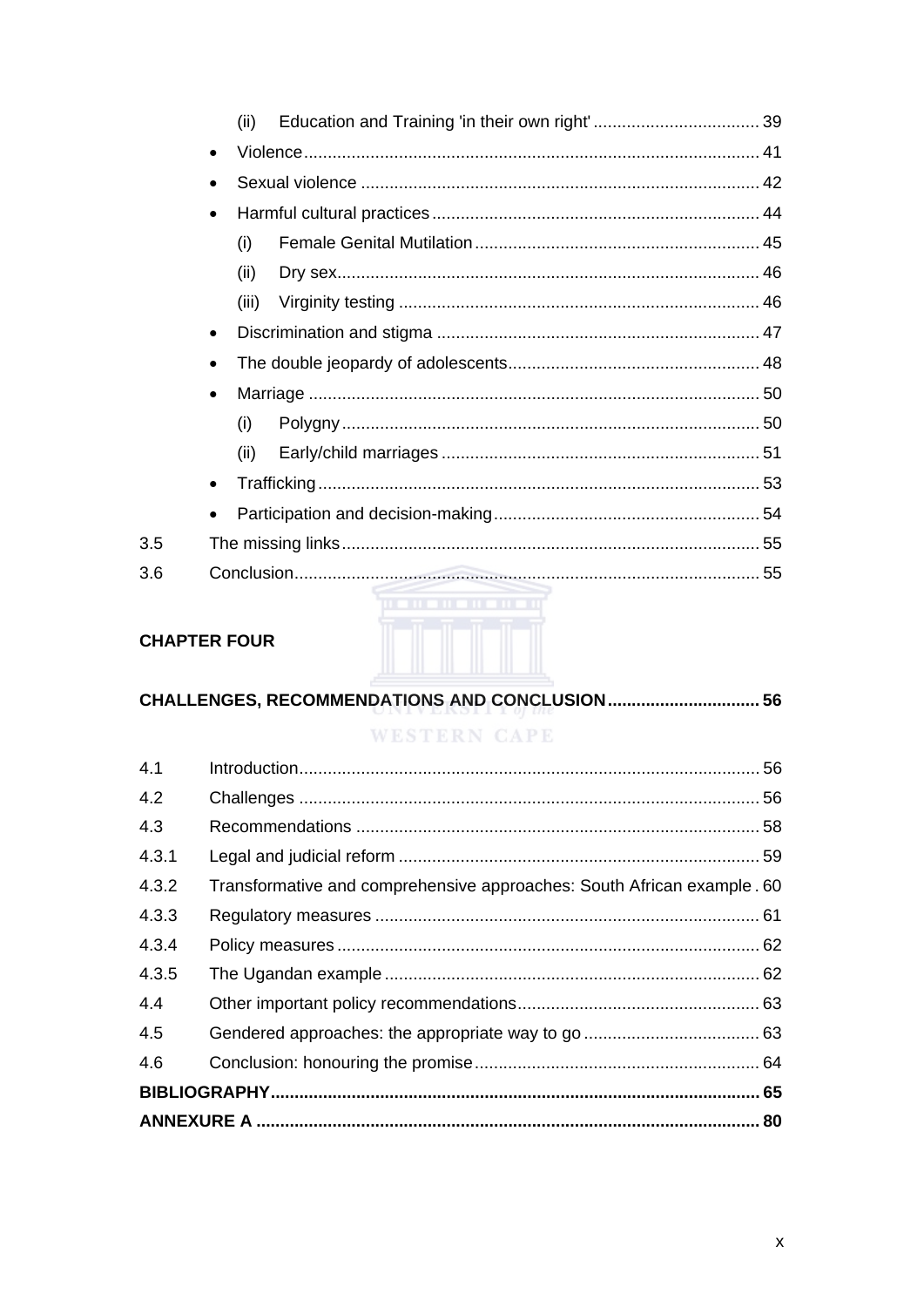|     | (ii)      |  |
|-----|-----------|--|
|     | $\bullet$ |  |
|     | $\bullet$ |  |
|     | $\bullet$ |  |
|     | (i)       |  |
|     | (ii)      |  |
|     | (iii)     |  |
|     | $\bullet$ |  |
|     | $\bullet$ |  |
|     | $\bullet$ |  |
|     | (i)       |  |
|     | (ii)      |  |
|     | $\bullet$ |  |
|     |           |  |
| 3.5 |           |  |
| 3.6 |           |  |

# **CHAPTER FOUR**



|       | CHALLENGES, RECOMMENDATIONS AND CONCLUSION 56                           |  |
|-------|-------------------------------------------------------------------------|--|
|       | <b>WESTERN CAPE</b>                                                     |  |
| 4.1   |                                                                         |  |
| 4.2   |                                                                         |  |
| 4.3   |                                                                         |  |
| 4.3.1 |                                                                         |  |
| 4.3.2 | Transformative and comprehensive approaches: South African example . 60 |  |
| 4.3.3 |                                                                         |  |
| 4.3.4 |                                                                         |  |
| 4.3.5 |                                                                         |  |
| 4.4   |                                                                         |  |
| 4.5   |                                                                         |  |
| 4.6   |                                                                         |  |
|       |                                                                         |  |
|       |                                                                         |  |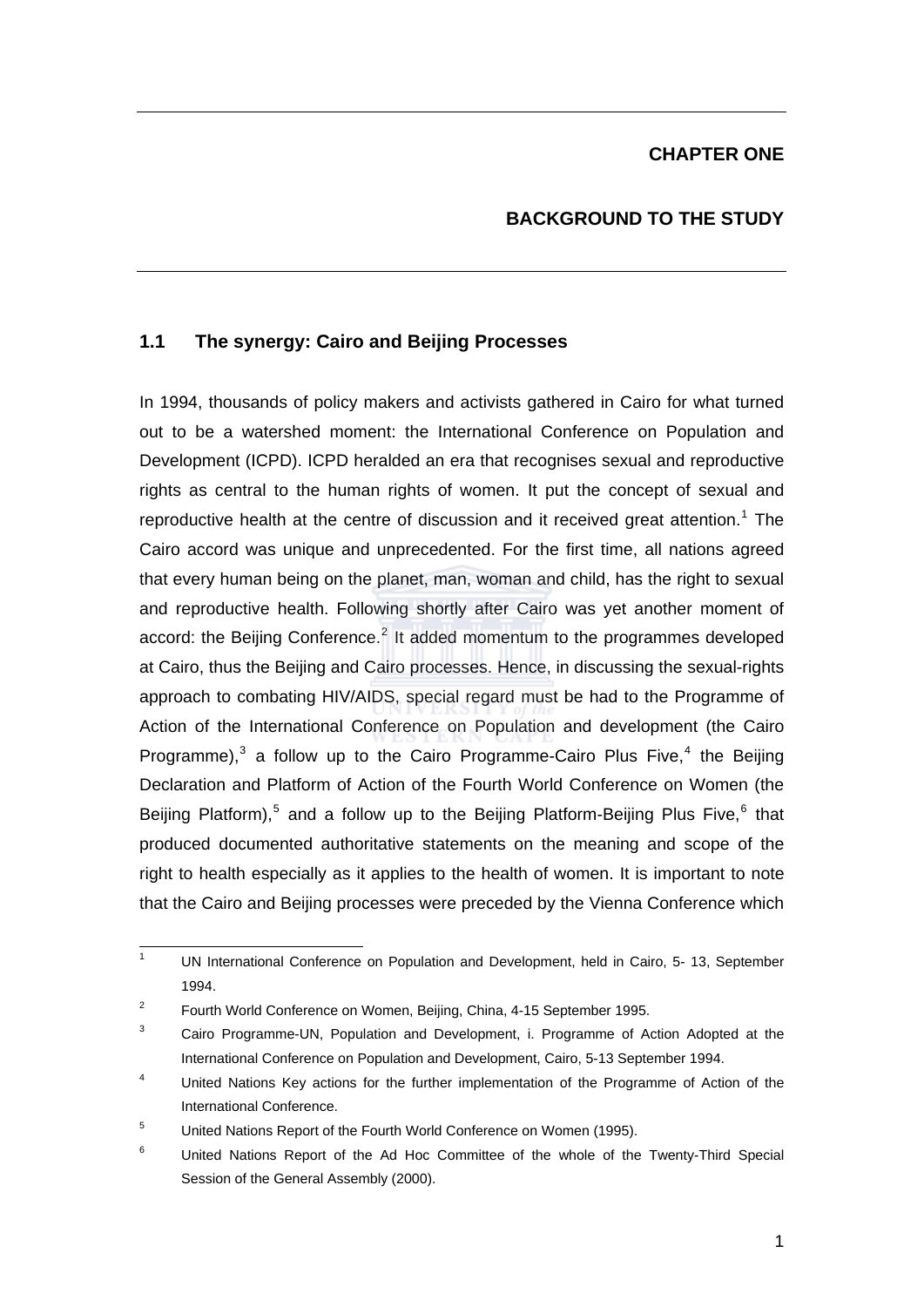## **CHAPTER ONE**

## **BACKGROUND TO THE STUDY**

#### **1.1 The synergy: Cairo and Beijing Processes**

In 1994, thousands of policy makers and activists gathered in Cairo for what turned out to be a watershed moment: the International Conference on Population and Development (ICPD). ICPD heralded an era that recognises sexual and reproductive rights as central to the human rights of women. It put the concept of sexual and reproductive health at the centre of discussion and it received great attention.<sup>[1](#page-10-0)</sup> The Cairo accord was unique and unprecedented. For the first time, all nations agreed that every human being on the planet, man, woman and child, has the right to sexual and reproductive health. Following shortly after Cairo was yet another moment of accord: the Beijing Conference. $<sup>2</sup>$  $<sup>2</sup>$  $<sup>2</sup>$  It added momentum to the programmes developed</sup> at Cairo, thus the Beijing and Cairo processes. Hence, in discussing the sexual-rights approach to combating HIV/AIDS, special regard must be had to the Programme of Action of the International Conference on Population and development (the Cairo Programme), $3$  a follow up to the Cairo Programme-Cairo Plus Five,  $4$  the Beijing Declaration and Platform of Action of the Fourth World Conference on Women (the Beijing Platform),<sup>[5](#page-10-4)</sup> and a follow up to the Beijing Platform-Beijing Plus Five, $6$  that produced documented authoritative statements on the meaning and scope of the right to health especially as it applies to the health of women. It is important to note that the Cairo and Beijing processes were preceded by the Vienna Conference which

<span id="page-10-0"></span> $\frac{1}{1}$  UN International Conference on Population and Development, held in Cairo, 5- 13, September 1994.

<span id="page-10-1"></span><sup>2</sup> Fourth World Conference on Women, Beijing, China, 4-15 September 1995.

<span id="page-10-2"></span><sup>3</sup> Cairo Programme-UN, Population and Development, i. Programme of Action Adopted at the International Conference on Population and Development, Cairo, 5-13 September 1994.

<span id="page-10-3"></span><sup>4</sup> United Nations Key actions for the further implementation of the Programme of Action of the International Conference.

<span id="page-10-4"></span><sup>5</sup> United Nations Report of the Fourth World Conference on Women (1995).

<span id="page-10-5"></span><sup>6</sup> United Nations Report of the Ad Hoc Committee of the whole of the Twenty-Third Special Session of the General Assembly (2000).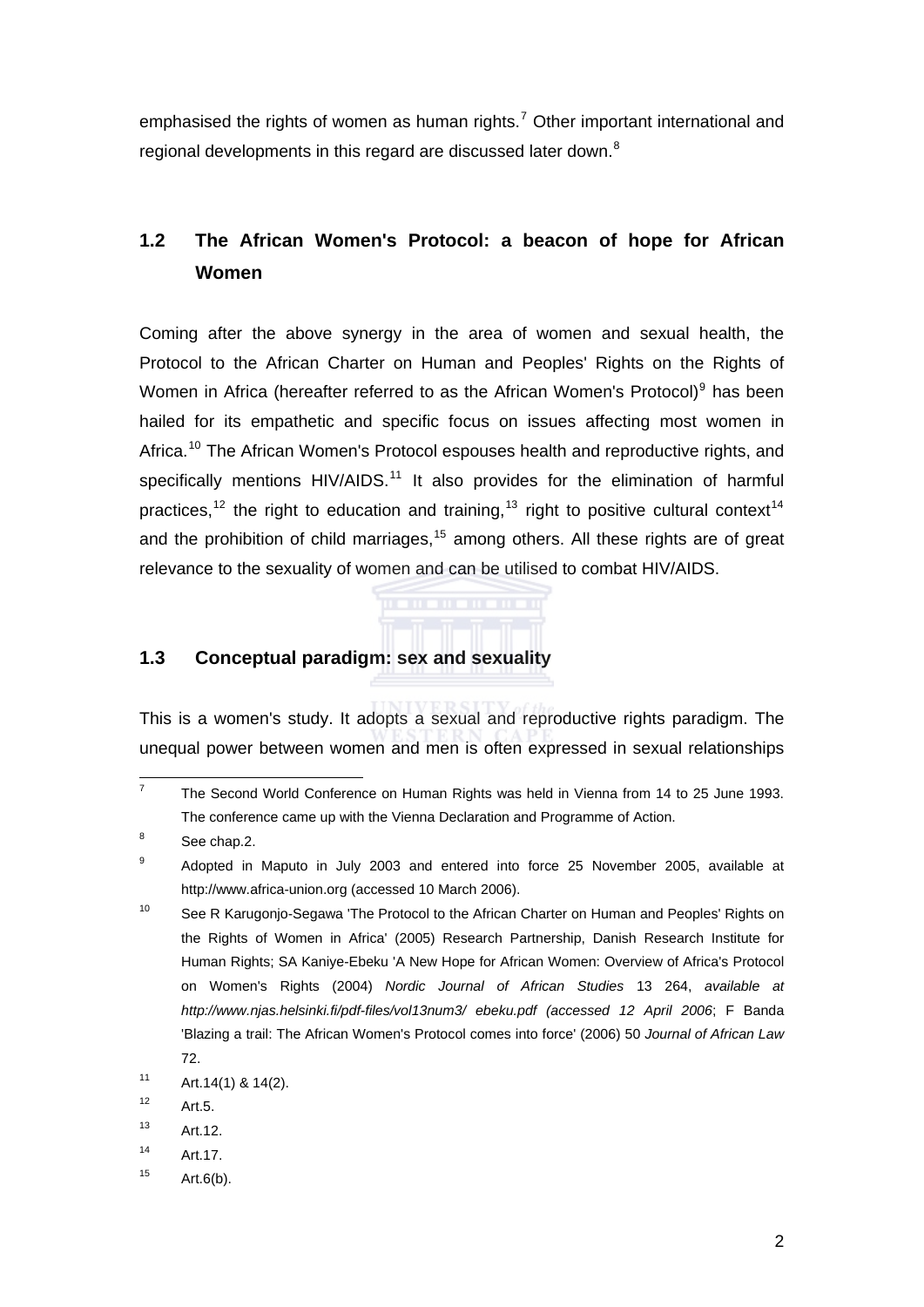emphasised the rights of women as human rights.<sup>[7](#page-11-0)</sup> Other important international and regional developments in this regard are discussed later down.<sup>[8](#page-11-1)</sup>

# **1.2 The African Women's Protocol: a beacon of hope for African Women**

Coming after the above synergy in the area of women and sexual health, the Protocol to the African Charter on Human and Peoples' Rights on the Rights of Women in Africa (hereafter referred to as the African Women's Protocol)<sup>[9](#page-11-2)</sup> has been hailed for its empathetic and specific focus on issues affecting most women in Africa.<sup>[10](#page-11-3)</sup> The African Women's Protocol espouses health and reproductive rights, and specifically mentions HIV/AIDS.<sup>[11](#page-11-4)</sup> It also provides for the elimination of harmful practices.<sup>[12](#page-11-5)</sup> the right to education and training.<sup>[13](#page-11-6)</sup> right to positive cultural context<sup>[14](#page-11-7)</sup> and the prohibition of child marriages,<sup>[15](#page-11-8)</sup> among others. All these rights are of great relevance to the sexuality of women and can be utilised to combat HIV/AIDS.

# **1.3 Conceptual paradigm: sex and sexuality**

This is a women's study. It adopts a sexual and reproductive rights paradigm. The unequal power between women and men is often expressed in sexual relationships

- <span id="page-11-7"></span>14 Art.17.
- <span id="page-11-8"></span> $15$  Art.  $6(b)$ .

<span id="page-11-0"></span> $\frac{1}{7}$  The Second World Conference on Human Rights was held in Vienna from 14 to 25 June 1993. The conference came up with the Vienna Declaration and Programme of Action.

<span id="page-11-1"></span><sup>8</sup> See chap.2.

<span id="page-11-2"></span><sup>9</sup> Adopted in Maputo in July 2003 and entered into force 25 November 2005, available at http://www.africa-union.org (accessed 10 March 2006).

<span id="page-11-3"></span><sup>&</sup>lt;sup>10</sup> See R Karugonjo-Segawa 'The Protocol to the African Charter on Human and Peoples' Rights on the Rights of Women in Africa' (2005) Research Partnership, Danish Research Institute for Human Rights; SA Kaniye-Ebeku 'A New Hope for African Women: Overview of Africa's Protocol on Women's Rights (2004) *Nordic Journal of African Studies* 13 264, *available at http://www.njas.helsinki.fi/pdf-files/vol13num3/ ebeku.pdf (accessed 12 April 2006*; F Banda 'Blazing a trail: The African Women's Protocol comes into force' (2006) 50 *Journal of African Law* 72.

<span id="page-11-4"></span> $11$  Art. 14(1) & 14(2).

<span id="page-11-5"></span> $12$  Art.5.

<span id="page-11-6"></span><sup>13</sup> Art.12.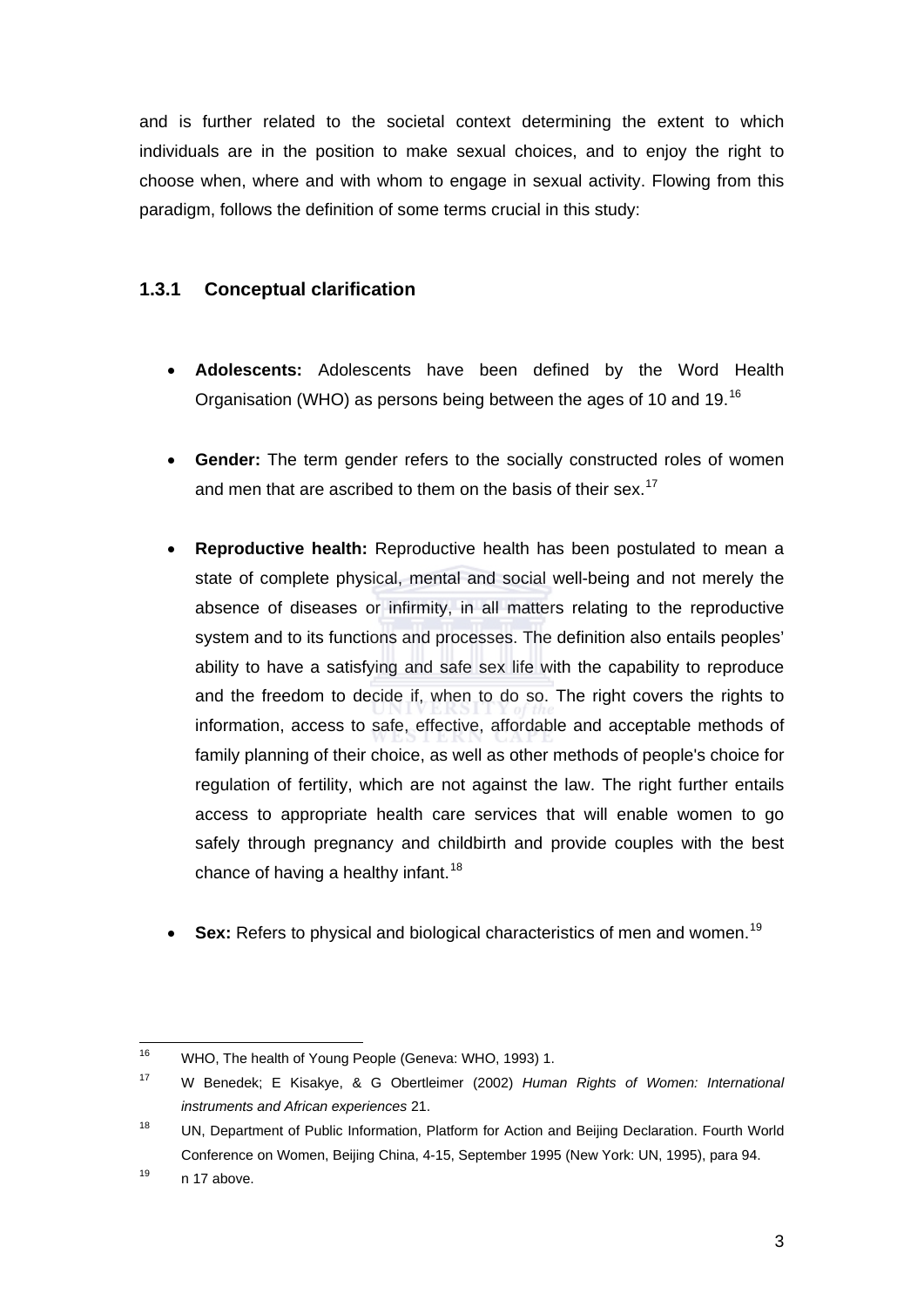and is further related to the societal context determining the extent to which individuals are in the position to make sexual choices, and to enjoy the right to choose when, where and with whom to engage in sexual activity. Flowing from this paradigm, follows the definition of some terms crucial in this study:

# **1.3.1 Conceptual clarification**

- **Adolescents:** Adolescents have been defined by the Word Health Organisation (WHO) as persons being between the ages of 10 and 19.<sup>[16](#page-12-0)</sup>
- **Gender:** The term gender refers to the socially constructed roles of women and men that are ascribed to them on the basis of their sex.<sup>[17](#page-12-1)</sup>
- **Reproductive health:** Reproductive health has been postulated to mean a state of complete physical, mental and social well-being and not merely the absence of diseases or infirmity, in all matters relating to the reproductive system and to its functions and processes. The definition also entails peoples' ability to have a satisfying and safe sex life with the capability to reproduce and the freedom to decide if, when to do so. The right covers the rights to information, access to safe, effective, affordable and acceptable methods of family planning of their choice, as well as other methods of people's choice for regulation of fertility, which are not against the law. The right further entails access to appropriate health care services that will enable women to go safely through pregnancy and childbirth and provide couples with the best chance of having a healthy infant.<sup>[18](#page-12-2)</sup>
- **Sex:** Refers to physical and biological characteristics of men and women.<sup>[19](#page-12-3)</sup>

<span id="page-12-0"></span><sup>16</sup> WHO, The health of Young People (Geneva: WHO, 1993) 1.

<span id="page-12-1"></span><sup>17</sup> W Benedek; E Kisakye, & G Obertleimer (2002) *Human Rights of Women: International instruments and African experiences* 21.

<span id="page-12-2"></span><sup>&</sup>lt;sup>18</sup> UN, Department of Public Information, Platform for Action and Beijing Declaration. Fourth World Conference on Women, Beijing China, 4-15, September 1995 (New York: UN, 1995), para 94.

<span id="page-12-3"></span> $19 \quad n \, 17$  above.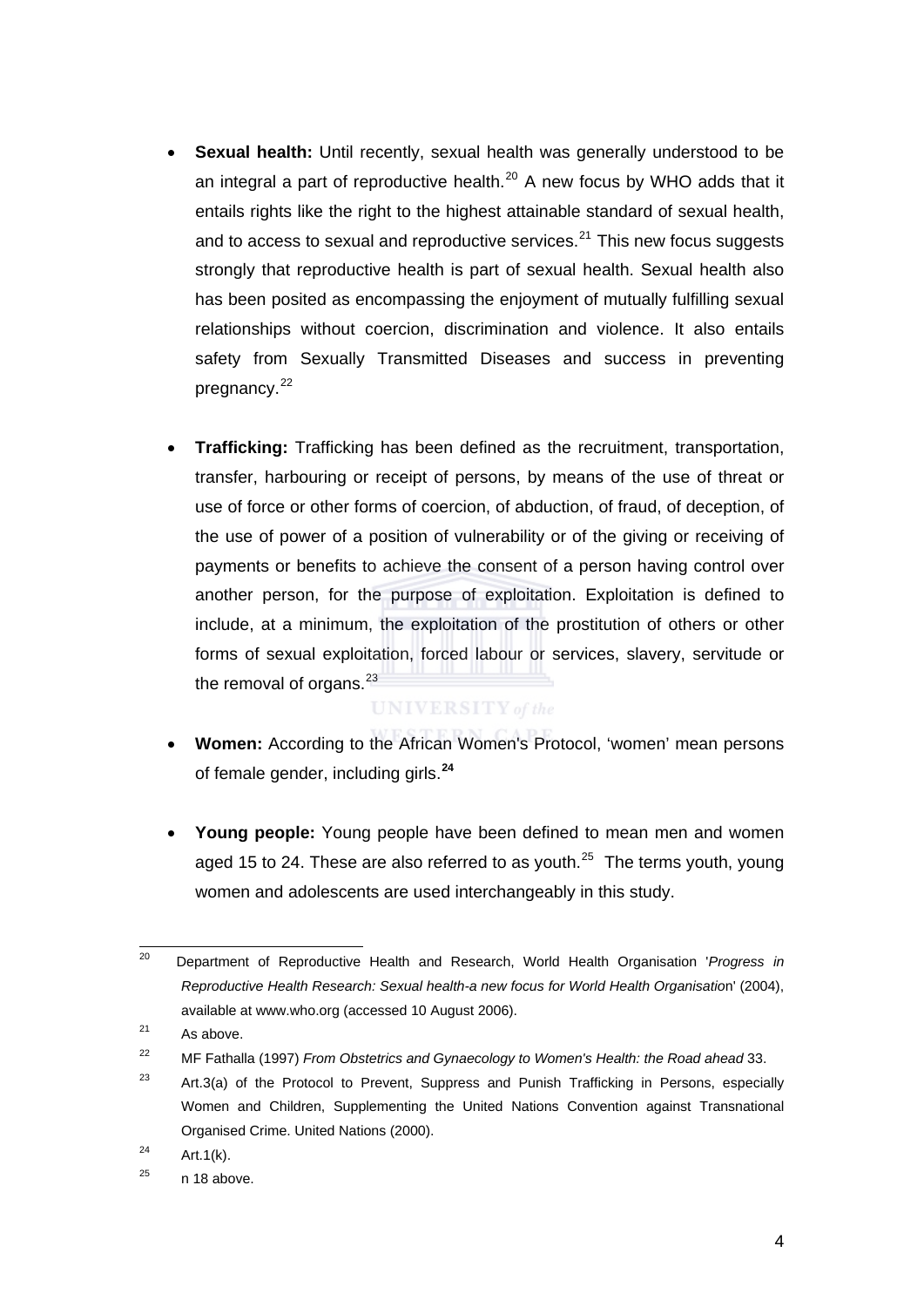- **Sexual health:** Until recently, sexual health was generally understood to be an integral a part of reproductive health. $^{20}$  $^{20}$  $^{20}$  A new focus by WHO adds that it entails rights like the right to the highest attainable standard of sexual health, and to access to sexual and reproductive services. $^{21}$  $^{21}$  $^{21}$  This new focus suggests strongly that reproductive health is part of sexual health. Sexual health also has been posited as encompassing the enjoyment of mutually fulfilling sexual relationships without coercion, discrimination and violence. It also entails safety from Sexually Transmitted Diseases and success in preventing pregnancy.<sup>[22](#page-13-2)</sup>
- **Trafficking:** Trafficking has been defined as the recruitment, transportation, transfer, harbouring or receipt of persons, by means of the use of threat or use of force or other forms of coercion, of abduction, of fraud, of deception, of the use of power of a position of vulnerability or of the giving or receiving of payments or benefits to achieve the consent of a person having control over another person, for the purpose of exploitation. Exploitation is defined to include, at a minimum, the exploitation of the prostitution of others or other forms of sexual exploitation, forced labour or services, slavery, servitude or the removal of organs. $^{23}$  $^{23}$  $^{23}$

#### **UNIVERSITY** of the

- **Women:** According to the African Women's Protocol, 'women' mean persons of female gender, including girls.**[24](#page-13-4)**
- **Young people:** Young people have been defined to mean men and women aged 15 to 24. These are also referred to as youth. $25$  The terms youth, young women and adolescents are used interchangeably in this study.

<span id="page-13-0"></span> $20 \overline{)}$ <sup>20</sup>Department of Reproductive Health and Research, World Health Organisation '*Progress in Reproductive Health Research: Sexual health-a new focus for World Health Organisatio*n' (2004), available at www.who.org (accessed 10 August 2006).

<span id="page-13-1"></span> $21$  As above.

<span id="page-13-2"></span><sup>22</sup> MF Fathalla (1997) *From Obstetrics and Gynaecology to Women's Health: the Road ahead* 33.

<span id="page-13-3"></span> $23$  Art.3(a) of the Protocol to Prevent, Suppress and Punish Trafficking in Persons, especially Women and Children, Supplementing the United Nations Convention against Transnational Organised Crime. United Nations (2000).

<span id="page-13-4"></span> $24$  Art. 1(k).

<span id="page-13-5"></span> $25$  n 18 above.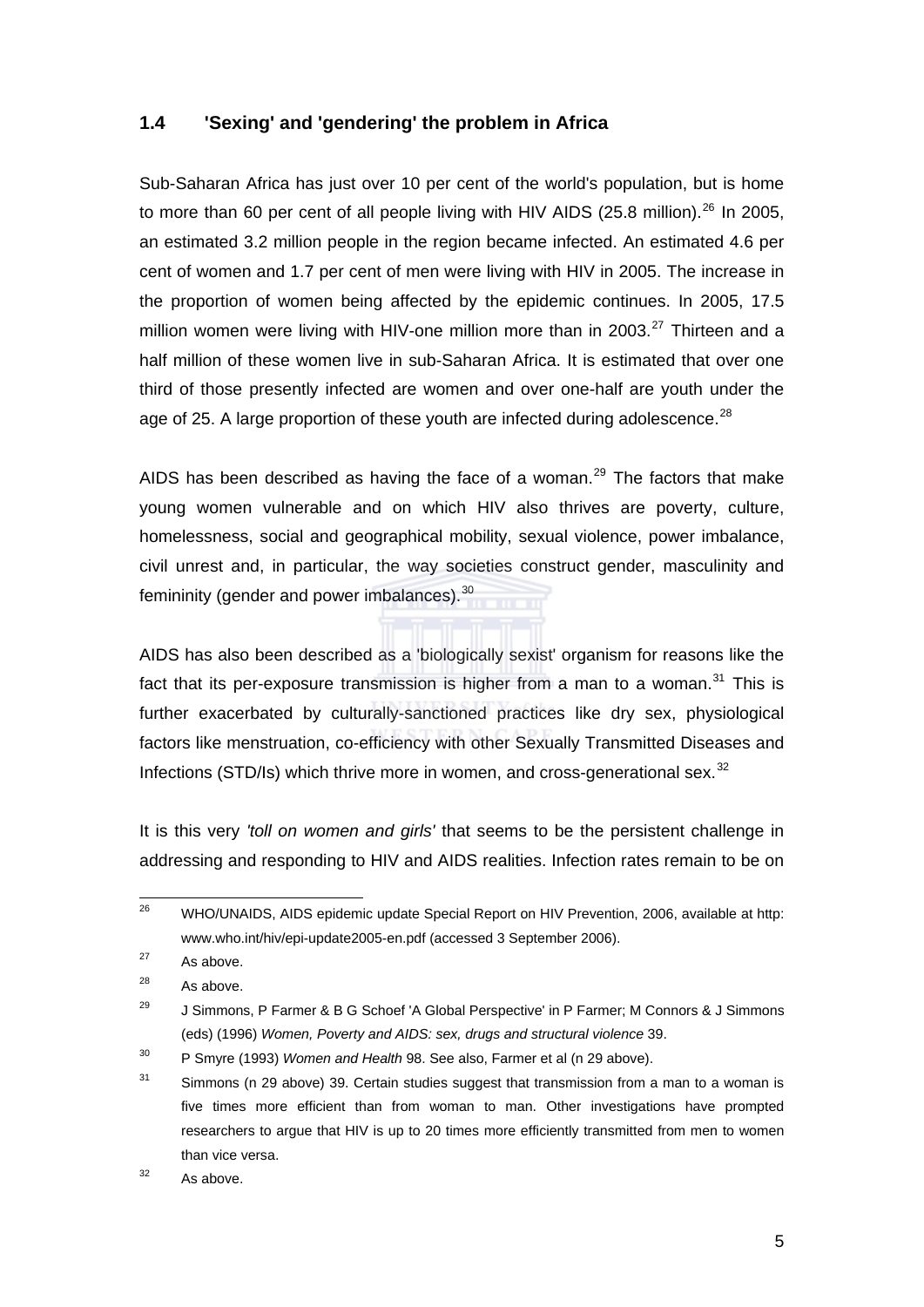#### **1.4 'Sexing' and 'gendering' the problem in Africa**

Sub-Saharan Africa has just over 10 per cent of the world's population, but is home to more than 60 per cent of all people living with HIV AIDS (25.8 million). $^{26}$  $^{26}$  $^{26}$  In 2005. an estimated 3.2 million people in the region became infected. An estimated 4.6 per cent of women and 1.7 per cent of men were living with HIV in 2005. The increase in the proportion of women being affected by the epidemic continues. In 2005, 17.5 million women were living with HIV-one million more than in 2003.<sup>[27](#page-14-1)</sup> Thirteen and a half million of these women live in sub-Saharan Africa. It is estimated that over one third of those presently infected are women and over one-half are youth under the age of 25. A large proportion of these youth are infected during adolescence.<sup>[28](#page-14-2)</sup>

AIDS has been described as having the face of a woman. $^{29}$  $^{29}$  $^{29}$  The factors that make young women vulnerable and on which HIV also thrives are poverty, culture, homelessness, social and geographical mobility, sexual violence, power imbalance, civil unrest and, in particular, the way societies construct gender, masculinity and femininity (gender and power imbalances). $30$ 

AIDS has also been described as a 'biologically sexist' organism for reasons like the fact that its per-exposure transmission is higher from a man to a woman.<sup>[31](#page-14-5)</sup> This is further exacerbated by culturally-sanctioned practices like dry sex, physiological factors like menstruation, co-efficiency with other Sexually Transmitted Diseases and Infections (STD/Is) which thrive more in women, and cross-generational sex.<sup>[32](#page-14-6)</sup>

It is this very *'toll on women and girls'* that seems to be the persistent challenge in addressing and responding to HIV and AIDS realities. Infection rates remain to be on

<span id="page-14-0"></span><sup>26</sup> WHO/UNAIDS, AIDS epidemic update Special Report on HIV Prevention, 2006, available at http: www.who.int/hiv/epi-update2005-en.pdf (accessed 3 September 2006).

<span id="page-14-1"></span> $27$  As above.

<span id="page-14-2"></span> $28$  As above.

<span id="page-14-3"></span><sup>&</sup>lt;sup>29</sup> J Simmons, P Farmer & B G Schoef 'A Global Perspective' in P Farmer; M Connors & J Simmons (eds) (1996) *Women, Poverty and AIDS: sex, drugs and structural violence* 39.

<span id="page-14-4"></span><sup>30</sup> P Smyre (1993) *Women and Health* 98. See also, Farmer et al (n 29 above).

<span id="page-14-5"></span> $31$  Simmons (n 29 above) 39. Certain studies suggest that transmission from a man to a woman is five times more efficient than from woman to man. Other investigations have prompted researchers to argue that HIV is up to 20 times more efficiently transmitted from men to women than vice versa.

<span id="page-14-6"></span> $32$  As above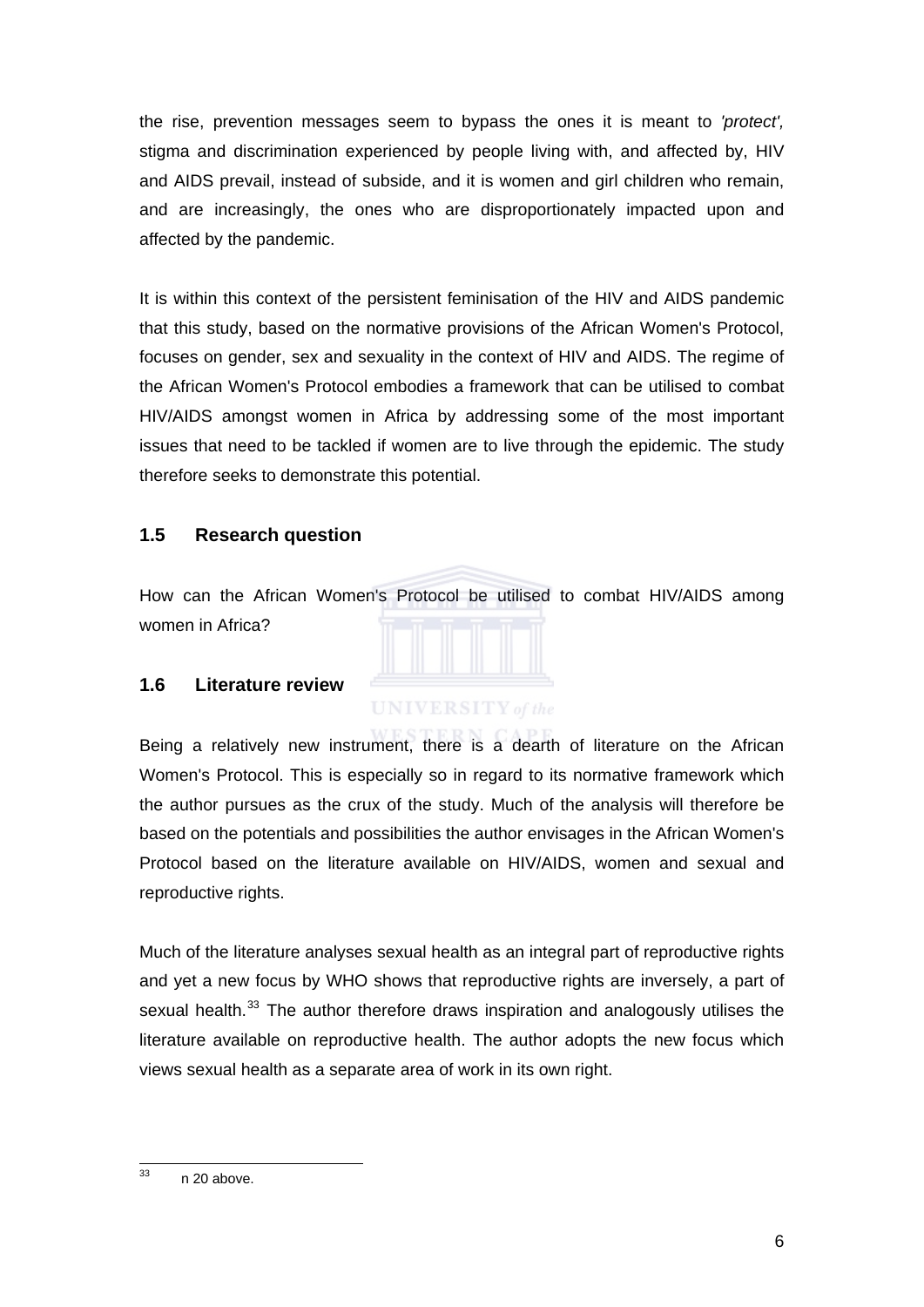the rise, prevention messages seem to bypass the ones it is meant to *'protect',*  stigma and discrimination experienced by people living with, and affected by, HIV and AIDS prevail, instead of subside, and it is women and girl children who remain, and are increasingly, the ones who are disproportionately impacted upon and affected by the pandemic.

It is within this context of the persistent feminisation of the HIV and AIDS pandemic that this study, based on the normative provisions of the African Women's Protocol, focuses on gender, sex and sexuality in the context of HIV and AIDS. The regime of the African Women's Protocol embodies a framework that can be utilised to combat HIV/AIDS amongst women in Africa by addressing some of the most important issues that need to be tackled if women are to live through the epidemic. The study therefore seeks to demonstrate this potential.

# **1.5 Research question**

How can the African Women's Protocol be utilised to combat HIV/AIDS among women in Africa?

#### **1.6 Literature review**



**UNIVERSITY** of the

Being a relatively new instrument, there is a dearth of literature on the African Women's Protocol. This is especially so in regard to its normative framework which the author pursues as the crux of the study. Much of the analysis will therefore be based on the potentials and possibilities the author envisages in the African Women's Protocol based on the literature available on HIV/AIDS, women and sexual and reproductive rights.

Much of the literature analyses sexual health as an integral part of reproductive rights and yet a new focus by WHO shows that reproductive rights are inversely, a part of sexual health.<sup>[33](#page-15-0)</sup> The author therefore draws inspiration and analogously utilises the literature available on reproductive health. The author adopts the new focus which views sexual health as a separate area of work in its own right.

<span id="page-15-0"></span> $33$ n 20 above.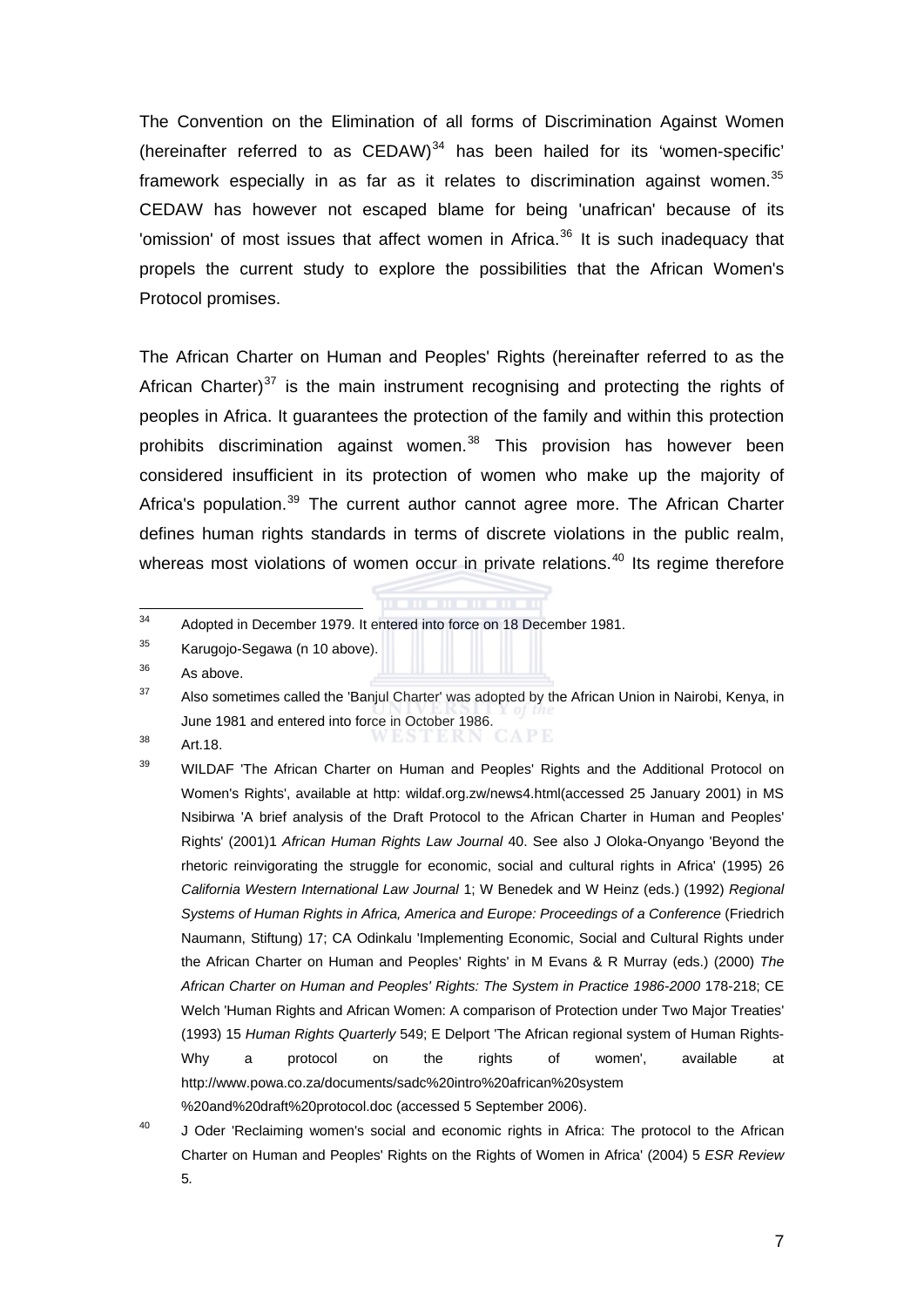The Convention on the Elimination of all forms of Discrimination Against Women (hereinafter referred to as  $\text{CEDAW}$ )<sup>[34](#page-16-0)</sup> has been hailed for its 'women-specific' framework especially in as far as it relates to discrimination against women.  $35$ CEDAW has however not escaped blame for being 'unafrican' because of its 'omission' of most issues that affect women in Africa. $36$  It is such inadequacy that propels the current study to explore the possibilities that the African Women's Protocol promises.

The African Charter on Human and Peoples' Rights (hereinafter referred to as the African Charter)<sup>[37](#page-16-3)</sup> is the main instrument recognising and protecting the rights of peoples in Africa. It guarantees the protection of the family and within this protection prohibits discrimination against women.<sup>[38](#page-16-4)</sup> This provision has however been considered insufficient in its protection of women who make up the majority of Africa's population.<sup>[39](#page-16-5)</sup> The current author cannot agree more. The African Charter defines human rights standards in terms of discrete violations in the public realm, whereas most violations of women occur in private relations.<sup>[40](#page-16-6)</sup> Its regime therefore

- <span id="page-16-1"></span>35 Karugojo-Segawa (n 10 above).
- <span id="page-16-2"></span><sup>36</sup> As above.

<span id="page-16-4"></span>38 Art.18.

<span id="page-16-0"></span><sup>34</sup> Adopted in December 1979. It entered into force on 18 December 1981.

<span id="page-16-3"></span><sup>&</sup>lt;sup>37</sup> Also sometimes called the 'Banjul Charter' was adopted by the African Union in Nairobi, Kenya, in June 1981 and entered into force in October 1986.

<span id="page-16-5"></span><sup>&</sup>lt;sup>39</sup> WILDAF 'The African Charter on Human and Peoples' Rights and the Additional Protocol on Women's Rights', available at http: wildaf.org.zw/news4.html(accessed 25 January 2001) in MS Nsibirwa 'A brief analysis of the Draft Protocol to the African Charter in Human and Peoples' Rights' (2001)1 *African Human Rights Law Journal* 40. See also J Oloka-Onyango 'Beyond the rhetoric reinvigorating the struggle for economic, social and cultural rights in Africa' (1995) 26 *California Western International Law Journal* 1; W Benedek and W Heinz (eds.) (1992) *Regional Systems of Human Rights in Africa, America and Europe: Proceedings of a Conference* (Friedrich Naumann, Stiftung) 17; CA Odinkalu 'Implementing Economic, Social and Cultural Rights under the African Charter on Human and Peoples' Rights' in M Evans & R Murray (eds.) (2000) *The African Charter on Human and Peoples' Rights: The System in Practice 1986-2000* 178-218; CE Welch 'Human Rights and African Women: A comparison of Protection under Two Major Treaties' (1993) 15 *Human Rights Quarterly* 549; E Delport 'The African regional system of Human Rights-Why a protocol on the rights of women', available at http://www.powa.co.za/documents/sadc%20intro%20african%20system %20and%20draft%20protocol.doc (accessed 5 September 2006).

<span id="page-16-6"></span> $40$  J Oder 'Reclaiming women's social and economic rights in Africa: The protocol to the African Charter on Human and Peoples' Rights on the Rights of Women in Africa' (2004) 5 *ESR Review*  5*.*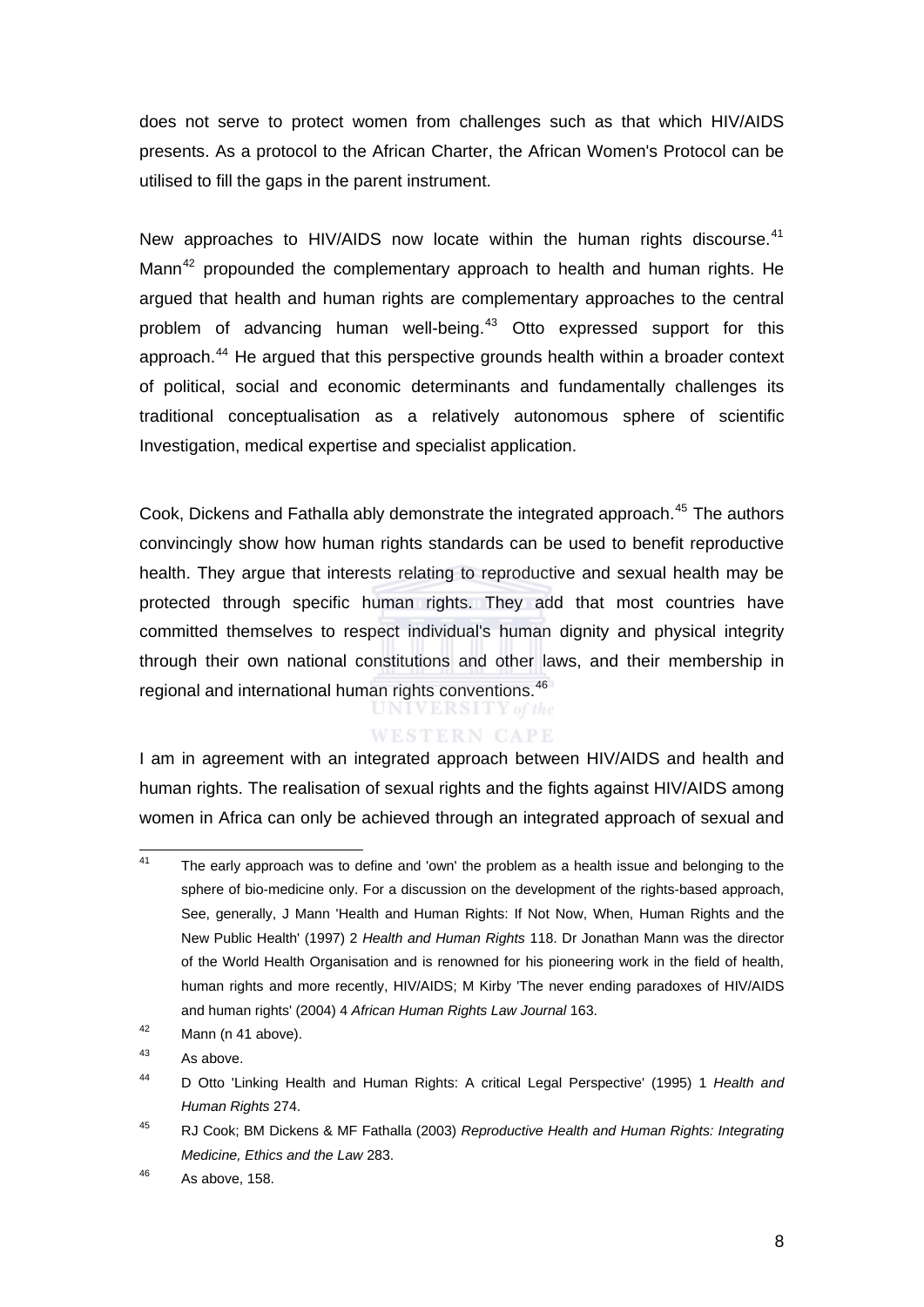does not serve to protect women from challenges such as that which HIV/AIDS presents. As a protocol to the African Charter, the African Women's Protocol can be utilised to fill the gaps in the parent instrument.

New approaches to HIV/AIDS now locate within the human rights discourse.<sup>[41](#page-17-0)</sup> Mann<sup>[42](#page-17-1)</sup> propounded the complementary approach to health and human rights. He argued that health and human rights are complementary approaches to the central problem of advancing human well-being.<sup>[43](#page-17-2)</sup> Otto expressed support for this approach.<sup>[44](#page-17-3)</sup> He argued that this perspective grounds health within a broader context of political, social and economic determinants and fundamentally challenges its traditional conceptualisation as a relatively autonomous sphere of scientific Investigation, medical expertise and specialist application.

Cook, Dickens and Fathalla ably demonstrate the integrated approach.<sup>[45](#page-17-4)</sup> The authors convincingly show how human rights standards can be used to benefit reproductive health. They argue that interests relating to reproductive and sexual health may be protected through specific human rights. They add that most countries have committed themselves to respect individual's human dignity and physical integrity through their own national constitutions and other laws, and their membership in regional and international human rights conventions.<sup>[46](#page-17-5)</sup>

#### WESTERN CAPE

I am in agreement with an integrated approach between HIV/AIDS and health and human rights. The realisation of sexual rights and the fights against HIV/AIDS among women in Africa can only be achieved through an integrated approach of sexual and

<span id="page-17-0"></span> $41$ The early approach was to define and 'own' the problem as a health issue and belonging to the sphere of bio-medicine only. For a discussion on the development of the rights-based approach, See, generally, J Mann 'Health and Human Rights: If Not Now, When, Human Rights and the New Public Health' (1997) 2 *Health and Human Rights* 118. Dr Jonathan Mann was the director of the World Health Organisation and is renowned for his pioneering work in the field of health, human rights and more recently, HIV/AIDS; M Kirby 'The never ending paradoxes of HIV/AIDS and human rights' (2004) 4 *African Human Rights Law Journal* 163.

<span id="page-17-1"></span> $42$  Mann (n 41 above).

<span id="page-17-2"></span><sup>43</sup> As above.

<span id="page-17-3"></span><sup>44</sup> D Otto 'Linking Health and Human Rights: A critical Legal Perspective' (1995) 1 *Health and Human Rights* 274.

<span id="page-17-4"></span><sup>45</sup> RJ Cook; BM Dickens & MF Fathalla (2003) *Reproductive Health and Human Rights: Integrating Medicine, Ethics and the Law* 283.

<span id="page-17-5"></span> $46$  As above, 158.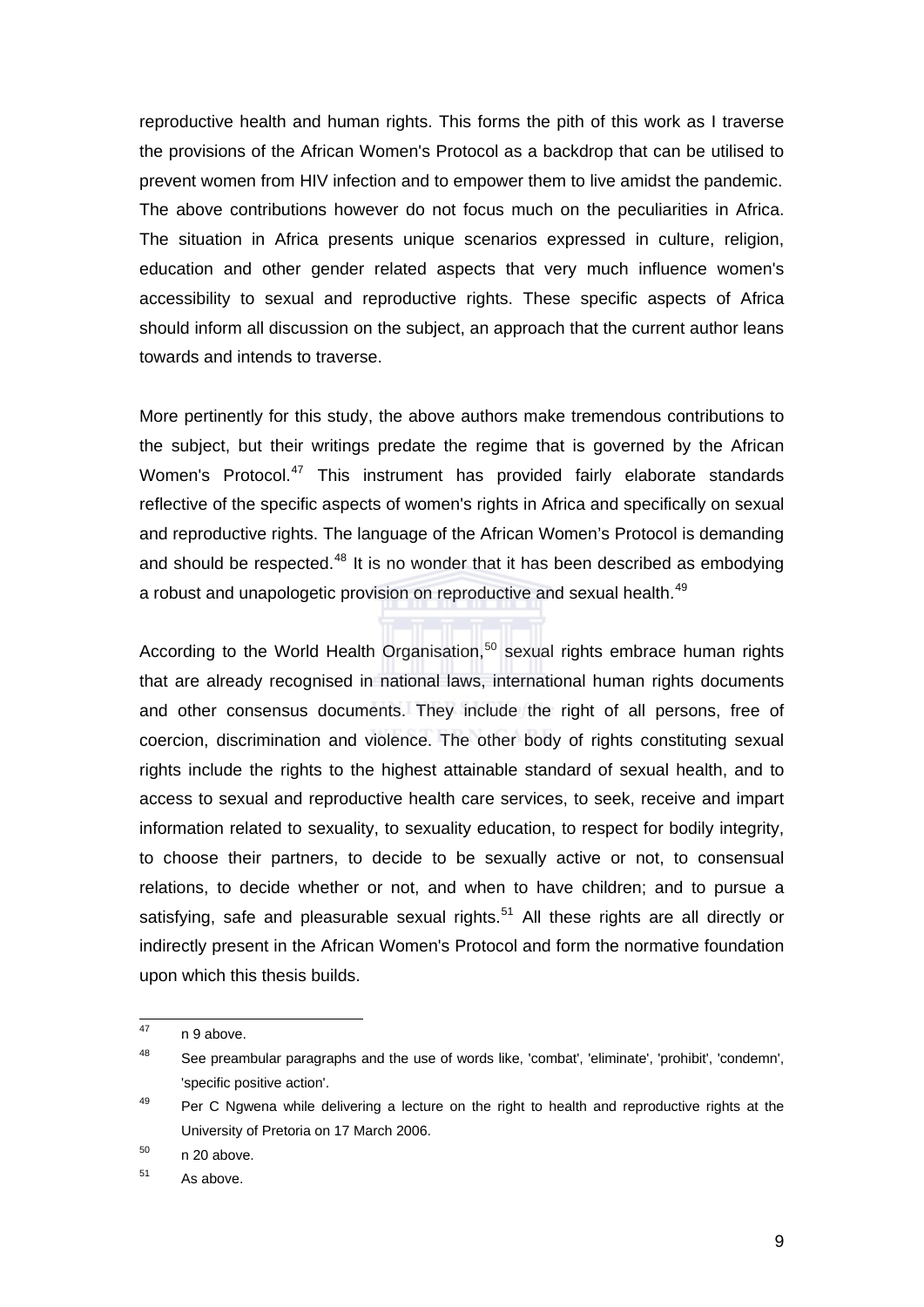reproductive health and human rights. This forms the pith of this work as I traverse the provisions of the African Women's Protocol as a backdrop that can be utilised to prevent women from HIV infection and to empower them to live amidst the pandemic. The above contributions however do not focus much on the peculiarities in Africa. The situation in Africa presents unique scenarios expressed in culture, religion, education and other gender related aspects that very much influence women's accessibility to sexual and reproductive rights. These specific aspects of Africa should inform all discussion on the subject, an approach that the current author leans towards and intends to traverse.

More pertinently for this study, the above authors make tremendous contributions to the subject, but their writings predate the regime that is governed by the African Women's Protocol.<sup>[47](#page-18-0)</sup> This instrument has provided fairly elaborate standards reflective of the specific aspects of women's rights in Africa and specifically on sexual and reproductive rights. The language of the African Women's Protocol is demanding and should be respected. $48$  It is no wonder that it has been described as embodying a robust and unapologetic provision on reproductive and sexual health.<sup>[49](#page-18-2)</sup>

According to the World Health Organisation,<sup>[50](#page-18-3)</sup> sexual rights embrace human rights that are already recognised in national laws, international human rights documents and other consensus documents. They include the right of all persons, free of coercion, discrimination and violence. The other body of rights constituting sexual rights include the rights to the highest attainable standard of sexual health, and to access to sexual and reproductive health care services, to seek, receive and impart information related to sexuality, to sexuality education, to respect for bodily integrity, to choose their partners, to decide to be sexually active or not, to consensual relations, to decide whether or not, and when to have children; and to pursue a satisfying, safe and pleasurable sexual rights.<sup>[51](#page-18-4)</sup> All these rights are all directly or indirectly present in the African Women's Protocol and form the normative foundation upon which this thesis builds.

<span id="page-18-0"></span> $47$ n 9 above.

<span id="page-18-1"></span><sup>48</sup> See preambular paragraphs and the use of words like, 'combat', 'eliminate', 'prohibit', 'condemn', 'specific positive action'.

<span id="page-18-2"></span> $49$  Per C Ngwena while delivering a lecture on the right to health and reproductive rights at the University of Pretoria on 17 March 2006.

<span id="page-18-3"></span> $50$  n 20 above.

<span id="page-18-4"></span><sup>51</sup> As above.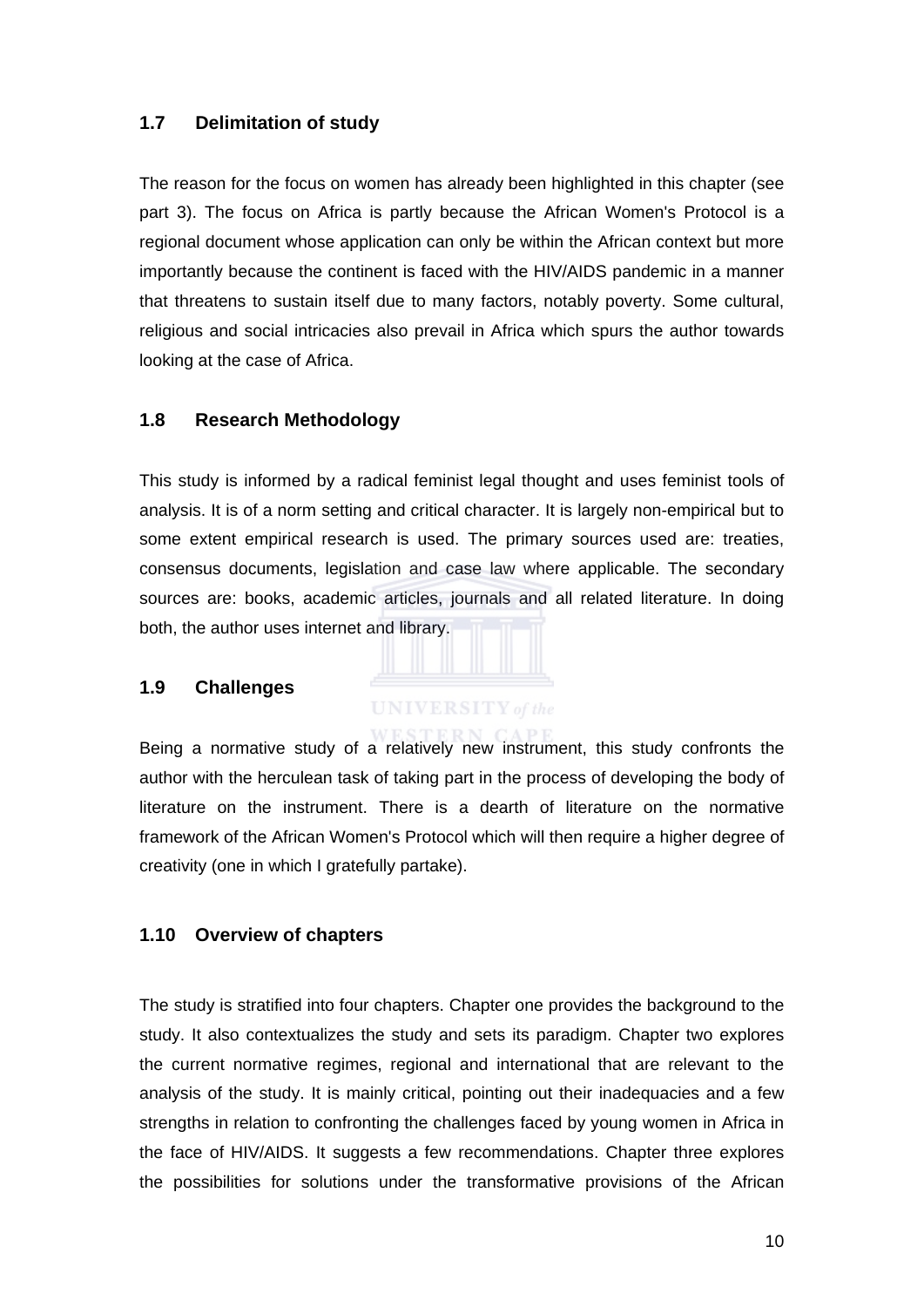## **1.7 Delimitation of study**

The reason for the focus on women has already been highlighted in this chapter (see part 3). The focus on Africa is partly because the African Women's Protocol is a regional document whose application can only be within the African context but more importantly because the continent is faced with the HIV/AIDS pandemic in a manner that threatens to sustain itself due to many factors, notably poverty. Some cultural, religious and social intricacies also prevail in Africa which spurs the author towards looking at the case of Africa.

#### **1.8 Research Methodology**

This study is informed by a radical feminist legal thought and uses feminist tools of analysis. It is of a norm setting and critical character. It is largely non-empirical but to some extent empirical research is used. The primary sources used are: treaties, consensus documents, legislation and case law where applicable. The secondary sources are: books, academic articles, journals and all related literature. In doing both, the author uses internet and library.

#### **1.9 Challenges**

# **UNIVERSITY** of the

Being a normative study of a relatively new instrument, this study confronts the author with the herculean task of taking part in the process of developing the body of literature on the instrument. There is a dearth of literature on the normative framework of the African Women's Protocol which will then require a higher degree of creativity (one in which I gratefully partake).

#### **1.10 Overview of chapters**

The study is stratified into four chapters. Chapter one provides the background to the study. It also contextualizes the study and sets its paradigm. Chapter two explores the current normative regimes, regional and international that are relevant to the analysis of the study. It is mainly critical, pointing out their inadequacies and a few strengths in relation to confronting the challenges faced by young women in Africa in the face of HIV/AIDS. It suggests a few recommendations. Chapter three explores the possibilities for solutions under the transformative provisions of the African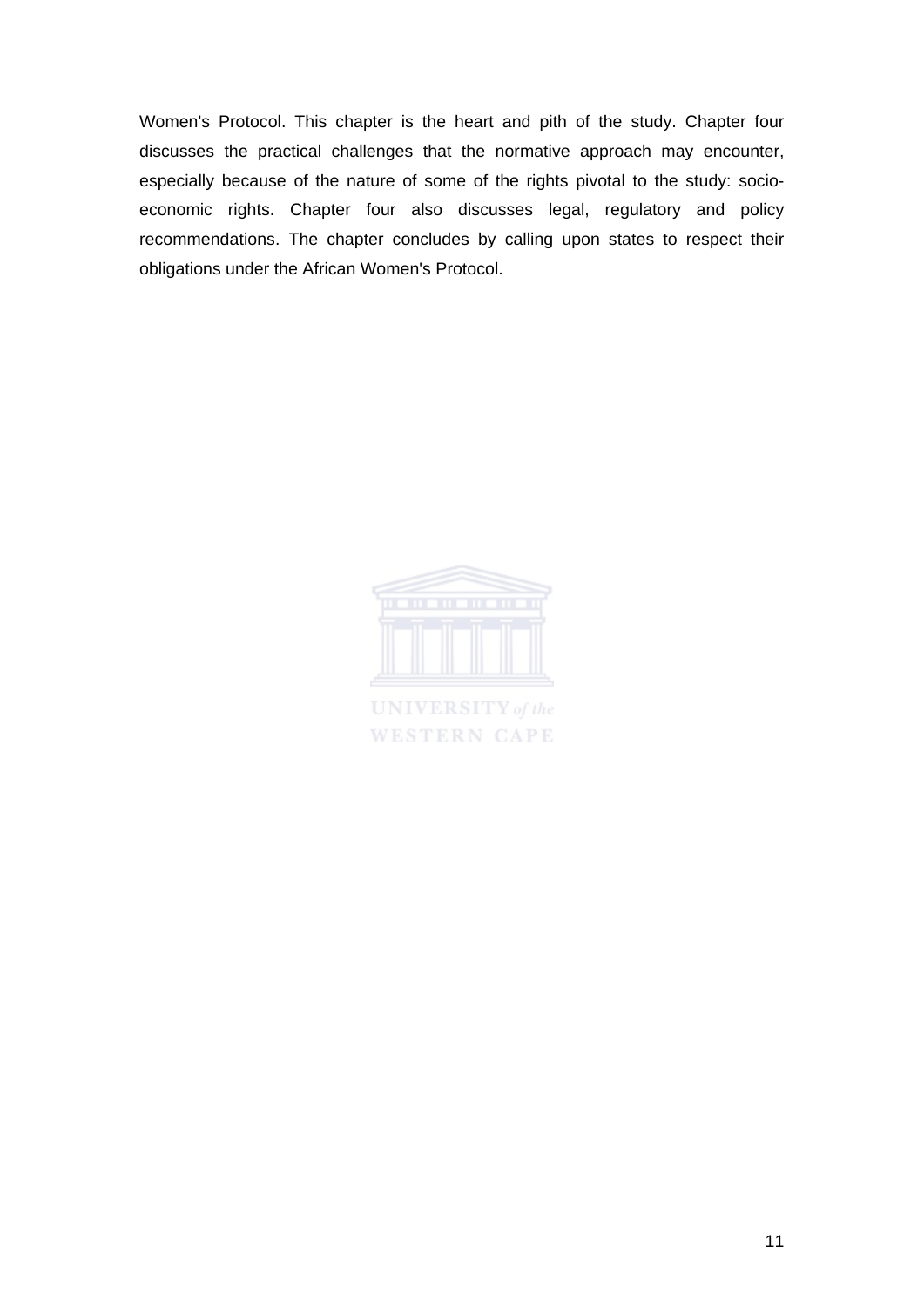Women's Protocol. This chapter is the heart and pith of the study. Chapter four discusses the practical challenges that the normative approach may encounter, especially because of the nature of some of the rights pivotal to the study: socioeconomic rights. Chapter four also discusses legal, regulatory and policy recommendations. The chapter concludes by calling upon states to respect their obligations under the African Women's Protocol.

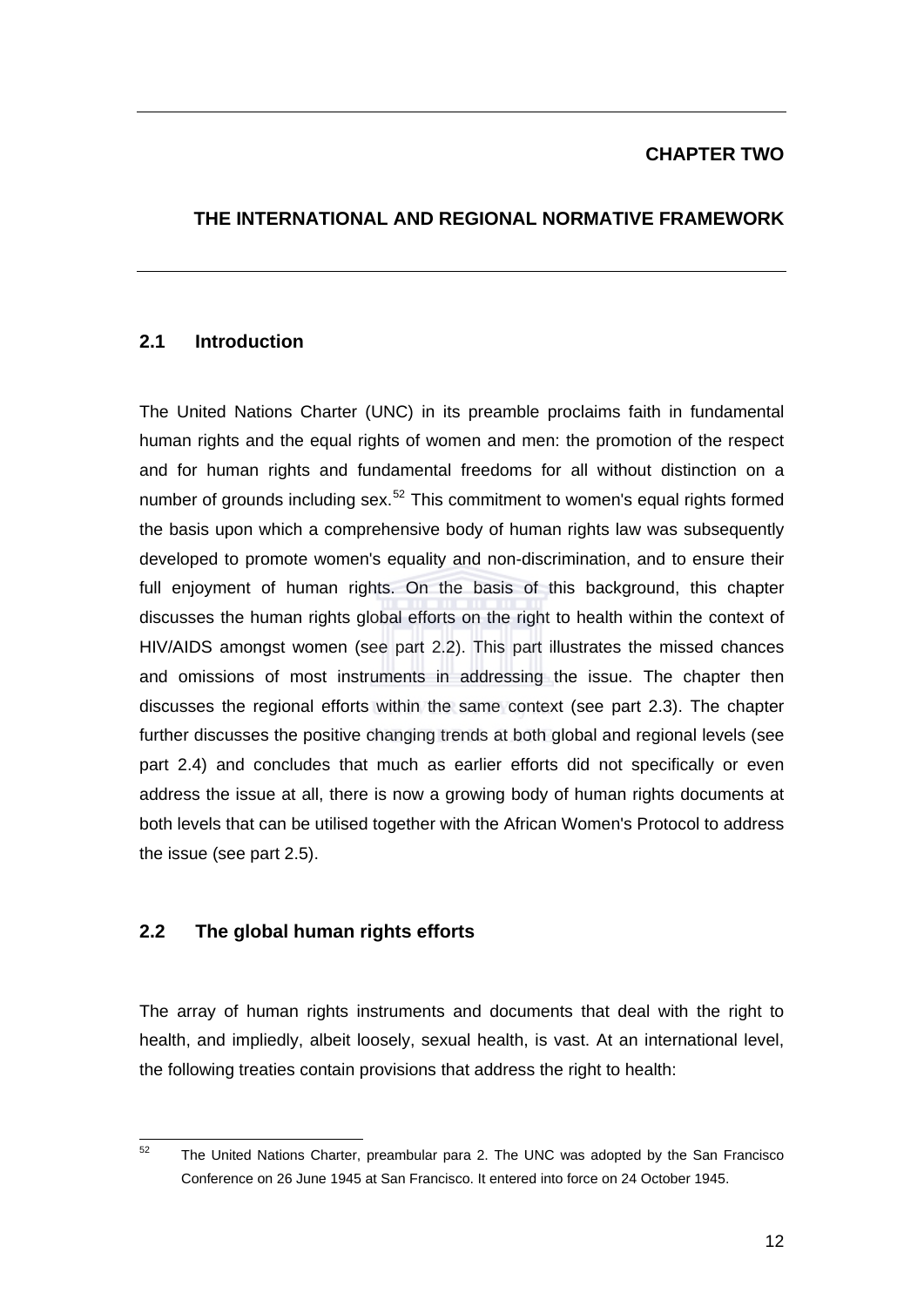# **CHAPTER TWO**

#### **THE INTERNATIONAL AND REGIONAL NORMATIVE FRAMEWORK**

#### **2.1 Introduction**

The United Nations Charter (UNC) in its preamble proclaims faith in fundamental human rights and the equal rights of women and men: the promotion of the respect and for human rights and fundamental freedoms for all without distinction on a number of grounds including sex. $52$  This commitment to women's equal rights formed the basis upon which a comprehensive body of human rights law was subsequently developed to promote women's equality and non-discrimination, and to ensure their full enjoyment of human rights. On the basis of this background, this chapter discusses the human rights global efforts on the right to health within the context of HIV/AIDS amongst women (see part 2.2). This part illustrates the missed chances and omissions of most instruments in addressing the issue. The chapter then discusses the regional efforts within the same context (see part 2.3). The chapter further discusses the positive changing trends at both global and regional levels (see part 2.4) and concludes that much as earlier efforts did not specifically or even address the issue at all, there is now a growing body of human rights documents at both levels that can be utilised together with the African Women's Protocol to address the issue (see part 2.5).

## **2.2 The global human rights efforts**

The array of human rights instruments and documents that deal with the right to health, and impliedly, albeit loosely, sexual health, is vast. At an international level, the following treaties contain provisions that address the right to health:

<span id="page-21-0"></span> $52$ The United Nations Charter, preambular para 2. The UNC was adopted by the San Francisco Conference on 26 June 1945 at San Francisco. It entered into force on 24 October 1945.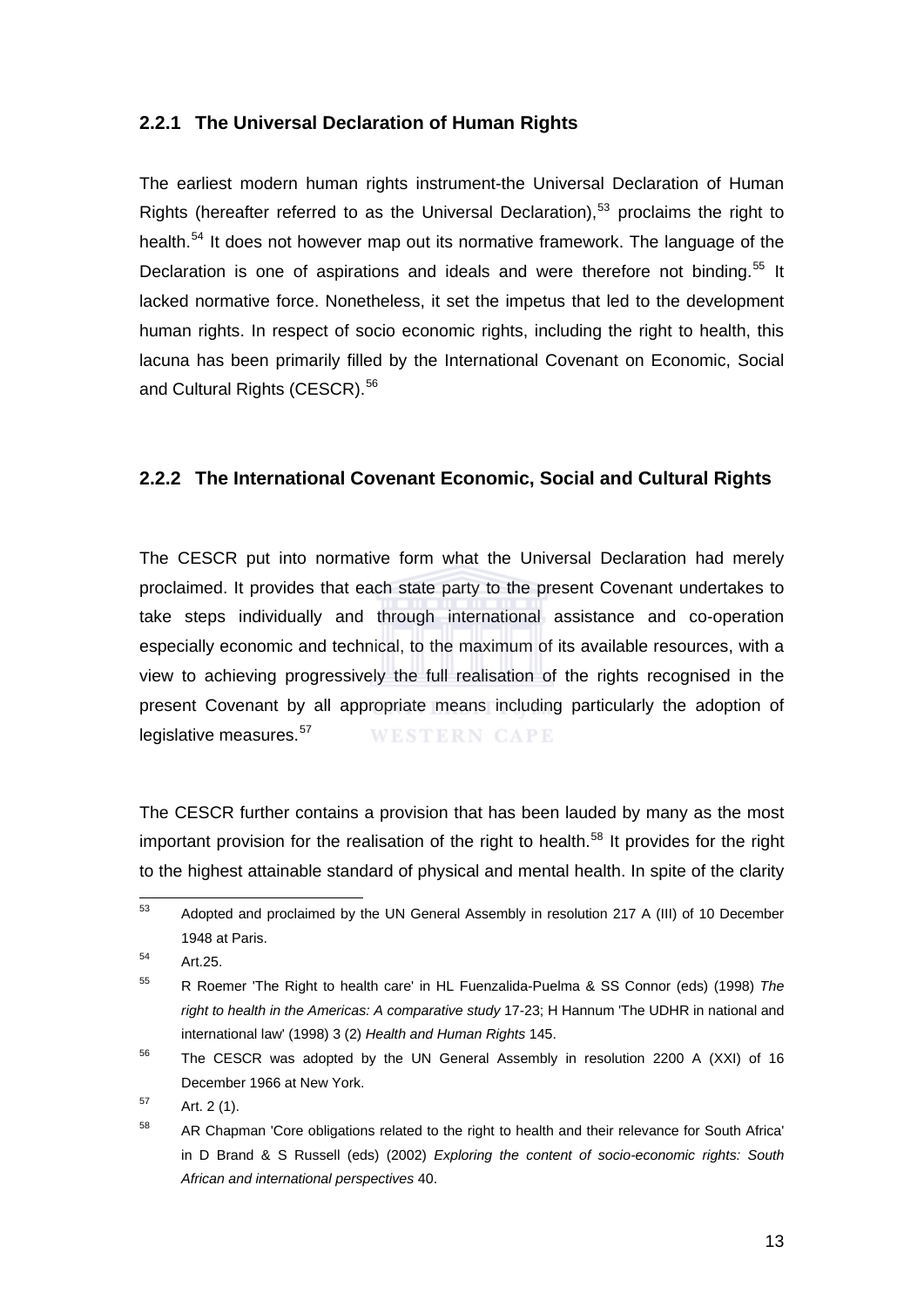# **2.2.1 The Universal Declaration of Human Rights**

The earliest modern human rights instrument-the Universal Declaration of Human Rights (hereafter referred to as the Universal Declaration),  $53$  proclaims the right to health.<sup>[54](#page-22-1)</sup> It does not however map out its normative framework. The language of the Declaration is one of aspirations and ideals and were therefore not binding.<sup>[55](#page-22-2)</sup> It lacked normative force. Nonetheless, it set the impetus that led to the development human rights. In respect of socio economic rights, including the right to health, this lacuna has been primarily filled by the International Covenant on Economic, Social and Cultural Rights (CESCR).<sup>[56](#page-22-3)</sup>

# **2.2.2 The International Covenant Economic, Social and Cultural Rights**

The CESCR put into normative form what the Universal Declaration had merely proclaimed. It provides that each state party to the present Covenant undertakes to take steps individually and through international assistance and co-operation especially economic and technical, to the maximum of its available resources, with a view to achieving progressively the full realisation of the rights recognised in the present Covenant by all appropriate means including particularly the adoption of legislative measures.<sup>[57](#page-22-4)</sup> **WESTERN CAPE** 

The CESCR further contains a provision that has been lauded by many as the most important provision for the realisation of the right to health.<sup>[58](#page-22-5)</sup> It provides for the right to the highest attainable standard of physical and mental health. In spite of the clarity

<span id="page-22-0"></span><sup>53</sup> Adopted and proclaimed by the UN General Assembly in resolution 217 A (III) of 10 December 1948 at Paris.

<span id="page-22-1"></span><sup>54</sup> Art.25.

<span id="page-22-2"></span><sup>55</sup> R Roemer 'The Right to health care' in HL Fuenzalida-Puelma & SS Connor (eds) (1998) *The right to health in the Americas: A comparative study* 17-23; H Hannum 'The UDHR in national and international law' (1998) 3 (2) *Health and Human Rights* 145.

<span id="page-22-3"></span><sup>56</sup> The CESCR was adopted by the UN General Assembly in resolution 2200 A (XXI) of 16 December 1966 at New York.

<span id="page-22-4"></span> $57$  Art. 2 (1).

<span id="page-22-5"></span><sup>&</sup>lt;sup>58</sup> AR Chapman 'Core obligations related to the right to health and their relevance for South Africa' in D Brand & S Russell (eds) (2002) *Exploring the content of socio-economic rights: South African and international perspectives* 40.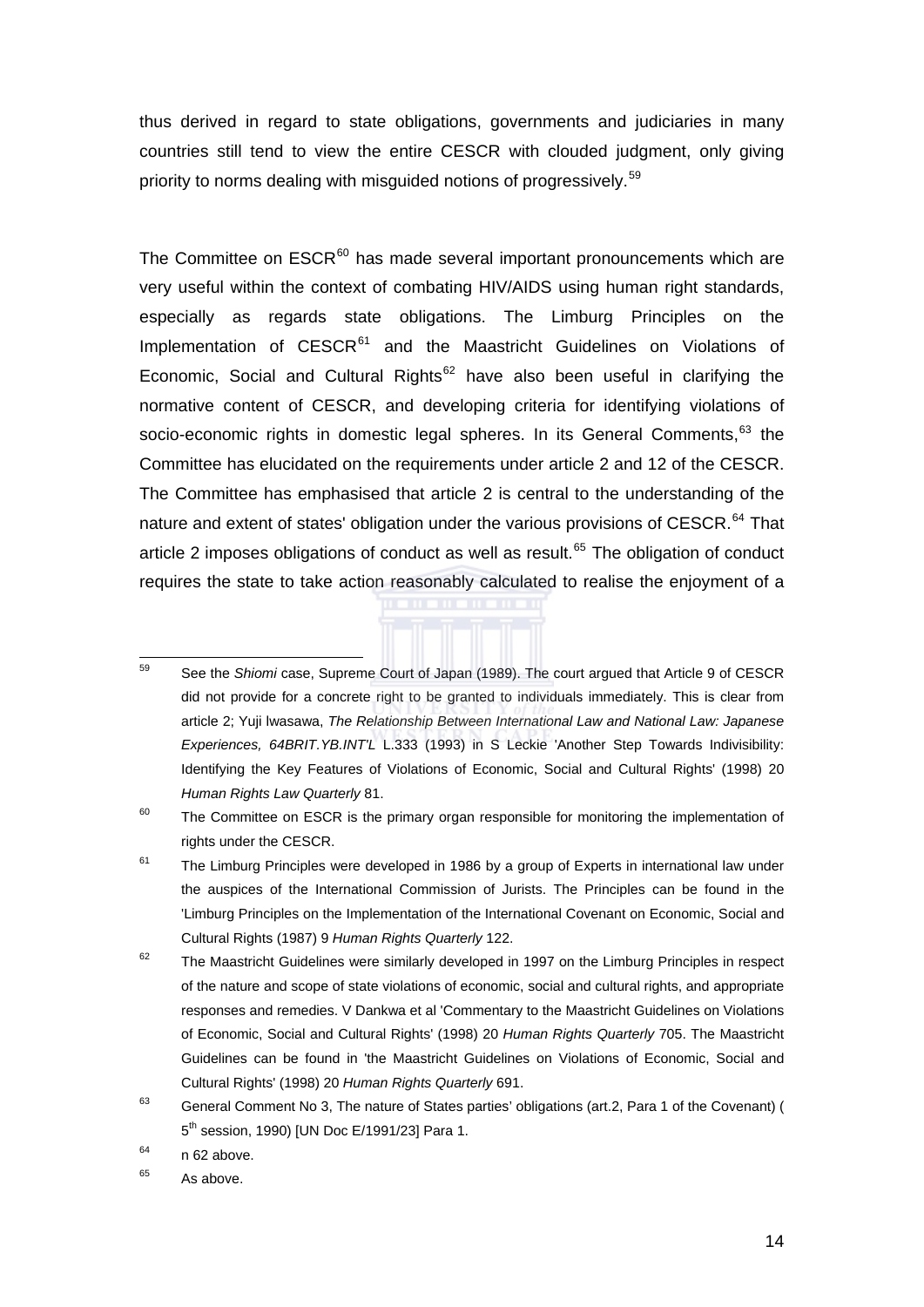thus derived in regard to state obligations, governments and judiciaries in many countries still tend to view the entire CESCR with clouded judgment, only giving priority to norms dealing with misquided notions of progressively.<sup>[59](#page-23-0)</sup>

The Committee on  $ESCR^{60}$  $ESCR^{60}$  $ESCR^{60}$  has made several important pronouncements which are very useful within the context of combating HIV/AIDS using human right standards, especially as regards state obligations. The Limburg Principles on the Implementation of  $CESCR^{61}$  $CESCR^{61}$  $CESCR^{61}$  and the Maastricht Guidelines on Violations of Economic, Social and Cultural Rights<sup>[62](#page-23-3)</sup> have also been useful in clarifying the normative content of CESCR, and developing criteria for identifying violations of socio-economic rights in domestic legal spheres. In its General Comments, <sup>[63](#page-23-4)</sup> the Committee has elucidated on the requirements under article 2 and 12 of the CESCR. The Committee has emphasised that article 2 is central to the understanding of the nature and extent of states' obligation under the various provisions of CESCR.<sup>[64](#page-23-5)</sup> That article 2 imposes obligations of conduct as well as result.<sup>[65](#page-23-6)</sup> The obligation of conduct requires the state to take action reasonably calculated to realise the enjoyment of a

<span id="page-23-0"></span><sup>59</sup> 59 See the *Shiomi* case, Supreme Court of Japan (1989). The court argued that Article 9 of CESCR did not provide for a concrete right to be granted to individuals immediately. This is clear from article 2; Yuji lwasawa, *The Relationship Between International Law and National Law: Japanese Experiences, 64BRIT.YB.INT'L* L.333 (1993) in S Leckie 'Another Step Towards Indivisibility: Identifying the Key Features of Violations of Economic, Social and Cultural Rights' (1998) 20 *Human Rights Law Quarterly* 81.

<span id="page-23-1"></span> $60$  The Committee on ESCR is the primary organ responsible for monitoring the implementation of rights under the CESCR.

<span id="page-23-2"></span> $61$  The Limburg Principles were developed in 1986 by a group of Experts in international law under the auspices of the International Commission of Jurists. The Principles can be found in the 'Limburg Principles on the Implementation of the International Covenant on Economic, Social and Cultural Rights (1987) 9 *Human Rights Quarterly* 122.

<span id="page-23-3"></span> $62$  The Maastricht Guidelines were similarly developed in 1997 on the Limburg Principles in respect of the nature and scope of state violations of economic, social and cultural rights, and appropriate responses and remedies. V Dankwa et al 'Commentary to the Maastricht Guidelines on Violations of Economic, Social and Cultural Rights' (1998) 20 *Human Rights Quarterly* 705. The Maastricht Guidelines can be found in 'the Maastricht Guidelines on Violations of Economic, Social and Cultural Rights' (1998) 20 *Human Rights Quarterly* 691.

<span id="page-23-4"></span> $63$  General Comment No 3, The nature of States parties' obligations (art. 2, Para 1 of the Covenant) ( 5<sup>th</sup> session, 1990) [UN Doc E/1991/23] Para 1.

<span id="page-23-5"></span> $64$  n 62 above.

<span id="page-23-6"></span> $65$  As above.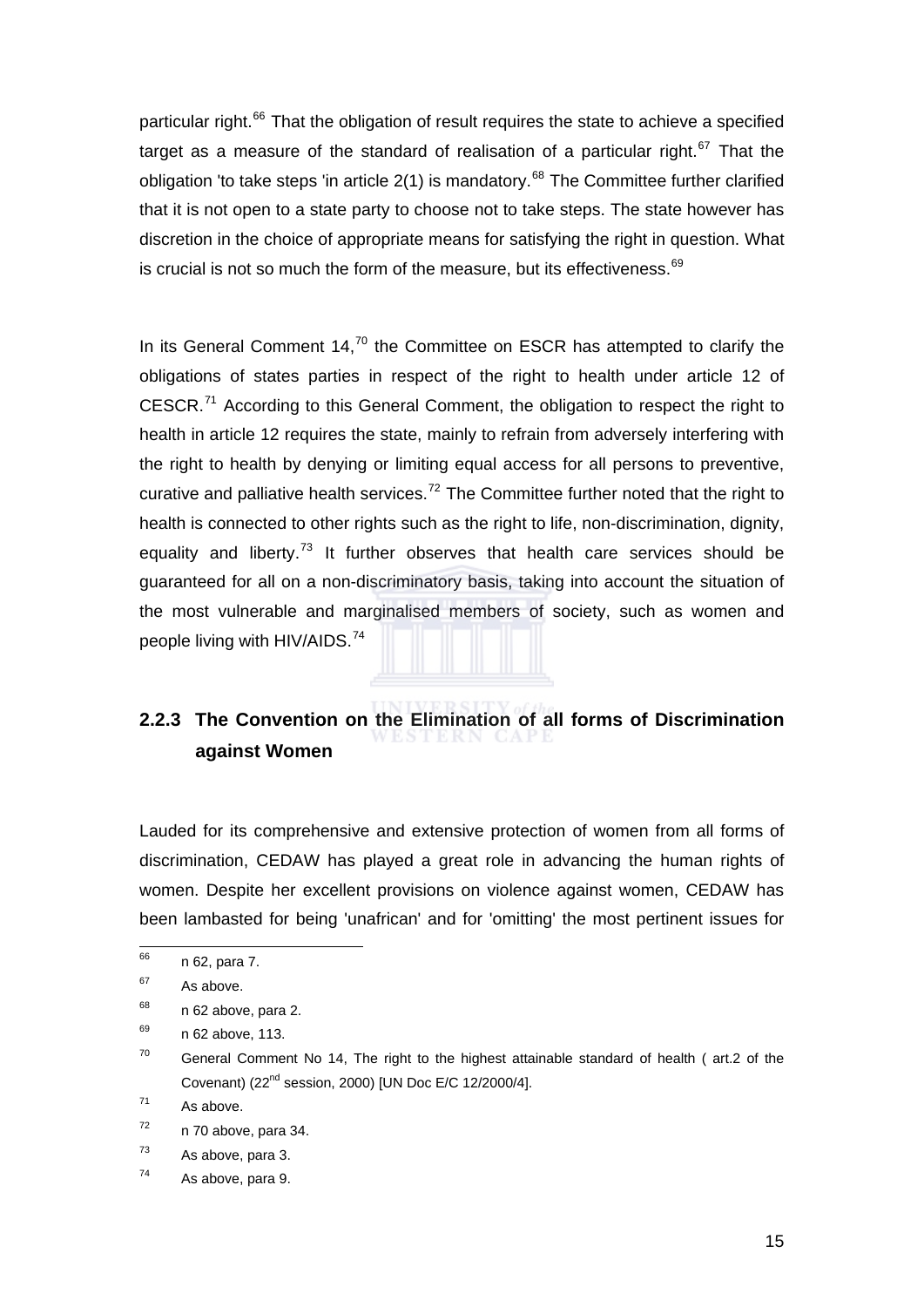particular right.<sup>[66](#page-24-0)</sup> That the obligation of result requires the state to achieve a specified target as a measure of the standard of realisation of a particular right.<sup>[67](#page-24-1)</sup> That the obligation 'to take steps 'in article  $2(1)$  is mandatory.<sup>[68](#page-24-2)</sup> The Committee further clarified that it is not open to a state party to choose not to take steps. The state however has discretion in the choice of appropriate means for satisfying the right in question. What is crucial is not so much the form of the measure, but its effectiveness.  $69$ 

In its General Comment  $14<sup>70</sup>$  $14<sup>70</sup>$  $14<sup>70</sup>$  the Committee on ESCR has attempted to clarify the obligations of states parties in respect of the right to health under article 12 of CESCR.[71](#page-24-5) According to this General Comment, the obligation to respect the right to health in article 12 requires the state, mainly to refrain from adversely interfering with the right to health by denying or limiting equal access for all persons to preventive, curative and palliative health services.<sup>[72](#page-24-6)</sup> The Committee further noted that the right to health is connected to other rights such as the right to life, non-discrimination, dignity, equality and liberty.<sup>[73](#page-24-7)</sup> It further observes that health care services should be guaranteed for all on a non-discriminatory basis, taking into account the situation of the most vulnerable and marginalised members of society, such as women and people living with HIV/AIDS.[74](#page-24-8)

# **2.2.3 The Convention on the Elimination of all forms of Discrimination against Women**

Lauded for its comprehensive and extensive protection of women from all forms of discrimination, CEDAW has played a great role in advancing the human rights of women. Despite her excellent provisions on violence against women, CEDAW has been lambasted for being 'unafrican' and for 'omitting' the most pertinent issues for

<span id="page-24-0"></span><sup>66</sup> 66 n 62, para 7.

<span id="page-24-1"></span><sup>&</sup>lt;sup>67</sup> As above.

<span id="page-24-2"></span> $68$  n 62 above, para 2.

<span id="page-24-3"></span> $69$  n 62 above, 113.

<span id="page-24-4"></span> $70$  General Comment No 14, The right to the highest attainable standard of health (art.2 of the Covenant) (22nd session, 2000) [UN Doc E/C 12/2000/4].

<span id="page-24-5"></span> $71$  As above.

<span id="page-24-6"></span> $72 \n n 70$  above, para 34.

<span id="page-24-7"></span> $73$  As above, para 3.

<span id="page-24-8"></span><sup>74</sup> As above, para 9.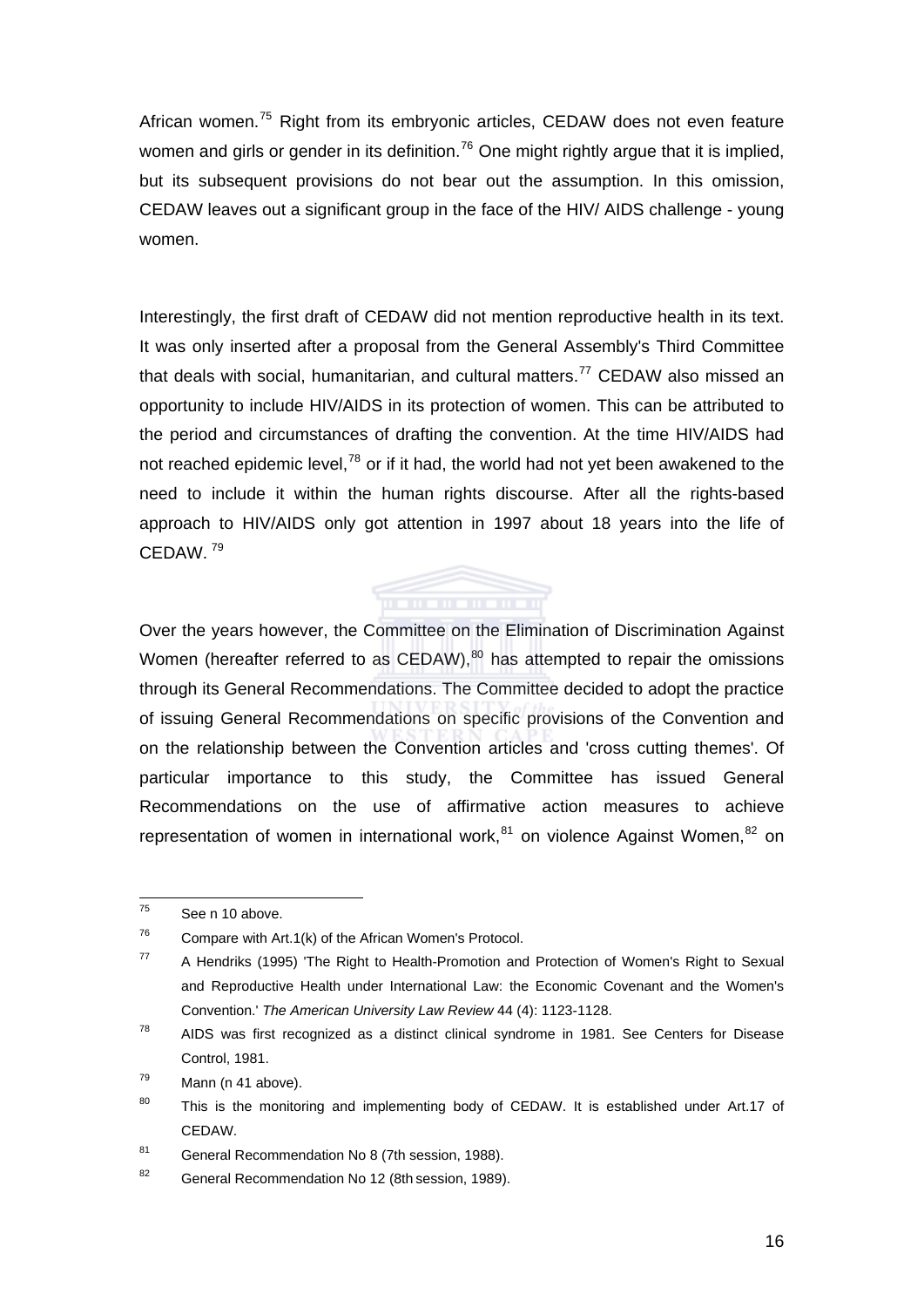African women.<sup>[75](#page-25-0)</sup> Right from its embryonic articles, CEDAW does not even feature women and girls or gender in its definition.<sup>[76](#page-25-1)</sup> One might rightly argue that it is implied, but its subsequent provisions do not bear out the assumption. In this omission, CEDAW leaves out a significant group in the face of the HIV/ AIDS challenge - young women.

Interestingly, the first draft of CEDAW did not mention reproductive health in its text. It was only inserted after a proposal from the General Assembly's Third Committee that deals with social, humanitarian, and cultural matters.<sup>[77](#page-25-2)</sup> CEDAW also missed an opportunity to include HIV/AIDS in its protection of women. This can be attributed to the period and circumstances of drafting the convention. At the time HIV/AIDS had not reached epidemic level, $^{78}$  $^{78}$  $^{78}$  or if it had, the world had not yet been awakened to the need to include it within the human rights discourse. After all the rights-based approach to HIV/AIDS only got attention in 1997 about 18 years into the life of CEDAW. [79](#page-25-4)

Over the years however, the Committee on the Elimination of Discrimination Against Women (hereafter referred to as CEDAW), $80$  has attempted to repair the omissions through its General Recommendations. The Committee decided to adopt the practice of issuing General Recommendations on specific provisions of the Convention and on the relationship between the Convention articles and 'cross cutting themes'. Of particular importance to this study, the Committee has issued General Recommendations on the use of affirmative action measures to achieve representation of women in international work, $81$  on violence Against Women, $82$  on

<span id="page-25-0"></span> ${\bf 75}$ See n 10 above.

<span id="page-25-1"></span> $76$  Compare with Art.1(k) of the African Women's Protocol.

<span id="page-25-2"></span> $77$  A Hendriks (1995) 'The Right to Health-Promotion and Protection of Women's Right to Sexual and Reproductive Health under International Law: the Economic Covenant and the Women's Convention.' *The American University Law Review* 44 (4): 1123-1128.

<span id="page-25-3"></span> $78$  AIDS was first recognized as a distinct clinical syndrome in 1981. See Centers for Disease Control, 1981.

<span id="page-25-4"></span> $79$  Mann (n 41 above).

<span id="page-25-5"></span> $80$  This is the monitoring and implementing body of CEDAW. It is established under Art.17 of CEDAW.

<span id="page-25-6"></span><sup>81</sup> General Recommendation No 8 (7th session, 1988).

<span id="page-25-7"></span><sup>82</sup> General Recommendation No 12 (8th session, 1989).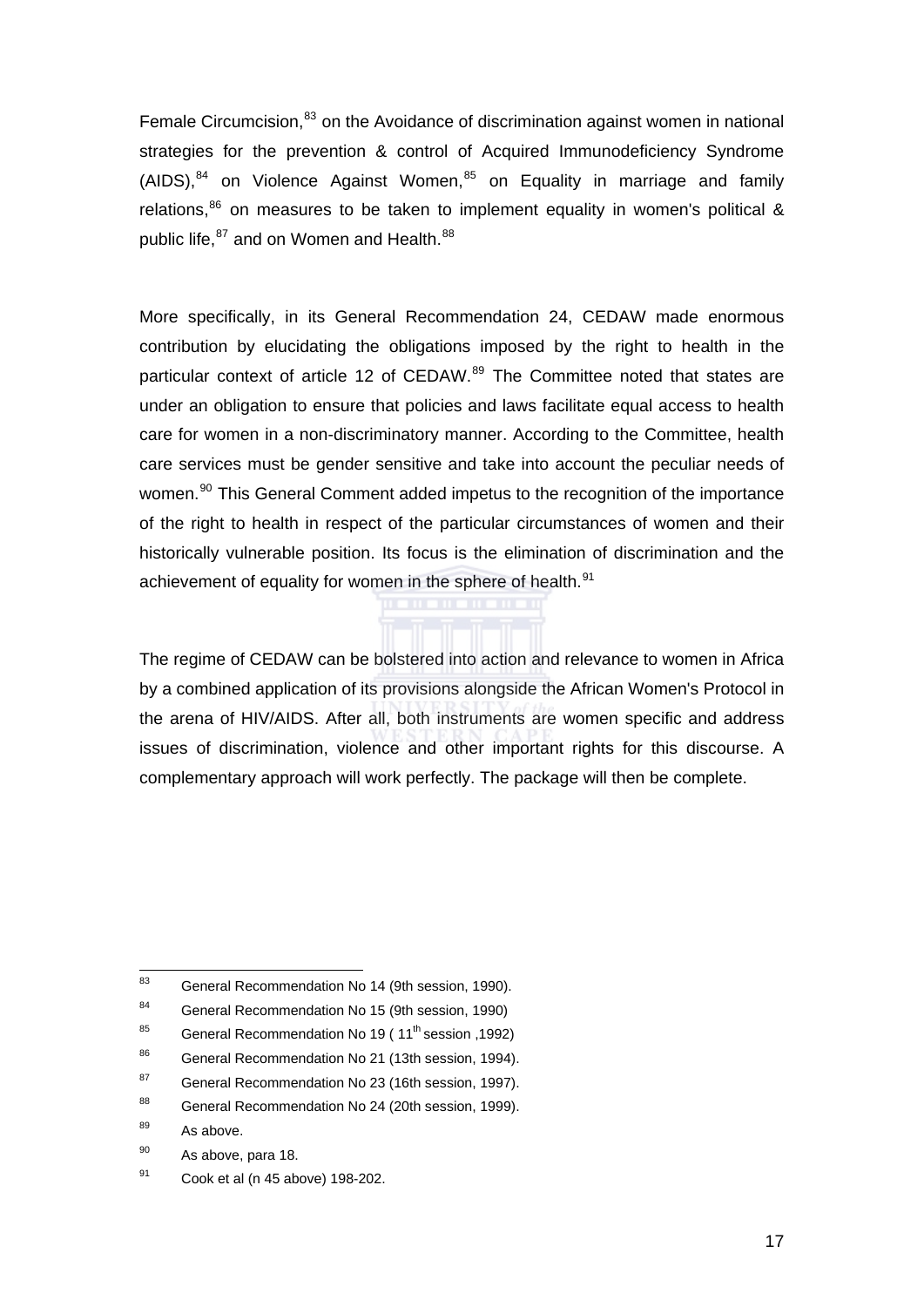Female Circumcision,<sup>[83](#page-26-0)</sup> on the Avoidance of discrimination against women in national strategies for the prevention & control of Acquired Immunodeficiency Syndrome  $(AIDS)$ ,<sup>[84](#page-26-1)</sup> on Violence Against Women.<sup>[85](#page-26-2)</sup> on Equality in marriage and family relations, $86$  on measures to be taken to implement equality in women's political  $\&$ public life, <sup>[87](#page-26-4)</sup> and on Women and Health. [88](#page-26-5)

More specifically, in its General Recommendation 24, CEDAW made enormous contribution by elucidating the obligations imposed by the right to health in the particular context of article 12 of CEDAW.<sup>[89](#page-26-6)</sup> The Committee noted that states are under an obligation to ensure that policies and laws facilitate equal access to health care for women in a non-discriminatory manner. According to the Committee, health care services must be gender sensitive and take into account the peculiar needs of women.<sup>[90](#page-26-7)</sup> This General Comment added impetus to the recognition of the importance of the right to health in respect of the particular circumstances of women and their historically vulnerable position. Its focus is the elimination of discrimination and the achievement of equality for women in the sphere of health.<sup>[91](#page-26-8)</sup>

The regime of CEDAW can be bolstered into action and relevance to women in Africa by a combined application of its provisions alongside the African Women's Protocol in the arena of HIV/AIDS. After all, both instruments are women specific and address issues of discrimination, violence and other important rights for this discourse. A complementary approach will work perfectly. The package will then be complete.

<span id="page-26-0"></span><sup>83</sup> General Recommendation No 14 (9th session, 1990).

<span id="page-26-1"></span><sup>84</sup> General Recommendation No 15 (9th session, 1990)

<span id="page-26-2"></span><sup>85</sup> General Recommendation No 19 ( 11th session ,1992)

<span id="page-26-3"></span><sup>86</sup> General Recommendation No 21 (13th session, 1994).

<span id="page-26-4"></span><sup>&</sup>lt;sup>87</sup> General Recommendation No 23 (16th session, 1997).

<span id="page-26-5"></span><sup>88</sup> General Recommendation No 24 (20th session, 1999).

<span id="page-26-6"></span><sup>&</sup>lt;sup>89</sup> As above.

<span id="page-26-7"></span><sup>90</sup> As above, para 18.

<span id="page-26-8"></span><sup>91</sup> Cook et al (n 45 above) 198-202.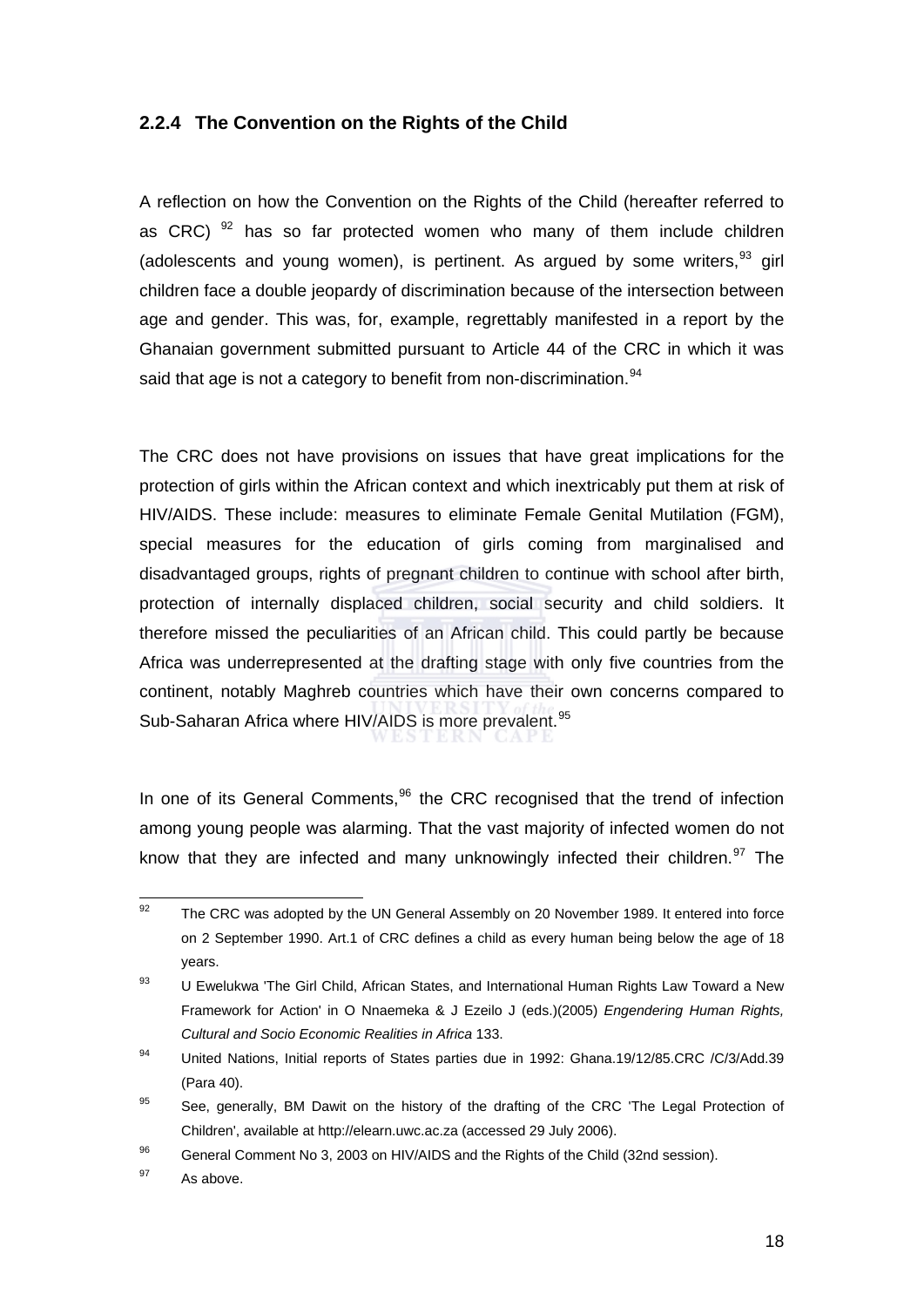#### **2.2.4 The Convention on the Rights of the Child**

A reflection on how the Convention on the Rights of the Child (hereafter referred to as CRC)  $92$  has so far protected women who many of them include children (adolescents and young women), is pertinent. As argued by some writers,  $93$  girl children face a double jeopardy of discrimination because of the intersection between age and gender. This was, for, example, regrettably manifested in a report by the Ghanaian government submitted pursuant to Article 44 of the CRC in which it was said that age is not a category to benefit from non-discrimination.<sup>[94](#page-27-2)</sup>

The CRC does not have provisions on issues that have great implications for the protection of girls within the African context and which inextricably put them at risk of HIV/AIDS. These include: measures to eliminate Female Genital Mutilation (FGM), special measures for the education of girls coming from marginalised and disadvantaged groups, rights of pregnant children to continue with school after birth, protection of internally displaced children, social security and child soldiers. It therefore missed the peculiarities of an African child. This could partly be because Africa was underrepresented at the drafting stage with only five countries from the continent, notably Maghreb countries which have their own concerns compared to Sub-Saharan Africa where HIV/AIDS is more prevalent.<sup>[95](#page-27-3)</sup>

In one of its General Comments,  $96$  the CRC recognised that the trend of infection among young people was alarming. That the vast majority of infected women do not know that they are infected and many unknowingly infected their children.<sup>[97](#page-27-5)</sup> The

<span id="page-27-0"></span><sup>92</sup> The CRC was adopted by the UN General Assembly on 20 November 1989. It entered into force on 2 September 1990. Art.1 of CRC defines a child as every human being below the age of 18 years.

<span id="page-27-1"></span><sup>93</sup> U Ewelukwa 'The Girl Child, African States, and International Human Rights Law Toward a New Framework for Action' in O Nnaemeka & J Ezeilo J (eds.)(2005) *Engendering Human Rights, Cultural and Socio Economic Realities in Africa* 133.

<span id="page-27-2"></span><sup>94</sup> United Nations, Initial reports of States parties due in 1992: Ghana.19/12/85.CRC /C/3/Add.39 (Para 40).

<span id="page-27-3"></span> $95$  See, generally, BM Dawit on the history of the drafting of the CRC 'The Legal Protection of Children', available at http://elearn.uwc.ac.za (accessed 29 July 2006).

<span id="page-27-4"></span><sup>96</sup> General Comment No 3, 2003 on HIV/AIDS and the Rights of the Child (32nd session).

<span id="page-27-5"></span><sup>97</sup> As above.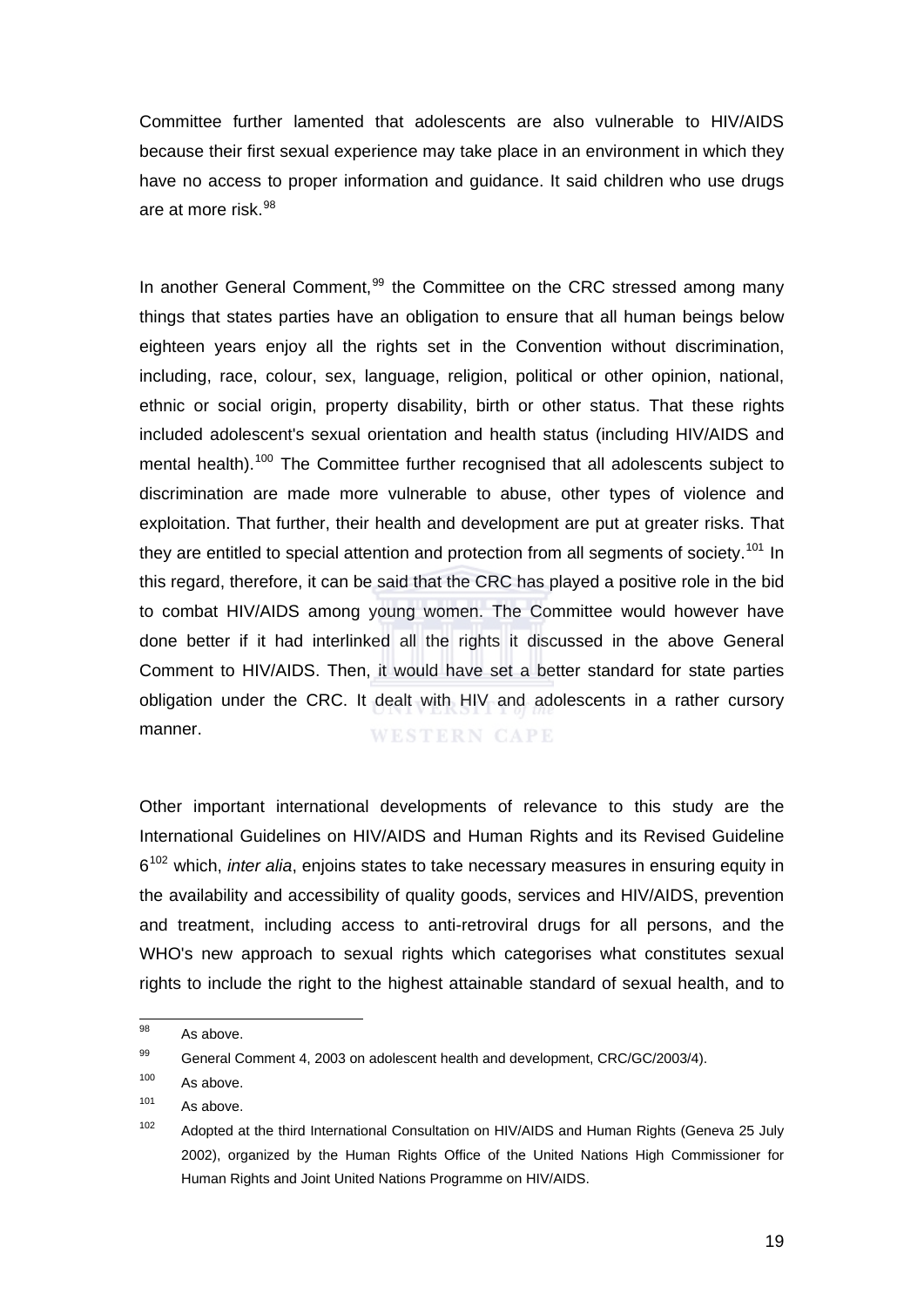Committee further lamented that adolescents are also vulnerable to HIV/AIDS because their first sexual experience may take place in an environment in which they have no access to proper information and guidance. It said children who use drugs are at more risk.<sup>[98](#page-28-0)</sup>

In another General Comment,<sup>[99](#page-28-1)</sup> the Committee on the CRC stressed among many things that states parties have an obligation to ensure that all human beings below eighteen years enjoy all the rights set in the Convention without discrimination, including, race, colour, sex, language, religion, political or other opinion, national, ethnic or social origin, property disability, birth or other status. That these rights included adolescent's sexual orientation and health status (including HIV/AIDS and mental health).<sup>[100](#page-28-2)</sup> The Committee further recognised that all adolescents subject to discrimination are made more vulnerable to abuse, other types of violence and exploitation. That further, their health and development are put at greater risks. That they are entitled to special attention and protection from all segments of society.<sup>[101](#page-28-3)</sup> In this regard, therefore, it can be said that the CRC has played a positive role in the bid to combat HIV/AIDS among young women. The Committee would however have done better if it had interlinked all the rights it discussed in the above General Comment to HIV/AIDS. Then, it would have set a better standard for state parties obligation under the CRC. It dealt with HIV and adolescents in a rather cursory manner. **WESTERN CAPE** 

Other important international developments of relevance to this study are the International Guidelines on HIV/AIDS and Human Rights and its Revised Guideline 6[102](#page-28-4) which, *inter alia*, enjoins states to take necessary measures in ensuring equity in the availability and accessibility of quality goods, services and HIV/AIDS, prevention and treatment, including access to anti-retroviral drugs for all persons, and the WHO's new approach to sexual rights which categorises what constitutes sexual rights to include the right to the highest attainable standard of sexual health, and to

<span id="page-28-0"></span><sup>98</sup> As above.

<span id="page-28-1"></span> $99$  General Comment 4, 2003 on adolescent health and development, CRC/GC/2003/4).

<span id="page-28-2"></span><sup>100</sup> As above.

<span id="page-28-3"></span><sup>101</sup> As above.

<span id="page-28-4"></span><sup>&</sup>lt;sup>102</sup> Adopted at the third International Consultation on HIV/AIDS and Human Rights (Geneva 25 July 2002), organized by the Human Rights Office of the United Nations High Commissioner for Human Rights and Joint United Nations Programme on HIV/AIDS.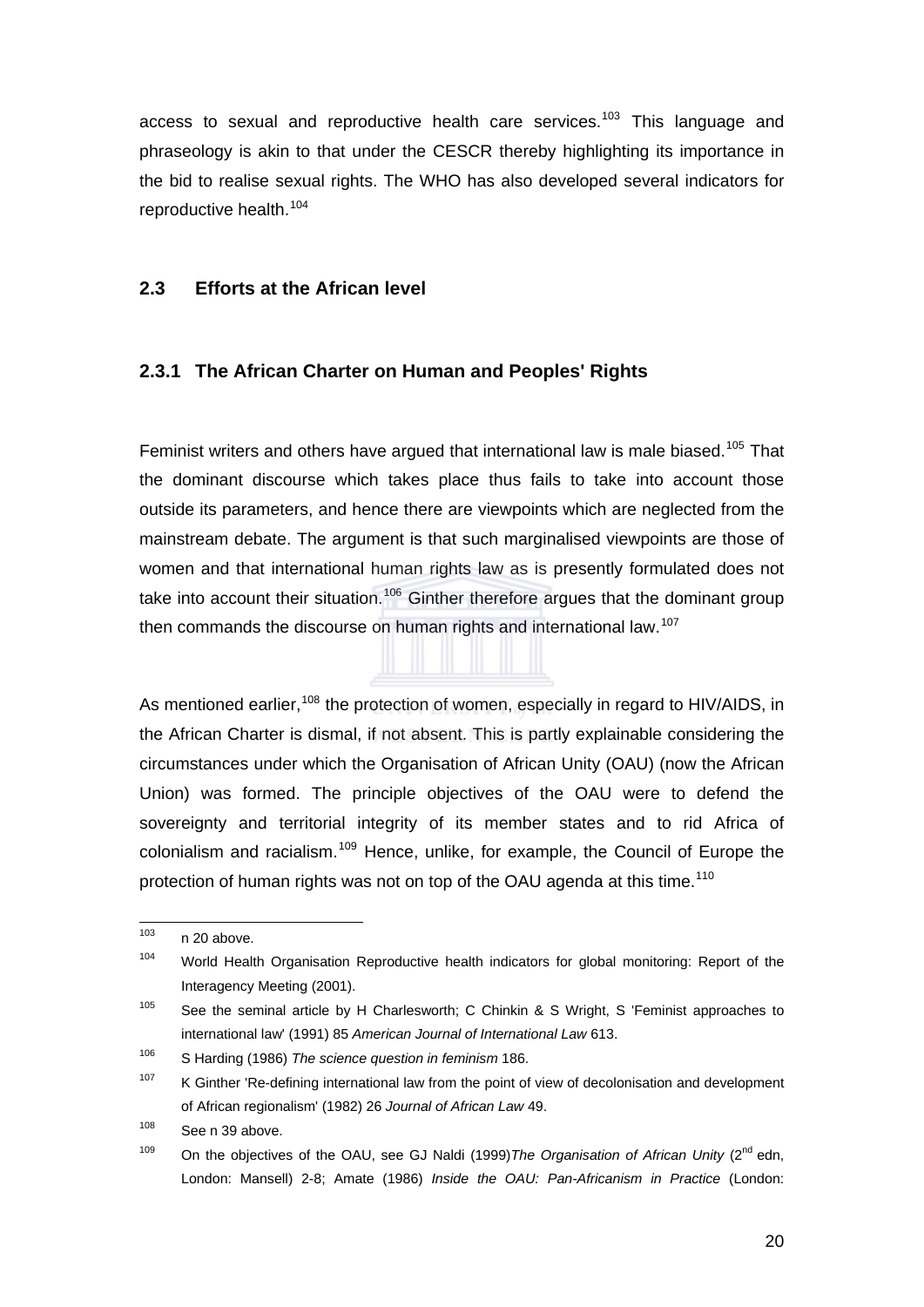access to sexual and reproductive health care services.<sup>[103](#page-29-0)</sup> This language and phraseology is akin to that under the CESCR thereby highlighting its importance in the bid to realise sexual rights. The WHO has also developed several indicators for reproductive health.<sup>[104](#page-29-1)</sup>

#### **2.3 Efforts at the African level**

#### **2.3.1 The African Charter on Human and Peoples' Rights**

Feminist writers and others have argued that international law is male biased.<sup>[105](#page-29-2)</sup> That the dominant discourse which takes place thus fails to take into account those outside its parameters, and hence there are viewpoints which are neglected from the mainstream debate. The argument is that such marginalised viewpoints are those of women and that international human rights law as is presently formulated does not take into account their situation.<sup>[106](#page-29-3)</sup> Ginther therefore argues that the dominant group then commands the discourse on human rights and international law.<sup>[107](#page-29-4)</sup>

As mentioned earlier,<sup>[108](#page-29-5)</sup> the protection of women, especially in regard to HIV/AIDS, in the African Charter is dismal, if not absent. This is partly explainable considering the circumstances under which the Organisation of African Unity (OAU) (now the African Union) was formed. The principle objectives of the OAU were to defend the sovereignty and territorial integrity of its member states and to rid Africa of colonialism and racialism.[109](#page-29-6) Hence, unlike, for example, the Council of Europe the protection of human rights was not on top of the OAU agenda at this time.<sup>[110](#page-29-1)</sup>

<span id="page-29-0"></span><sup>103</sup> n 20 above.

<span id="page-29-1"></span><sup>104</sup> World Health Organisation Reproductive health indicators for global monitoring: Report of the Interagency Meeting (2001).

<span id="page-29-2"></span><sup>&</sup>lt;sup>105</sup> See the seminal article by H Charlesworth; C Chinkin & S Wright, S 'Feminist approaches to international law' (1991) 85 *American Journal of International Law* 613.

<span id="page-29-3"></span><sup>106</sup> S Harding (1986) *The science question in feminism* 186.

<span id="page-29-4"></span><sup>&</sup>lt;sup>107</sup> K Ginther 'Re-defining international law from the point of view of decolonisation and development of African regionalism' (1982) 26 *Journal of African Law* 49.

<span id="page-29-5"></span> $108$  See n 39 above.

<span id="page-29-6"></span><sup>&</sup>lt;sup>109</sup> On the objectives of the OAU, see GJ Naldi (1999)*The Organisation of African Unity* (2<sup>nd</sup> edn, London: Mansell) 2-8; Amate (1986) *Inside the OAU: Pan-Africanism in Practice* (London: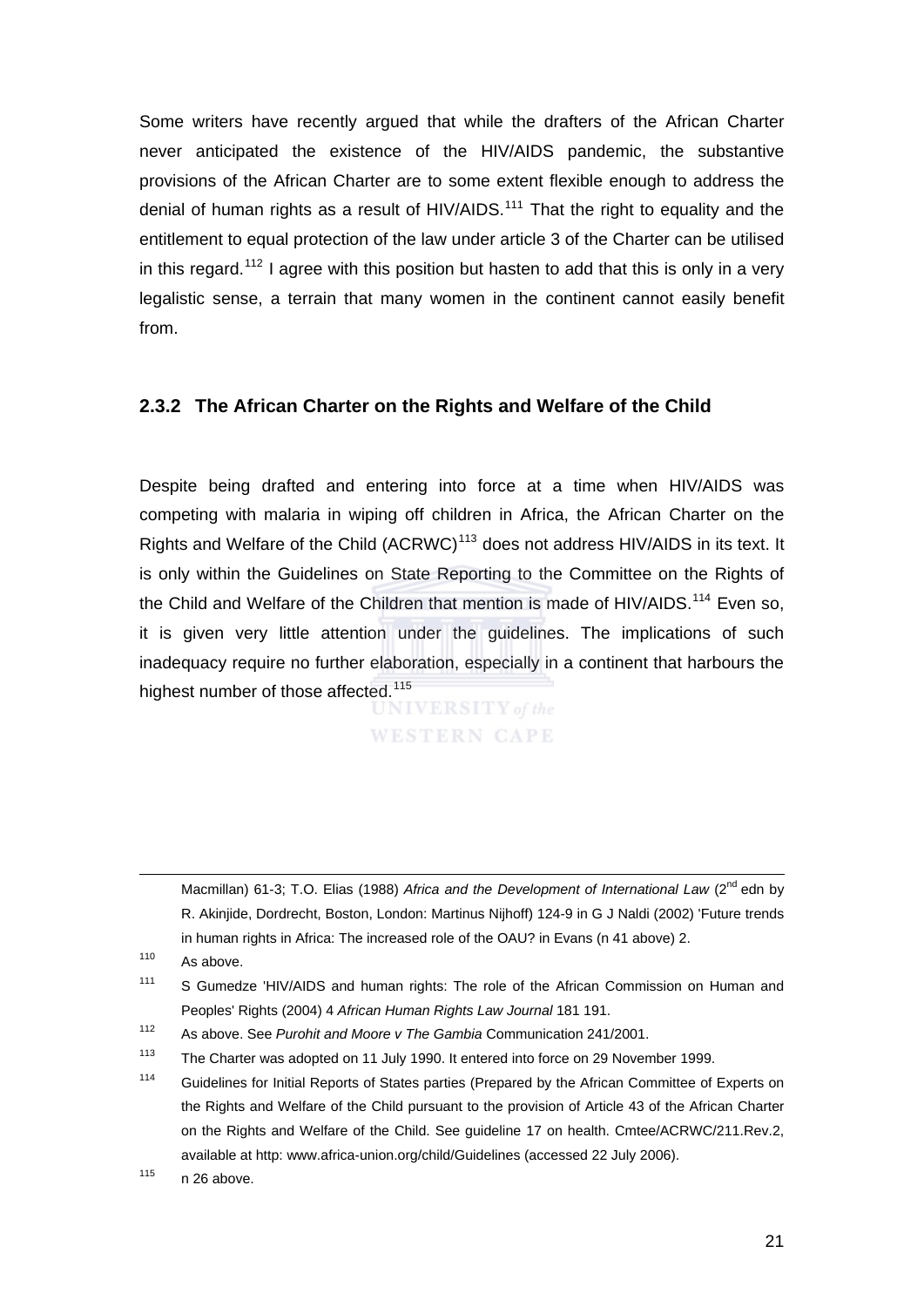Some writers have recently argued that while the drafters of the African Charter never anticipated the existence of the HIV/AIDS pandemic, the substantive provisions of the African Charter are to some extent flexible enough to address the denial of human rights as a result of HIV/AIDS.<sup>[111](#page-30-0)</sup> That the right to equality and the entitlement to equal protection of the law under article 3 of the Charter can be utilised in this regard.<sup>[112](#page-30-1)</sup> I agree with this position but hasten to add that this is only in a very legalistic sense, a terrain that many women in the continent cannot easily benefit from.

#### **2.3.2 The African Charter on the Rights and Welfare of the Child**

Despite being drafted and entering into force at a time when HIV/AIDS was competing with malaria in wiping off children in Africa, the African Charter on the Rights and Welfare of the Child (ACRWC)<sup>[113](#page-30-2)</sup> does not address HIV/AIDS in its text. It is only within the Guidelines on State Reporting to the Committee on the Rights of the Child and Welfare of the Children that mention is made of HIV/AIDS.<sup>[114](#page-30-3)</sup> Even so, it is given very little attention under the guidelines. The implications of such inadequacy require no further elaboration, especially in a continent that harbours the highest number of those affected.<sup>[115](#page-30-4)</sup><br>UNIVERSITY of the

**WESTERN CAPE** 

Macmillan) 61-3; T.O. Elias (1988) *Africa and the Development of International Law* (2<sup>nd</sup> edn by R. Akinjide, Dordrecht, Boston, London: Martinus Nijhoff) 124-9 in G J Naldi (2002) 'Future trends in human rights in Africa: The increased role of the OAU? in Evans (n 41 above) 2.

110 As above.

<span id="page-30-0"></span><sup>&</sup>lt;sup>111</sup> S Gumedze 'HIV/AIDS and human rights: The role of the African Commission on Human and Peoples' Rights (2004) 4 *African Human Rights Law Journal* 181 191.

<span id="page-30-1"></span><sup>112</sup> As above. See *Purohit and Moore v The Gambia* Communication 241/2001.

<span id="page-30-2"></span><sup>113</sup> The Charter was adopted on 11 July 1990. It entered into force on 29 November 1999.

<span id="page-30-3"></span><sup>&</sup>lt;sup>114</sup> Guidelines for Initial Reports of States parties (Prepared by the African Committee of Experts on the Rights and Welfare of the Child pursuant to the provision of Article 43 of the African Charter on the Rights and Welfare of the Child. See guideline 17 on health. Cmtee/ACRWC/211.Rev.2, available at http: www.africa-union.org/child/Guidelines (accessed 22 July 2006).

<span id="page-30-4"></span> $115$  n 26 above.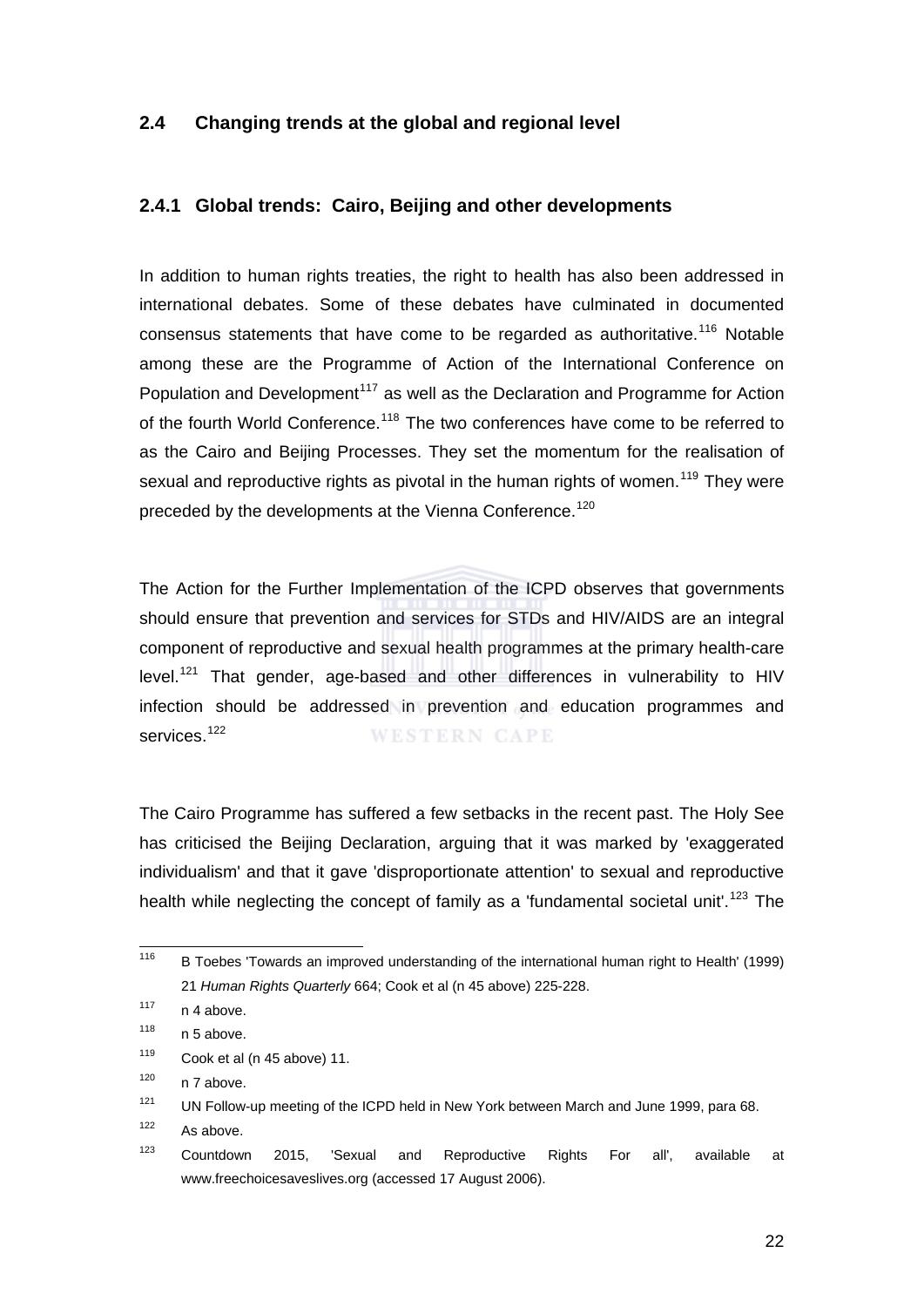#### **2.4 Changing trends at the global and regional level**

#### **2.4.1 Global trends: Cairo, Beijing and other developments**

In addition to human rights treaties, the right to health has also been addressed in international debates. Some of these debates have culminated in documented consensus statements that have come to be regarded as authoritative.[116](#page-31-0) Notable among these are the Programme of Action of the International Conference on Population and Development<sup>[117](#page-31-1)</sup> as well as the Declaration and Programme for Action of the fourth World Conference.<sup>[118](#page-31-2)</sup> The two conferences have come to be referred to as the Cairo and Beijing Processes. They set the momentum for the realisation of sexual and reproductive rights as pivotal in the human rights of women.<sup>[119](#page-31-3)</sup> They were preceded by the developments at the Vienna Conference.<sup>[120](#page-31-4)</sup>

The Action for the Further Implementation of the ICPD observes that governments should ensure that prevention and services for STDs and HIV/AIDS are an integral component of reproductive and sexual health programmes at the primary health-care level.<sup>[121](#page-31-5)</sup> That gender, age-based and other differences in vulnerability to HIV infection should be addressed in prevention and education programmes and services.<sup>[122](#page-31-6)</sup> **WESTERN CAPE** 

The Cairo Programme has suffered a few setbacks in the recent past. The Holy See has criticised the Beijing Declaration, arguing that it was marked by 'exaggerated individualism' and that it gave 'disproportionate attention' to sexual and reproductive health while neglecting the concept of family as a 'fundamental societal unit'.<sup>[123](#page-31-7)</sup> The

<span id="page-31-0"></span><sup>116</sup> 116 B Toebes 'Towards an improved understanding of the international human right to Health' (1999) 21 *Human Rights Quarterly* 664; Cook et al (n 45 above) 225-228.

<span id="page-31-1"></span> $117$  n 4 above.

<span id="page-31-2"></span> $118$  n 5 above.

<span id="page-31-3"></span><sup>119</sup> Cook et al (n 45 above) 11.

<span id="page-31-4"></span> $120$  n 7 above.

<span id="page-31-5"></span><sup>&</sup>lt;sup>121</sup> UN Follow-up meeting of the ICPD held in New York between March and June 1999, para 68.

<span id="page-31-6"></span><sup>122</sup> As above.

<span id="page-31-7"></span><sup>123</sup> Countdown 2015, 'Sexual and Reproductive Rights For all', available at www.freechoicesaveslives.org (accessed 17 August 2006).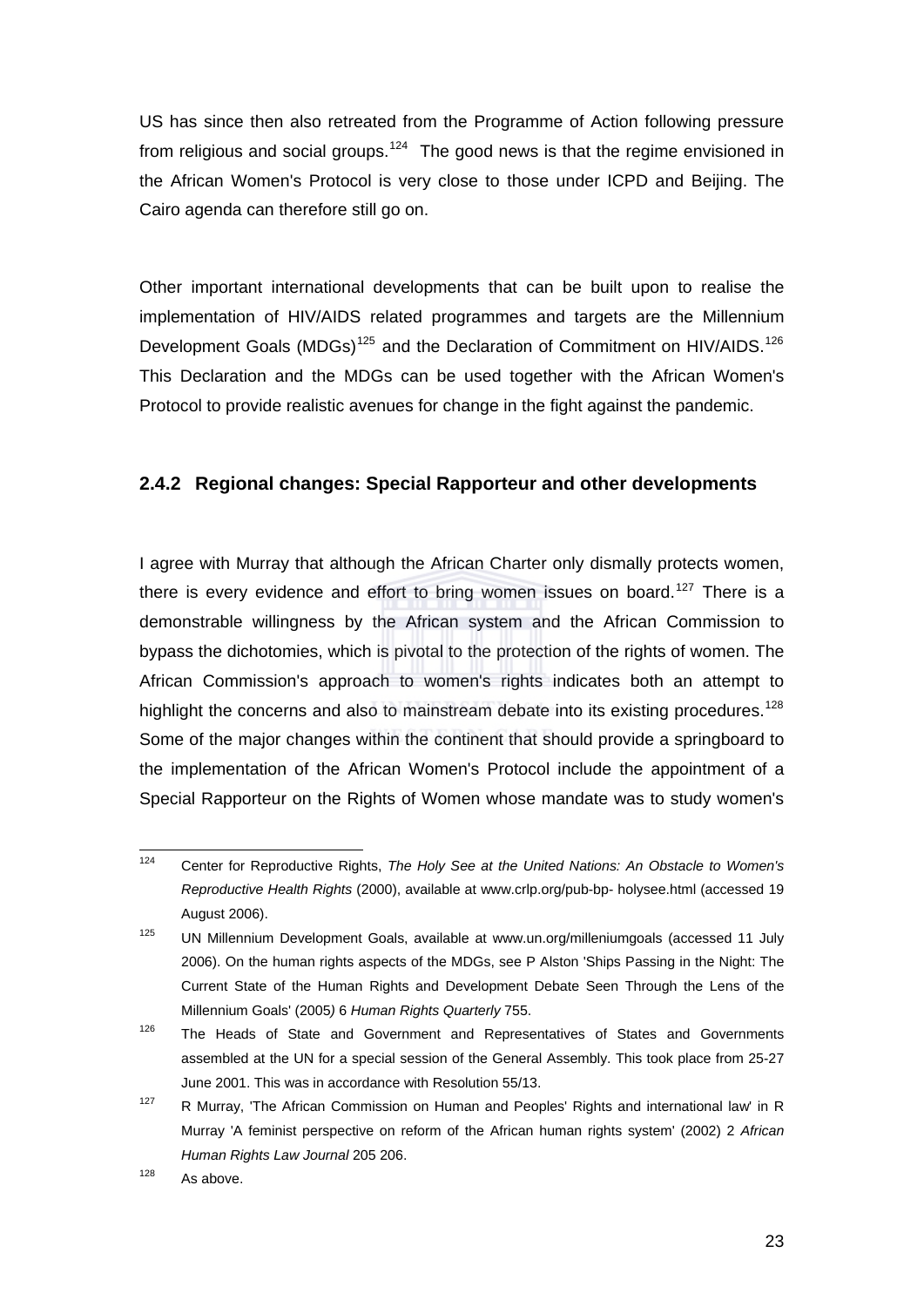US has since then also retreated from the Programme of Action following pressure from religious and social groups.<sup>[124](#page-32-0)</sup> The good news is that the regime envisioned in the African Women's Protocol is very close to those under ICPD and Beijing. The Cairo agenda can therefore still go on.

Other important international developments that can be built upon to realise the implementation of HIV/AIDS related programmes and targets are the Millennium Development Goals (MDGs)<sup>[125](#page-32-1)</sup> and the Declaration of Commitment on HIV/AIDS.<sup>[126](#page-32-2)</sup> This Declaration and the MDGs can be used together with the African Women's Protocol to provide realistic avenues for change in the fight against the pandemic.

#### **2.4.2 Regional changes: Special Rapporteur and other developments**

I agree with Murray that although the African Charter only dismally protects women, there is every evidence and effort to bring women issues on board.<sup>[127](#page-32-3)</sup> There is a demonstrable willingness by the African system and the African Commission to bypass the dichotomies, which is pivotal to the protection of the rights of women. The African Commission's approach to women's rights indicates both an attempt to highlight the concerns and also to mainstream debate into its existing procedures.<sup>[128](#page-32-4)</sup> Some of the major changes within the continent that should provide a springboard to the implementation of the African Women's Protocol include the appointment of a Special Rapporteur on the Rights of Women whose mandate was to study women's

<span id="page-32-0"></span> $\frac{1}{124}$ 124 Center for Reproductive Rights, *The Holy See at the United Nations: An Obstacle to Women's Reproductive Health Rights* (2000), available at www.crlp.org/pub-bp- holysee.html (accessed 19 August 2006).

<span id="page-32-1"></span><sup>&</sup>lt;sup>125</sup> UN Millennium Development Goals, available at www.un.org/milleniumgoals (accessed 11 July 2006). On the human rights aspects of the MDGs, see P Alston 'Ships Passing in the Night: The Current State of the Human Rights and Development Debate Seen Through the Lens of the Millennium Goals' (2005*)* 6 *Human Rights Quarterly* 755.

<span id="page-32-2"></span><sup>&</sup>lt;sup>126</sup> The Heads of State and Government and Representatives of States and Governments assembled at the UN for a special session of the General Assembly. This took place from 25-27 June 2001. This was in accordance with Resolution 55/13.

<span id="page-32-3"></span> $127$  R Murray, 'The African Commission on Human and Peoples' Rights and international law' in R Murray 'A feminist perspective on reform of the African human rights system' (2002) 2 *African Human Rights Law Journal* 205 206.

<span id="page-32-4"></span> $128$  As above.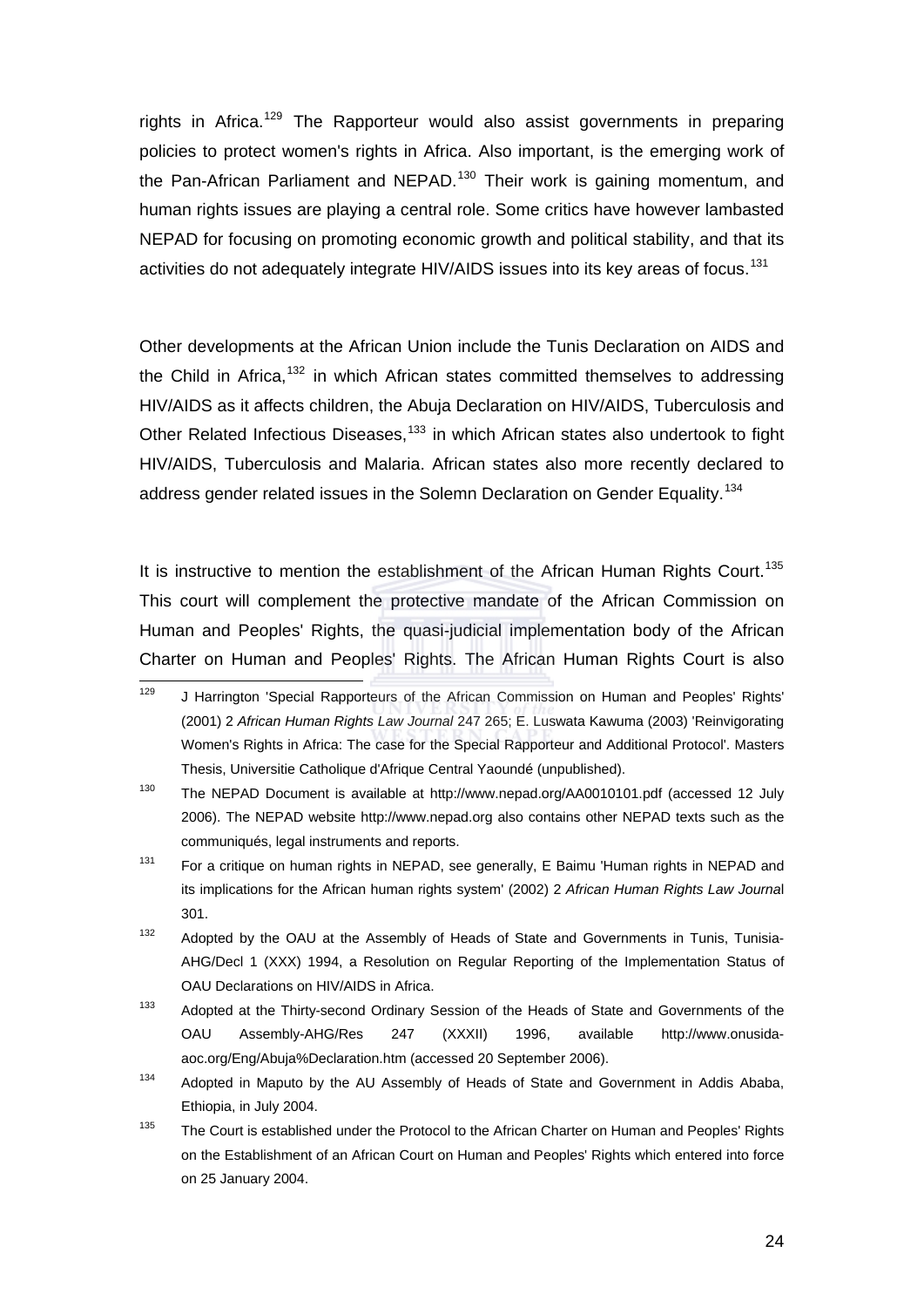rights in Africa.<sup>[129](#page-33-0)</sup> The Rapporteur would also assist governments in preparing policies to protect women's rights in Africa. Also important, is the emerging work of the Pan-African Parliament and NEPAD.<sup>[130](#page-33-1)</sup> Their work is gaining momentum, and human rights issues are playing a central role. Some critics have however lambasted NEPAD for focusing on promoting economic growth and political stability, and that its activities do not adequately integrate HIV/AIDS issues into its key areas of focus.<sup>[131](#page-33-2)</sup>

Other developments at the African Union include the Tunis Declaration on AIDS and the Child in Africa,<sup>[132](#page-33-3)</sup> in which African states committed themselves to addressing HIV/AIDS as it affects children, the Abuja Declaration on HIV/AIDS, Tuberculosis and Other Related Infectious Diseases,<sup>[133](#page-33-4)</sup> in which African states also undertook to fight HIV/AIDS, Tuberculosis and Malaria. African states also more recently declared to address gender related issues in the Solemn Declaration on Gender Equality.<sup>[134](#page-33-5)</sup>

It is instructive to mention the establishment of the African Human Rights Court.<sup>[135](#page-33-6)</sup> This court will complement the protective mandate of the African Commission on Human and Peoples' Rights, the quasi-judicial implementation body of the African Charter on Human and Peoples' Rights. The African Human Rights Court is also

<span id="page-33-0"></span><sup>129</sup> J Harrington 'Special Rapporteurs of the African Commission on Human and Peoples' Rights' (2001) 2 *African Human Rights Law Journal* 247 265; E. Luswata Kawuma (2003) 'Reinvigorating Women's Rights in Africa: The case for the Special Rapporteur and Additional Protocol'. Masters Thesis, Universitie Catholique d'Afrique Central Yaoundé (unpublished).

<span id="page-33-1"></span><sup>130</sup> The NEPAD Document is available at http://www.nepad.org/AA0010101.pdf (accessed 12 July 2006). The NEPAD website http://www.nepad.org also contains other NEPAD texts such as the communiqués, legal instruments and reports.

<span id="page-33-2"></span><sup>&</sup>lt;sup>131</sup> For a critique on human rights in NEPAD, see generally, E Baimu 'Human rights in NEPAD and its implications for the African human rights system' (2002) 2 *African Human Rights Law Journa*l 301.

<span id="page-33-3"></span><sup>&</sup>lt;sup>132</sup> Adopted by the OAU at the Assembly of Heads of State and Governments in Tunis, Tunisia-AHG/Decl 1 (XXX) 1994, a Resolution on Regular Reporting of the Implementation Status of OAU Declarations on HIV/AIDS in Africa.

<span id="page-33-4"></span><sup>&</sup>lt;sup>133</sup> Adopted at the Thirty-second Ordinary Session of the Heads of State and Governments of the OAU Assembly-AHG/Res 247 (XXXII) 1996, available http://www.onusidaaoc.org/Eng/Abuja%Declaration.htm (accessed 20 September 2006).

<span id="page-33-5"></span><sup>&</sup>lt;sup>134</sup> Adopted in Maputo by the AU Assembly of Heads of State and Government in Addis Ababa. Ethiopia, in July 2004.

<span id="page-33-6"></span><sup>&</sup>lt;sup>135</sup> The Court is established under the Protocol to the African Charter on Human and Peoples' Rights on the Establishment of an African Court on Human and Peoples' Rights which entered into force on 25 January 2004.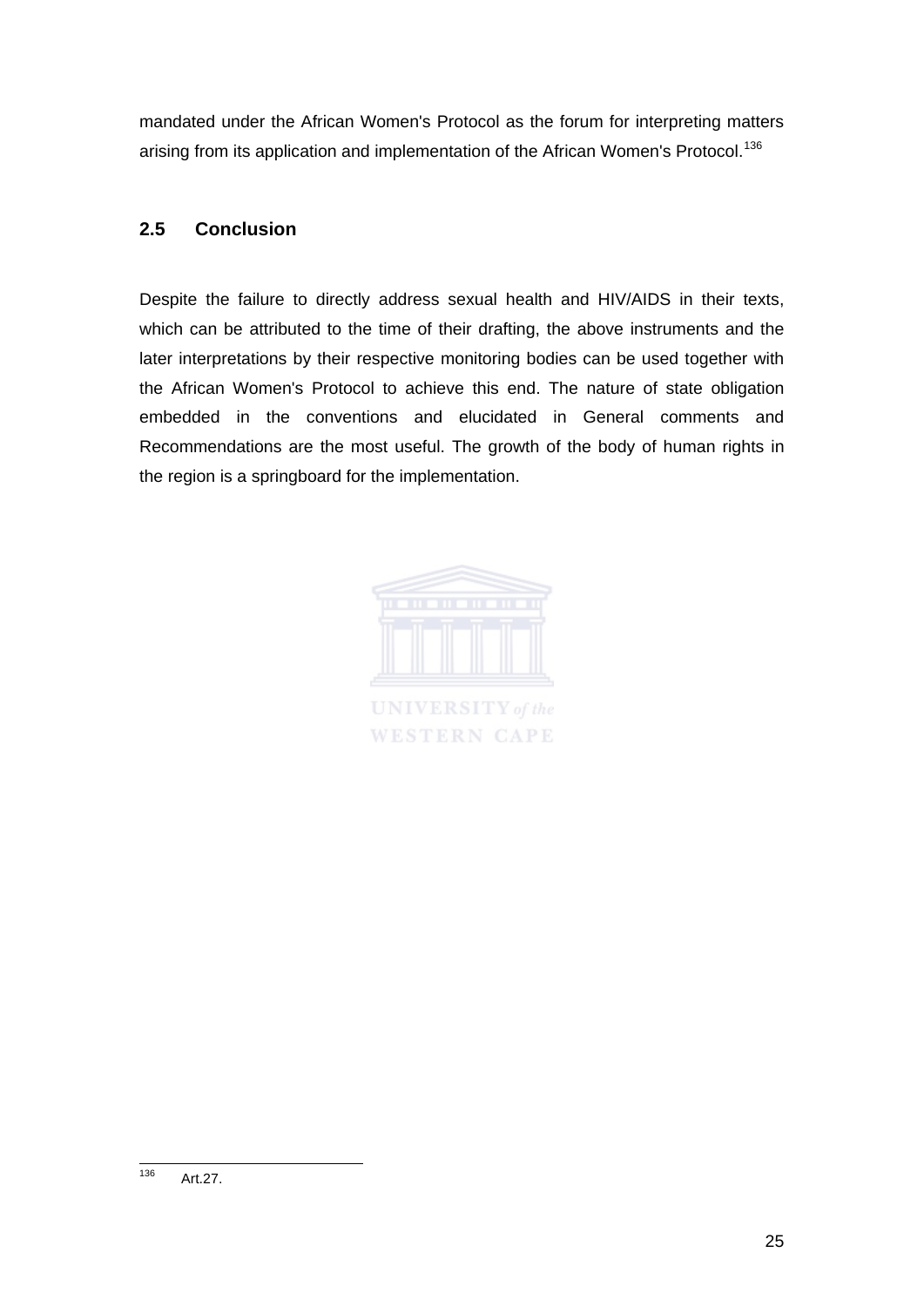mandated under the African Women's Protocol as the forum for interpreting matters arising from its application and implementation of the African Women's Protocol.<sup>[136](#page-34-0)</sup>

# **2.5 Conclusion**

Despite the failure to directly address sexual health and HIV/AIDS in their texts, which can be attributed to the time of their drafting, the above instruments and the later interpretations by their respective monitoring bodies can be used together with the African Women's Protocol to achieve this end. The nature of state obligation embedded in the conventions and elucidated in General comments and Recommendations are the most useful. The growth of the body of human rights in the region is a springboard for the implementation.



<span id="page-34-0"></span><sup>136</sup> Art.27.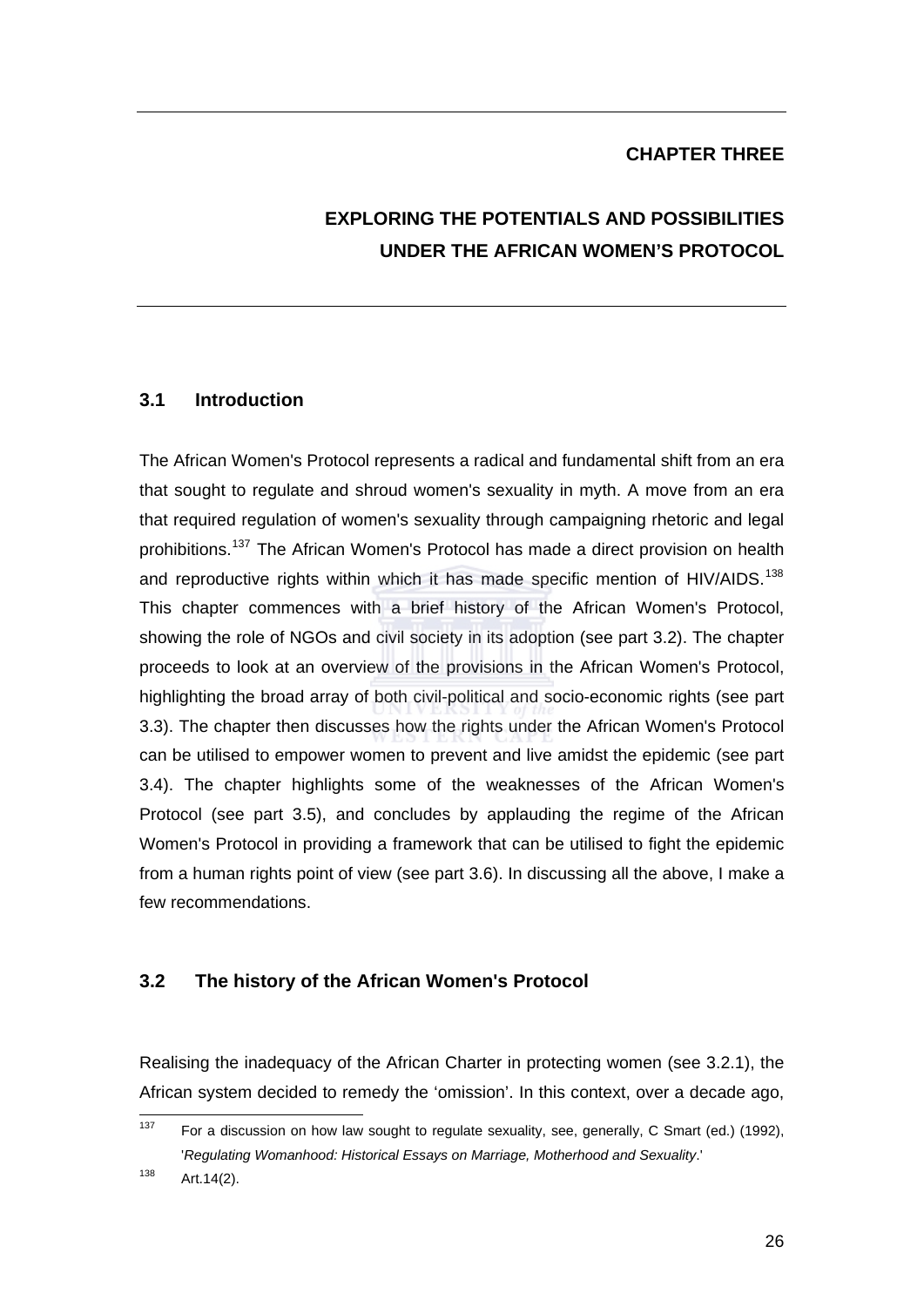#### **CHAPTER THREE**

# **EXPLORING THE POTENTIALS AND POSSIBILITIES UNDER THE AFRICAN WOMEN'S PROTOCOL**

## **3.1 Introduction**

The African Women's Protocol represents a radical and fundamental shift from an era that sought to regulate and shroud women's sexuality in myth. A move from an era that required regulation of women's sexuality through campaigning rhetoric and legal prohibitions.[137](#page-35-0) The African Women's Protocol has made a direct provision on health and reproductive rights within which it has made specific mention of HIV/AIDS.<sup>[138](#page-35-1)</sup> This chapter commences with a brief history of the African Women's Protocol, showing the role of NGOs and civil society in its adoption (see part 3.2). The chapter proceeds to look at an overview of the provisions in the African Women's Protocol, highlighting the broad array of both civil-political and socio-economic rights (see part 3.3). The chapter then discusses how the rights under the African Women's Protocol can be utilised to empower women to prevent and live amidst the epidemic (see part 3.4). The chapter highlights some of the weaknesses of the African Women's Protocol (see part 3.5), and concludes by applauding the regime of the African Women's Protocol in providing a framework that can be utilised to fight the epidemic from a human rights point of view (see part 3.6). In discussing all the above, I make a few recommendations.

#### **3.2 The history of the African Women's Protocol**

Realising the inadequacy of the African Charter in protecting women (see 3.2.1), the African system decided to remedy the 'omission'. In this context, over a decade ago,

<span id="page-35-0"></span><sup>137</sup> For a discussion on how law sought to regulate sexuality, see, generally, C Smart (ed.) (1992), '*Regulating Womanhood: Historical Essays on Marriage, Motherhood and Sexuality*.'

<span id="page-35-1"></span> $138$  Art. 14(2).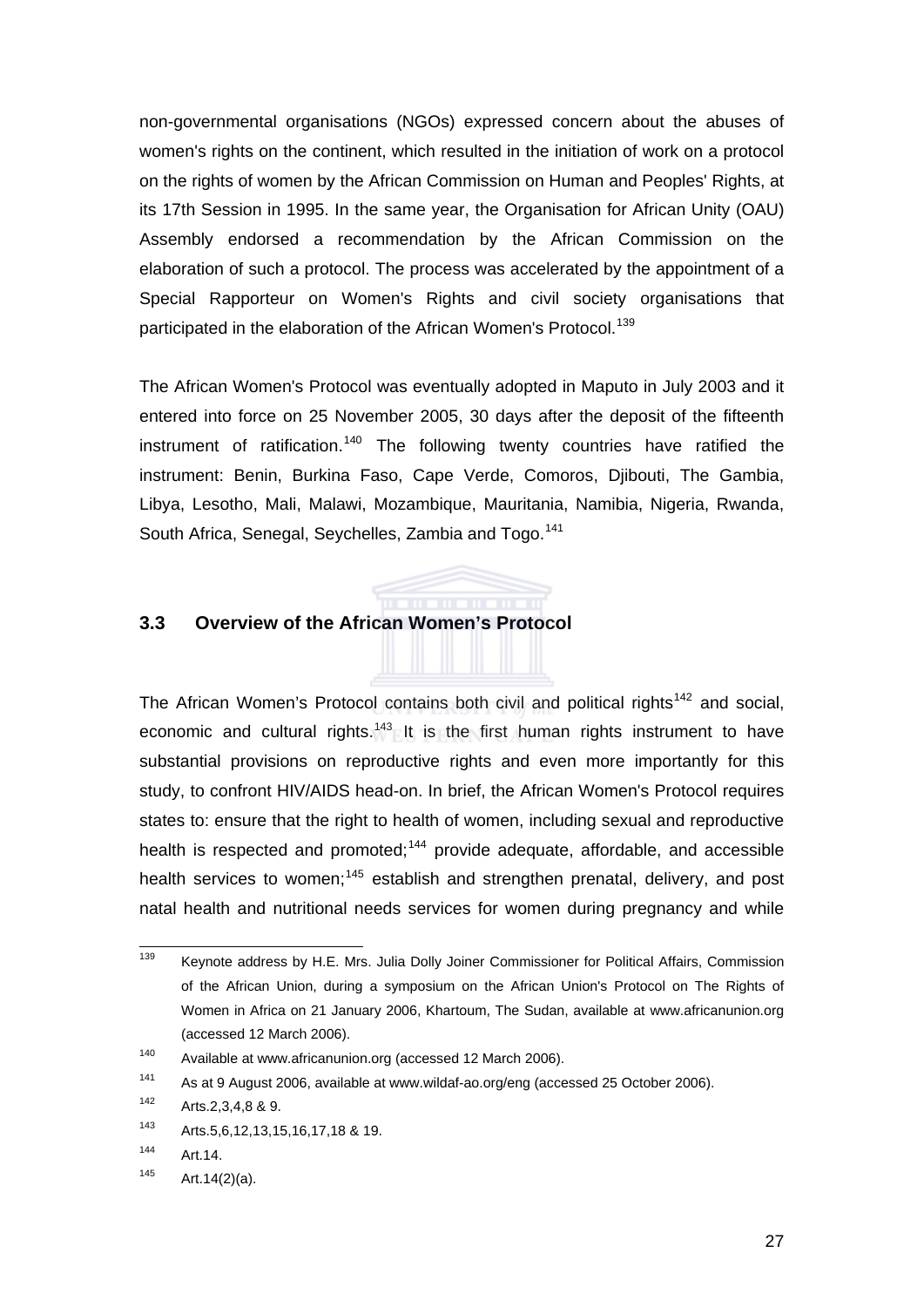non-governmental organisations (NGOs) expressed concern about the abuses of women's rights on the continent, which resulted in the initiation of work on a protocol on the rights of women by the African Commission on Human and Peoples' Rights, at its 17th Session in 1995. In the same year, the Organisation for African Unity (OAU) Assembly endorsed a recommendation by the African Commission on the elaboration of such a protocol. The process was accelerated by the appointment of a Special Rapporteur on Women's Rights and civil society organisations that participated in the elaboration of the African Women's Protocol.<sup>[139](#page-36-0)</sup>

The African Women's Protocol was eventually adopted in Maputo in July 2003 and it entered into force on 25 November 2005, 30 days after the deposit of the fifteenth instrument of ratification.<sup>[140](#page-36-1)</sup> The following twenty countries have ratified the instrument: Benin, Burkina Faso, Cape Verde, Comoros, Djibouti, The Gambia, Libya, Lesotho, Mali, Malawi, Mozambique, Mauritania, Namibia, Nigeria, Rwanda, South Africa, Senegal, Seychelles, Zambia and Togo.<sup>[141](#page-36-2)</sup>

#### **3.3 Overview of the African Women's Protocol**

The African Women's Protocol contains both civil and political rights<sup>[142](#page-36-3)</sup> and social. economic and cultural rights.<sup>[143](#page-36-4)</sup> It is the first human rights instrument to have substantial provisions on reproductive rights and even more importantly for this study, to confront HIV/AIDS head-on. In brief, the African Women's Protocol requires states to: ensure that the right to health of women, including sexual and reproductive health is respected and promoted:<sup>[144](#page-36-5)</sup> provide adequate, affordable, and accessible health services to women;<sup>[145](#page-36-6)</sup> establish and strengthen prenatal, delivery, and post natal health and nutritional needs services for women during pregnancy and while

<span id="page-36-0"></span><sup>139</sup> Keynote address by H.E. Mrs. Julia Dolly Joiner Commissioner for Political Affairs, Commission of the African Union, during a symposium on the African Union's Protocol on The Rights of Women in Africa on 21 January 2006, Khartoum, The Sudan, available at www.africanunion.org (accessed 12 March 2006).

<span id="page-36-1"></span><sup>140</sup> Available at www.africanunion.org (accessed 12 March 2006).

<span id="page-36-2"></span><sup>141</sup> As at 9 August 2006, available at [www.wildaf-ao.org/eng](http://www.wildaf-ao.org/eng) (accessed 25 October 2006).

<span id="page-36-3"></span><sup>142</sup> Arts.2,3,4,8 & 9.

<span id="page-36-4"></span><sup>143</sup> Arts.5,6,12,13,15,16,17,18 & 19.

<span id="page-36-5"></span><sup>144</sup> Art.14.

<span id="page-36-6"></span> $145$  Art.  $14(2)(a)$ .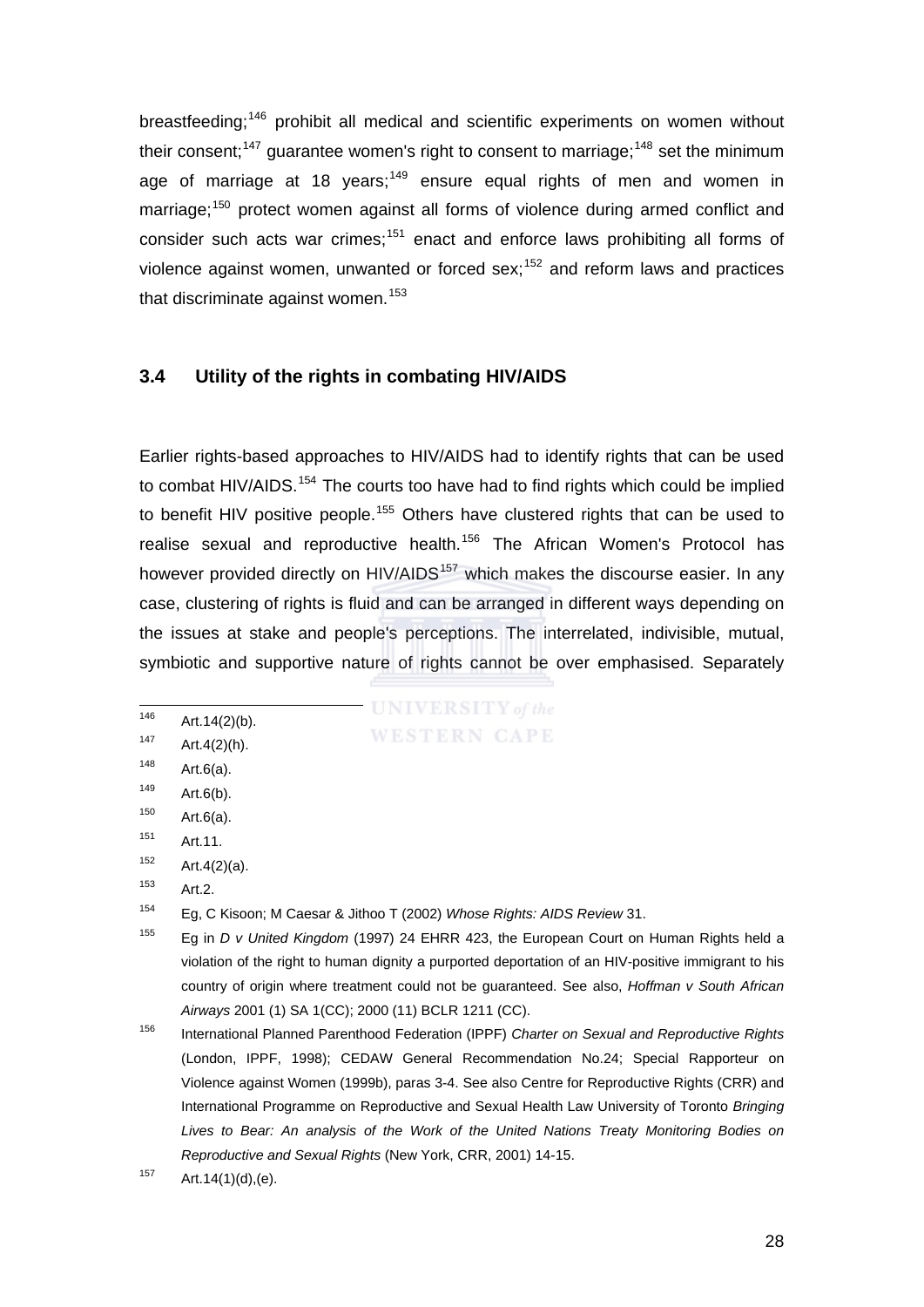breastfeeding;<sup>[146](#page-37-0)</sup> prohibit all medical and scientific experiments on women without their consent;<sup>[147](#page-37-1)</sup> guarantee women's right to consent to marriage;<sup>[148](#page-37-2)</sup> set the minimum age of marriage at 18 years;<sup>[149](#page-37-3)</sup> ensure equal rights of men and women in marriage;<sup>[150](#page-37-4)</sup> protect women against all forms of violence during armed conflict and consider such acts war crimes;<sup>[151](#page-37-5)</sup> enact and enforce laws prohibiting all forms of violence against women, unwanted or forced sex;<sup>[152](#page-37-6)</sup> and reform laws and practices that discriminate against women.<sup>[153](#page-37-7)</sup>

#### **3.4 Utility of the rights in combating HIV/AIDS**

Earlier rights-based approaches to HIV/AIDS had to identify rights that can be used to combat HIV/AIDS.<sup>[154](#page-37-8)</sup> The courts too have had to find rights which could be implied to benefit HIV positive people.<sup>[155](#page-37-9)</sup> Others have clustered rights that can be used to realise sexual and reproductive health.<sup>[156](#page-37-10)</sup> The African Women's Protocol has however provided directly on  $H\left|V/A\right|DS^{157}$  $H\left|V/A\right|DS^{157}$  $H\left|V/A\right|DS^{157}$  which makes the discourse easier. In any case, clustering of rights is fluid and can be arranged in different ways depending on the issues at stake and people's perceptions. The interrelated, indivisible, mutual, symbiotic and supportive nature of rights cannot be over emphasised. Separately

> UNIVERSITY of the **WESTERN CAPE**

- <span id="page-37-3"></span>149 Art.6(b).
- <span id="page-37-4"></span> $150$  Art.6(a).
- <span id="page-37-5"></span>151 Art.11.
- <span id="page-37-6"></span> $152$  Art. 4(2)(a).
- <span id="page-37-7"></span>153 Art.2.

<span id="page-37-0"></span><sup>146</sup> Art.14 $(2)(b)$ .

<span id="page-37-1"></span> $147$  Art. 4(2)(h).

<span id="page-37-2"></span> $148$  Art.6(a).

<span id="page-37-8"></span><sup>154</sup> Eg, C Kisoon; M Caesar & Jithoo T (2002) *Whose Rights: AIDS Review* 31.

<span id="page-37-9"></span><sup>155</sup> Eg in *D v United Kingdom* (1997) 24 EHRR 423, the European Court on Human Rights held a violation of the right to human dignity a purported deportation of an HIV-positive immigrant to his country of origin where treatment could not be guaranteed. See also, *Hoffman v South African Airways* 2001 (1) SA 1(CC); 2000 (11) BCLR 1211 (CC).

<span id="page-37-10"></span><sup>156</sup> International Planned Parenthood Federation (IPPF) *Charter on Sexual and Reproductive Rights* (London, IPPF, 1998); CEDAW General Recommendation No.24; Special Rapporteur on Violence against Women (1999b), paras 3-4. See also Centre for Reproductive Rights (CRR) and International Programme on Reproductive and Sexual Health Law University of Toronto *Bringing Lives to Bear: An analysis of the Work of the United Nations Treaty Monitoring Bodies on Reproductive and Sexual Rights* (New York, CRR, 2001) 14-15.

<span id="page-37-11"></span> $157$  Art. 14(1)(d), (e).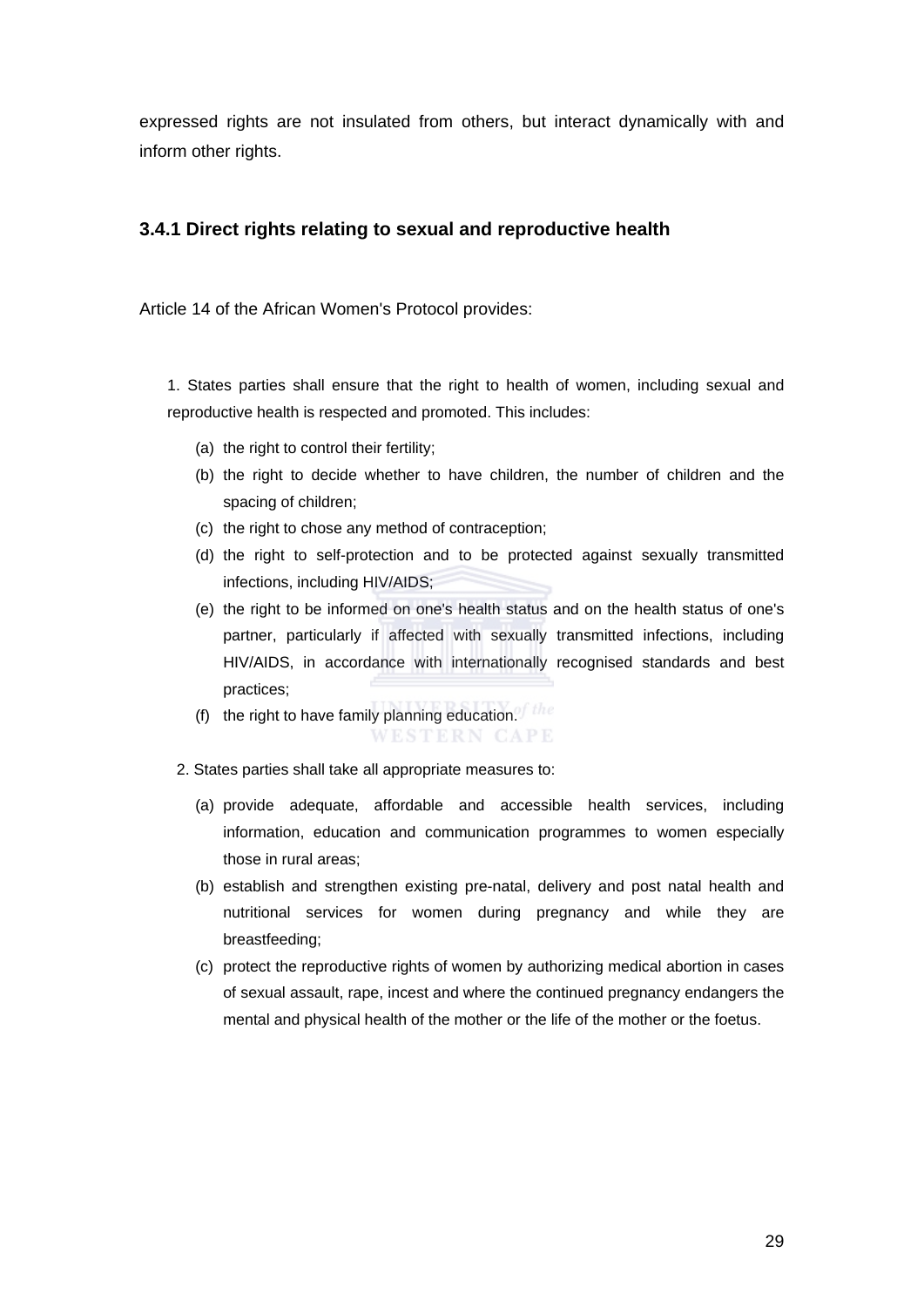expressed rights are not insulated from others, but interact dynamically with and inform other rights.

#### **3.4.1 Direct rights relating to sexual and reproductive health**

Article 14 of the African Women's Protocol provides:

1. States parties shall ensure that the right to health of women, including sexual and reproductive health is respected and promoted. This includes:

- (a) the right to control their fertility;
- (b) the right to decide whether to have children, the number of children and the spacing of children;
- (c) the right to chose any method of contraception;
- (d) the right to self-protection and to be protected against sexually transmitted infections, including HIV/AIDS;
- (e) the right to be informed on one's health status and on the health status of one's partner, particularly if affected with sexually transmitted infections, including HIV/AIDS, in accordance with internationally recognised standards and best practices;
- (f) the right to have family planning education.

2. States parties shall take all appropriate measures to:

- (a) provide adequate, affordable and accessible health services, including information, education and communication programmes to women especially those in rural areas;
- (b) establish and strengthen existing pre-natal, delivery and post natal health and nutritional services for women during pregnancy and while they are breastfeeding;
- (c) protect the reproductive rights of women by authorizing medical abortion in cases of sexual assault, rape, incest and where the continued pregnancy endangers the mental and physical health of the mother or the life of the mother or the foetus.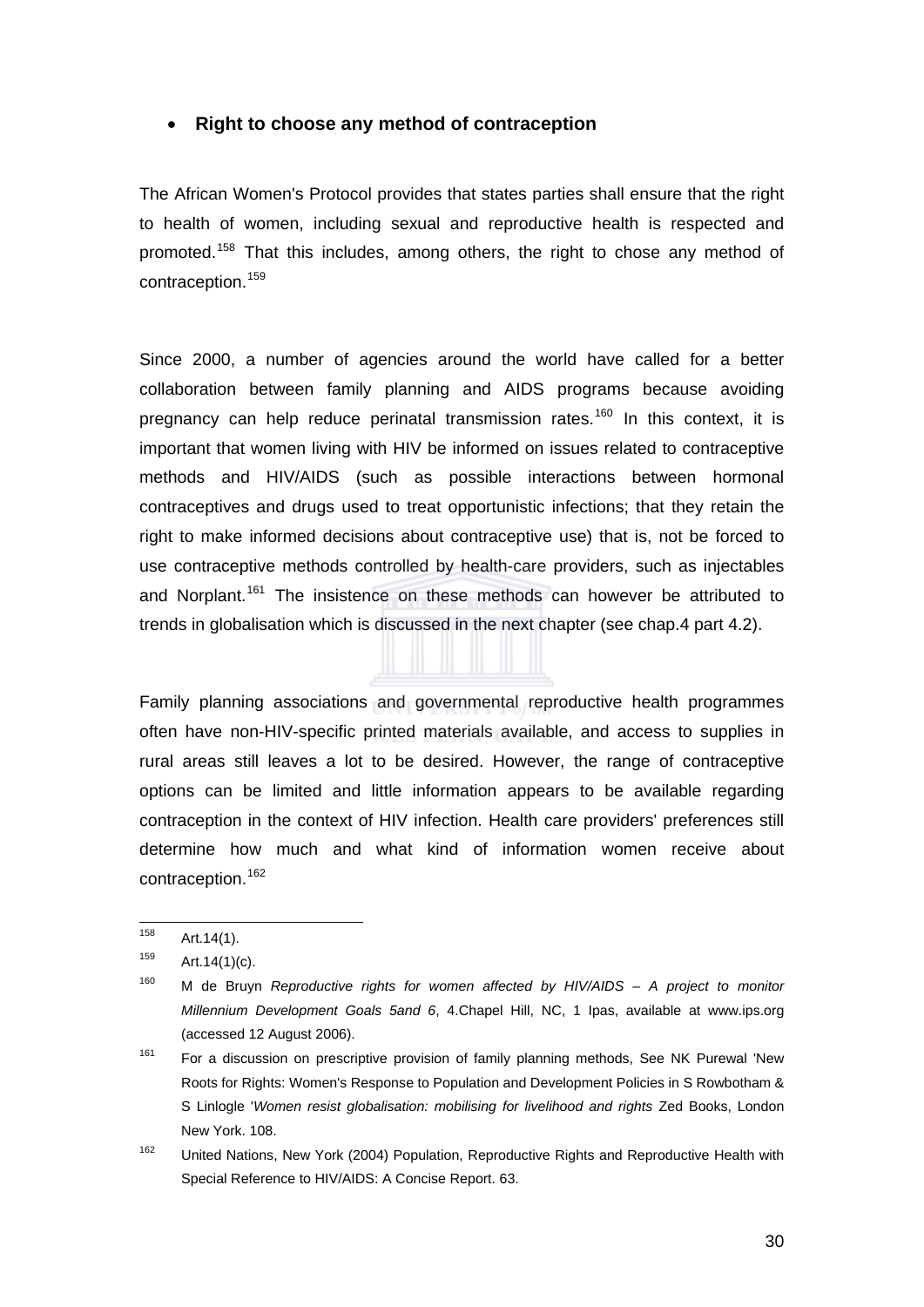#### • **Right to choose any method of contraception**

The African Women's Protocol provides that states parties shall ensure that the right to health of women, including sexual and reproductive health is respected and promoted.<sup>[158](#page-39-0)</sup> That this includes, among others, the right to chose any method of contraception.[159](#page-39-1)

Since 2000, a number of agencies around the world have called for a better collaboration between family planning and AIDS programs because avoiding pregnancy can help reduce perinatal transmission rates.<sup>[160](#page-39-2)</sup> In this context, it is important that women living with HIV be informed on issues related to contraceptive methods and HIV/AIDS (such as possible interactions between hormonal contraceptives and drugs used to treat opportunistic infections; that they retain the right to make informed decisions about contraceptive use) that is, not be forced to use contraceptive methods controlled by health-care providers, such as injectables and Norplant.<sup>[161](#page-39-3)</sup> The insistence on these methods can however be attributed to trends in globalisation which is discussed in the next chapter (see chap.4 part 4.2).

Family planning associations and governmental reproductive health programmes often have non-HIV-specific printed materials available, and access to supplies in rural areas still leaves a lot to be desired. However, the range of contraceptive options can be limited and little information appears to be available regarding contraception in the context of HIV infection. Health care providers' preferences still determine how much and what kind of information women receive about contraception.[162](#page-39-4)

<span id="page-39-0"></span><sup>158</sup> Art. $14(1)$ .

<span id="page-39-1"></span> $159$  Art.  $14(1)(c)$ .

<span id="page-39-2"></span><sup>&</sup>lt;sup>160</sup> M de Bruyn *Reproductive rights for women affected by HIV/AIDS - A project to monitor Millennium Development Goals 5and 6*, 4.Chapel Hill, NC, 1 Ipas, available at www.ips.org (accessed 12 August 2006).

<span id="page-39-3"></span><sup>&</sup>lt;sup>161</sup> For a discussion on prescriptive provision of family planning methods, See NK Purewal 'New Roots for Rights: Women's Response to Population and Development Policies in S Rowbotham & S Linlogle '*Women resist globalisation: mobilising for livelihood and rights* Zed Books, London New York. 108.

<span id="page-39-4"></span><sup>&</sup>lt;sup>162</sup> United Nations, New York (2004) Population, Reproductive Rights and Reproductive Health with Special Reference to HIV/AIDS: A Concise Report. 63.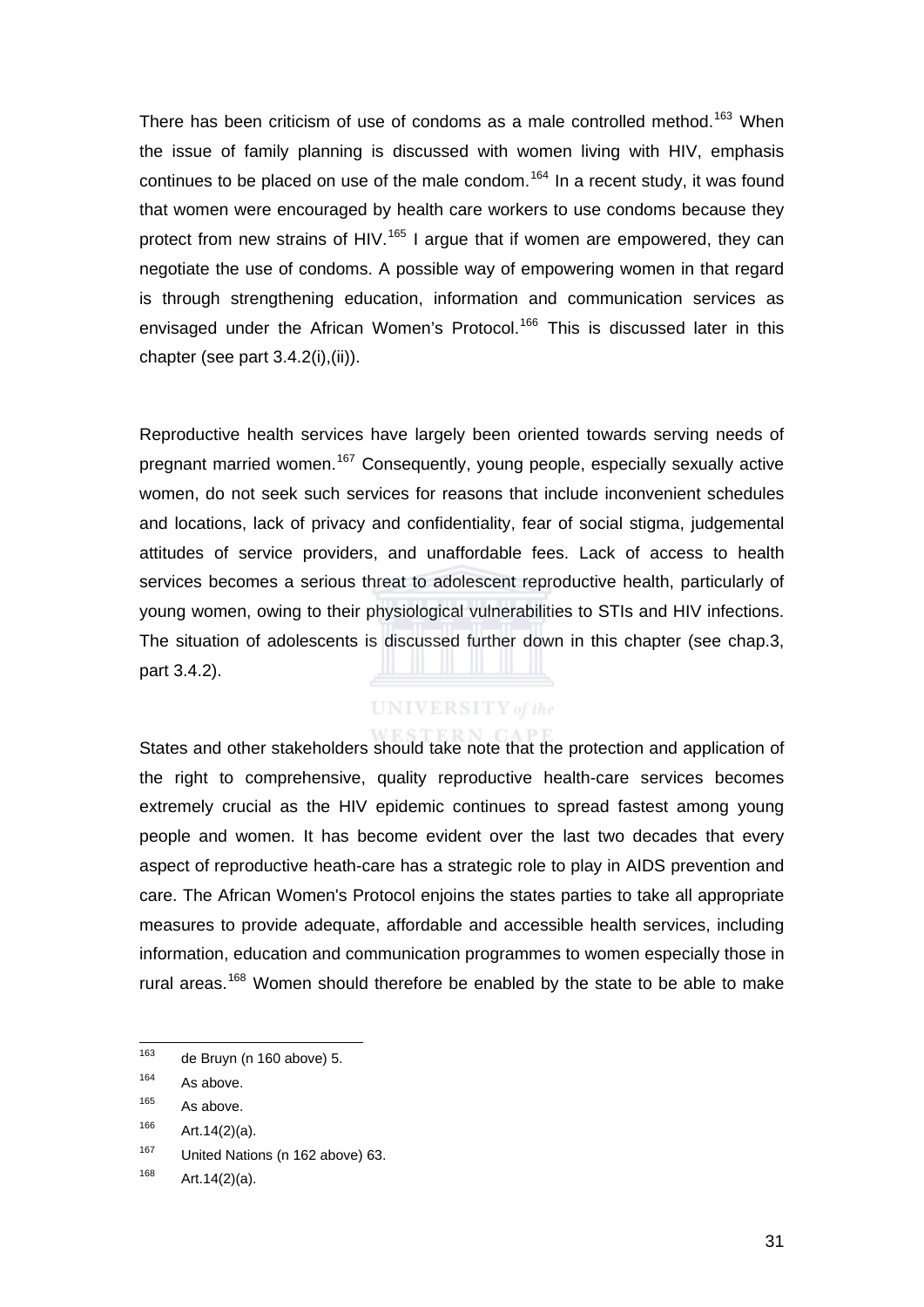There has been criticism of use of condoms as a male controlled method.<sup>[163](#page-40-0)</sup> When the issue of family planning is discussed with women living with HIV, emphasis continues to be placed on use of the male condom.<sup>[164](#page-40-1)</sup> In a recent study, it was found that women were encouraged by health care workers to use condoms because they protect from new strains of HIV.<sup>[165](#page-40-2)</sup> I argue that if women are empowered, they can negotiate the use of condoms. A possible way of empowering women in that regard is through strengthening education, information and communication services as envisaged under the African Women's Protocol.<sup>[166](#page-40-3)</sup> This is discussed later in this chapter (see part 3.4.2(i),(ii)).

Reproductive health services have largely been oriented towards serving needs of pregnant married women.<sup>[167](#page-40-4)</sup> Consequently, young people, especially sexually active women, do not seek such services for reasons that include inconvenient schedules and locations, lack of privacy and confidentiality, fear of social stigma, judgemental attitudes of service providers, and unaffordable fees. Lack of access to health services becomes a serious threat to adolescent reproductive health, particularly of young women, owing to their physiological vulnerabilities to STIs and HIV infections. The situation of adolescents is discussed further down in this chapter (see chap.3, part 3.4.2).

### **UNIVERSITY** of the

States and other stakeholders should take note that the protection and application of the right to comprehensive, quality reproductive health-care services becomes extremely crucial as the HIV epidemic continues to spread fastest among young people and women. It has become evident over the last two decades that every aspect of reproductive heath-care has a strategic role to play in AIDS prevention and care. The African Women's Protocol enjoins the states parties to take all appropriate measures to provide adequate, affordable and accessible health services, including information, education and communication programmes to women especially those in rural areas.<sup>[168](#page-40-5)</sup> Women should therefore be enabled by the state to be able to make

<span id="page-40-0"></span><sup>163</sup> de Bruyn (n 160 above) 5.

<span id="page-40-1"></span><sup>164</sup> As above.

<span id="page-40-2"></span><sup>165</sup> As above.

<span id="page-40-3"></span> $166$  Art.  $14(2)(a)$ .

<span id="page-40-4"></span><sup>167</sup> United Nations (n 162 above) 63.

<span id="page-40-5"></span> $168$  Art.  $14(2)(a)$ .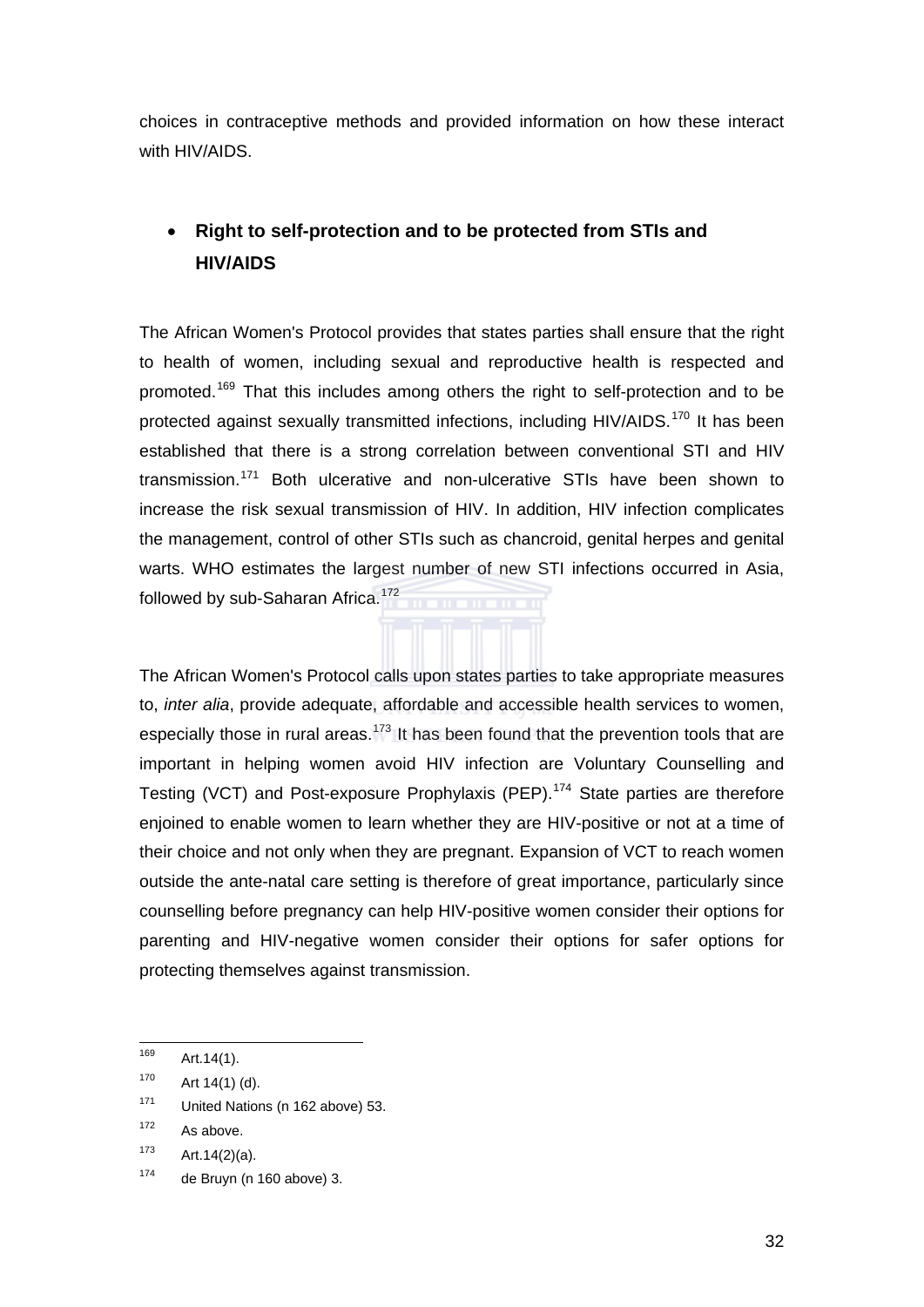choices in contraceptive methods and provided information on how these interact with HIV/AIDS.

## • **Right to self-protection and to be protected from STIs and HIV/AIDS**

The African Women's Protocol provides that states parties shall ensure that the right to health of women, including sexual and reproductive health is respected and promoted.<sup>[169](#page-41-0)</sup> That this includes among others the right to self-protection and to be protected against sexually transmitted infections, including HIV/AIDS.<sup>[170](#page-41-1)</sup> It has been established that there is a strong correlation between conventional STI and HIV transmission.<sup>[171](#page-41-2)</sup> Both ulcerative and non-ulcerative STIs have been shown to increase the risk sexual transmission of HIV. In addition, HIV infection complicates the management, control of other STIs such as chancroid, genital herpes and genital warts. WHO estimates the largest number of new STI infections occurred in Asia, followed by sub-Saharan Africa.<sup>[172](#page-41-3)</sup>

The African Women's Protocol calls upon states parties to take appropriate measures to, *inter alia*, provide adequate, affordable and accessible health services to women, especially those in rural areas.<sup>[173](#page-41-4)</sup> It has been found that the prevention tools that are important in helping women avoid HIV infection are Voluntary Counselling and Testing (VCT) and Post-exposure Prophylaxis (PEP).<sup>[174](#page-41-5)</sup> State parties are therefore enjoined to enable women to learn whether they are HIV-positive or not at a time of their choice and not only when they are pregnant. Expansion of VCT to reach women outside the ante-natal care setting is therefore of great importance, particularly since counselling before pregnancy can help HIV-positive women consider their options for parenting and HIV-negative women consider their options for safer options for protecting themselves against transmission.

<span id="page-41-0"></span><sup>169</sup> Art. $14(1)$ .

<span id="page-41-1"></span> $170$  Art 14(1) (d).

<span id="page-41-2"></span><sup>171</sup> United Nations (n 162 above) 53.

<span id="page-41-3"></span><sup>172</sup> As above.

<span id="page-41-4"></span> $173$  Art.  $14(2)(a)$ .

<span id="page-41-5"></span> $174$  de Bruyn (n 160 above) 3.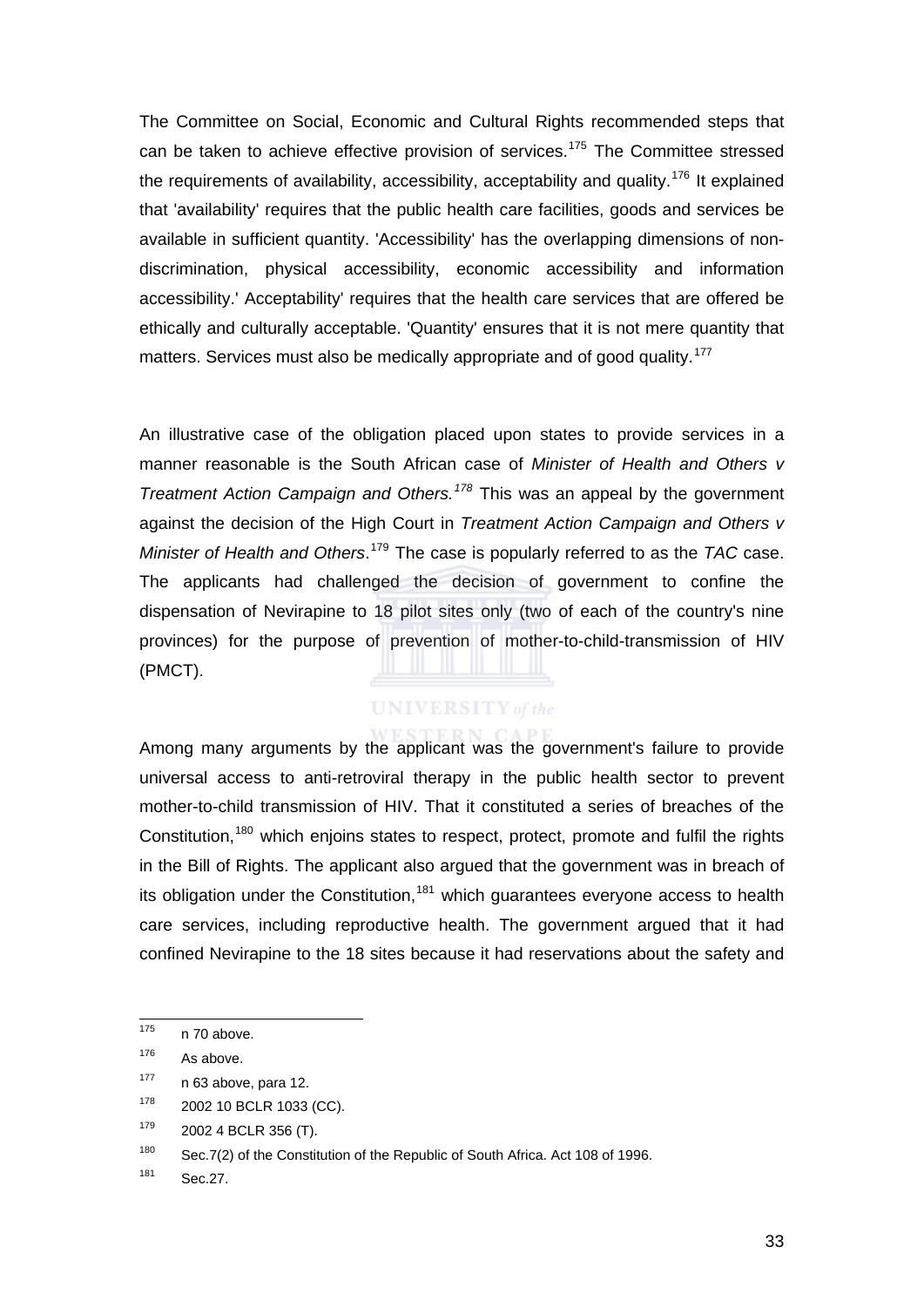The Committee on Social, Economic and Cultural Rights recommended steps that can be taken to achieve effective provision of services.<sup>[175](#page-42-0)</sup> The Committee stressed the requirements of availability, accessibility, acceptability and quality.<sup>[176](#page-42-1)</sup> It explained that 'availability' requires that the public health care facilities, goods and services be available in sufficient quantity. 'Accessibility' has the overlapping dimensions of nondiscrimination, physical accessibility, economic accessibility and information accessibility.' Acceptability' requires that the health care services that are offered be ethically and culturally acceptable. 'Quantity' ensures that it is not mere quantity that matters. Services must also be medically appropriate and of good quality.<sup>[177](#page-42-2)</sup>

An illustrative case of the obligation placed upon states to provide services in a manner reasonable is the South African case of *Minister of Health and Others v Treatment Action Campaign and Others.[178](#page-42-3)* This was an appeal by the government against the decision of the High Court in *Treatment Action Campaign and Others v Minister of Health and Others*. [179](#page-42-4) The case is popularly referred to as the *TAC* case. The applicants had challenged the decision of government to confine the dispensation of Nevirapine to 18 pilot sites only (two of each of the country's nine provinces) for the purpose of prevention of mother-to-child-transmission of HIV (PMCT).

### **UNIVERSITY** of the

Among many arguments by the applicant was the government's failure to provide universal access to anti-retroviral therapy in the public health sector to prevent mother-to-child transmission of HIV. That it constituted a series of breaches of the Constitution,<sup>[180](#page-42-5)</sup> which enjoins states to respect, protect, promote and fulfil the rights in the Bill of Rights. The applicant also argued that the government was in breach of its obligation under the Constitution.<sup>[181](#page-42-6)</sup> which guarantees everyone access to health care services, including reproductive health. The government argued that it had confined Nevirapine to the 18 sites because it had reservations about the safety and

<span id="page-42-0"></span><sup>175</sup> n 70 above.

<span id="page-42-1"></span><sup>&</sup>lt;sup>176</sup> As above.

<span id="page-42-2"></span> $177$  n 63 above, para 12.

<span id="page-42-3"></span><sup>178 2002 10</sup> BCLR 1033 (CC).

<span id="page-42-4"></span> $179$  2002 4 BCLR 356 (T).

<span id="page-42-5"></span><sup>&</sup>lt;sup>180</sup> Sec.7(2) of the Constitution of the Republic of South Africa. Act 108 of 1996.

<span id="page-42-6"></span><sup>181</sup> Sec.27.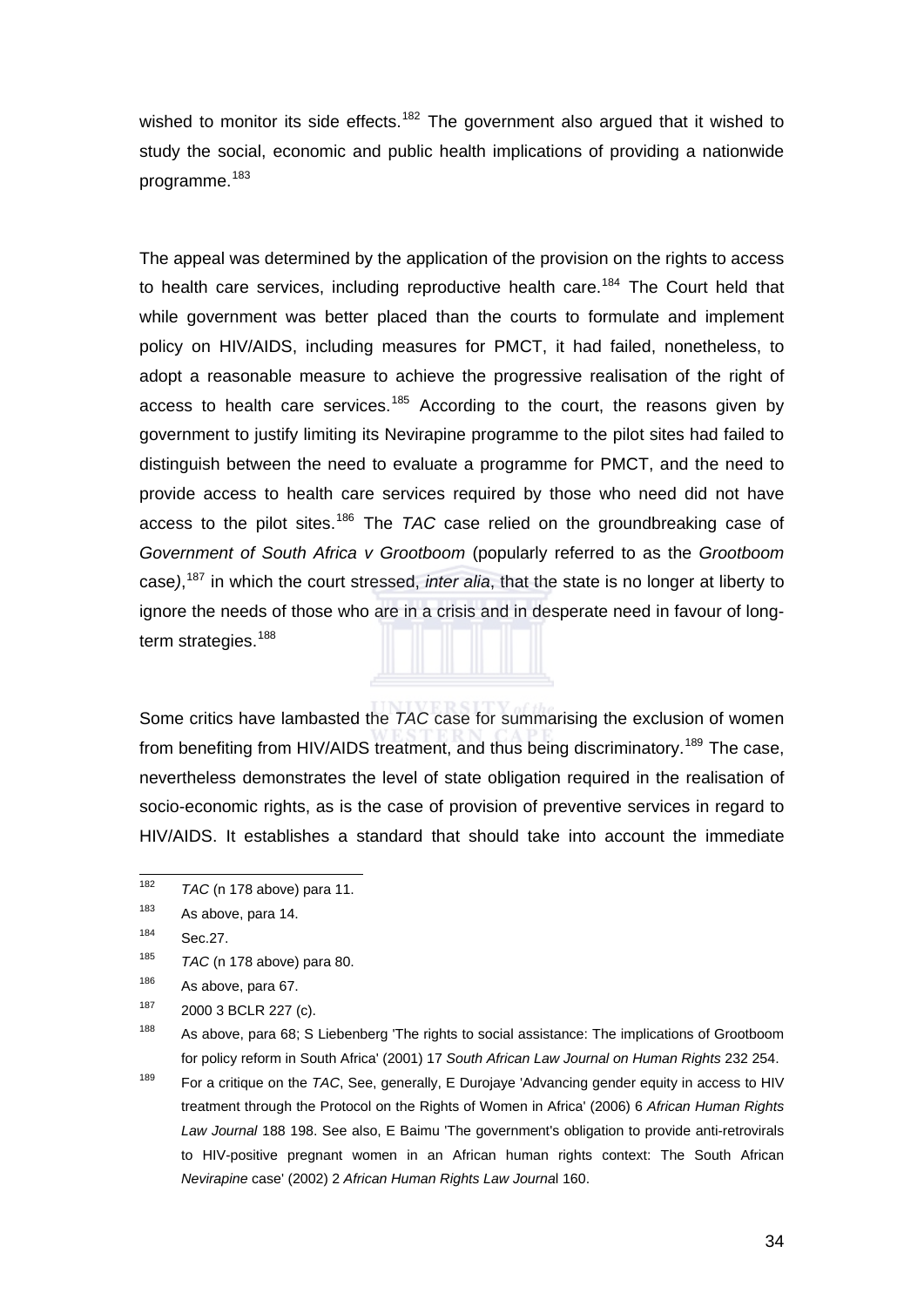wished to monitor its side effects.<sup>[182](#page-43-0)</sup> The government also argued that it wished to study the social, economic and public health implications of providing a nationwide programme.<sup>[183](#page-43-1)</sup>

The appeal was determined by the application of the provision on the rights to access to health care services, including reproductive health care.<sup>[184](#page-43-2)</sup> The Court held that while government was better placed than the courts to formulate and implement policy on HIV/AIDS, including measures for PMCT, it had failed, nonetheless, to adopt a reasonable measure to achieve the progressive realisation of the right of access to health care services.<sup>[185](#page-43-3)</sup> According to the court, the reasons given by government to justify limiting its Nevirapine programme to the pilot sites had failed to distinguish between the need to evaluate a programme for PMCT, and the need to provide access to health care services required by those who need did not have access to the pilot sites.[186](#page-43-4) The *TAC* case relied on the groundbreaking case of *Government of South Africa v Grootboom* (popularly referred to as the *Grootboom* case*)*, [187](#page-43-5) in which the court stressed, *inter alia*, that the state is no longer at liberty to ignore the needs of those who are in a crisis and in desperate need in favour of long-term strategies.<sup>[188](#page-43-6)</sup>



Some critics have lambasted the *TAC* case for summarising the exclusion of women from benefiting from HIV/AIDS treatment, and thus being discriminatory.<sup>[189](#page-43-7)</sup> The case, nevertheless demonstrates the level of state obligation required in the realisation of socio-economic rights, as is the case of provision of preventive services in regard to HIV/AIDS. It establishes a standard that should take into account the immediate

<span id="page-43-0"></span><sup>182</sup> <sup>182</sup> *TAC* (n 178 above) para 11.

<span id="page-43-1"></span><sup>183</sup> As above, para 14.

<span id="page-43-2"></span><sup>184</sup> Sec.27.

<span id="page-43-3"></span><sup>185</sup> *TAC* (n 178 above) para 80.

<span id="page-43-4"></span><sup>&</sup>lt;sup>186</sup> As above, para 67.

<span id="page-43-5"></span><sup>187 2000 3</sup> BCLR 227 (c).

<span id="page-43-6"></span><sup>&</sup>lt;sup>188</sup> As above, para 68; S Liebenberg 'The rights to social assistance: The implications of Grootboom for policy reform in South Africa' (2001) 17 *South African Law Journal on Human Rights* 232 254.

<span id="page-43-7"></span><sup>189</sup> For a critique on the *TAC*, See, generally, E Durojaye 'Advancing gender equity in access to HIV treatment through the Protocol on the Rights of Women in Africa' (2006) 6 *African Human Rights Law Journal* 188 198. See also, E Baimu 'The government's obligation to provide anti-retrovirals to HIV-positive pregnant women in an African human rights context: The South African *Nevirapine* case' (2002) 2 *African Human Rights Law Journa*l 160.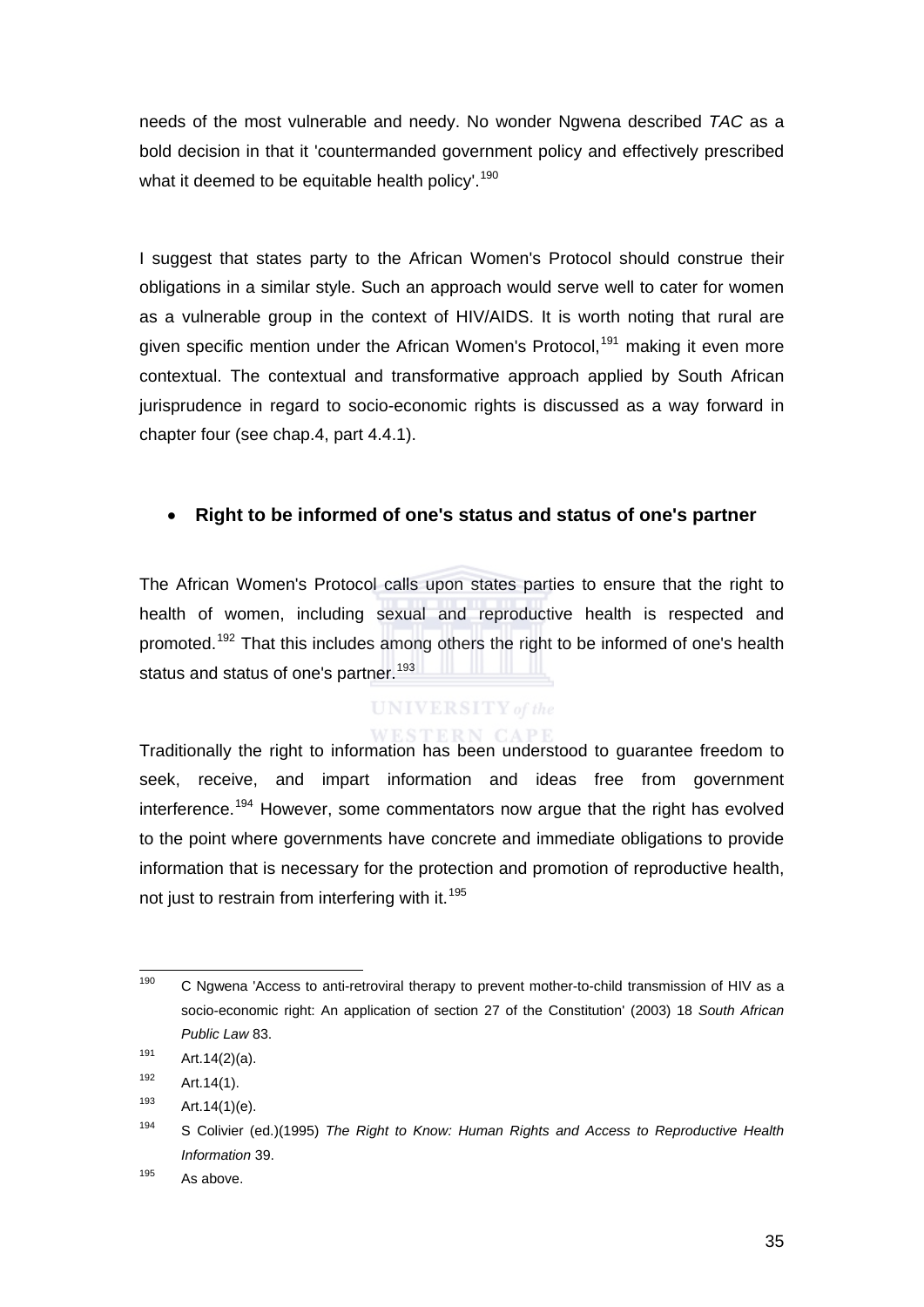needs of the most vulnerable and needy. No wonder Ngwena described *TAC* as a bold decision in that it 'countermanded government policy and effectively prescribed what it deemed to be equitable health policy'.<sup>[190](#page-44-0)</sup>

I suggest that states party to the African Women's Protocol should construe their obligations in a similar style. Such an approach would serve well to cater for women as a vulnerable group in the context of HIV/AIDS. It is worth noting that rural are given specific mention under the African Women's Protocol.<sup>[191](#page-44-1)</sup> making it even more contextual. The contextual and transformative approach applied by South African jurisprudence in regard to socio-economic rights is discussed as a way forward in chapter four (see chap.4, part 4.4.1).

#### • **Right to be informed of one's status and status of one's partner**

The African Women's Protocol calls upon states parties to ensure that the right to health of women, including sexual and reproductive health is respected and promoted.[192](#page-44-2) That this includes among others the right to be informed of one's health status and status of one's partner.<sup>[193](#page-44-3)</sup>

#### **UNIVERSITY** of the WESTERN CA

Traditionally the right to information has been understood to guarantee freedom to seek, receive, and impart information and ideas free from government interference.<sup>[194](#page-44-4)</sup> However, some commentators now argue that the right has evolved to the point where governments have concrete and immediate obligations to provide information that is necessary for the protection and promotion of reproductive health, not just to restrain from interfering with it.<sup>[195](#page-44-5)</sup>

<span id="page-44-0"></span><sup>190</sup> C Ngwena 'Access to anti-retroviral therapy to prevent mother-to-child transmission of HIV as a socio-economic right: An application of section 27 of the Constitution' (2003) 18 *South African Public Law* 83.

<span id="page-44-1"></span> $191$  Art.  $14(2)(a)$ .

<span id="page-44-2"></span> $192$  Art. 14(1).

<span id="page-44-3"></span> $193$  Art.  $14(1)(e)$ .

<span id="page-44-4"></span><sup>194</sup> S Colivier (ed.)(1995) *The Right to Know: Human Rights and Access to Reproductive Health Information* 39.

<span id="page-44-5"></span><sup>195</sup> As above.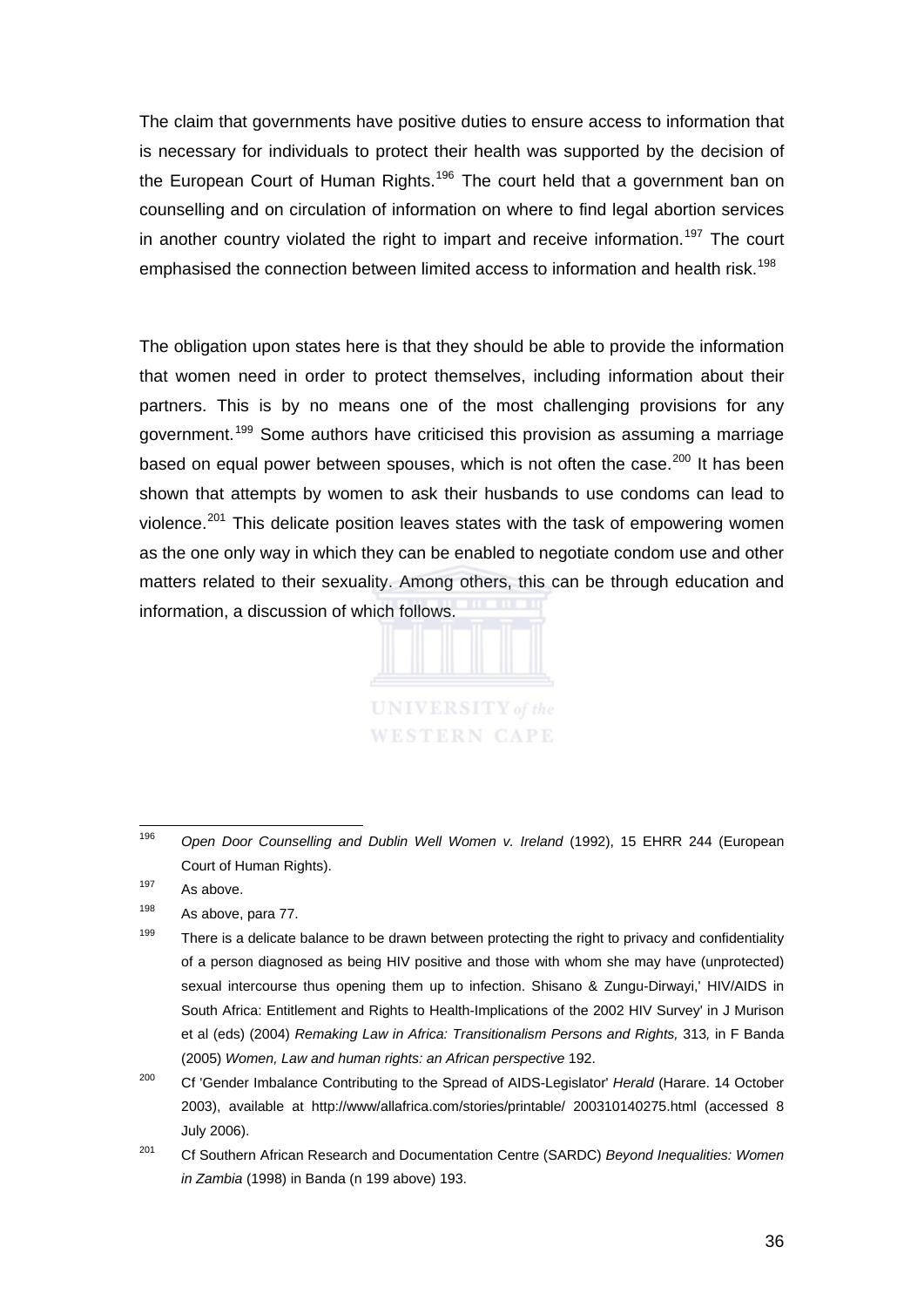The claim that governments have positive duties to ensure access to information that is necessary for individuals to protect their health was supported by the decision of the European Court of Human Rights.<sup>[196](#page-45-0)</sup> The court held that a government ban on counselling and on circulation of information on where to find legal abortion services in another country violated the right to impart and receive information.<sup>[197](#page-45-1)</sup> The court emphasised the connection between limited access to information and health risk.<sup>[198](#page-45-2)</sup>

The obligation upon states here is that they should be able to provide the information that women need in order to protect themselves, including information about their partners. This is by no means one of the most challenging provisions for any government.[199](#page-45-3) Some authors have criticised this provision as assuming a marriage based on equal power between spouses, which is not often the case.<sup>[200](#page-45-4)</sup> It has been shown that attempts by women to ask their husbands to use condoms can lead to violence.<sup>[201](#page-45-5)</sup> This delicate position leaves states with the task of empowering women as the one only way in which they can be enabled to negotiate condom use and other matters related to their sexuality. Among others, this can be through education and information, a discussion of which follows.

**UNIVERSITY** of the **WESTERN CAPE** 

<span id="page-45-4"></span>200 Cf 'Gender Imbalance Contributing to the Spread of AIDS-Legislator' *Herald* (Harare. 14 October 2003), available at http://www/allafrica.com/stories/printable/ 200310140275.html (accessed 8 July 2006).

<span id="page-45-5"></span>201 Cf Southern African Research and Documentation Centre (SARDC) *Beyond Inequalities: Women in Zambia* (1998) in Banda (n 199 above) 193.

<span id="page-45-0"></span><sup>196</sup> <sup>196</sup> *Open Door Counselling and Dublin Well Women v. Ireland* (1992), 15 EHRR 244 (European Court of Human Rights).

<span id="page-45-1"></span><sup>197</sup> As above.

<span id="page-45-2"></span><sup>198</sup> As above, para 77.

<span id="page-45-3"></span> $199$  There is a delicate balance to be drawn between protecting the right to privacy and confidentiality of a person diagnosed as being HIV positive and those with whom she may have (unprotected) sexual intercourse thus opening them up to infection. Shisano & Zungu-Dirwayi,' HIV/AIDS in South Africa: Entitlement and Rights to Health-Implications of the 2002 HIV Survey' in J Murison et al (eds) (2004) *Remaking Law in Africa: Transitionalism Persons and Rights,* 313*,* in F Banda (2005) *Women, Law and human rights: an African perspective* 192.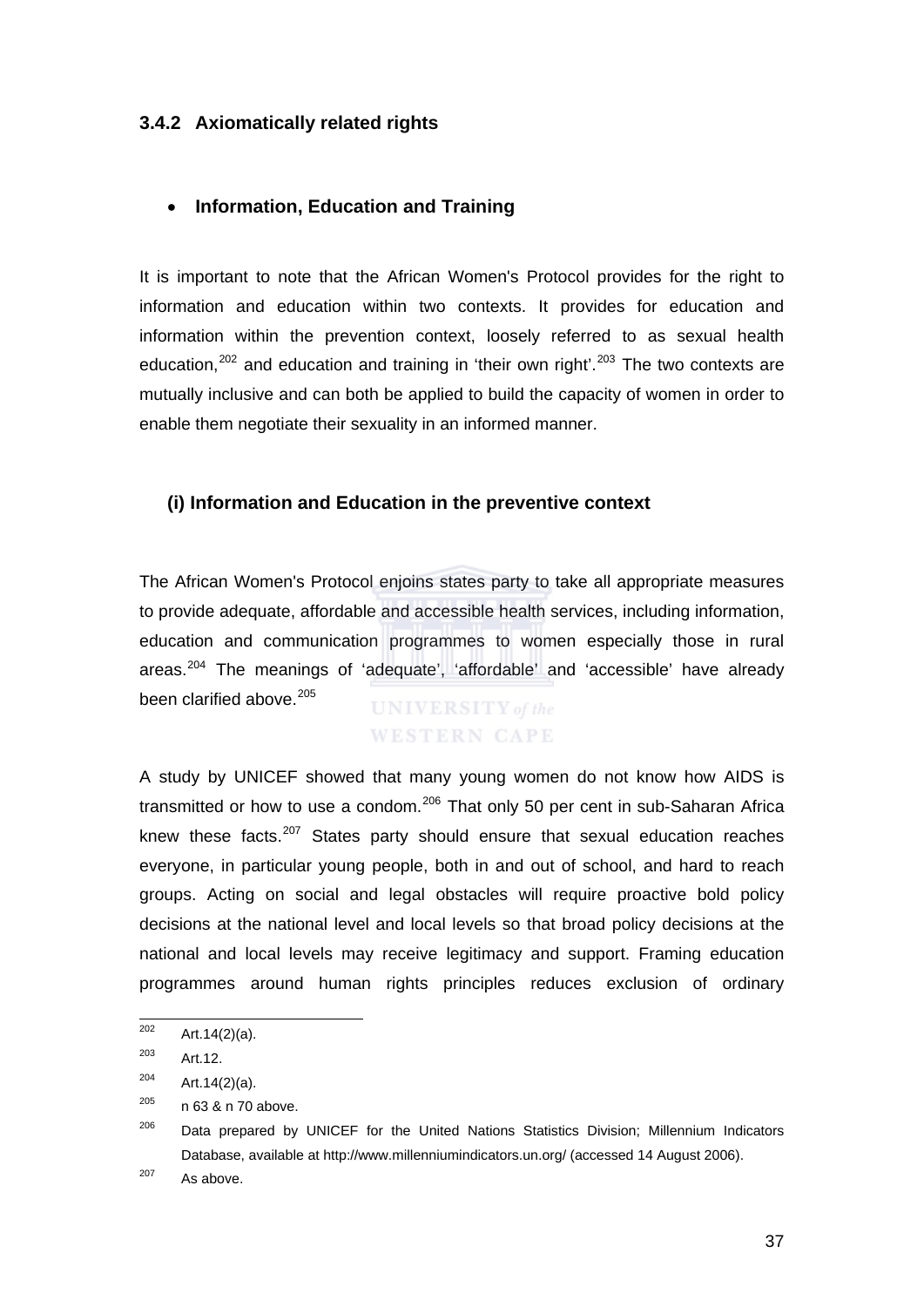#### **3.4.2 Axiomatically related rights**

#### • **Information, Education and Training**

It is important to note that the African Women's Protocol provides for the right to information and education within two contexts. It provides for education and information within the prevention context, loosely referred to as sexual health education,  $202$  and education and training in 'their own right'.  $203$  The two contexts are mutually inclusive and can both be applied to build the capacity of women in order to enable them negotiate their sexuality in an informed manner.

#### **(i) Information and Education in the preventive context**

The African Women's Protocol enjoins states party to take all appropriate measures to provide adequate, affordable and accessible health services, including information, education and communication programmes to women especially those in rural areas.[204](#page-46-2) The meanings of 'adequate', 'affordable' and 'accessible' have already been clarified above.<sup>[205](#page-46-3)</sup> **UNIVERSITY** of the

# **WESTERN CAPE**

A study by UNICEF showed that many young women do not know how AIDS is transmitted or how to use a condom. $206$  That only 50 per cent in sub-Saharan Africa knew these facts.<sup>[207](#page-46-5)</sup> States party should ensure that sexual education reaches everyone, in particular young people, both in and out of school, and hard to reach groups. Acting on social and legal obstacles will require proactive bold policy decisions at the national level and local levels so that broad policy decisions at the national and local levels may receive legitimacy and support. Framing education programmes around human rights principles reduces exclusion of ordinary

<span id="page-46-0"></span><sup>202</sup> Art.14 $(2)(a)$ .

<span id="page-46-1"></span><sup>203</sup> Art.12.

<span id="page-46-2"></span> $204$  Art. 14(2)(a).

<span id="page-46-3"></span> $205$  n 63 & n 70 above.

<span id="page-46-4"></span> $206$  Data prepared by UNICEF for the United Nations Statistics Division; Millennium Indicators Database, available at http://www.millenniumindicators.un.org/ (accessed 14 August 2006).

<span id="page-46-5"></span><sup>207</sup> As above.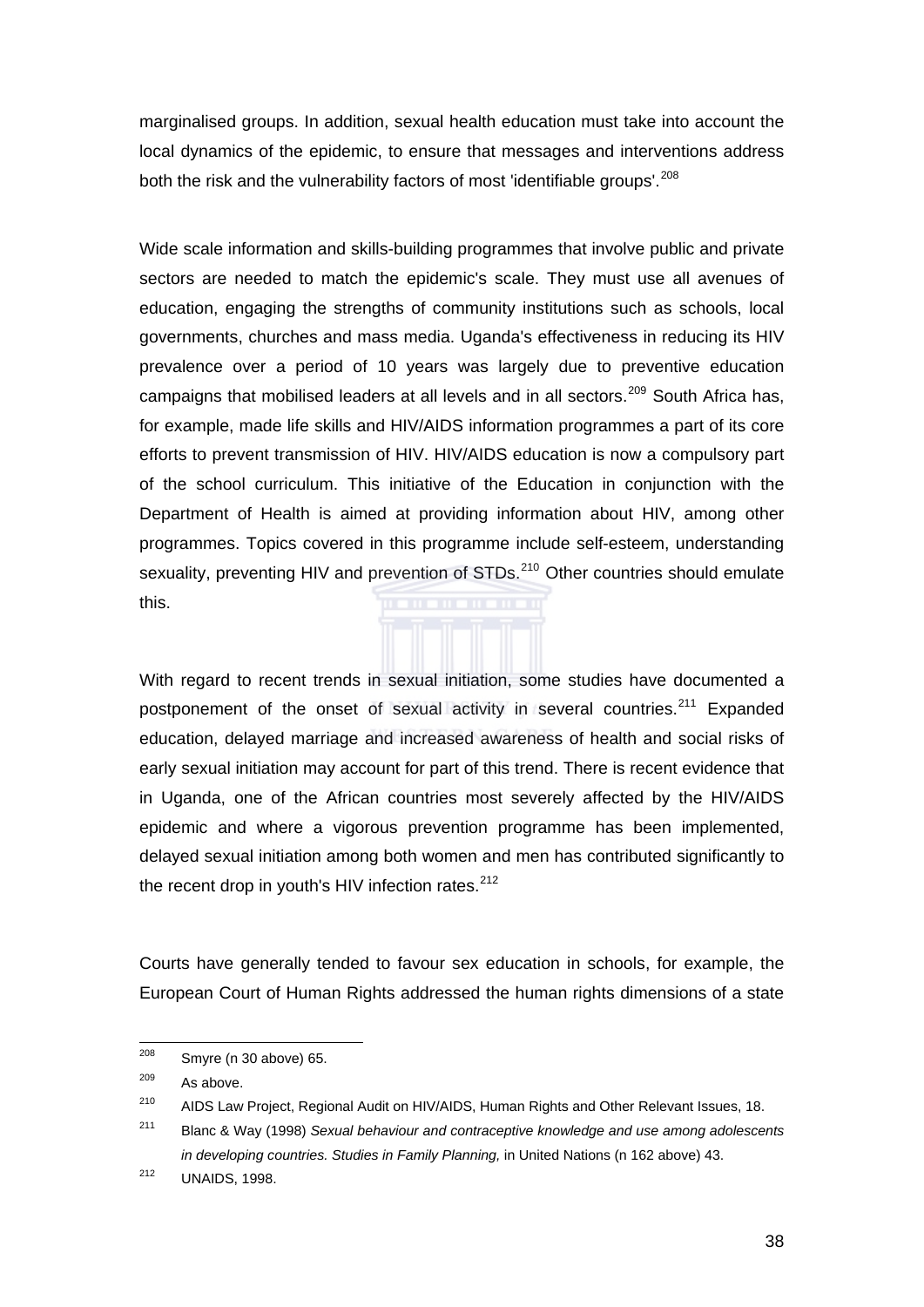marginalised groups. In addition, sexual health education must take into account the local dynamics of the epidemic, to ensure that messages and interventions address both the risk and the vulnerability factors of most 'identifiable groups'.<sup>[208](#page-47-0)</sup>

Wide scale information and skills-building programmes that involve public and private sectors are needed to match the epidemic's scale. They must use all avenues of education, engaging the strengths of community institutions such as schools, local governments, churches and mass media. Uganda's effectiveness in reducing its HIV prevalence over a period of 10 years was largely due to preventive education campaigns that mobilised leaders at all levels and in all sectors.<sup>[209](#page-47-1)</sup> South Africa has, for example, made life skills and HIV/AIDS information programmes a part of its core efforts to prevent transmission of HIV. HIV/AIDS education is now a compulsory part of the school curriculum. This initiative of the Education in conjunction with the Department of Health is aimed at providing information about HIV, among other programmes. Topics covered in this programme include self-esteem, understanding sexuality, preventing HIV and prevention of STDs.<sup>[210](#page-47-2)</sup> Other countries should emulate this.

With regard to recent trends in sexual initiation, some studies have documented a postponement of the onset of sexual activity in several countries.<sup>[211](#page-47-3)</sup> Expanded education, delayed marriage and increased awareness of health and social risks of early sexual initiation may account for part of this trend. There is recent evidence that in Uganda, one of the African countries most severely affected by the HIV/AIDS epidemic and where a vigorous prevention programme has been implemented, delayed sexual initiation among both women and men has contributed significantly to the recent drop in youth's HIV infection rates. $212$ 

Courts have generally tended to favour sex education in schools, for example, the European Court of Human Rights addressed the human rights dimensions of a state

<span id="page-47-0"></span><sup>208</sup> Smyre (n 30 above) 65.

<span id="page-47-1"></span><sup>209</sup> As above.

<span id="page-47-2"></span><sup>&</sup>lt;sup>210</sup> AIDS Law Project, Regional Audit on HIV/AIDS, Human Rights and Other Relevant Issues, 18.

<span id="page-47-3"></span><sup>211</sup> Blanc & Way (1998) *Sexual behaviour and contraceptive knowledge and use among adolescents in developing countries. Studies in Family Planning,* in United Nations (n 162 above) 43.

<span id="page-47-4"></span><sup>212</sup> UNAIDS, 1998.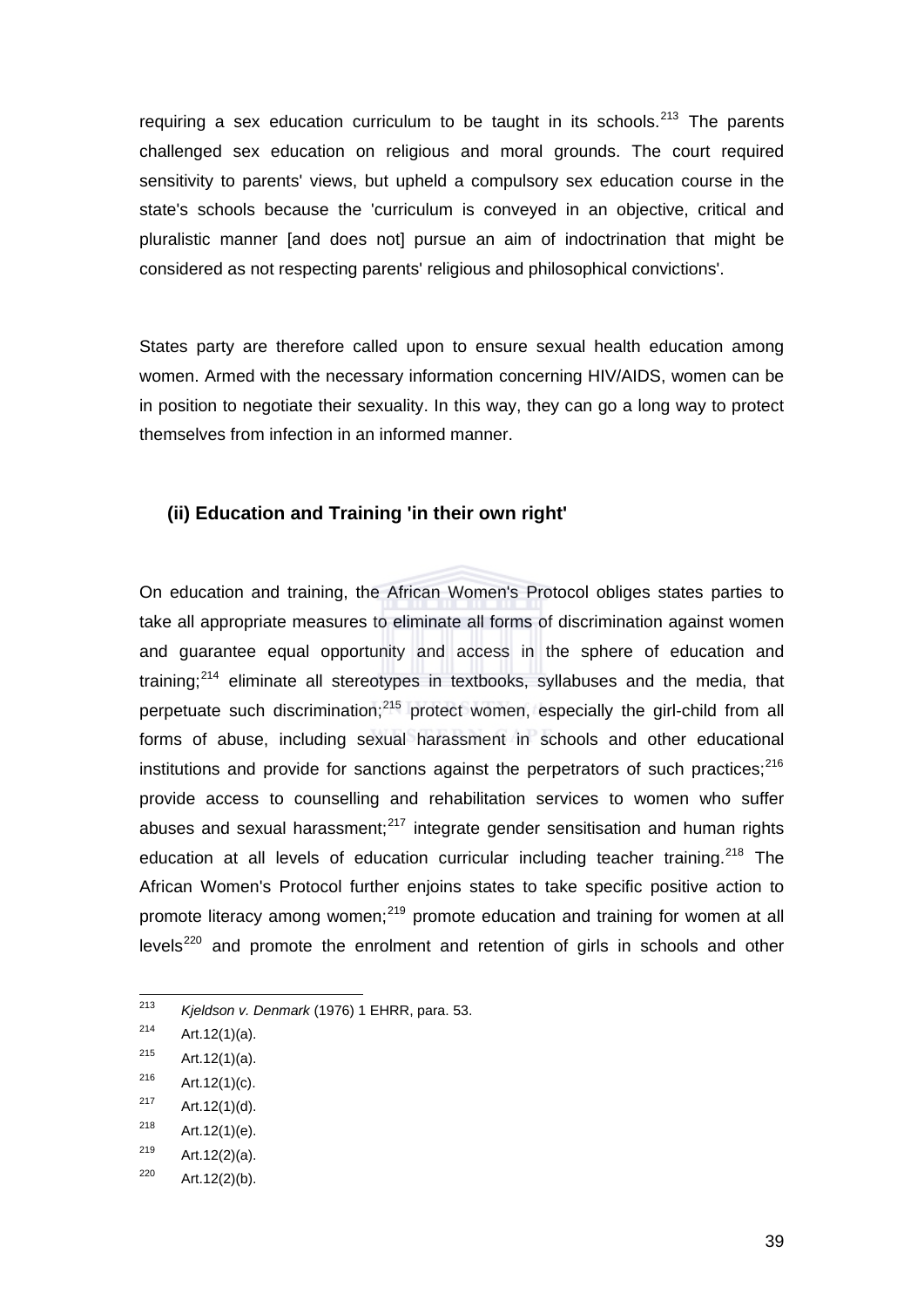requiring a sex education curriculum to be taught in its schools.<sup>[213](#page-48-0)</sup> The parents challenged sex education on religious and moral grounds. The court required sensitivity to parents' views, but upheld a compulsory sex education course in the state's schools because the 'curriculum is conveyed in an objective, critical and pluralistic manner [and does not] pursue an aim of indoctrination that might be considered as not respecting parents' religious and philosophical convictions'.

States party are therefore called upon to ensure sexual health education among women. Armed with the necessary information concerning HIV/AIDS, women can be in position to negotiate their sexuality. In this way, they can go a long way to protect themselves from infection in an informed manner.

#### **(ii) Education and Training 'in their own right'**

On education and training, the African Women's Protocol obliges states parties to take all appropriate measures to eliminate all forms of discrimination against women and guarantee equal opportunity and access in the sphere of education and training;[214](#page-48-1) eliminate all stereotypes in textbooks, syllabuses and the media, that perpetuate such discrimination;<sup>[215](#page-48-2)</sup> protect women, especially the girl-child from all forms of abuse, including sexual harassment in schools and other educational institutions and provide for sanctions against the perpetrators of such practices; $^{216}$  $^{216}$  $^{216}$ provide access to counselling and rehabilitation services to women who suffer abuses and sexual harassment;<sup>[217](#page-48-4)</sup> integrate gender sensitisation and human rights education at all levels of education curricular including teacher training.<sup>[218](#page-48-5)</sup> The African Women's Protocol further enjoins states to take specific positive action to promote literacy among women;<sup>[219](#page-48-6)</sup> promote education and training for women at all levels<sup>[220](#page-48-7)</sup> and promote the enrolment and retention of girls in schools and other

<span id="page-48-0"></span> $213$ <sup>213</sup> *Kjeldson v. Denmark* (1976) 1 EHRR, para. 53.

<span id="page-48-1"></span> $214$  Art. 12(1)(a).

<span id="page-48-2"></span> $215$  Art. 12(1)(a).

<span id="page-48-3"></span> $216$  Art. 12(1)(c).

<span id="page-48-4"></span> $217$  Art. 12(1)(d).

<span id="page-48-5"></span> $218$  Art. 12(1)(e).

<span id="page-48-6"></span> $219$  Art. 12(2)(a).

<span id="page-48-7"></span> $220$  Art. 12(2)(b).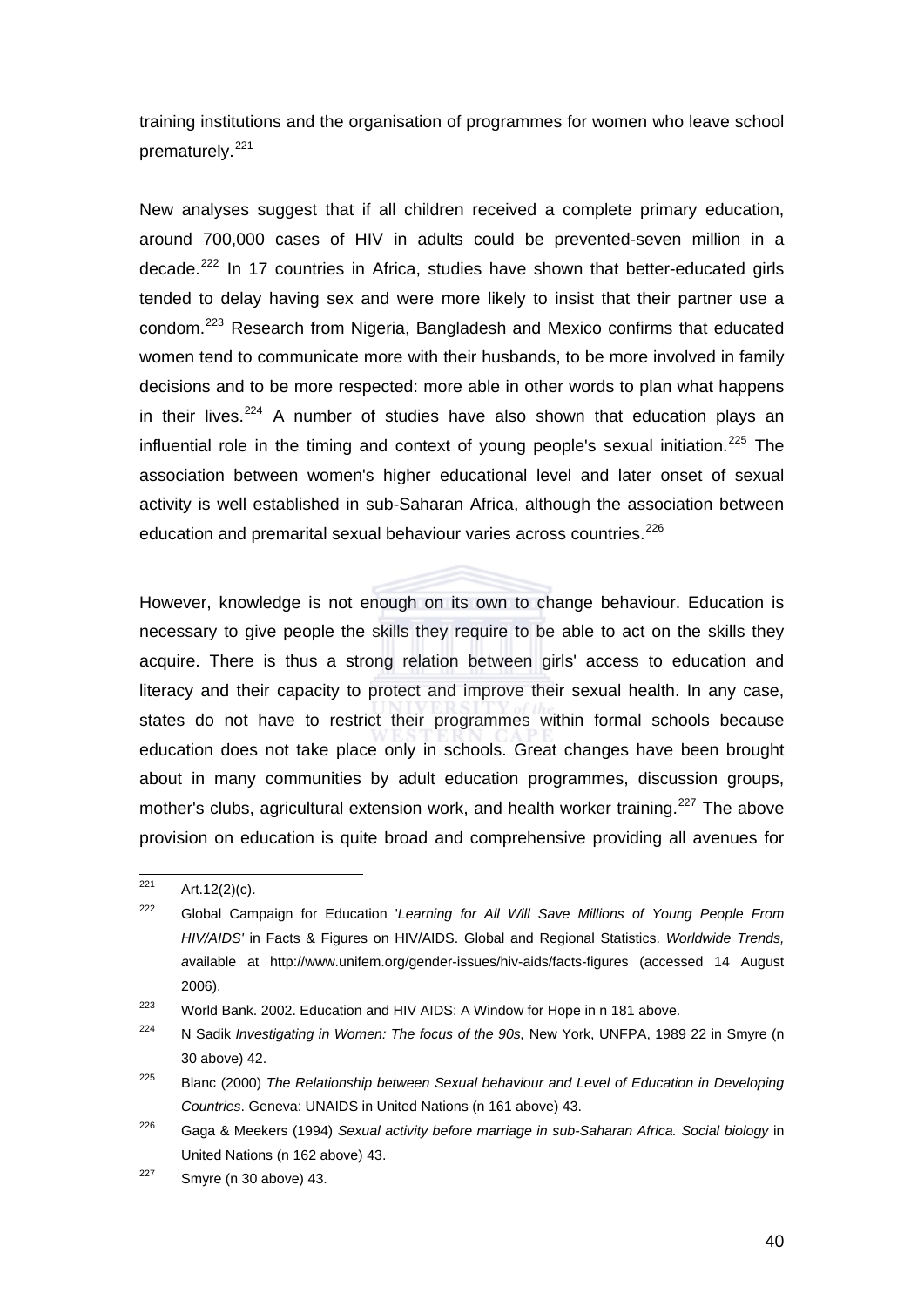training institutions and the organisation of programmes for women who leave school prematurely.<sup>[221](#page-49-0)</sup>

New analyses suggest that if all children received a complete primary education, around 700,000 cases of HIV in adults could be prevented-seven million in a decade.<sup>[222](#page-49-1)</sup> In 17 countries in Africa, studies have shown that better-educated girls tended to delay having sex and were more likely to insist that their partner use a condom.[223](#page-49-2) Research from Nigeria, Bangladesh and Mexico confirms that educated women tend to communicate more with their husbands, to be more involved in family decisions and to be more respected: more able in other words to plan what happens in their lives.<sup>[224](#page-49-3)</sup> A number of studies have also shown that education plays an influential role in the timing and context of young people's sexual initiation.<sup>[225](#page-49-4)</sup> The association between women's higher educational level and later onset of sexual activity is well established in sub-Saharan Africa, although the association between education and premarital sexual behaviour varies across countries.<sup>[226](#page-49-5)</sup>

However, knowledge is not enough on its own to change behaviour. Education is necessary to give people the skills they require to be able to act on the skills they acquire. There is thus a strong relation between girls' access to education and literacy and their capacity to protect and improve their sexual health. In any case, states do not have to restrict their programmes within formal schools because education does not take place only in schools. Great changes have been brought about in many communities by adult education programmes, discussion groups, mother's clubs, agricultural extension work, and health worker training.<sup>[227](#page-49-6)</sup> The above provision on education is quite broad and comprehensive providing all avenues for

<span id="page-49-0"></span><sup>221</sup> Art.12 $(2)(c)$ .

<span id="page-49-1"></span><sup>222</sup> Global Campaign for Education '*Learning for All Will Save Millions of Young People From HIV/AIDS'* in Facts & Figures on HIV/AIDS. Global and Regional Statistics. *Worldwide Trends, a*vailable at http://www.unifem.org/gender-issues/hiv-aids/facts-figures (accessed 14 August 2006).

<span id="page-49-2"></span><sup>&</sup>lt;sup>223</sup> World Bank. 2002. Education and HIV AIDS: A Window for Hope in n 181 above.

<span id="page-49-3"></span><sup>&</sup>lt;sup>224</sup> N Sadik *Investigating in Women: The focus of the 90s*, New York, UNFPA, 1989 22 in Smyre (n 30 above) 42.

<span id="page-49-4"></span><sup>&</sup>lt;sup>225</sup> Blanc (2000) *The Relationship between Sexual behaviour and Level of Education in Developing Countries*. Geneva: UNAIDS in United Nations (n 161 above) 43.

<span id="page-49-5"></span><sup>226</sup> Gaga & Meekers (1994) *Sexual activity before marriage in sub-Saharan Africa. Social biology* in United Nations (n 162 above) 43.

<span id="page-49-6"></span> $227$  Smyre (n 30 above) 43.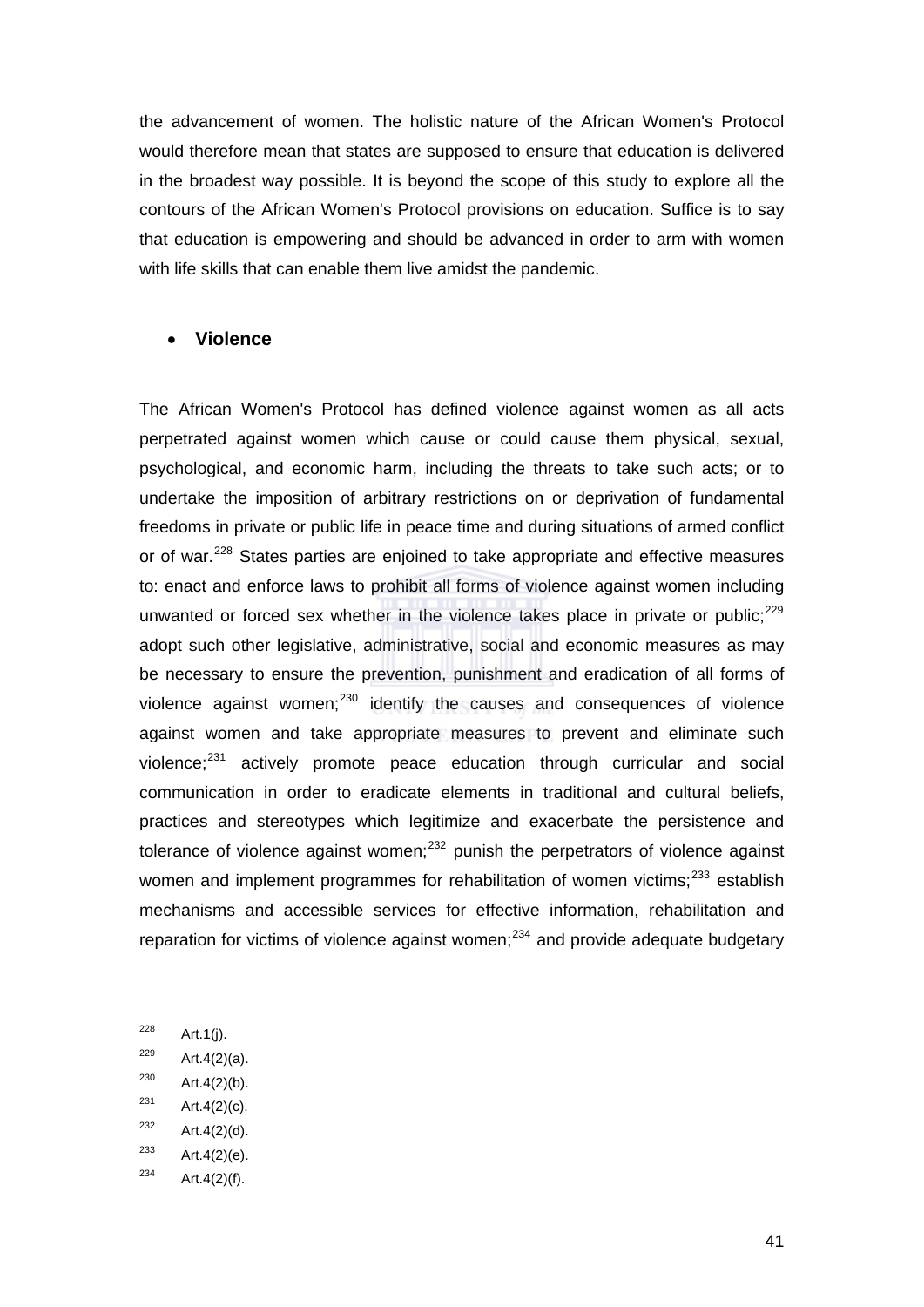the advancement of women. The holistic nature of the African Women's Protocol would therefore mean that states are supposed to ensure that education is delivered in the broadest way possible. It is beyond the scope of this study to explore all the contours of the African Women's Protocol provisions on education. Suffice is to say that education is empowering and should be advanced in order to arm with women with life skills that can enable them live amidst the pandemic.

#### • **Violence**

The African Women's Protocol has defined violence against women as all acts perpetrated against women which cause or could cause them physical, sexual, psychological, and economic harm, including the threats to take such acts; or to undertake the imposition of arbitrary restrictions on or deprivation of fundamental freedoms in private or public life in peace time and during situations of armed conflict or of war.<sup>[228](#page-50-0)</sup> States parties are enjoined to take appropriate and effective measures to: enact and enforce laws to prohibit all forms of violence against women including unwanted or forced sex whether in the violence takes place in private or public; $^{229}$  $^{229}$  $^{229}$ adopt such other legislative, administrative, social and economic measures as may be necessary to ensure the prevention, punishment and eradication of all forms of violence against women; $^{230}$  $^{230}$  $^{230}$  identify the causes and consequences of violence against women and take appropriate measures to prevent and eliminate such violence;<sup>[231](#page-50-3)</sup> actively promote peace education through curricular and social communication in order to eradicate elements in traditional and cultural beliefs, practices and stereotypes which legitimize and exacerbate the persistence and tolerance of violence against women: $232$  punish the perpetrators of violence against women and implement programmes for rehabilitation of women victims; $^{233}$  $^{233}$  $^{233}$  establish mechanisms and accessible services for effective information, rehabilitation and reparation for victims of violence against women; $^{234}$  $^{234}$  $^{234}$  and provide adequate budgetary

- <span id="page-50-0"></span>228 Art. $1(j)$ .
- <span id="page-50-1"></span> $229$  Art.4(2)(a).
- <span id="page-50-2"></span> $230$  Art. 4(2)(b).
- <span id="page-50-3"></span> $231$  Art. 4(2)(c).
- <span id="page-50-4"></span> $232$  Art. 4(2)(d).
- <span id="page-50-5"></span> $233$  Art. 4(2)(e).
- <span id="page-50-6"></span> $234$  Art. 4(2)(f).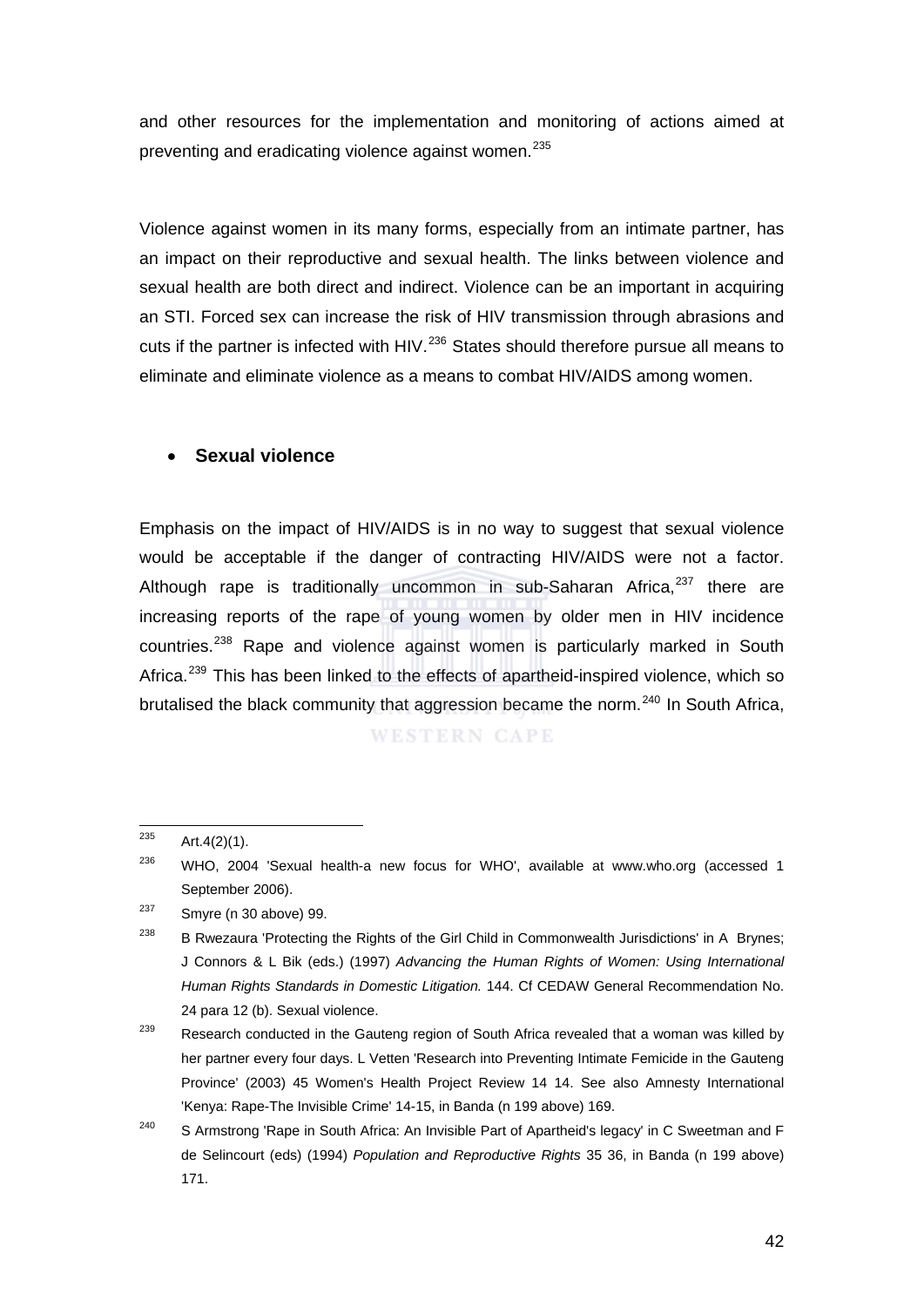and other resources for the implementation and monitoring of actions aimed at preventing and eradicating violence against women.<sup>[235](#page-51-0)</sup>

Violence against women in its many forms, especially from an intimate partner, has an impact on their reproductive and sexual health. The links between violence and sexual health are both direct and indirect. Violence can be an important in acquiring an STI. Forced sex can increase the risk of HIV transmission through abrasions and cuts if the partner is infected with HIV.<sup>[236](#page-51-1)</sup> States should therefore pursue all means to eliminate and eliminate violence as a means to combat HIV/AIDS among women.

#### • **Sexual violence**

Emphasis on the impact of HIV/AIDS is in no way to suggest that sexual violence would be acceptable if the danger of contracting HIV/AIDS were not a factor. Although rape is traditionally uncommon in sub-Saharan Africa.<sup>[237](#page-51-2)</sup> there are increasing reports of the rape of young women by older men in HIV incidence countries.<sup>[238](#page-51-3)</sup> Rape and violence against women is particularly marked in South Africa.<sup>[239](#page-51-4)</sup> This has been linked to the effects of apartheid-inspired violence, which so brutalised the black community that aggression became the norm.<sup>[240](#page-51-5)</sup> In South Africa,

**WESTERN CAPE** 

<span id="page-51-0"></span><sup>235</sup> Art. $4(2)(1)$ .

<span id="page-51-1"></span> $236$  WHO, 2004 'Sexual health-a new focus for WHO', available at www.who.org (accessed 1 September 2006).

<span id="page-51-2"></span> $237$  Smyre (n 30 above) 99.

<span id="page-51-3"></span><sup>&</sup>lt;sup>238</sup> B Rwezaura 'Protecting the Rights of the Girl Child in Commonwealth Jurisdictions' in A Brynes; J Connors & L Bik (eds.) (1997) *Advancing the Human Rights of Women: Using International Human Rights Standards in Domestic Litigation.* 144. Cf CEDAW General Recommendation No. 24 para 12 (b). Sexual violence.

<span id="page-51-4"></span><sup>&</sup>lt;sup>239</sup> Research conducted in the Gauteng region of South Africa revealed that a woman was killed by her partner every four days. L Vetten 'Research into Preventing Intimate Femicide in the Gauteng Province' (2003) 45 Women's Health Project Review 14 14. See also Amnesty International 'Kenya: Rape-The Invisible Crime' 14-15, in Banda (n 199 above) 169.

<span id="page-51-5"></span><sup>&</sup>lt;sup>240</sup> S Armstrong 'Rape in South Africa: An Invisible Part of Apartheid's legacy' in C Sweetman and F de Selincourt (eds) (1994) *Population and Reproductive Rights* 35 36, in Banda (n 199 above) 171.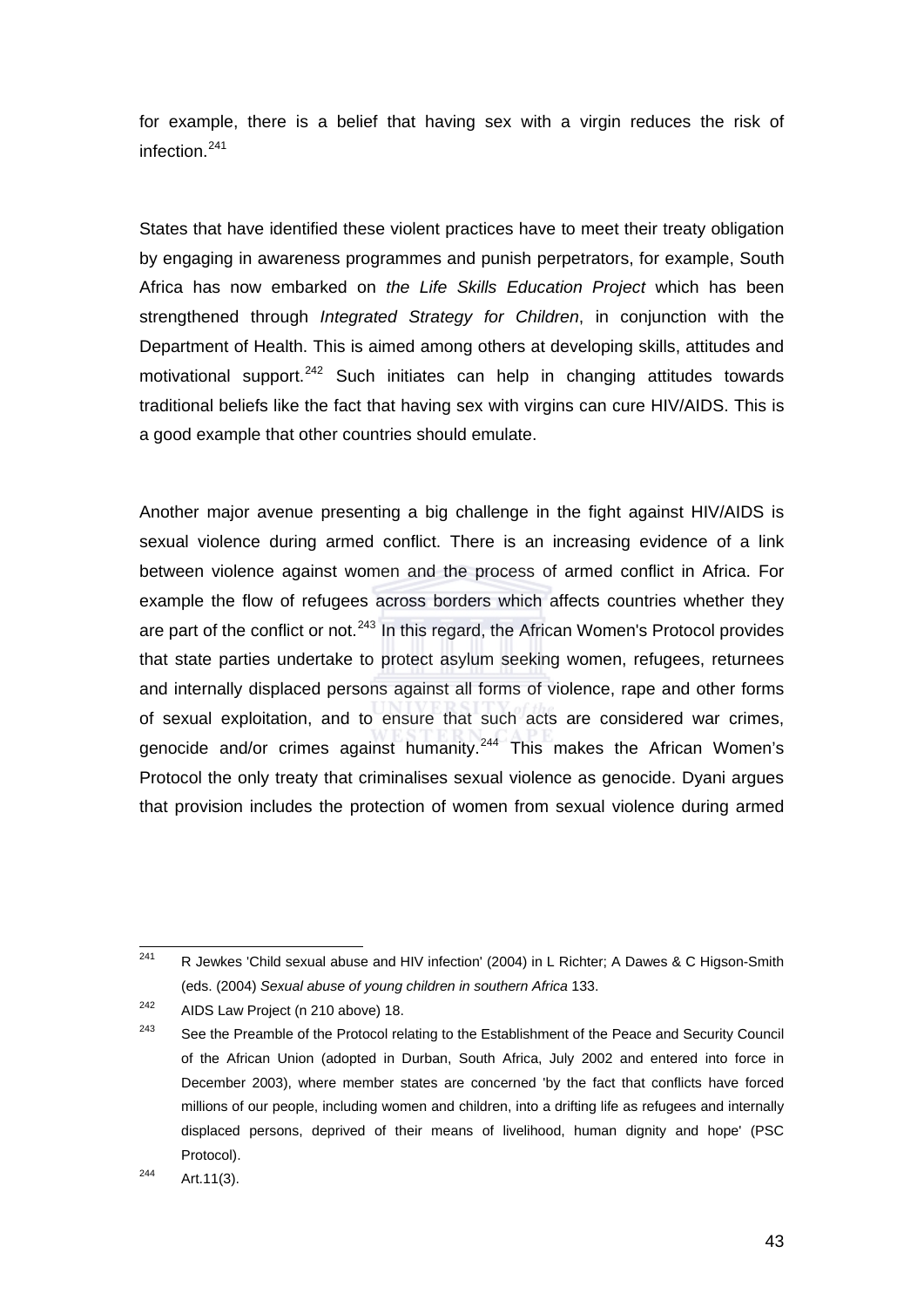for example, there is a belief that having sex with a virgin reduces the risk of infection.[241](#page-52-0)

States that have identified these violent practices have to meet their treaty obligation by engaging in awareness programmes and punish perpetrators, for example, South Africa has now embarked on *the Life Skills Education Project* which has been strengthened through *Integrated Strategy for Children*, in conjunction with the Department of Health. This is aimed among others at developing skills, attitudes and motivational support.<sup>[242](#page-52-1)</sup> Such initiates can help in changing attitudes towards traditional beliefs like the fact that having sex with virgins can cure HIV/AIDS. This is a good example that other countries should emulate.

Another major avenue presenting a big challenge in the fight against HIV/AIDS is sexual violence during armed conflict. There is an increasing evidence of a link between violence against women and the process of armed conflict in Africa. For example the flow of refugees across borders which affects countries whether they are part of the conflict or not. $243$  In this regard, the African Women's Protocol provides that state parties undertake to protect asylum seeking women, refugees, returnees and internally displaced persons against all forms of violence, rape and other forms of sexual exploitation, and to ensure that such acts are considered war crimes, genocide and/or crimes against humanity.<sup>[244](#page-52-3)</sup> This makes the African Women's Protocol the only treaty that criminalises sexual violence as genocide. Dyani argues that provision includes the protection of women from sexual violence during armed

<span id="page-52-0"></span><sup>241</sup> R Jewkes 'Child sexual abuse and HIV infection' (2004) in L Richter; A Dawes & C Higson-Smith (eds. (2004) *Sexual abuse of young children in southern Africa* 133.

<span id="page-52-1"></span><sup>&</sup>lt;sup>242</sup> AIDS Law Project (n 210 above) 18.

<span id="page-52-2"></span><sup>&</sup>lt;sup>243</sup> See the Preamble of the Protocol relating to the Establishment of the Peace and Security Council of the African Union (adopted in Durban, South Africa, July 2002 and entered into force in December 2003), where member states are concerned 'by the fact that conflicts have forced millions of our people, including women and children, into a drifting life as refugees and internally displaced persons, deprived of their means of livelihood, human dignity and hope' (PSC Protocol).

<span id="page-52-3"></span> $244$  Art. 11(3).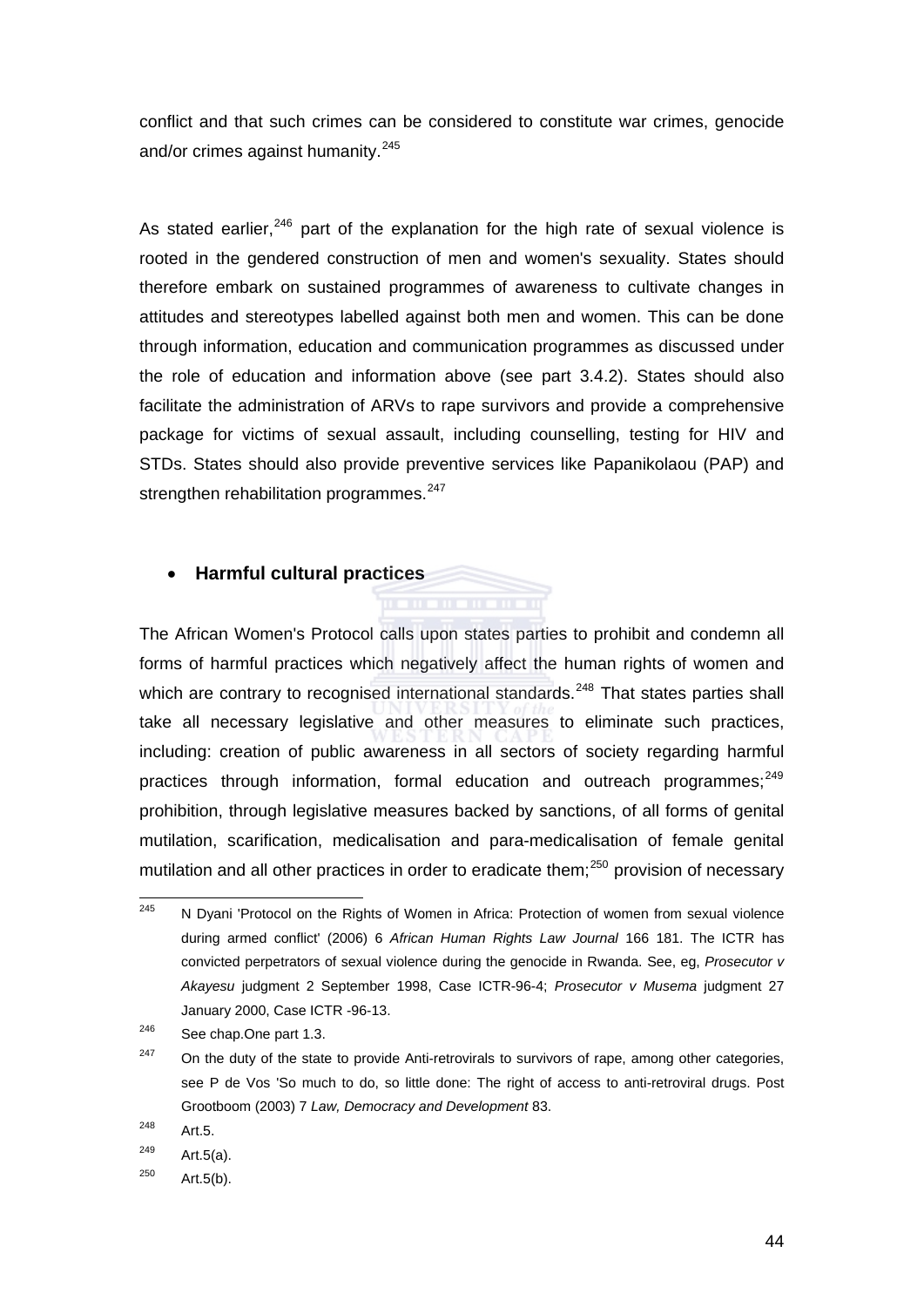conflict and that such crimes can be considered to constitute war crimes, genocide and/or crimes against humanity.<sup>[245](#page-53-0)</sup>

As stated earlier,  $246$  part of the explanation for the high rate of sexual violence is rooted in the gendered construction of men and women's sexuality. States should therefore embark on sustained programmes of awareness to cultivate changes in attitudes and stereotypes labelled against both men and women. This can be done through information, education and communication programmes as discussed under the role of education and information above (see part 3.4.2). States should also facilitate the administration of ARVs to rape survivors and provide a comprehensive package for victims of sexual assault, including counselling, testing for HIV and STDs. States should also provide preventive services like Papanikolaou (PAP) and strengthen rehabilitation programmes.<sup>[247](#page-53-2)</sup>

#### • **Harmful cultural practices**

The African Women's Protocol calls upon states parties to prohibit and condemn all forms of harmful practices which negatively affect the human rights of women and which are contrary to recognised international standards.<sup>[248](#page-53-3)</sup> That states parties shall take all necessary legislative and other measures to eliminate such practices, including: creation of public awareness in all sectors of society regarding harmful practices through information, formal education and outreach programmes; $^{249}$  $^{249}$  $^{249}$ prohibition, through legislative measures backed by sanctions, of all forms of genital mutilation, scarification, medicalisation and para-medicalisation of female genital mutilation and all other practices in order to eradicate them; $^{250}$  $^{250}$  $^{250}$  provision of necessary

<span id="page-53-0"></span><sup>245</sup> N Dyani 'Protocol on the Rights of Women in Africa: Protection of women from sexual violence during armed conflict' (2006) 6 *African Human Rights Law Journal* 166 181. The ICTR has convicted perpetrators of sexual violence during the genocide in Rwanda. See, eg, *Prosecutor v Akayesu* judgment 2 September 1998, Case ICTR-96-4; *Prosecutor v Musema* judgment 27 January 2000, Case ICTR -96-13.

<span id="page-53-1"></span><sup>246</sup> See chap.One part 1.3.

<span id="page-53-2"></span> $247$  On the duty of the state to provide Anti-retrovirals to survivors of rape, among other categories, see P de Vos 'So much to do, so little done: The right of access to anti-retroviral drugs. Post Grootboom (2003) 7 *Law, Democracy and Development* 83.

<span id="page-53-3"></span><sup>248</sup> Art.5.

<span id="page-53-4"></span> $249$  Art.  $5(a)$ .

<span id="page-53-5"></span> $250$  Art.5(b).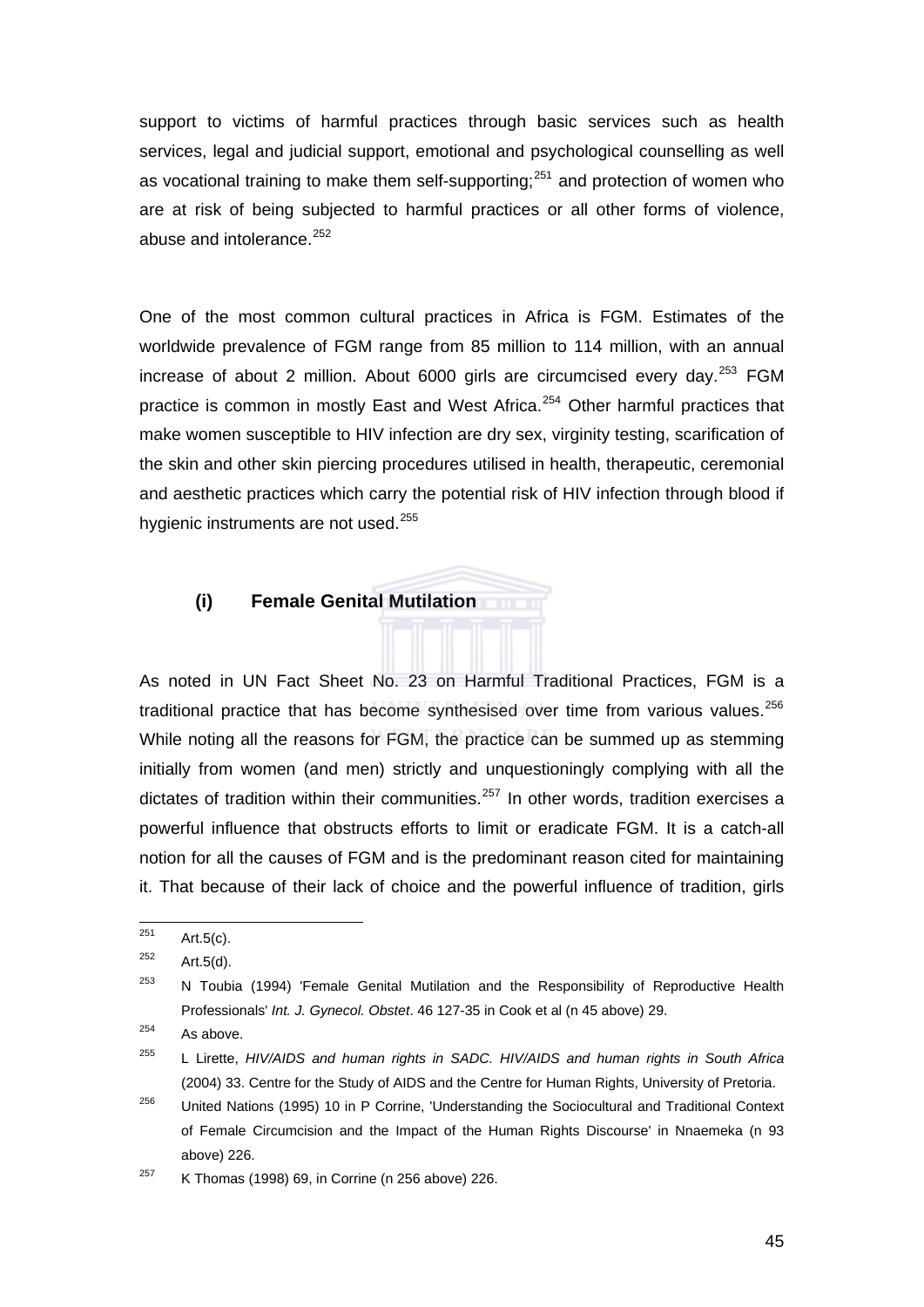support to victims of harmful practices through basic services such as health services, legal and judicial support, emotional and psychological counselling as well as vocational training to make them self-supporting;<sup>[251](#page-54-0)</sup> and protection of women who are at risk of being subjected to harmful practices or all other forms of violence, abuse and intolerance. $252$ 

One of the most common cultural practices in Africa is FGM. Estimates of the worldwide prevalence of FGM range from 85 million to 114 million, with an annual increase of about 2 million. About 6000 girls are circumcised every day.<sup>[253](#page-54-2)</sup> FGM practice is common in mostly East and West Africa.[254](#page-54-3) Other harmful practices that make women susceptible to HIV infection are dry sex, virginity testing, scarification of the skin and other skin piercing procedures utilised in health, therapeutic, ceremonial and aesthetic practices which carry the potential risk of HIV infection through blood if hygienic instruments are not used.<sup>[255](#page-54-4)</sup>

#### **(i) Female Genital Mutilation**

As noted in UN Fact Sheet No. 23 on Harmful Traditional Practices, FGM is a traditional practice that has become synthesised over time from various values. $256$ While noting all the reasons for FGM, the practice can be summed up as stemming initially from women (and men) strictly and unquestioningly complying with all the dictates of tradition within their communities.<sup>[257](#page-54-6)</sup> In other words, tradition exercises a powerful influence that obstructs efforts to limit or eradicate FGM. It is a catch-all notion for all the causes of FGM and is the predominant reason cited for maintaining it. That because of their lack of choice and the powerful influence of tradition, girls

<span id="page-54-0"></span><sup>251</sup> Art. $5(c)$ .

<span id="page-54-1"></span> $252$  Art.  $5(d)$ .

<span id="page-54-2"></span><sup>&</sup>lt;sup>253</sup> N Toubia (1994) 'Female Genital Mutilation and the Responsibility of Reproductive Health Professionals' *Int. J. Gynecol. Obstet*. 46 127-35 in Cook et al (n 45 above) 29.

<span id="page-54-3"></span><sup>254</sup> As above.

<span id="page-54-4"></span><sup>255</sup> L Lirette, *HIV/AIDS and human rights in SADC. HIV/AIDS and human rights in South Africa* (2004) 33. Centre for the Study of AIDS and the Centre for Human Rights, University of Pretoria.

<span id="page-54-5"></span><sup>&</sup>lt;sup>256</sup> United Nations (1995) 10 in P Corrine, 'Understanding the Sociocultural and Traditional Context of Female Circumcision and the Impact of the Human Rights Discourse' in Nnaemeka (n 93 above) 226.

<span id="page-54-6"></span> $257$  K Thomas (1998) 69, in Corrine (n 256 above) 226.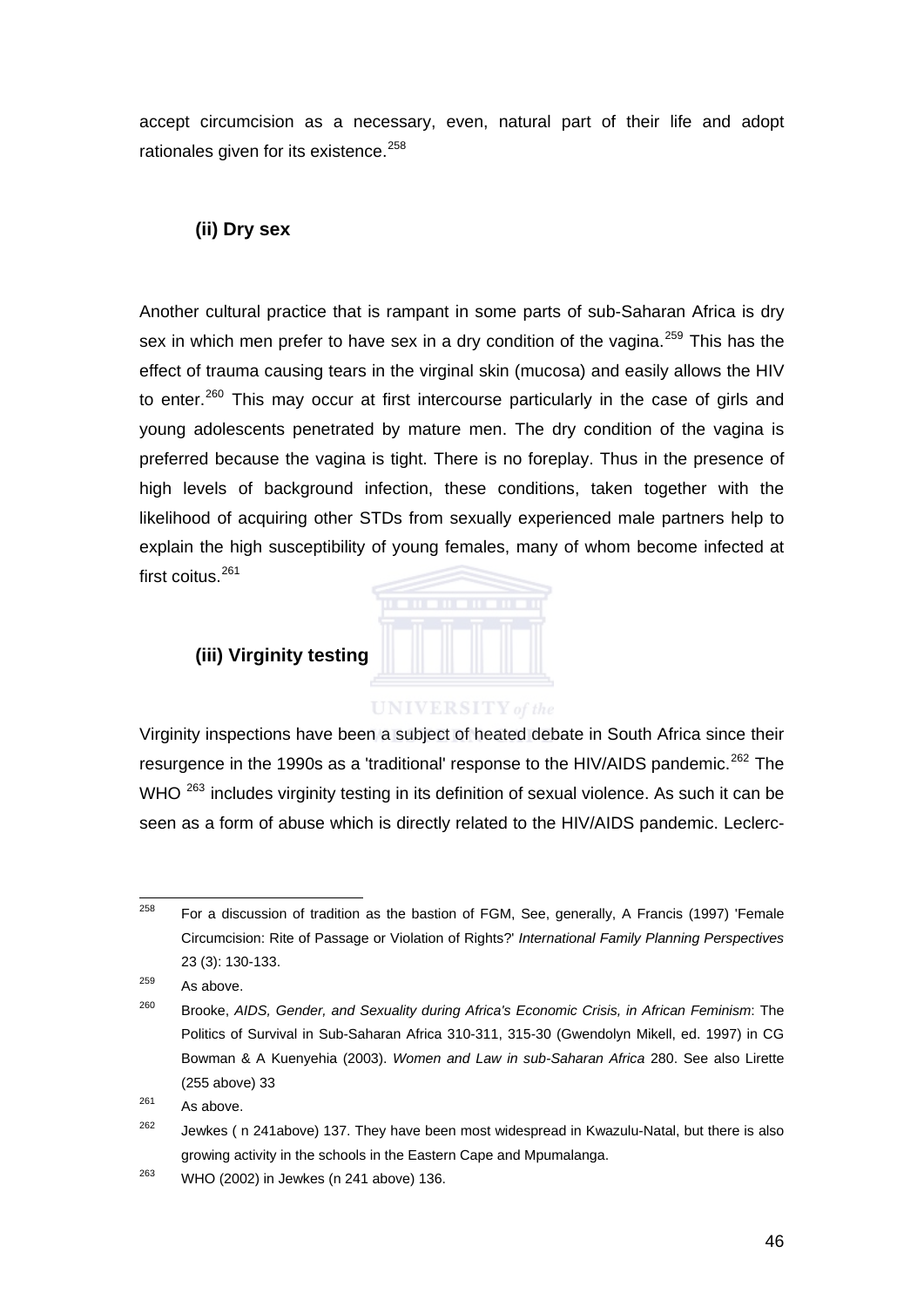accept circumcision as a necessary, even, natural part of their life and adopt rationales given for its existence.<sup>[258](#page-55-0)</sup>

#### **(ii) Dry sex**

Another cultural practice that is rampant in some parts of sub-Saharan Africa is dry sex in which men prefer to have sex in a dry condition of the vagina.<sup>[259](#page-55-1)</sup> This has the effect of trauma causing tears in the virginal skin (mucosa) and easily allows the HIV to enter.<sup>[260](#page-55-2)</sup> This may occur at first intercourse particularly in the case of girls and young adolescents penetrated by mature men. The dry condition of the vagina is preferred because the vagina is tight. There is no foreplay. Thus in the presence of high levels of background infection, these conditions, taken together with the likelihood of acquiring other STDs from sexually experienced male partners help to explain the high susceptibility of young females, many of whom become infected at first coitus.<sup>[261](#page-55-3)</sup>



# **(iii) Virginity testing**

#### **UNIVERSITY** of the

Virginity inspections have been a subject of heated debate in South Africa since their resurgence in the 1990s as a 'traditional' response to the HIV/AIDS pandemic.<sup>[262](#page-55-4)</sup> The WHO<sup>[263](#page-55-5)</sup> includes virginity testing in its definition of sexual violence. As such it can be seen as a form of abuse which is directly related to the HIV/AIDS pandemic. Leclerc-

<span id="page-55-0"></span><sup>258</sup> 258 For a discussion of tradition as the bastion of FGM, See, generally, A Francis (1997) 'Female Circumcision: Rite of Passage or Violation of Rights?' *International Family Planning Perspectives* 23 (3): 130-133.

<span id="page-55-1"></span> $259$  As above.

<span id="page-55-2"></span><sup>260</sup> Brooke, *AIDS, Gender, and Sexuality during Africa's Economic Crisis, in African Feminism*: The Politics of Survival in Sub-Saharan Africa 310-311, 315-30 (Gwendolyn Mikell, ed. 1997) in CG Bowman & A Kuenyehia (2003). *Women and Law in sub-Saharan Africa* 280. See also Lirette (255 above) 33

<span id="page-55-3"></span> $261$  As above.

<span id="page-55-4"></span> $262$  Jewkes ( n 241above) 137. They have been most widespread in Kwazulu-Natal, but there is also growing activity in the schools in the Eastern Cape and Mpumalanga.

<span id="page-55-5"></span> $263$  WHO (2002) in Jewkes (n 241 above) 136.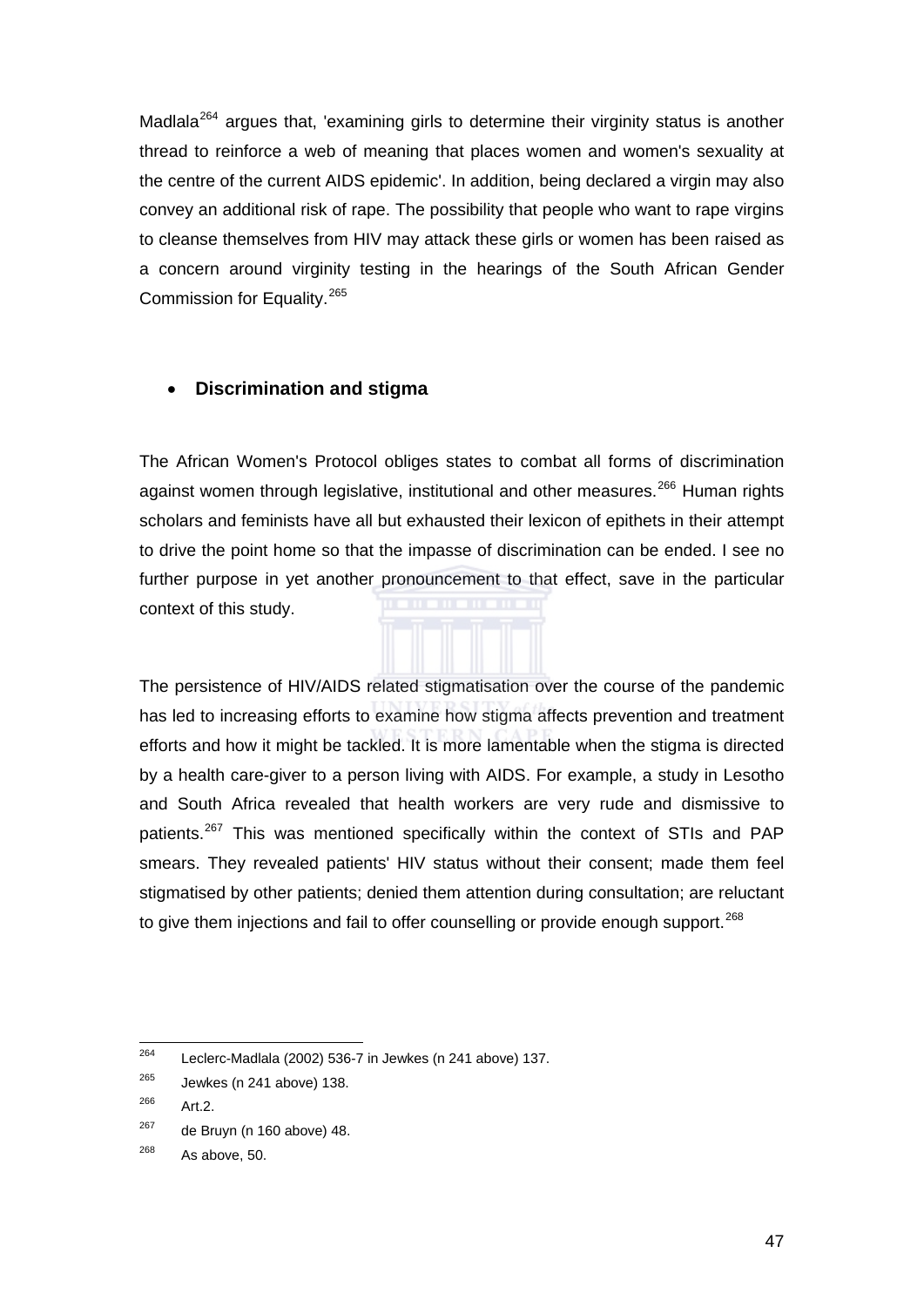Madlala<sup>[264](#page-56-0)</sup> argues that, 'examining girls to determine their virginity status is another thread to reinforce a web of meaning that places women and women's sexuality at the centre of the current AIDS epidemic'. In addition, being declared a virgin may also convey an additional risk of rape. The possibility that people who want to rape virgins to cleanse themselves from HIV may attack these girls or women has been raised as a concern around virginity testing in the hearings of the South African Gender Commission for Equality.[265](#page-56-1)

#### • **Discrimination and stigma**

The African Women's Protocol obliges states to combat all forms of discrimination against women through legislative, institutional and other measures.<sup>[266](#page-56-2)</sup> Human rights scholars and feminists have all but exhausted their lexicon of epithets in their attempt to drive the point home so that the impasse of discrimination can be ended. I see no further purpose in yet another pronouncement to that effect, save in the particular context of this study.

The persistence of HIV/AIDS related stigmatisation over the course of the pandemic has led to increasing efforts to examine how stigma affects prevention and treatment efforts and how it might be tackled. It is more lamentable when the stigma is directed by a health care-giver to a person living with AIDS. For example, a study in Lesotho and South Africa revealed that health workers are very rude and dismissive to patients.<sup>[267](#page-56-3)</sup> This was mentioned specifically within the context of STIs and PAP smears. They revealed patients' HIV status without their consent; made them feel stigmatised by other patients; denied them attention during consultation; are reluctant to give them injections and fail to offer counselling or provide enough support.<sup>[268](#page-56-4)</sup>

<span id="page-56-0"></span><sup>264</sup> Leclerc-Madlala (2002) 536-7 in Jewkes (n 241 above) 137.

<span id="page-56-1"></span> $265$  Jewkes (n 241 above) 138.

<span id="page-56-2"></span><sup>266</sup> Art.2.

<span id="page-56-3"></span> $267$  de Bruyn (n 160 above) 48.

<span id="page-56-4"></span> $268$  As above, 50.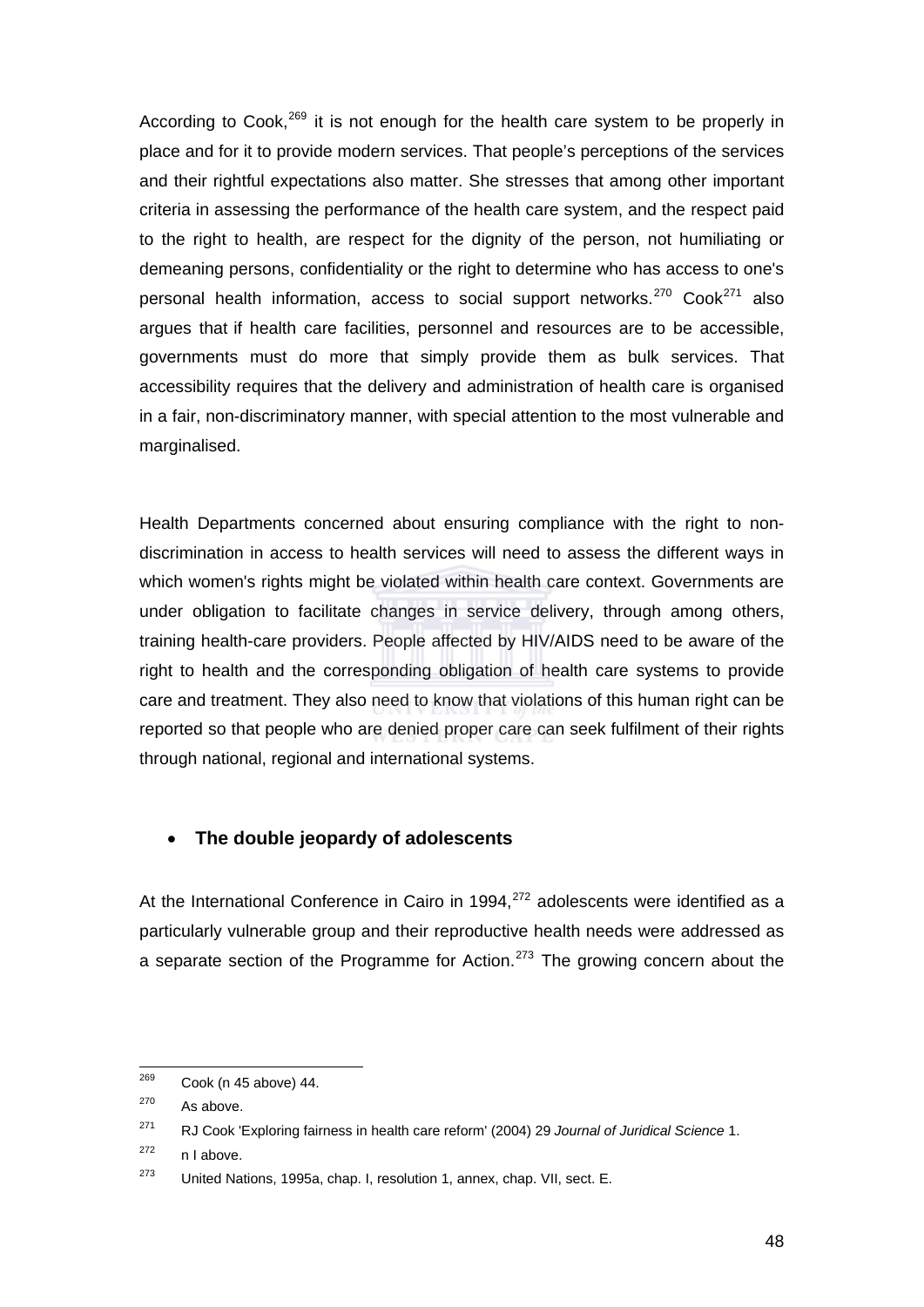According to Cook,<sup>[269](#page-57-0)</sup> it is not enough for the health care system to be properly in place and for it to provide modern services. That people's perceptions of the services and their rightful expectations also matter. She stresses that among other important criteria in assessing the performance of the health care system, and the respect paid to the right to health, are respect for the dignity of the person, not humiliating or demeaning persons, confidentiality or the right to determine who has access to one's personal health information, access to social support networks.<sup>[270](#page-57-1)</sup> Cook<sup>[271](#page-57-2)</sup> also argues that if health care facilities, personnel and resources are to be accessible, governments must do more that simply provide them as bulk services. That accessibility requires that the delivery and administration of health care is organised in a fair, non-discriminatory manner, with special attention to the most vulnerable and marginalised.

Health Departments concerned about ensuring compliance with the right to nondiscrimination in access to health services will need to assess the different ways in which women's rights might be violated within health care context. Governments are under obligation to facilitate changes in service delivery, through among others, training health-care providers. People affected by HIV/AIDS need to be aware of the right to health and the corresponding obligation of health care systems to provide care and treatment. They also need to know that violations of this human right can be reported so that people who are denied proper care can seek fulfilment of their rights through national, regional and international systems.

#### • **The double jeopardy of adolescents**

At the International Conference in Cairo in 1994, $272$  adolescents were identified as a particularly vulnerable group and their reproductive health needs were addressed as a separate section of the Programme for Action.<sup>[273](#page-57-4)</sup> The growing concern about the

<span id="page-57-0"></span><sup>269</sup> Cook (n 45 above) 44.

<span id="page-57-1"></span><sup>270</sup> As above.

<span id="page-57-2"></span><sup>271</sup> RJ Cook 'Exploring fairness in health care reform' (2004) 29 *Journal of Juridical Science* 1.

<span id="page-57-3"></span> $272$  n I above.

<span id="page-57-4"></span> $273$  United Nations, 1995a, chap. I, resolution 1, annex, chap. VII, sect. E.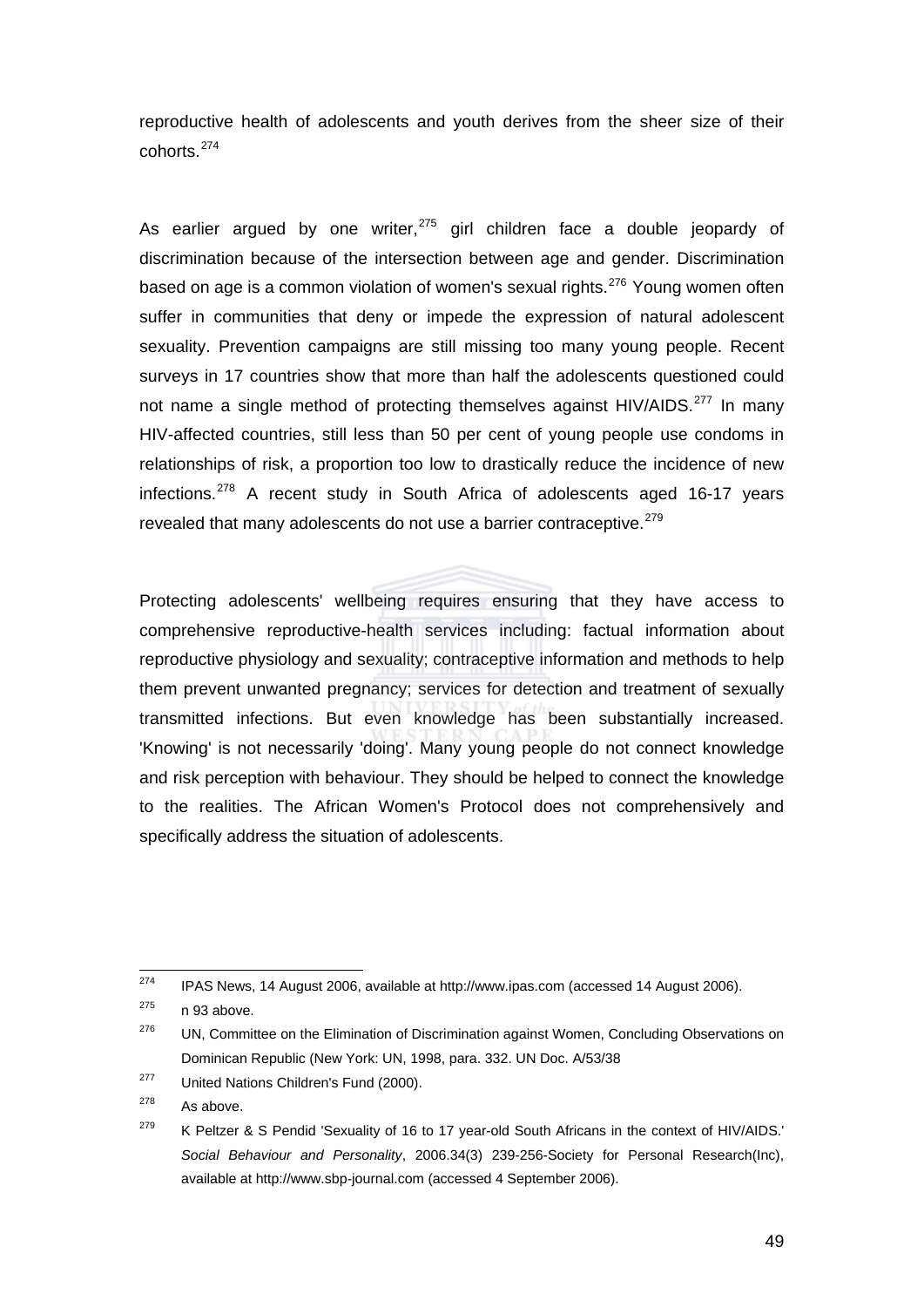reproductive health of adolescents and youth derives from the sheer size of their cohorts.[274](#page-58-0)

As earlier argued by one writer,  $275$  girl children face a double jeopardy of discrimination because of the intersection between age and gender. Discrimination based on age is a common violation of women's sexual rights.<sup>[276](#page-58-2)</sup> Young women often suffer in communities that deny or impede the expression of natural adolescent sexuality. Prevention campaigns are still missing too many young people. Recent surveys in 17 countries show that more than half the adolescents questioned could not name a single method of protecting themselves against HIV/AIDS.<sup>[277](#page-58-3)</sup> In many HIV-affected countries, still less than 50 per cent of young people use condoms in relationships of risk, a proportion too low to drastically reduce the incidence of new infections.<sup>[278](#page-58-4)</sup> A recent study in South Africa of adolescents aged 16-17 years revealed that many adolescents do not use a barrier contraceptive.<sup>[279](#page-58-5)</sup>

Protecting adolescents' wellbeing requires ensuring that they have access to comprehensive reproductive-health services including: factual information about reproductive physiology and sexuality; contraceptive information and methods to help them prevent unwanted pregnancy; services for detection and treatment of sexually transmitted infections. But even knowledge has been substantially increased. 'Knowing' is not necessarily 'doing'. Many young people do not connect knowledge and risk perception with behaviour. They should be helped to connect the knowledge to the realities. The African Women's Protocol does not comprehensively and specifically address the situation of adolescents.

<span id="page-58-0"></span><sup>274</sup> 274 IPAS News, 14 August 2006, available at http://www.ipas.com (accessed 14 August 2006).

<span id="page-58-1"></span> $275$  n 93 above.

<span id="page-58-2"></span><sup>&</sup>lt;sup>276</sup> UN, Committee on the Elimination of Discrimination against Women, Concluding Observations on Dominican Republic (New York: UN, 1998, para. 332. UN Doc. A/53/38

<span id="page-58-3"></span><sup>&</sup>lt;sup>277</sup> United Nations Children's Fund (2000).

<span id="page-58-4"></span><sup>278</sup> As above.

<span id="page-58-5"></span><sup>&</sup>lt;sup>279</sup> K Peltzer & S Pendid 'Sexuality of 16 to 17 year-old South Africans in the context of HIV/AIDS.' *Social Behaviour and Personality*, 2006.34(3) 239-256-Society for Personal Research(Inc), available at http://www.sbp-journal.com (accessed 4 September 2006).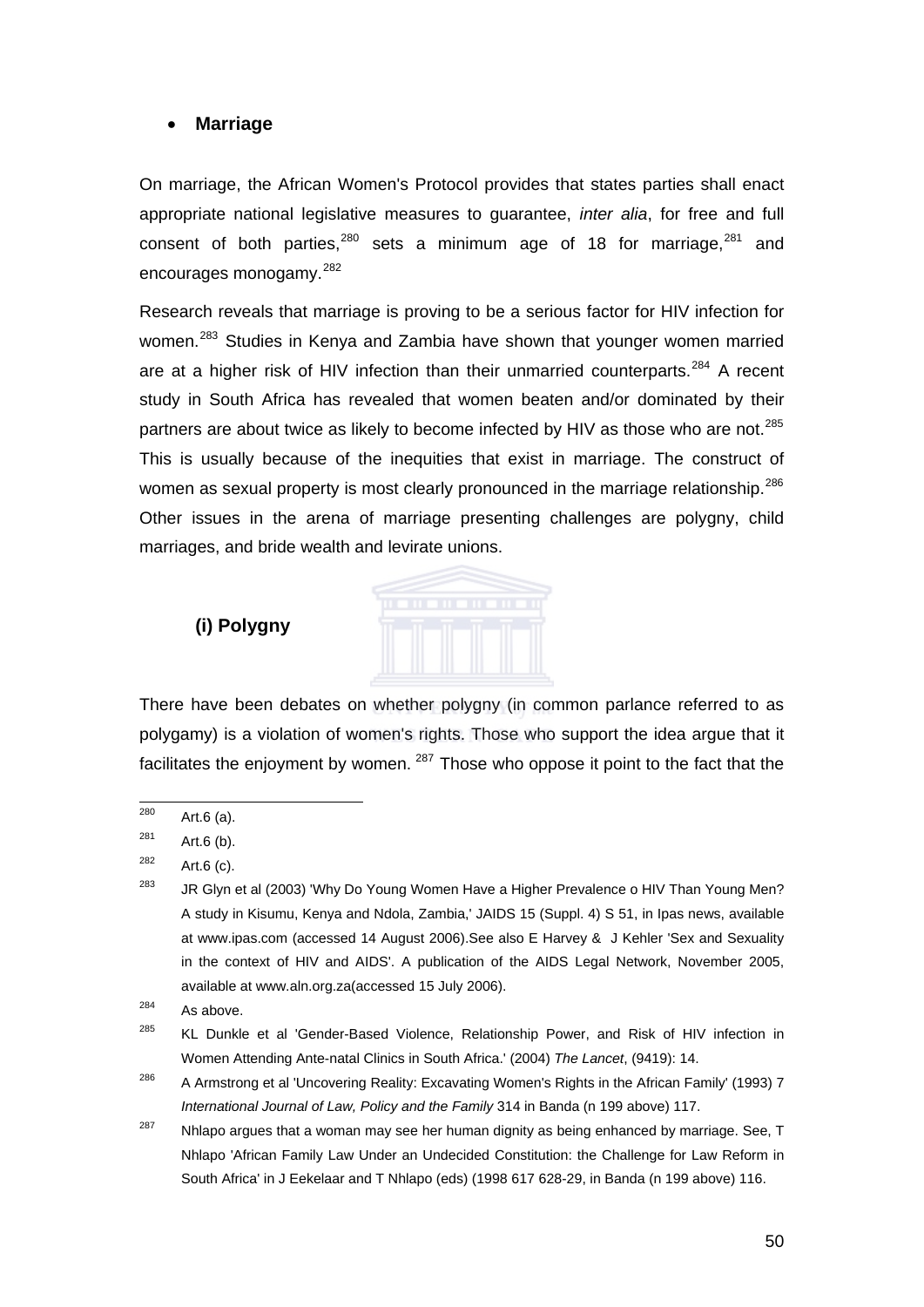#### • **Marriage**

On marriage, the African Women's Protocol provides that states parties shall enact appropriate national legislative measures to guarantee, *inter alia*, for free and full consent of both parties.<sup>[280](#page-59-0)</sup> sets a minimum age of 18 for marriage.<sup>[281](#page-59-1)</sup> and encourages monogamy.[282](#page-59-2)

Research reveals that marriage is proving to be a serious factor for HIV infection for women.<sup>[283](#page-59-3)</sup> Studies in Kenya and Zambia have shown that younger women married are at a higher risk of HIV infection than their unmarried counterparts.<sup>[284](#page-59-4)</sup> A recent study in South Africa has revealed that women beaten and/or dominated by their partners are about twice as likely to become infected by HIV as those who are not.<sup>[285](#page-59-5)</sup> This is usually because of the inequities that exist in marriage. The construct of women as sexual property is most clearly pronounced in the marriage relationship.<sup>[286](#page-59-6)</sup> Other issues in the arena of marriage presenting challenges are polygny, child marriages, and bride wealth and levirate unions.

 **(i) Polygny** 



There have been debates on whether polygny (in common parlance referred to as polygamy) is a violation of women's rights. Those who support the idea argue that it facilitates the enjoyment by women. <sup>[287](#page-59-7)</sup> Those who oppose it point to the fact that the

<span id="page-59-0"></span><sup>280</sup> Art. $6$  (a).

<span id="page-59-1"></span> $281$  Art. 6 (b).

<span id="page-59-2"></span> $282$  Art.6 (c).

<span id="page-59-3"></span><sup>&</sup>lt;sup>283</sup> JR Glyn et al (2003) 'Why Do Young Women Have a Higher Prevalence o HIV Than Young Men? A study in Kisumu, Kenya and Ndola, Zambia,' JAIDS 15 (Suppl. 4) S 51, in Ipas news, available at www.ipas.com (accessed 14 August 2006).See also E Harvey & J Kehler 'Sex and Sexuality in the context of HIV and AIDS'. A publication of the AIDS Legal Network, November 2005, available at [www.aln.org.za\(accessed](http://www.aln.org.za(accessed/) 15 July 2006).

<span id="page-59-4"></span><sup>284</sup> As above.

<span id="page-59-5"></span><sup>&</sup>lt;sup>285</sup> KL Dunkle et al 'Gender-Based Violence, Relationship Power, and Risk of HIV infection in Women Attending Ante-natal Clinics in South Africa.' (2004) *The Lancet*, (9419): 14.

<span id="page-59-6"></span><sup>&</sup>lt;sup>286</sup> A Armstrong et al 'Uncovering Reality: Excavating Women's Rights in the African Family' (1993) 7 *International Journal of Law, Policy and the Family* 314 in Banda (n 199 above) 117.

<span id="page-59-7"></span><sup>&</sup>lt;sup>287</sup> Nhlapo argues that a woman may see her human dignity as being enhanced by marriage. See, T Nhlapo 'African Family Law Under an Undecided Constitution: the Challenge for Law Reform in South Africa' in J Eekelaar and T Nhlapo (eds) (1998 617 628-29, in Banda (n 199 above) 116.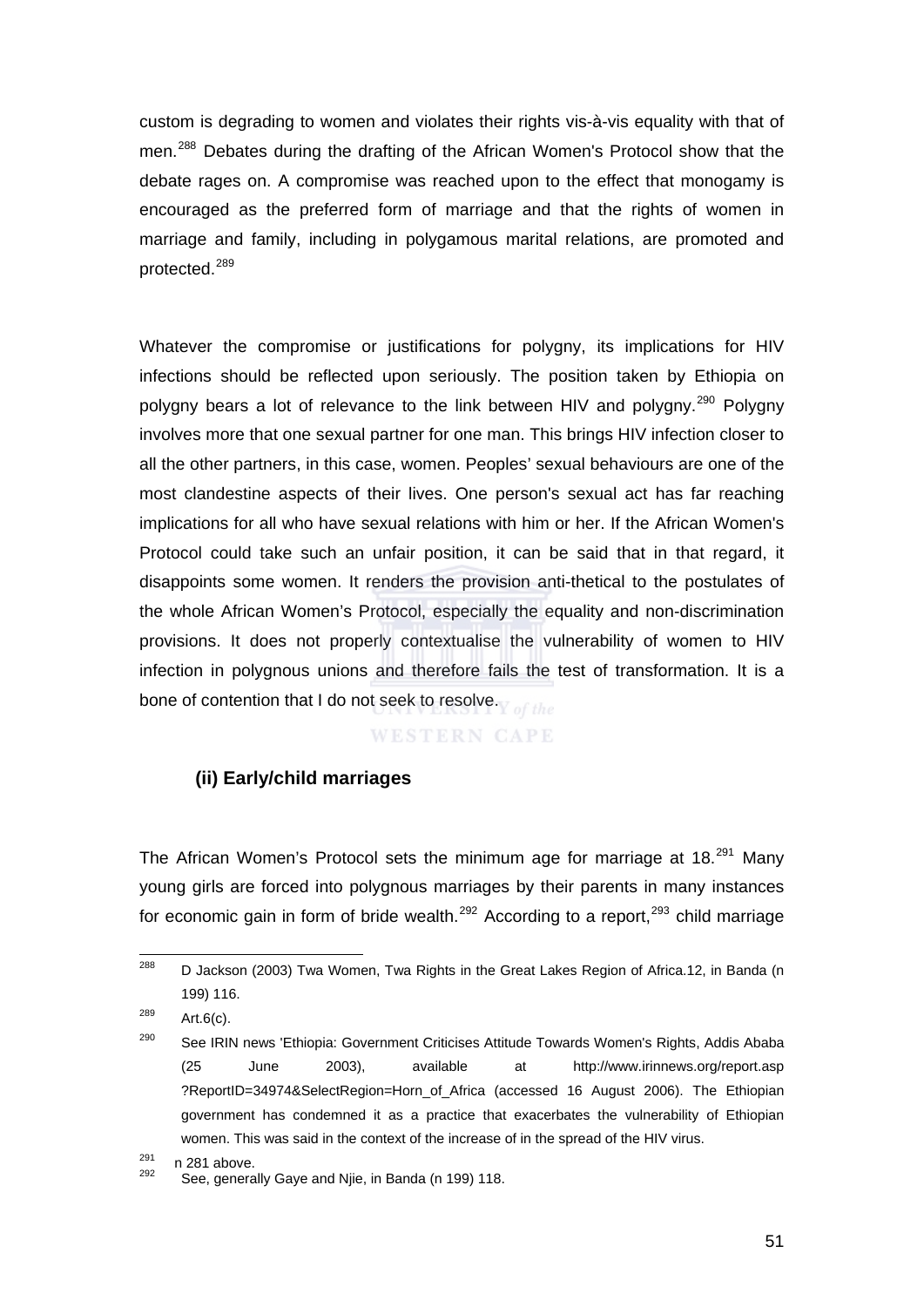custom is degrading to women and violates their rights vis-à-vis equality with that of men.<sup>[288](#page-60-0)</sup> Debates during the drafting of the African Women's Protocol show that the debate rages on. A compromise was reached upon to the effect that monogamy is encouraged as the preferred form of marriage and that the rights of women in marriage and family, including in polygamous marital relations, are promoted and protected.[289](#page-60-1)

Whatever the compromise or justifications for polygny, its implications for HIV infections should be reflected upon seriously. The position taken by Ethiopia on polygny bears a lot of relevance to the link between HIV and polygny.<sup>[290](#page-60-2)</sup> Polygny involves more that one sexual partner for one man. This brings HIV infection closer to all the other partners, in this case, women. Peoples' sexual behaviours are one of the most clandestine aspects of their lives. One person's sexual act has far reaching implications for all who have sexual relations with him or her. If the African Women's Protocol could take such an unfair position, it can be said that in that regard, it disappoints some women. It renders the provision anti-thetical to the postulates of the whole African Women's Protocol, especially the equality and non-discrimination provisions. It does not properly contextualise the vulnerability of women to HIV infection in polygnous unions and therefore fails the test of transformation. It is a bone of contention that I do not seek to resolve.

#### **WESTERN CAPE**

#### **(ii) Early/child marriages**

The African Women's Protocol sets the minimum age for marriage at 18.<sup>[291](#page-60-3)</sup> Many young girls are forced into polygnous marriages by their parents in many instances for economic gain in form of bride wealth.<sup>[292](#page-60-4)</sup> According to a report,<sup>[293](#page-60-5)</sup> child marriage

<span id="page-60-5"></span><span id="page-60-0"></span><sup>288</sup> D Jackson (2003) Twa Women, Twa Rights in the Great Lakes Region of Africa.12, in Banda (n 199) 116.

<span id="page-60-1"></span><sup>289</sup> Art.6(c).

<span id="page-60-2"></span><sup>&</sup>lt;sup>290</sup> See IRIN news 'Ethiopia: Government Criticises Attitude Towards Women's Rights, Addis Ababa (25 June 2003), available at http://www.irinnews.org/report.asp ?ReportID=34974&SelectRegion=Horn\_of\_Africa (accessed 16 August 2006). The Ethiopian government has condemned it as a practice that exacerbates the vulnerability of Ethiopian women. This was said in the context of the increase of in the spread of the HIV virus.

<span id="page-60-4"></span>

<span id="page-60-3"></span> $\frac{291}{292}$  n 281 above.<br>
292 See, generally Gaye and Niie, in Banda (n 199) 118.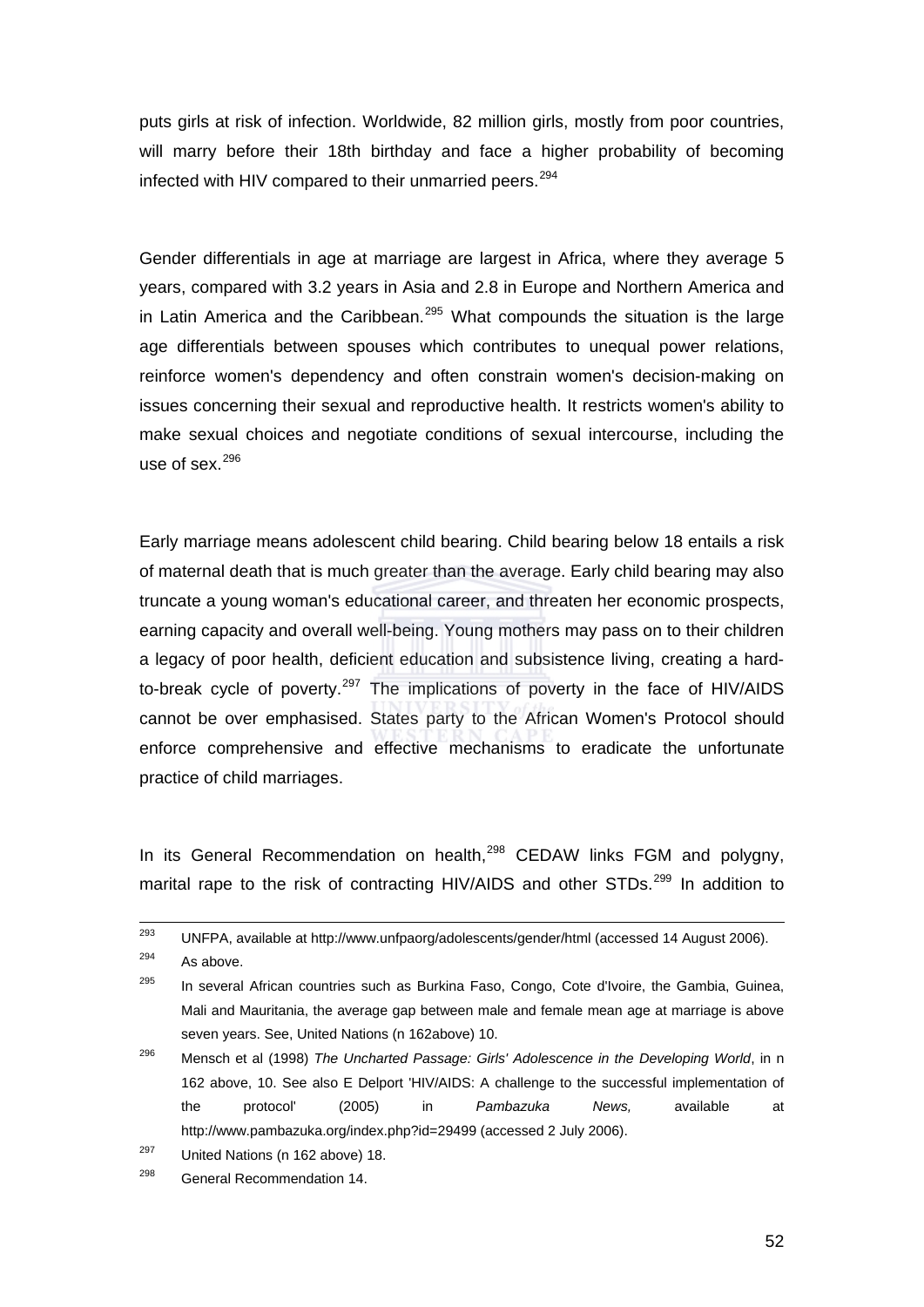puts girls at risk of infection. Worldwide, 82 million girls, mostly from poor countries, will marry before their 18th birthday and face a higher probability of becoming infected with HIV compared to their unmarried peers. $294$ 

Gender differentials in age at marriage are largest in Africa, where they average 5 years, compared with 3.2 years in Asia and 2.8 in Europe and Northern America and in Latin America and the Caribbean.<sup>[295](#page-61-1)</sup> What compounds the situation is the large age differentials between spouses which contributes to unequal power relations, reinforce women's dependency and often constrain women's decision-making on issues concerning their sexual and reproductive health. It restricts women's ability to make sexual choices and negotiate conditions of sexual intercourse, including the use of sex. $296$ 

Early marriage means adolescent child bearing. Child bearing below 18 entails a risk of maternal death that is much greater than the average. Early child bearing may also truncate a young woman's educational career, and threaten her economic prospects, earning capacity and overall well-being. Young mothers may pass on to their children a legacy of poor health, deficient education and subsistence living, creating a hard-to-break cycle of poverty.<sup>[297](#page-61-3)</sup> The implications of poverty in the face of HIV/AIDS cannot be over emphasised. States party to the African Women's Protocol should enforce comprehensive and effective mechanisms to eradicate the unfortunate practice of child marriages.

<span id="page-61-5"></span>In its General Recommendation on health,<sup>[298](#page-61-4)</sup> CEDAW links FGM and polygny, marital rape to the risk of contracting HIV/AIDS and other STDs.<sup>[299](#page-61-5)</sup> In addition to

<sup>293</sup> 293 UNFPA, available at http://www.unfpaorg/adolescents/gender/html (accessed 14 August 2006).

<span id="page-61-0"></span><sup>294</sup> As above.

<span id="page-61-1"></span><sup>&</sup>lt;sup>295</sup> In several African countries such as Burkina Faso, Congo, Cote d'Ivoire, the Gambia, Guinea, Mali and Mauritania, the average gap between male and female mean age at marriage is above seven years. See, United Nations (n 162above) 10.

<span id="page-61-2"></span><sup>296</sup> Mensch et al (1998) *The Uncharted Passage: Girls' Adolescence in the Developing World*, in n 162 above, 10. See also E Delport 'HIV/AIDS: A challenge to the successful implementation of the protocol' (2005) in *Pambazuka News,* available at http://www.pambazuka.org/index.php?id=29499 (accessed 2 July 2006).

<span id="page-61-3"></span><sup>297</sup> United Nations (n 162 above) 18.

<span id="page-61-4"></span><sup>298</sup> General Recommendation 14.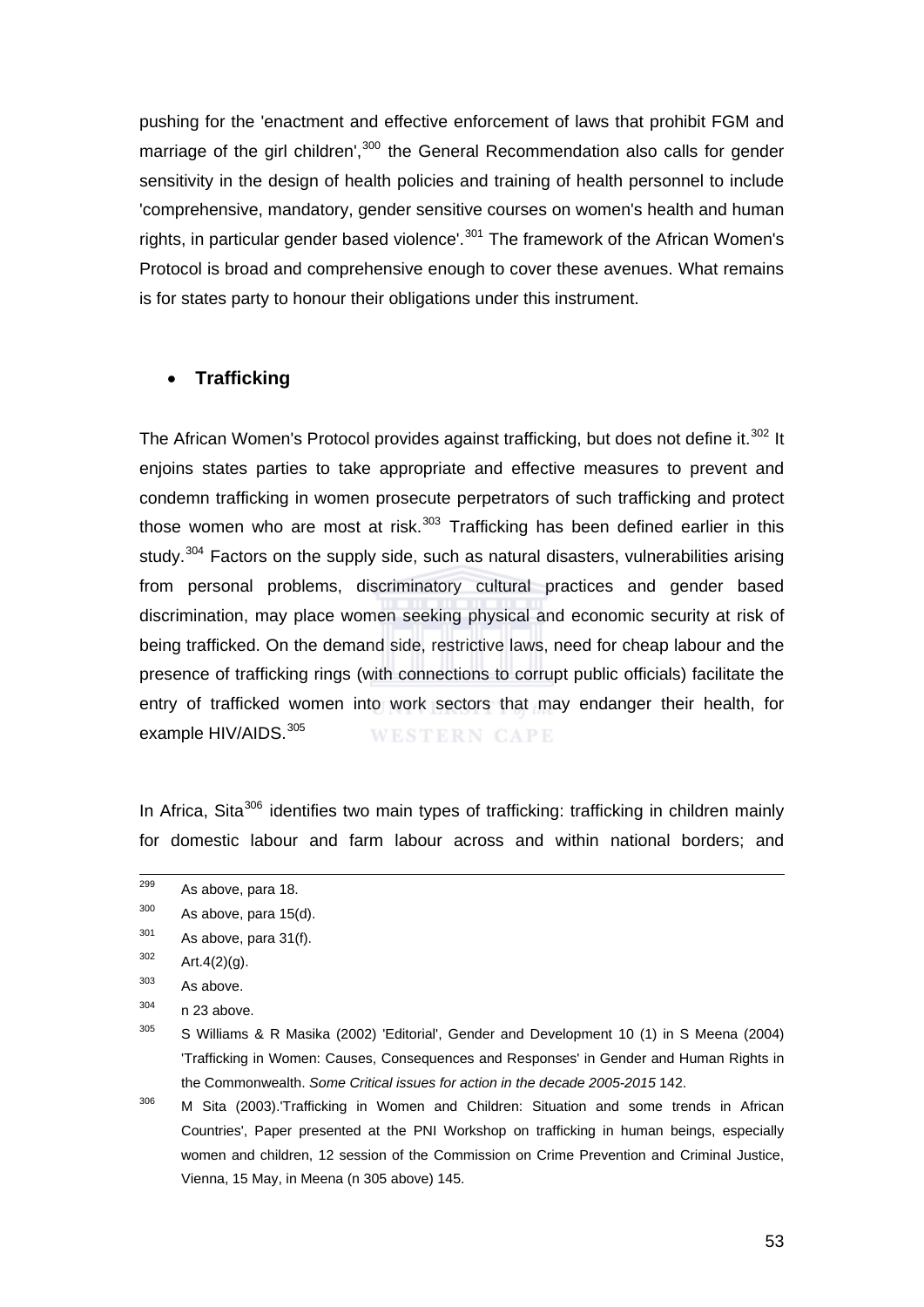pushing for the 'enactment and effective enforcement of laws that prohibit FGM and marriage of the girl children',<sup>[300](#page-62-0)</sup> the General Recommendation also calls for gender sensitivity in the design of health policies and training of health personnel to include 'comprehensive, mandatory, gender sensitive courses on women's health and human rights, in particular gender based violence'.<sup>[301](#page-62-1)</sup> The framework of the African Women's Protocol is broad and comprehensive enough to cover these avenues. What remains is for states party to honour their obligations under this instrument.

#### • **Trafficking**

The African Women's Protocol provides against trafficking, but does not define it.<sup>[302](#page-62-2)</sup> It enjoins states parties to take appropriate and effective measures to prevent and condemn trafficking in women prosecute perpetrators of such trafficking and protect those women who are most at risk. $303$  Trafficking has been defined earlier in this study.<sup>[304](#page-62-4)</sup> Factors on the supply side, such as natural disasters, vulnerabilities arising from personal problems, discriminatory cultural practices and gender based discrimination, may place women seeking physical and economic security at risk of being trafficked. On the demand side, restrictive laws, need for cheap labour and the presence of trafficking rings (with connections to corrupt public officials) facilitate the entry of trafficked women into work sectors that may endanger their health, for example HIV/AIDS. [305](#page-62-5) **WESTERN CAPE** 

In Africa, Sita<sup>[306](#page-62-6)</sup> identifies two main types of trafficking: trafficking in children mainly for domestic labour and farm labour across and within national borders; and

<sup>299</sup> As above, para 18.

<span id="page-62-0"></span> $300$  As above, para 15(d).

<span id="page-62-1"></span> $301$  As above, para 31(f).

<span id="page-62-2"></span> $302$  Art. 4(2)(g).

<span id="page-62-3"></span><sup>303</sup> As above.

<span id="page-62-4"></span> $304$  n 23 above.

<span id="page-62-5"></span> $305$  S Williams & R Masika (2002) 'Editorial', Gender and Development 10 (1) in S Meena (2004) 'Trafficking in Women: Causes, Consequences and Responses' in Gender and Human Rights in the Commonwealth. *Some Critical issues for action in the decade 2005-2015* 142.

<span id="page-62-6"></span><sup>306</sup> M Sita (2003).'Trafficking in Women and Children: Situation and some trends in African Countries', Paper presented at the PNI Workshop on trafficking in human beings, especially women and children, 12 session of the Commission on Crime Prevention and Criminal Justice, Vienna, 15 May, in Meena (n 305 above) 145.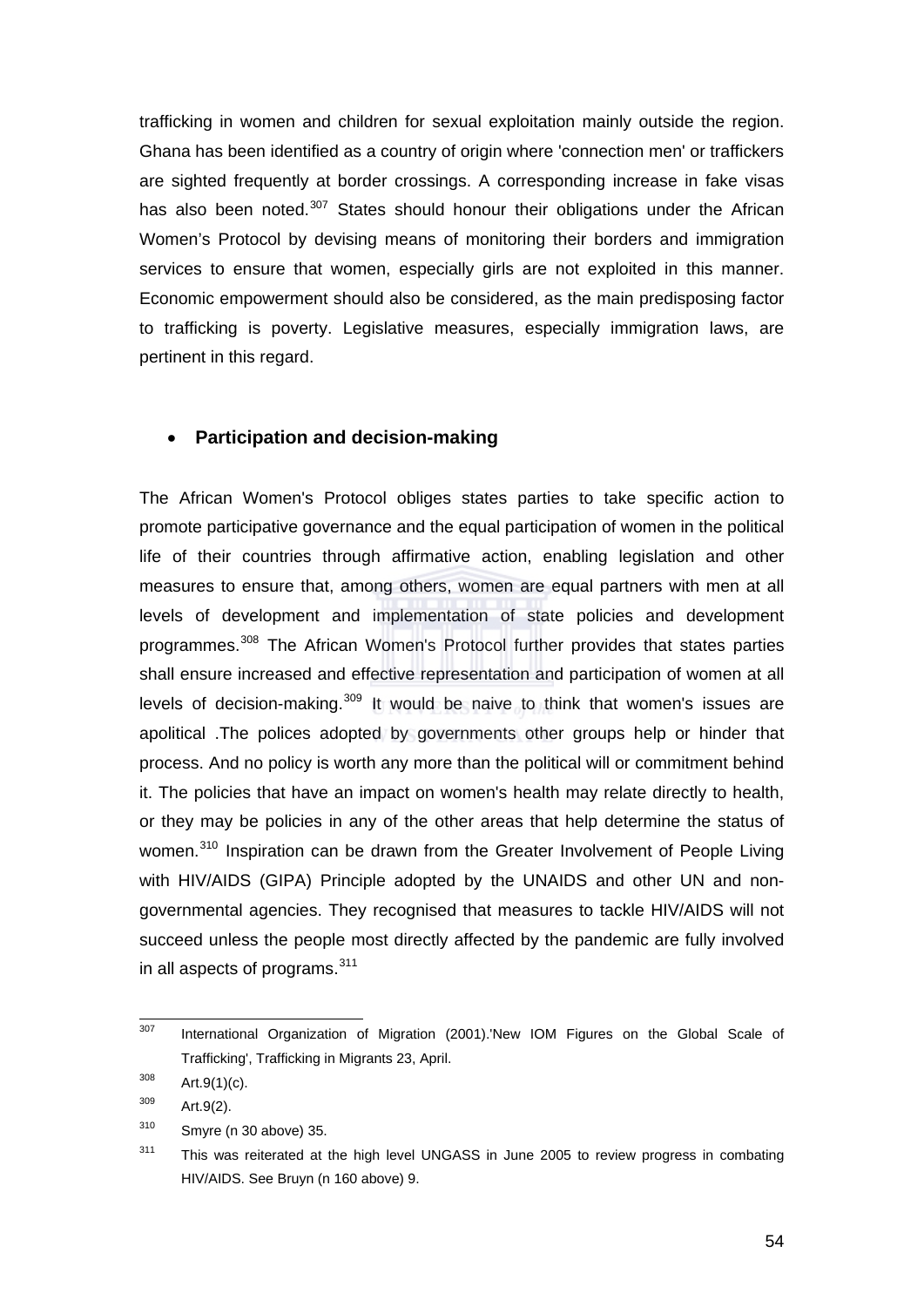trafficking in women and children for sexual exploitation mainly outside the region. Ghana has been identified as a country of origin where 'connection men' or traffickers are sighted frequently at border crossings. A corresponding increase in fake visas has also been noted.<sup>[307](#page-63-0)</sup> States should honour their obligations under the African Women's Protocol by devising means of monitoring their borders and immigration services to ensure that women, especially girls are not exploited in this manner. Economic empowerment should also be considered, as the main predisposing factor to trafficking is poverty. Legislative measures, especially immigration laws, are pertinent in this regard.

#### • **Participation and decision-making**

The African Women's Protocol obliges states parties to take specific action to promote participative governance and the equal participation of women in the political life of their countries through affirmative action, enabling legislation and other measures to ensure that, among others, women are equal partners with men at all levels of development and implementation of state policies and development programmes.<sup>[308](#page-63-1)</sup> The African Women's Protocol further provides that states parties shall ensure increased and effective representation and participation of women at all levels of decision-making.<sup>[309](#page-63-2)</sup> It would be naive to think that women's issues are apolitical .The polices adopted by governments other groups help or hinder that process. And no policy is worth any more than the political will or commitment behind it. The policies that have an impact on women's health may relate directly to health, or they may be policies in any of the other areas that help determine the status of women.<sup>[310](#page-63-3)</sup> Inspiration can be drawn from the Greater Involvement of People Living with HIV/AIDS (GIPA) Principle adopted by the UNAIDS and other UN and nongovernmental agencies. They recognised that measures to tackle HIV/AIDS will not succeed unless the people most directly affected by the pandemic are fully involved in all aspects of programs.<sup>[311](#page-63-4)</sup>

<span id="page-63-0"></span><sup>307</sup> 307 International Organization of Migration (2001).'New IOM Figures on the Global Scale of Trafficking', Trafficking in Migrants 23, April.

<span id="page-63-1"></span> $308$  Art.9(1)(c).

<span id="page-63-2"></span><sup>309</sup> Art.9(2).

<span id="page-63-3"></span> $310$  Smyre (n 30 above) 35.

<span id="page-63-4"></span> $311$  This was reiterated at the high level UNGASS in June 2005 to review progress in combating HIV/AIDS. See Bruyn (n 160 above) 9.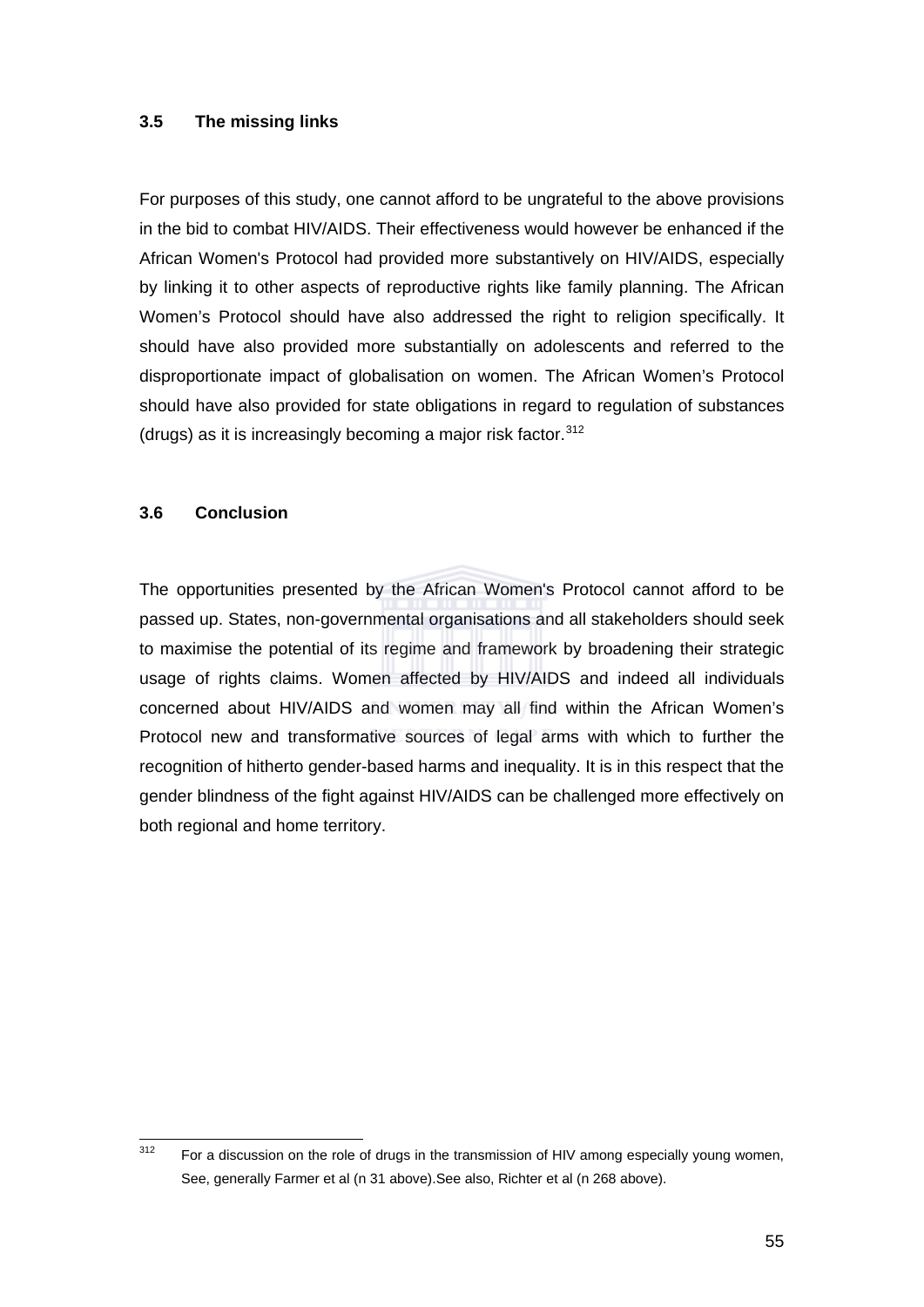#### **3.5 The missing links**

For purposes of this study, one cannot afford to be ungrateful to the above provisions in the bid to combat HIV/AIDS. Their effectiveness would however be enhanced if the African Women's Protocol had provided more substantively on HIV/AIDS, especially by linking it to other aspects of reproductive rights like family planning. The African Women's Protocol should have also addressed the right to religion specifically. It should have also provided more substantially on adolescents and referred to the disproportionate impact of globalisation on women. The African Women's Protocol should have also provided for state obligations in regard to regulation of substances (drugs) as it is increasingly becoming a major risk factor.  $312$ 

#### **3.6 Conclusion**

The opportunities presented by the African Women's Protocol cannot afford to be passed up. States, non-governmental organisations and all stakeholders should seek to maximise the potential of its regime and framework by broadening their strategic usage of rights claims. Women affected by HIV/AIDS and indeed all individuals concerned about HIV/AIDS and women may all find within the African Women's Protocol new and transformative sources of legal arms with which to further the recognition of hitherto gender-based harms and inequality. It is in this respect that the gender blindness of the fight against HIV/AIDS can be challenged more effectively on both regional and home territory.

<span id="page-64-0"></span><sup>312</sup> For a discussion on the role of drugs in the transmission of HIV among especially young women, See, generally Farmer et al (n 31 above).See also, Richter et al (n 268 above).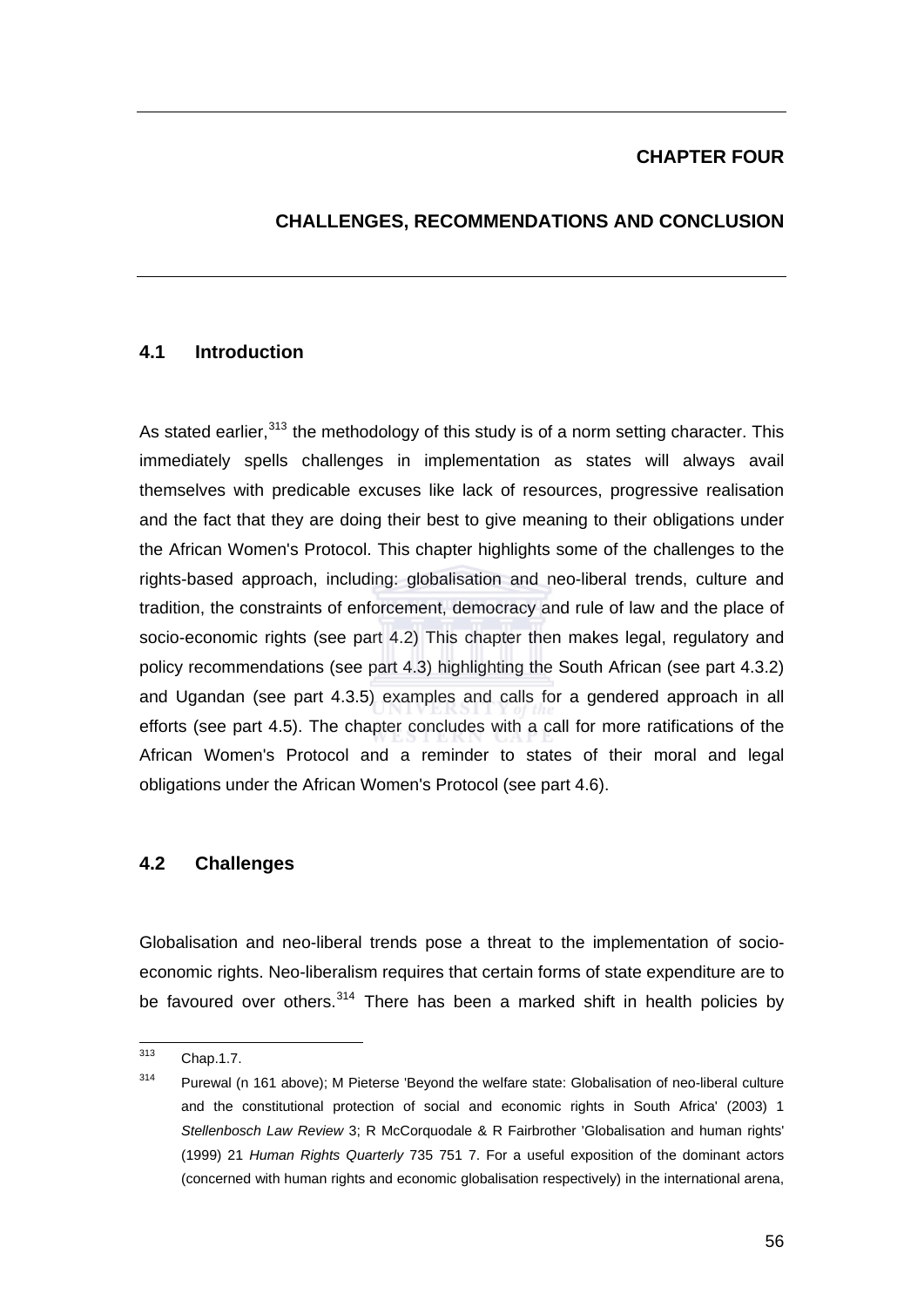#### **CHAPTER FOUR**

#### **CHALLENGES, RECOMMENDATIONS AND CONCLUSION**

#### **4.1 Introduction**

As stated earlier,<sup>[313](#page-65-0)</sup> the methodology of this study is of a norm setting character. This immediately spells challenges in implementation as states will always avail themselves with predicable excuses like lack of resources, progressive realisation and the fact that they are doing their best to give meaning to their obligations under the African Women's Protocol. This chapter highlights some of the challenges to the rights-based approach, including: globalisation and neo-liberal trends, culture and tradition, the constraints of enforcement, democracy and rule of law and the place of socio-economic rights (see part 4.2) This chapter then makes legal, regulatory and policy recommendations (see part 4.3) highlighting the South African (see part 4.3.2) and Ugandan (see part 4.3.5) examples and calls for a gendered approach in all efforts (see part 4.5). The chapter concludes with a call for more ratifications of the African Women's Protocol and a reminder to states of their moral and legal obligations under the African Women's Protocol (see part 4.6).

#### **4.2 Challenges**

Globalisation and neo-liberal trends pose a threat to the implementation of socioeconomic rights. Neo-liberalism requires that certain forms of state expenditure are to be favoured over others.<sup>[314](#page-65-1)</sup> There has been a marked shift in health policies by

<span id="page-65-0"></span><sup>313</sup> Chap.1.7.

<span id="page-65-1"></span><sup>314</sup> Purewal (n 161 above); M Pieterse 'Beyond the welfare state: Globalisation of neo-liberal culture and the constitutional protection of social and economic rights in South Africa' (2003) 1 *Stellenbosch Law Review* 3; R McCorquodale & R Fairbrother 'Globalisation and human rights' (1999) 21 *Human Rights Quarterly* 735 751 7. For a useful exposition of the dominant actors (concerned with human rights and economic globalisation respectively) in the international arena,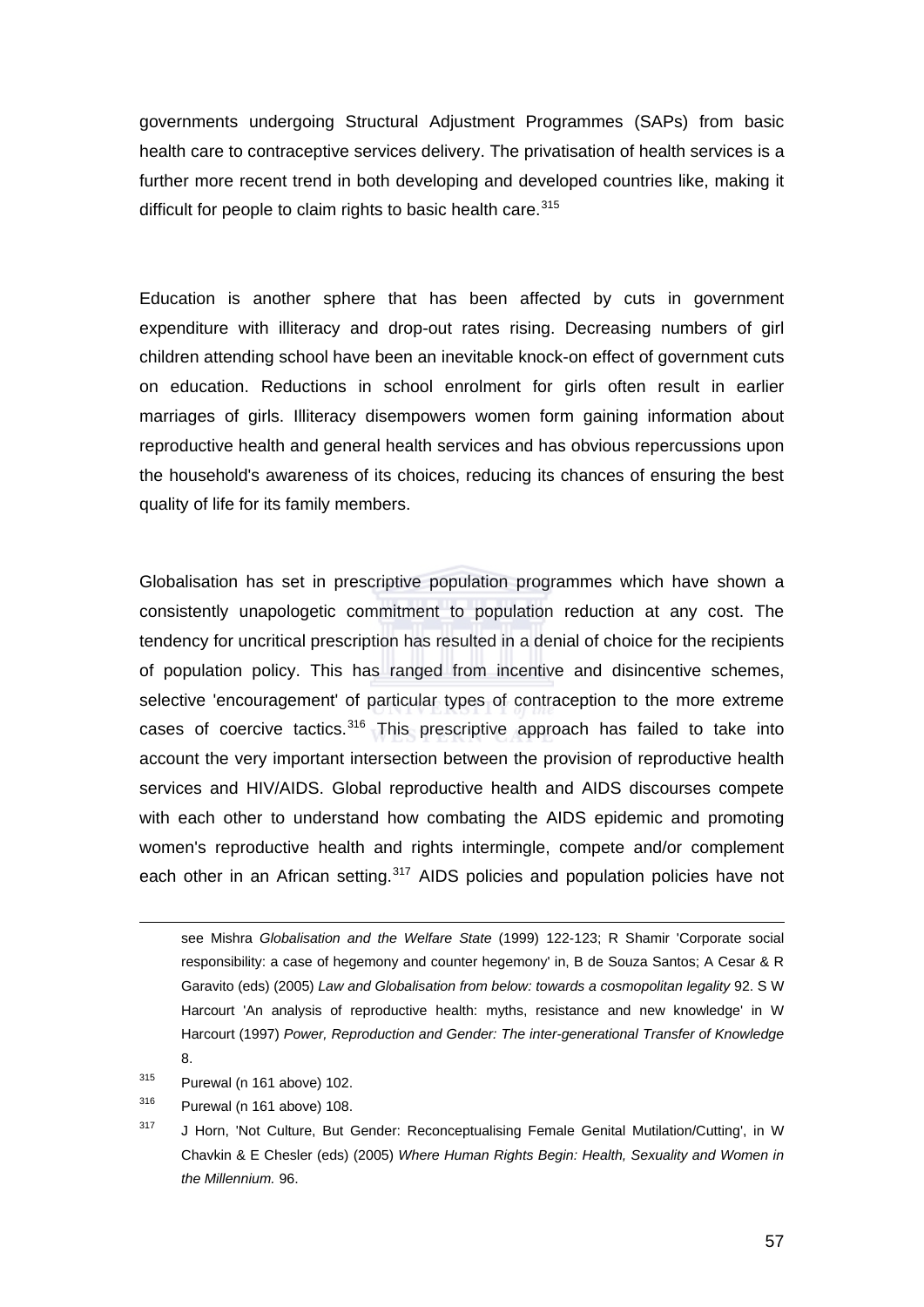governments undergoing Structural Adjustment Programmes (SAPs) from basic health care to contraceptive services delivery. The privatisation of health services is a further more recent trend in both developing and developed countries like, making it difficult for people to claim rights to basic health care.<sup>[315](#page-66-0)</sup>

Education is another sphere that has been affected by cuts in government expenditure with illiteracy and drop-out rates rising. Decreasing numbers of girl children attending school have been an inevitable knock-on effect of government cuts on education. Reductions in school enrolment for girls often result in earlier marriages of girls. Illiteracy disempowers women form gaining information about reproductive health and general health services and has obvious repercussions upon the household's awareness of its choices, reducing its chances of ensuring the best quality of life for its family members.

Globalisation has set in prescriptive population programmes which have shown a consistently unapologetic commitment to population reduction at any cost. The tendency for uncritical prescription has resulted in a denial of choice for the recipients of population policy. This has ranged from incentive and disincentive schemes, selective 'encouragement' of particular types of contraception to the more extreme cases of coercive tactics. $316$  This prescriptive approach has failed to take into account the very important intersection between the provision of reproductive health services and HIV/AIDS. Global reproductive health and AIDS discourses compete with each other to understand how combating the AIDS epidemic and promoting women's reproductive health and rights intermingle, compete and/or complement each other in an African setting.<sup>[317](#page-66-2)</sup> AIDS policies and population policies have not

<span id="page-66-1"></span> $316$  Purewal (n 161 above) 108.

see Mishra *Globalisation and the Welfare State* (1999) 122-123; R Shamir 'Corporate social responsibility: a case of hegemony and counter hegemony' in, B de Souza Santos; A Cesar & R Garavito (eds) (2005) *Law and Globalisation from below: towards a cosmopolitan legality* 92. S W Harcourt 'An analysis of reproductive health: myths, resistance and new knowledge' in W Harcourt (1997) *Power, Reproduction and Gender: The inter-generational Transfer of Knowledge* 8.

<span id="page-66-0"></span> $315$  Purewal (n 161 above) 102.

<span id="page-66-2"></span><sup>&</sup>lt;sup>317</sup> J Horn, 'Not Culture, But Gender: Reconceptualising Female Genital Mutilation/Cutting', in W Chavkin & E Chesler (eds) (2005) *Where Human Rights Begin: Health, Sexuality and Women in the Millennium.* 96.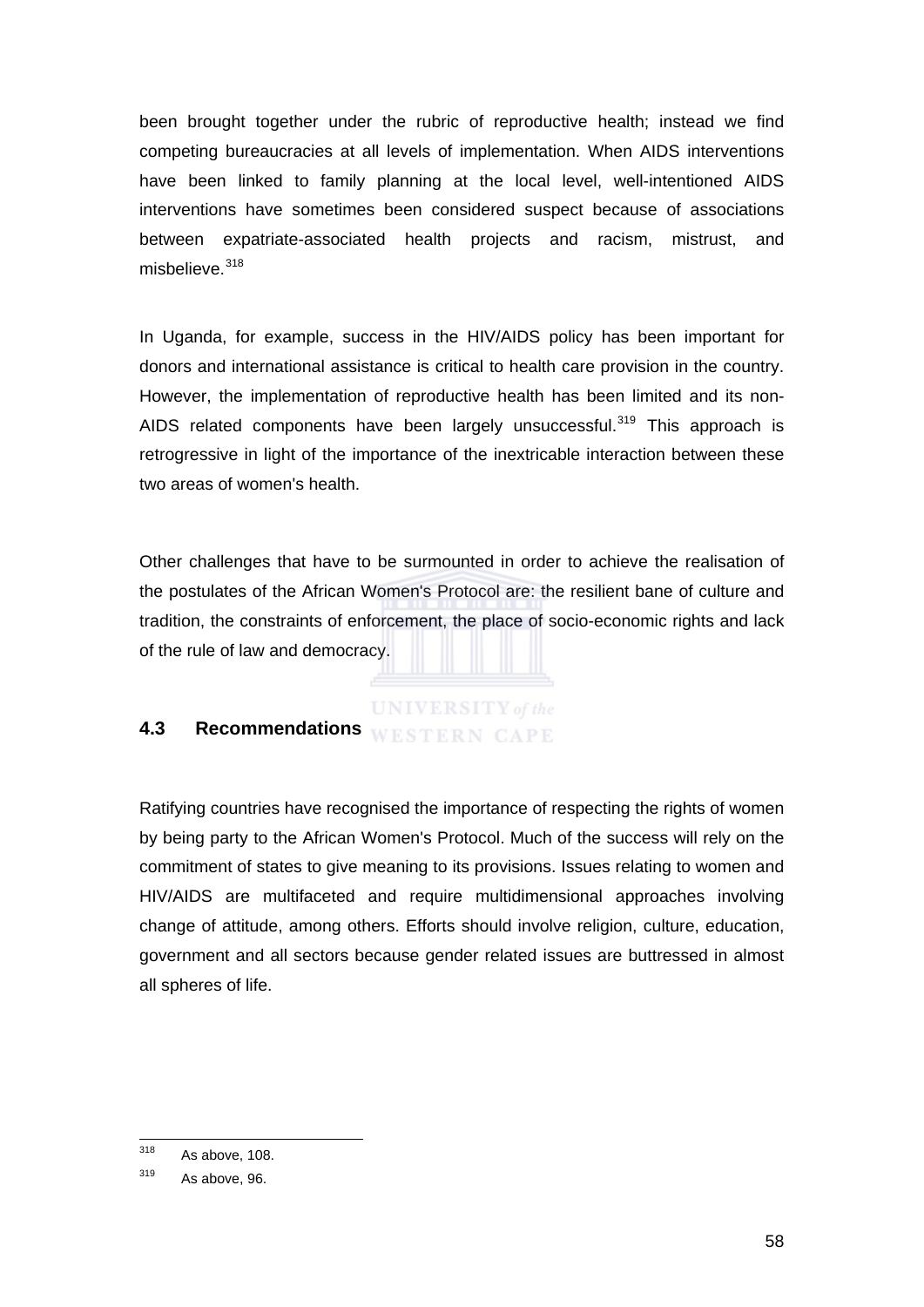been brought together under the rubric of reproductive health; instead we find competing bureaucracies at all levels of implementation. When AIDS interventions have been linked to family planning at the local level, well-intentioned AIDS interventions have sometimes been considered suspect because of associations between expatriate-associated health projects and racism, mistrust, and misbelieve.<sup>[318](#page-67-0)</sup>

In Uganda, for example, success in the HIV/AIDS policy has been important for donors and international assistance is critical to health care provision in the country. However, the implementation of reproductive health has been limited and its non-AIDS related components have been largely unsuccessful.<sup>[319](#page-67-1)</sup> This approach is retrogressive in light of the importance of the inextricable interaction between these two areas of women's health.

Other challenges that have to be surmounted in order to achieve the realisation of the postulates of the African Women's Protocol are: the resilient bane of culture and tradition, the constraints of enforcement, the place of socio-economic rights and lack of the rule of law and democracy.

# **UNIVERSITY** of the

# **4.3 Recommendations**

Ratifying countries have recognised the importance of respecting the rights of women by being party to the African Women's Protocol. Much of the success will rely on the commitment of states to give meaning to its provisions. Issues relating to women and HIV/AIDS are multifaceted and require multidimensional approaches involving change of attitude, among others. Efforts should involve religion, culture, education, government and all sectors because gender related issues are buttressed in almost all spheres of life.

<span id="page-67-0"></span><sup>318</sup> As above, 108.

<span id="page-67-1"></span> $319$  As above, 96.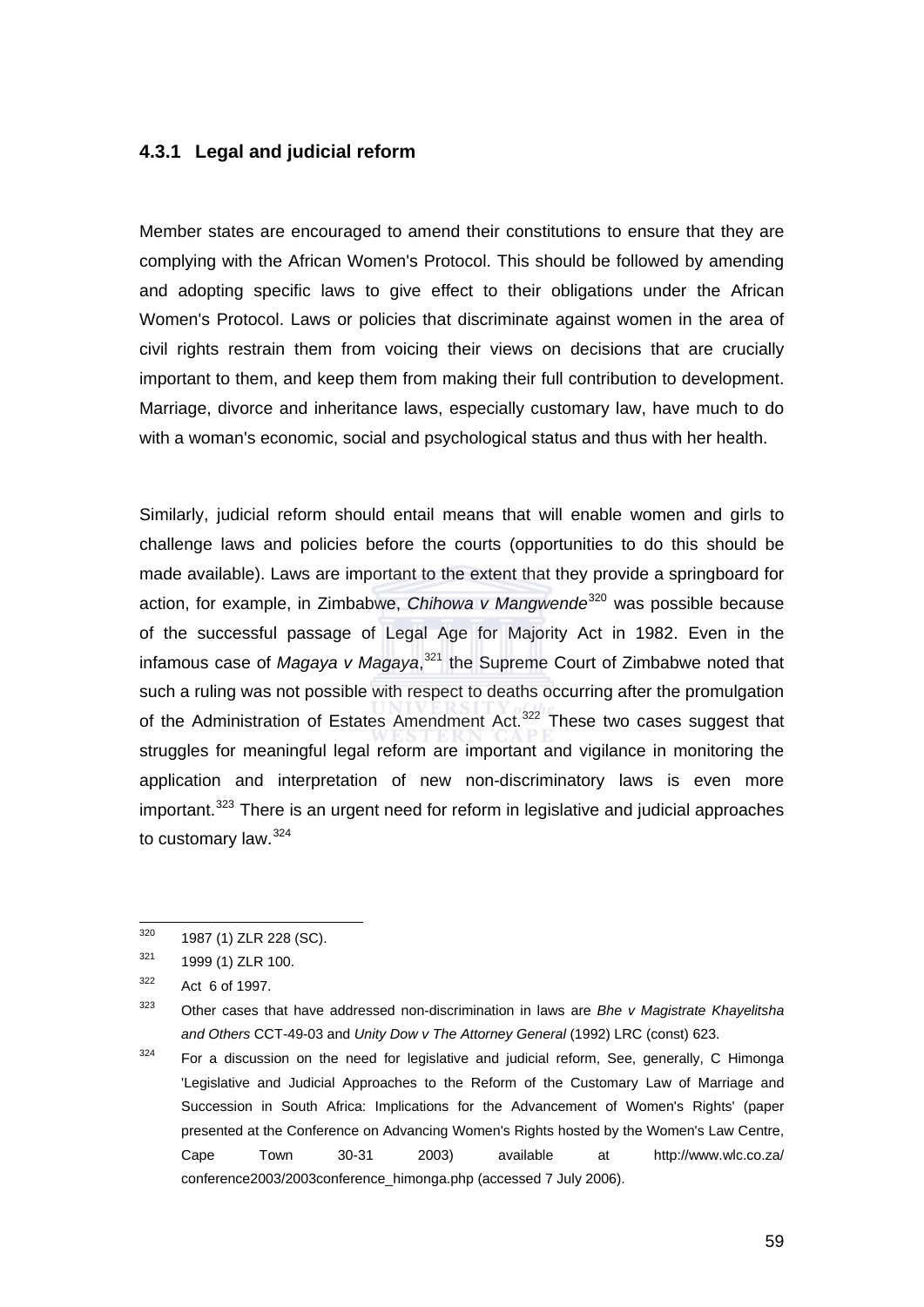#### **4.3.1 Legal and judicial reform**

Member states are encouraged to amend their constitutions to ensure that they are complying with the African Women's Protocol. This should be followed by amending and adopting specific laws to give effect to their obligations under the African Women's Protocol. Laws or policies that discriminate against women in the area of civil rights restrain them from voicing their views on decisions that are crucially important to them, and keep them from making their full contribution to development. Marriage, divorce and inheritance laws, especially customary law, have much to do with a woman's economic, social and psychological status and thus with her health.

Similarly, judicial reform should entail means that will enable women and girls to challenge laws and policies before the courts (opportunities to do this should be made available). Laws are important to the extent that they provide a springboard for action, for example, in Zimbabwe, *Chihowa v Mangwende*[320](#page-68-0) was possible because of the successful passage of Legal Age for Majority Act in 1982. Even in the infamous case of *Magaya v Magaya*, [321](#page-68-1) the Supreme Court of Zimbabwe noted that such a ruling was not possible with respect to deaths occurring after the promulgation of the Administration of Estates Amendment Act.<sup>[322](#page-68-2)</sup> These two cases suggest that struggles for meaningful legal reform are important and vigilance in monitoring the application and interpretation of new non-discriminatory laws is even more important.<sup>[323](#page-68-3)</sup> There is an urgent need for reform in legislative and judicial approaches to customary law.[324](#page-68-4)

<span id="page-68-0"></span><sup>320</sup> 320 1987 (1) ZLR 228 (SC).

<span id="page-68-1"></span> $321$  1999 (1) ZLR 100.

<span id="page-68-2"></span><sup>322</sup> Act 6 of 1997.

<span id="page-68-3"></span><sup>323</sup> Other cases that have addressed non-discrimination in laws are *Bhe v Magistrate Khayelitsha and Others* CCT-49-03 and *Unity Dow v The Attorney General* (1992) LRC (const) 623.

<span id="page-68-4"></span> $324$  For a discussion on the need for legislative and judicial reform, See, generally, C Himonga 'Legislative and Judicial Approaches to the Reform of the Customary Law of Marriage and Succession in South Africa: Implications for the Advancement of Women's Rights' (paper presented at the Conference on Advancing Women's Rights hosted by the Women's Law Centre, Cape Town 30-31 2003) available at http://www.wlc.co.za/ conference2003/2003conference\_himonga.php (accessed 7 July 2006).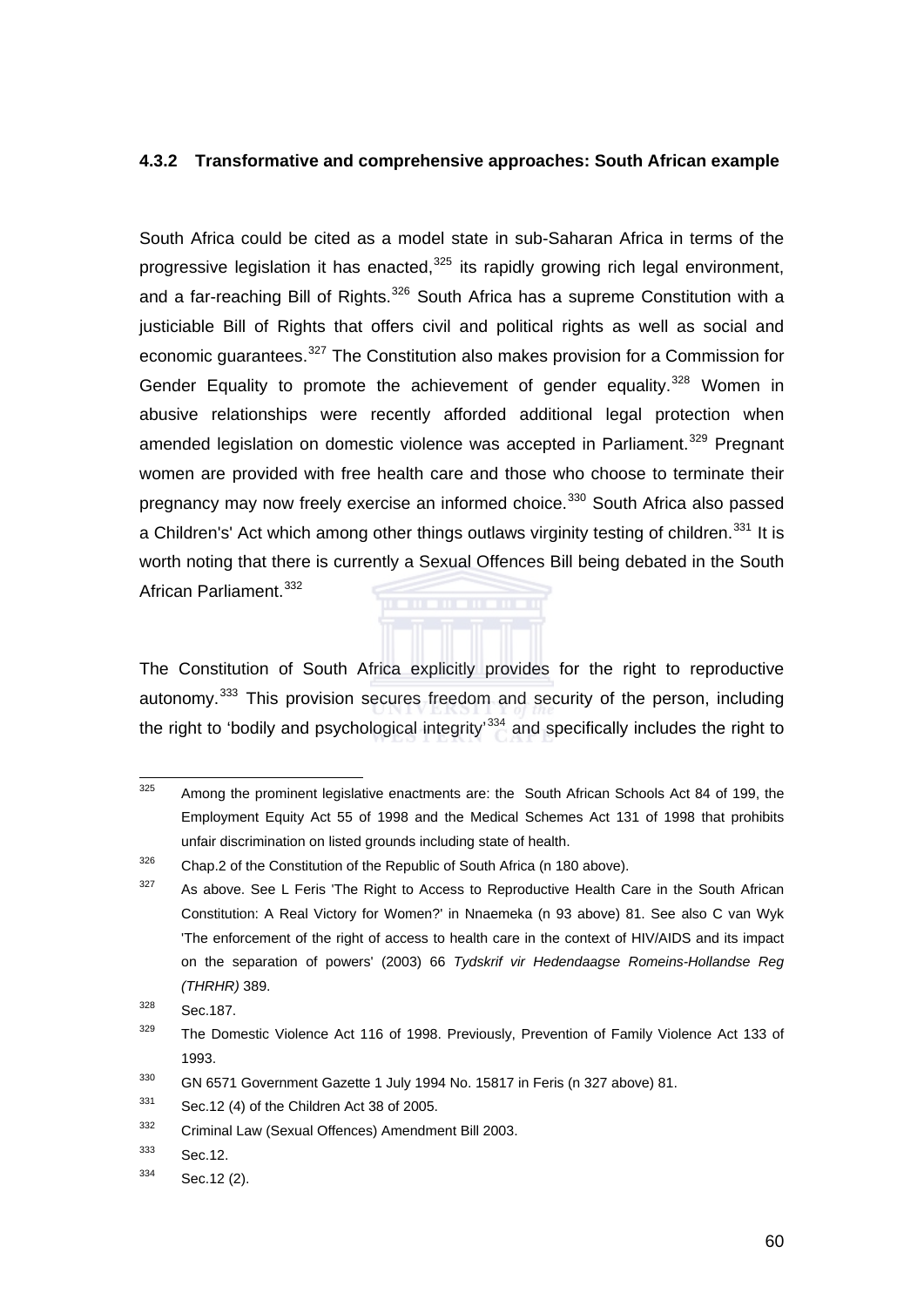#### **4.3.2 Transformative and comprehensive approaches: South African example**

South Africa could be cited as a model state in sub-Saharan Africa in terms of the progressive legislation it has enacted, $325$  its rapidly growing rich legal environment, and a far-reaching Bill of Rights.<sup>[326](#page-69-1)</sup> South Africa has a supreme Constitution with a justiciable Bill of Rights that offers civil and political rights as well as social and economic guarantees.<sup>[327](#page-69-2)</sup> The Constitution also makes provision for a Commission for Gender Equality to promote the achievement of gender equality.<sup>[328](#page-69-3)</sup> Women in abusive relationships were recently afforded additional legal protection when amended legislation on domestic violence was accepted in Parliament.<sup>[329](#page-69-4)</sup> Pregnant women are provided with free health care and those who choose to terminate their pregnancy may now freely exercise an informed choice.<sup>[330](#page-69-5)</sup> South Africa also passed a Children's' Act which among other things outlaws virginity testing of children.<sup>[331](#page-69-6)</sup> It is worth noting that there is currently a Sexual Offences Bill being debated in the South African Parliament.<sup>[332](#page-69-7)</sup>

The Constitution of South Africa explicitly provides for the right to reproductive autonomy.<sup>[333](#page-69-8)</sup> This provision secures freedom and security of the person, including the right to 'bodily and psychological integrity'<sup>[334](#page-69-9)</sup> and specifically includes the right to

<span id="page-69-0"></span><sup>325</sup> 325 Among the prominent legislative enactments are: the South African Schools Act 84 of 199, the Employment Equity Act 55 of 1998 and the Medical Schemes Act 131 of 1998 that prohibits unfair discrimination on listed grounds including state of health.

<span id="page-69-1"></span><sup>&</sup>lt;sup>326</sup> Chap.2 of the Constitution of the Republic of South Africa (n 180 above).

<span id="page-69-2"></span><sup>&</sup>lt;sup>327</sup> As above. See L Feris 'The Right to Access to Reproductive Health Care in the South African Constitution: A Real Victory for Women?' in Nnaemeka (n 93 above) 81. See also C van Wyk 'The enforcement of the right of access to health care in the context of HIV/AIDS and its impact on the separation of powers' (2003) 66 *Tydskrif vir Hedendaagse Romeins-Hollandse Reg (THRHR)* 389.

<span id="page-69-3"></span><sup>328</sup> Sec.187.

<span id="page-69-4"></span><sup>&</sup>lt;sup>329</sup> The Domestic Violence Act 116 of 1998. Previously, Prevention of Family Violence Act 133 of 1993.

<span id="page-69-5"></span><sup>&</sup>lt;sup>330</sup> GN 6571 Government Gazette 1 July 1994 No. 15817 in Feris (n 327 above) 81.

<span id="page-69-6"></span> $331$  Sec.12 (4) of the Children Act 38 of 2005.

<span id="page-69-7"></span><sup>332</sup> Criminal Law (Sexual Offences) Amendment Bill 2003.

<span id="page-69-8"></span><sup>333</sup> Sec.12.

<span id="page-69-9"></span> $334$  Sec. 12 (2).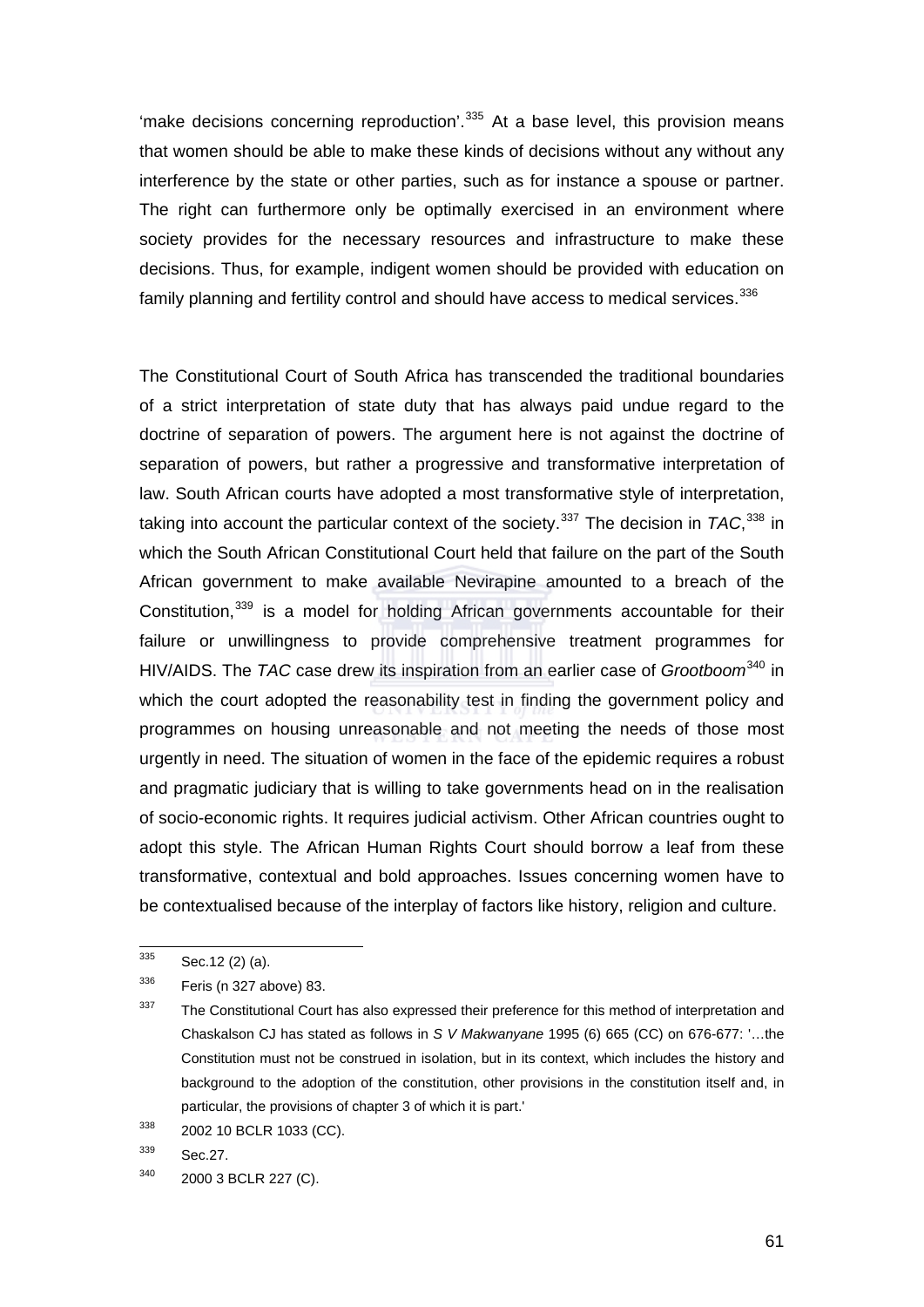'make decisions concerning reproduction'.<sup>[335](#page-70-0)</sup> At a base level, this provision means that women should be able to make these kinds of decisions without any without any interference by the state or other parties, such as for instance a spouse or partner. The right can furthermore only be optimally exercised in an environment where society provides for the necessary resources and infrastructure to make these decisions. Thus, for example, indigent women should be provided with education on family planning and fertility control and should have access to medical services.<sup>[336](#page-70-1)</sup>

The Constitutional Court of South Africa has transcended the traditional boundaries of a strict interpretation of state duty that has always paid undue regard to the doctrine of separation of powers. The argument here is not against the doctrine of separation of powers, but rather a progressive and transformative interpretation of law. South African courts have adopted a most transformative style of interpretation, taking into account the particular context of the society.<sup>[337](#page-70-2)</sup> The decision in TAC,<sup>[338](#page-70-3)</sup> in which the South African Constitutional Court held that failure on the part of the South African government to make available Nevirapine amounted to a breach of the Constitution,<sup>[339](#page-70-4)</sup> is a model for holding African governments accountable for their failure or unwillingness to provide comprehensive treatment programmes for HIV/AIDS. The *TAC* case drew its inspiration from an earlier case of *Grootboom*[340](#page-70-5) in which the court adopted the reasonability test in finding the government policy and programmes on housing unreasonable and not meeting the needs of those most urgently in need. The situation of women in the face of the epidemic requires a robust and pragmatic judiciary that is willing to take governments head on in the realisation of socio-economic rights. It requires judicial activism. Other African countries ought to adopt this style. The African Human Rights Court should borrow a leaf from these transformative, contextual and bold approaches. Issues concerning women have to be contextualised because of the interplay of factors like history, religion and culture.

<span id="page-70-0"></span><sup>335</sup> Sec.12 (2) (a).

<span id="page-70-1"></span><sup>336</sup> Feris (n 327 above) 83.

<span id="page-70-2"></span><sup>&</sup>lt;sup>337</sup> The Constitutional Court has also expressed their preference for this method of interpretation and Chaskalson CJ has stated as follows in *S V Makwanyane* 1995 (6) 665 (CC) on 676-677: '…the Constitution must not be construed in isolation, but in its context, which includes the history and background to the adoption of the constitution, other provisions in the constitution itself and, in particular, the provisions of chapter 3 of which it is part.'

<span id="page-70-3"></span><sup>338 2002 10</sup> BCLR 1033 (CC).

<span id="page-70-4"></span><sup>339</sup> Sec.27.

<span id="page-70-5"></span><sup>340 2000 3</sup> BCLR 227 (C).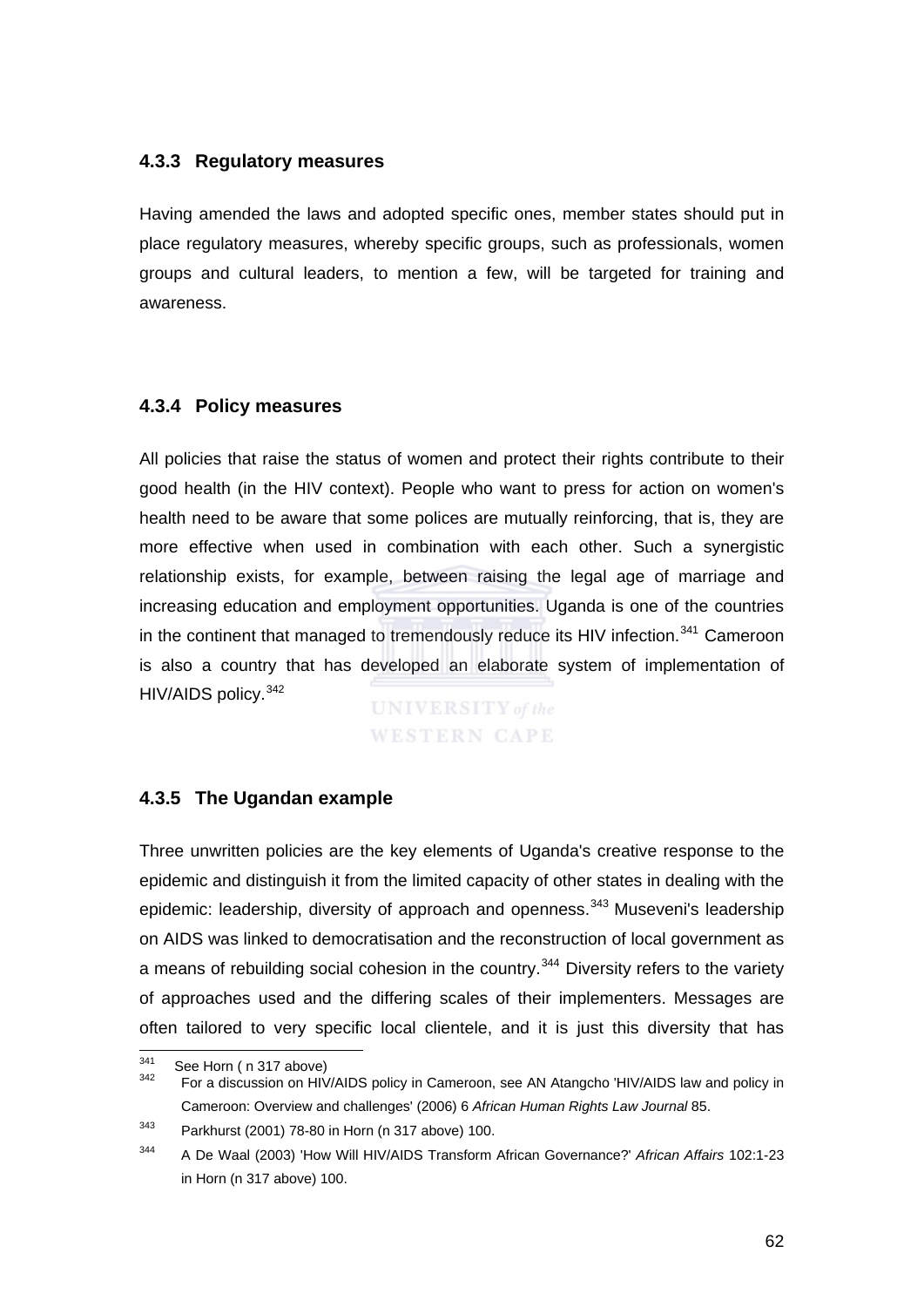#### **4.3.3 Regulatory measures**

Having amended the laws and adopted specific ones, member states should put in place regulatory measures, whereby specific groups, such as professionals, women groups and cultural leaders, to mention a few, will be targeted for training and awareness.

#### **4.3.4 Policy measures**

All policies that raise the status of women and protect their rights contribute to their good health (in the HIV context). People who want to press for action on women's health need to be aware that some polices are mutually reinforcing, that is, they are more effective when used in combination with each other. Such a synergistic relationship exists, for example, between raising the legal age of marriage and increasing education and employment opportunities. Uganda is one of the countries in the continent that managed to tremendously reduce its HIV infection.<sup>[341](#page-71-0)</sup> Cameroon is also a country that has developed an elaborate system of implementation of HIV/AIDS policy.<sup>[342](#page-71-1)</sup>

### **UNIVERSITY** of the **WESTERN CAPE**

#### **4.3.5 The Ugandan example**

Three unwritten policies are the key elements of Uganda's creative response to the epidemic and distinguish it from the limited capacity of other states in dealing with the epidemic: leadership, diversity of approach and openness.<sup>[343](#page-71-2)</sup> Museveni's leadership on AIDS was linked to democratisation and the reconstruction of local government as a means of rebuilding social cohesion in the country.<sup>[344](#page-71-3)</sup> Diversity refers to the variety of approaches used and the differing scales of their implementers. Messages are often tailored to very specific local clientele, and it is just this diversity that has

 $341$ 

<span id="page-71-1"></span><span id="page-71-0"></span> $\frac{341}{342}$  See Horn ( n 317 above)<br> $\frac{342}{342}$  For a discussion on HIV/AIDS policy in Cameroon, see AN Atangcho 'HIV/AIDS law and policy in Cameroon: Overview and challenges' (2006) 6 *African Human Rights Law Journal* 85.

<span id="page-71-2"></span><sup>343</sup> Parkhurst (2001) 78-80 in Horn (n 317 above) 100.

<span id="page-71-3"></span><sup>344</sup> A De Waal (2003) 'How Will HIV/AIDS Transform African Governance?' *African Affairs* 102:1-23 in Horn (n 317 above) 100.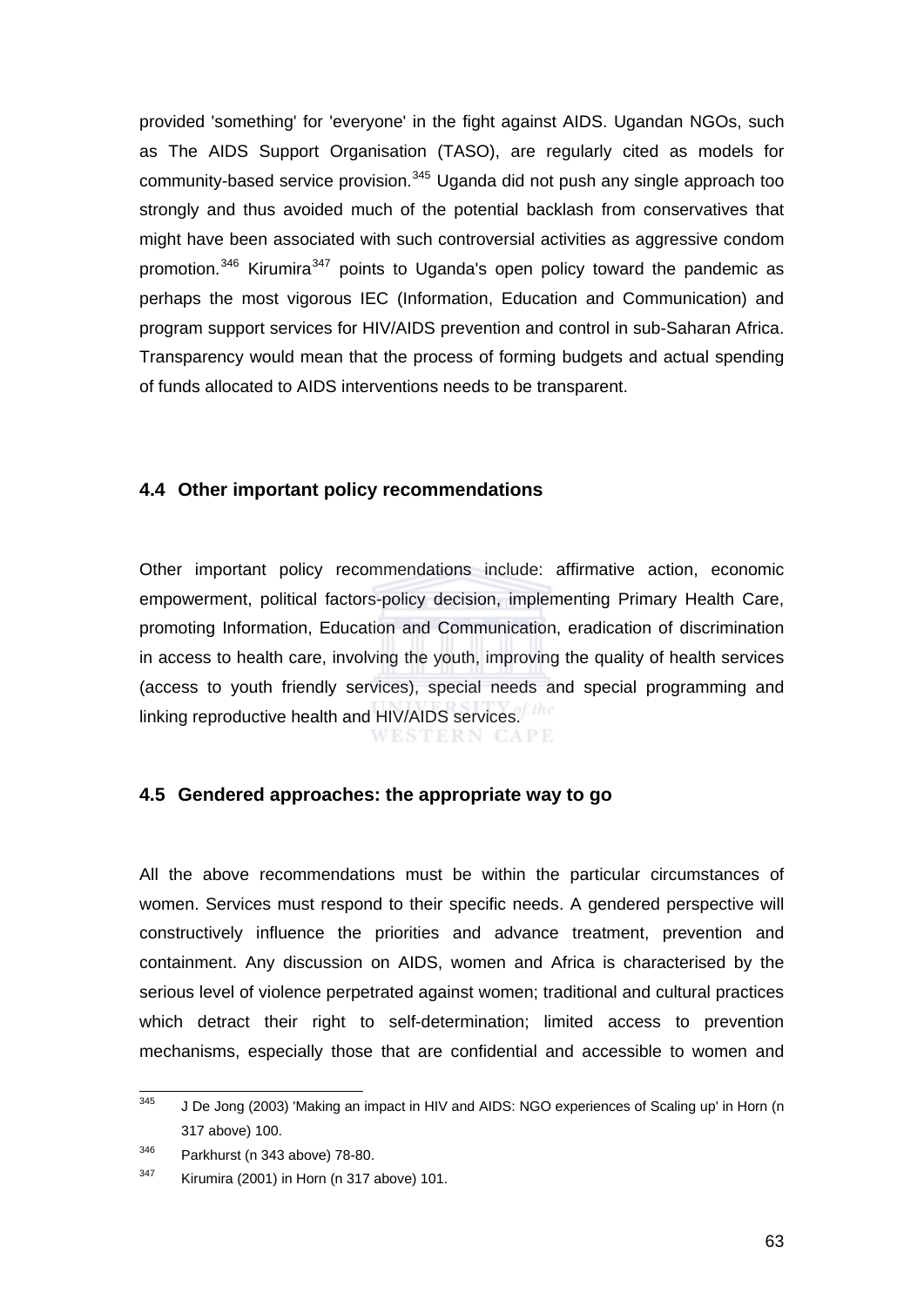provided 'something' for 'everyone' in the fight against AIDS. Ugandan NGOs, such as The AIDS Support Organisation (TASO), are regularly cited as models for community-based service provision. $345$  Uganda did not push any single approach too strongly and thus avoided much of the potential backlash from conservatives that might have been associated with such controversial activities as aggressive condom promotion.<sup>[346](#page-72-1)</sup> Kirumira<sup>[347](#page-72-2)</sup> points to Uganda's open policy toward the pandemic as perhaps the most vigorous IEC (Information, Education and Communication) and program support services for HIV/AIDS prevention and control in sub-Saharan Africa. Transparency would mean that the process of forming budgets and actual spending of funds allocated to AIDS interventions needs to be transparent.

### **4.4 Other important policy recommendations**

Other important policy recommendations include: affirmative action, economic empowerment, political factors-policy decision, implementing Primary Health Care, promoting Information, Education and Communication, eradication of discrimination in access to health care, involving the youth, improving the quality of health services (access to youth friendly services), special needs and special programming and linking reproductive health and HIV/AIDS services.

### **4.5 Gendered approaches: the appropriate way to go**

All the above recommendations must be within the particular circumstances of women. Services must respond to their specific needs. A gendered perspective will constructively influence the priorities and advance treatment, prevention and containment. Any discussion on AIDS, women and Africa is characterised by the serious level of violence perpetrated against women; traditional and cultural practices which detract their right to self-determination; limited access to prevention mechanisms, especially those that are confidential and accessible to women and

<span id="page-72-0"></span><sup>345</sup> J De Jong (2003) 'Making an impact in HIV and AIDS: NGO experiences of Scaling up' in Horn (n 317 above) 100.

<span id="page-72-1"></span><sup>346</sup> Parkhurst (n 343 above) 78-80.

<span id="page-72-2"></span> $347$  Kirumira (2001) in Horn (n 317 above) 101.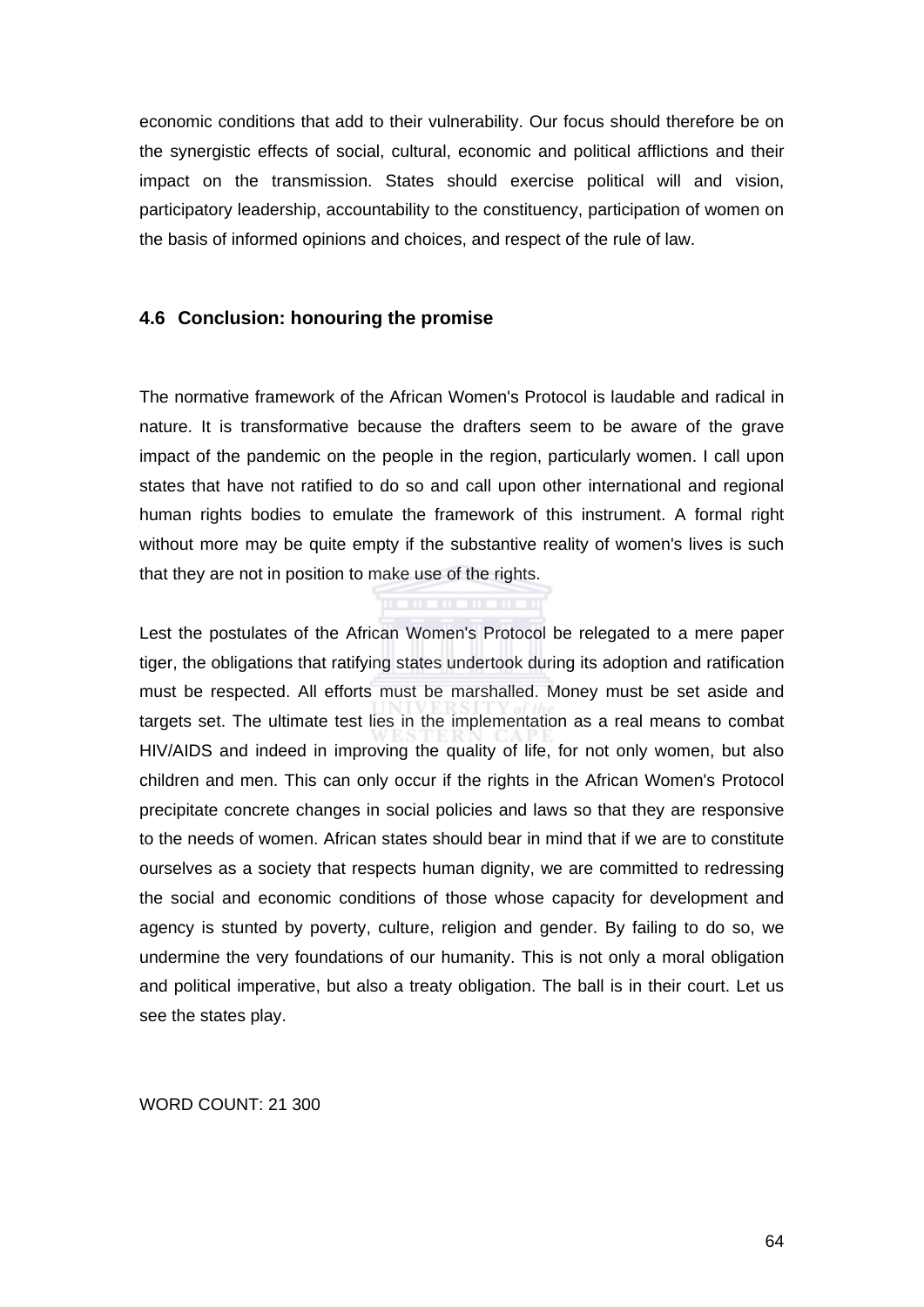economic conditions that add to their vulnerability. Our focus should therefore be on the synergistic effects of social, cultural, economic and political afflictions and their impact on the transmission. States should exercise political will and vision, participatory leadership, accountability to the constituency, participation of women on the basis of informed opinions and choices, and respect of the rule of law.

### **4.6 Conclusion: honouring the promise**

The normative framework of the African Women's Protocol is laudable and radical in nature. It is transformative because the drafters seem to be aware of the grave impact of the pandemic on the people in the region, particularly women. I call upon states that have not ratified to do so and call upon other international and regional human rights bodies to emulate the framework of this instrument. A formal right without more may be quite empty if the substantive reality of women's lives is such that they are not in position to make use of the rights.

Lest the postulates of the African Women's Protocol be relegated to a mere paper tiger, the obligations that ratifying states undertook during its adoption and ratification must be respected. All efforts must be marshalled. Money must be set aside and targets set. The ultimate test lies in the implementation as a real means to combat HIV/AIDS and indeed in improving the quality of life, for not only women, but also children and men. This can only occur if the rights in the African Women's Protocol precipitate concrete changes in social policies and laws so that they are responsive to the needs of women. African states should bear in mind that if we are to constitute ourselves as a society that respects human dignity, we are committed to redressing the social and economic conditions of those whose capacity for development and agency is stunted by poverty, culture, religion and gender. By failing to do so, we undermine the very foundations of our humanity. This is not only a moral obligation and political imperative, but also a treaty obligation. The ball is in their court. Let us see the states play.

WORD COUNT: 21 300

64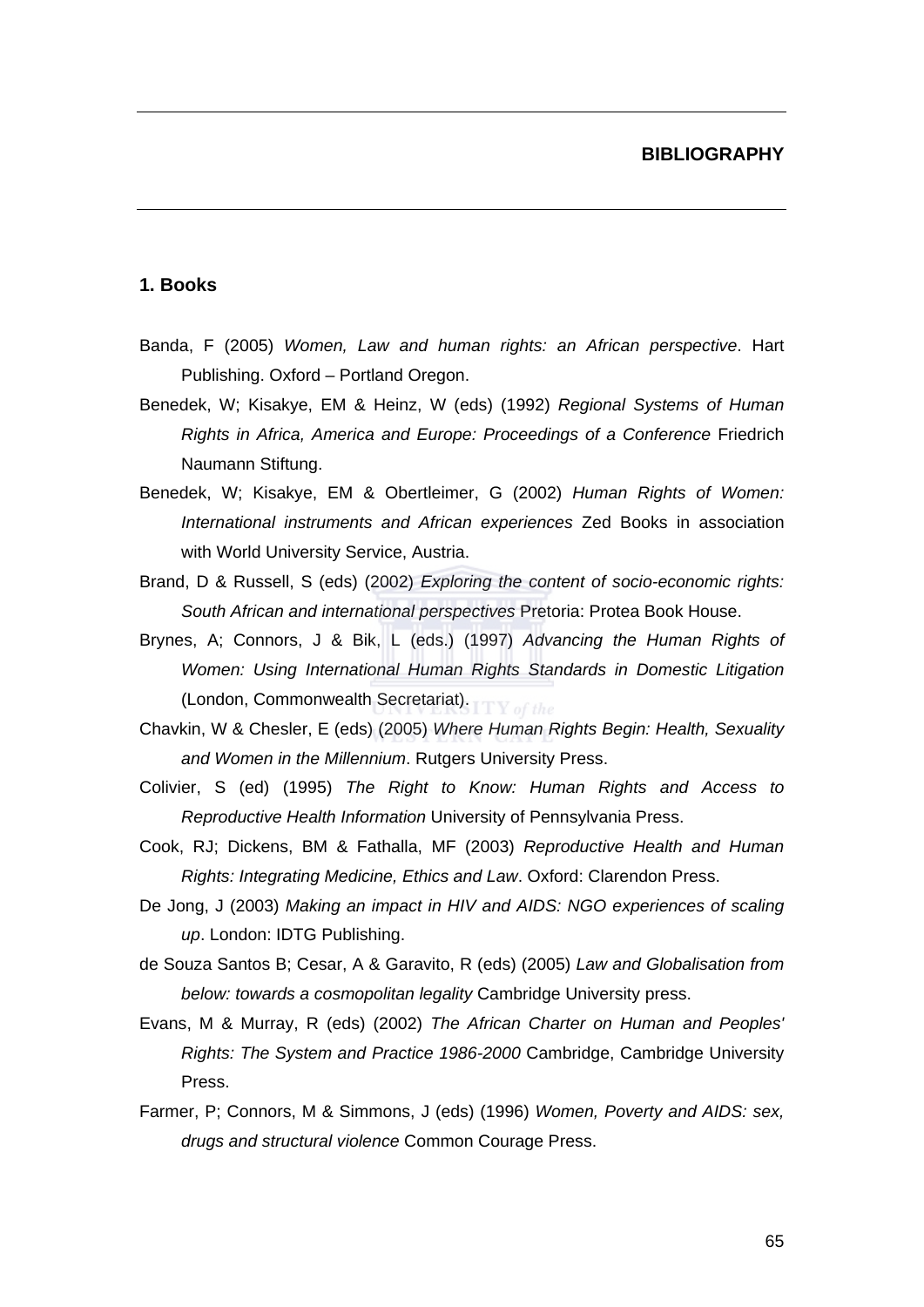### **1. Books**

- Banda, F (2005) *Women, Law and human rights: an African perspective*. Hart Publishing. Oxford – Portland Oregon.
- Benedek, W; Kisakye, EM & Heinz, W (eds) (1992) *Regional Systems of Human Rights in Africa, America and Europe: Proceedings of a Conference* Friedrich Naumann Stiftung.
- Benedek, W; Kisakye, EM & Obertleimer, G (2002) *Human Rights of Women: International instruments and African experiences* Zed Books in association with World University Service, Austria.
- Brand, D & Russell, S (eds) (2002) *Exploring the content of socio-economic rights: South African and international perspectives* Pretoria: Protea Book House.
- Brynes, A; Connors, J & Bik, L (eds.) (1997) *Advancing the Human Rights of Women: Using International Human Rights Standards in Domestic Litigation* (London, Commonwealth Secretariat).
- Chavkin, W & Chesler, E (eds) (2005) *Where Human Rights Begin: Health, Sexuality and Women in the Millennium*. Rutgers University Press.
- Colivier, S (ed) (1995) *The Right to Know: Human Rights and Access to Reproductive Health Information* University of Pennsylvania Press.
- Cook, RJ; Dickens, BM & Fathalla, MF (2003) *Reproductive Health and Human Rights: Integrating Medicine, Ethics and Law*. Oxford: Clarendon Press.
- De Jong, J (2003) *Making an impact in HIV and AIDS: NGO experiences of scaling up*. London: IDTG Publishing.
- de Souza Santos B; Cesar, A & Garavito, R (eds) (2005) *Law and Globalisation from below: towards a cosmopolitan legality* Cambridge University press.
- Evans, M & Murray, R (eds) (2002) *The African Charter on Human and Peoples' Rights: The System and Practice 1986-2000* Cambridge, Cambridge University Press.
- Farmer, P; Connors, M & Simmons, J (eds) (1996) *Women, Poverty and AIDS: sex, drugs and structural violence* Common Courage Press.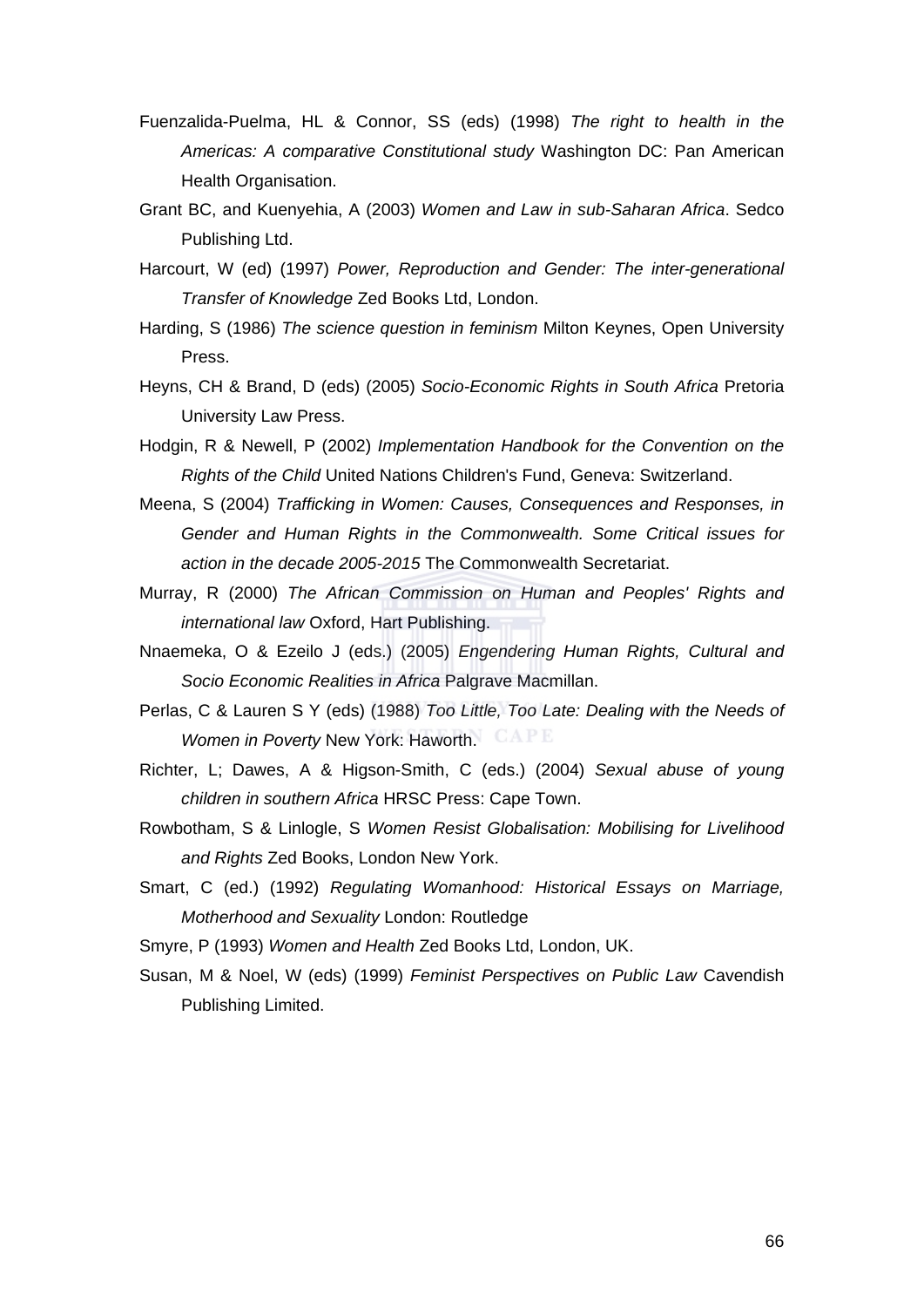- Fuenzalida-Puelma, HL & Connor, SS (eds) (1998) *The right to health in the Americas: A comparative Constitutional study* Washington DC: Pan American Health Organisation.
- Grant BC, and Kuenyehia, A (2003) *Women and Law in sub-Saharan Africa*. Sedco Publishing Ltd.
- Harcourt, W (ed) (1997) *Power, Reproduction and Gender: The inter-generational Transfer of Knowledge* Zed Books Ltd, London.
- Harding, S (1986) *The science question in feminism* Milton Keynes, Open University Press.
- Heyns, CH & Brand, D (eds) (2005) *Socio-Economic Rights in South Africa* Pretoria University Law Press.
- Hodgin, R & Newell, P (2002) *Implementation Handbook for the Convention on the Rights of the Child* United Nations Children's Fund, Geneva: Switzerland.
- Meena, S (2004) *Trafficking in Women: Causes, Consequences and Responses, in Gender and Human Rights in the Commonwealth. Some Critical issues for action in the decade 2005-2015* The Commonwealth Secretariat.
- Murray, R (2000) *The African Commission on Human and Peoples' Rights and international law* Oxford, Hart Publishing.
- Nnaemeka, O & Ezeilo J (eds.) (2005) *Engendering Human Rights, Cultural and Socio Economic Realities in Africa* Palgrave Macmillan.
- Perlas, C & Lauren S Y (eds) (1988) *Too Little, Too Late: Dealing with the Needs of Women in Poverty* New York: Haworth.
- Richter, L; Dawes, A & Higson-Smith, C (eds.) (2004) *Sexual abuse of young children in southern Africa* HRSC Press: Cape Town.
- Rowbotham, S & Linlogle, S *Women Resist Globalisation: Mobilising for Livelihood and Rights* Zed Books, London New York.
- Smart, C (ed.) (1992) *Regulating Womanhood: Historical Essays on Marriage, Motherhood and Sexuality* London: Routledge
- Smyre, P (1993) *Women and Health* Zed Books Ltd, London, UK.
- Susan, M & Noel, W (eds) (1999) *Feminist Perspectives on Public Law* Cavendish Publishing Limited.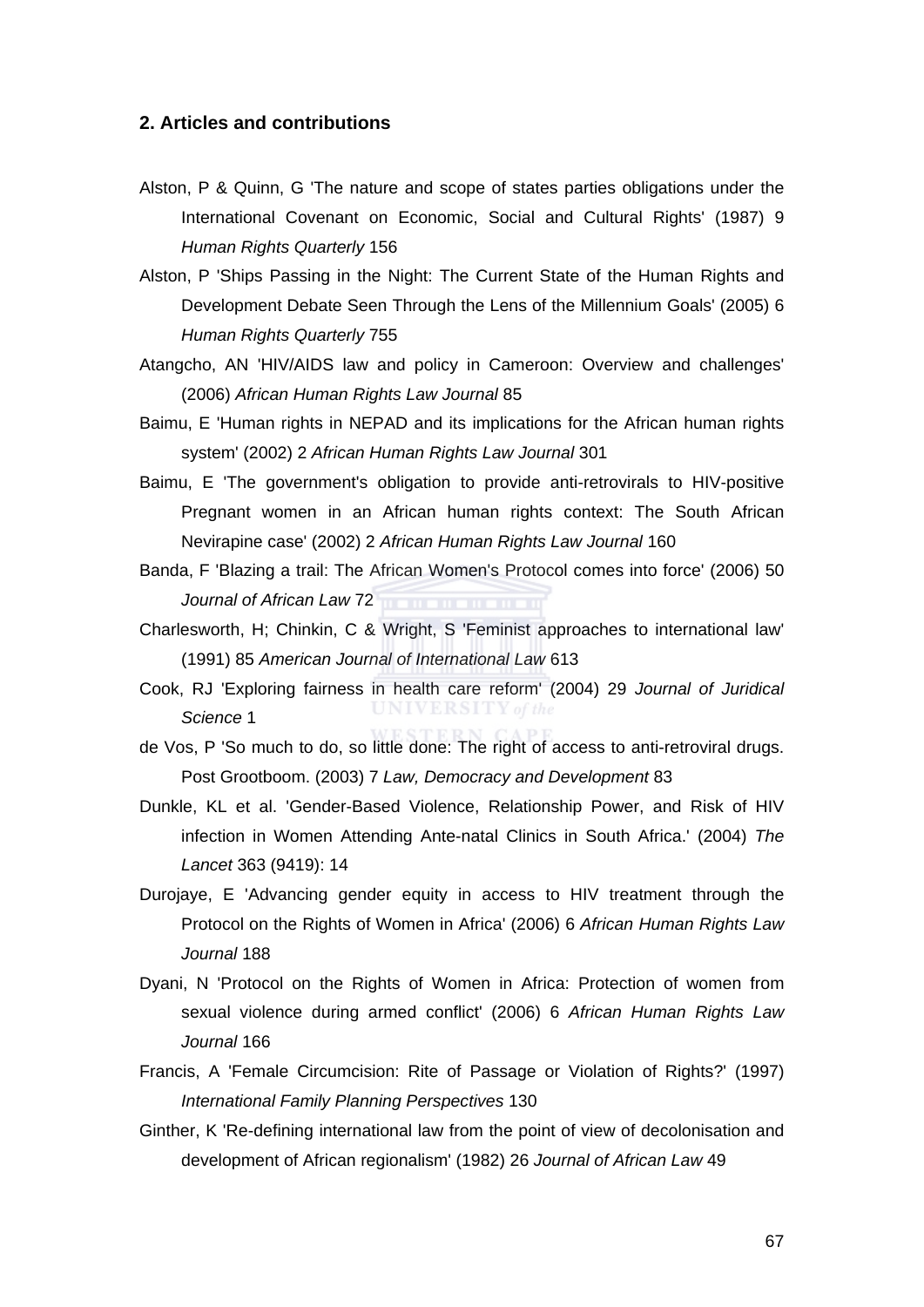### **2. Articles and contributions**

- Alston, P & Quinn, G 'The nature and scope of states parties obligations under the International Covenant on Economic, Social and Cultural Rights' (1987) 9 *Human Rights Quarterly* 156
- Alston, P 'Ships Passing in the Night: The Current State of the Human Rights and Development Debate Seen Through the Lens of the Millennium Goals' (2005) 6 *Human Rights Quarterly* 755
- Atangcho, AN 'HIV/AIDS law and policy in Cameroon: Overview and challenges' (2006) *African Human Rights Law Journal* 85
- Baimu, E 'Human rights in NEPAD and its implications for the African human rights system' (2002) 2 *African Human Rights Law Journal* 301
- Baimu, E 'The government's obligation to provide anti-retrovirals to HIV-positive Pregnant women in an African human rights context: The South African Nevirapine case' (2002) 2 *African Human Rights Law Journal* 160
- Banda, F 'Blazing a trail: The African Women's Protocol comes into force' (2006) 50 *Journal of African Law* 72
- Charlesworth, H; Chinkin, C & Wright, S 'Feminist approaches to international law' (1991) 85 *American Journal of International Law* 613
- Cook, RJ 'Exploring fairness in health care reform' (2004) 29 *Journal of Juridical Science* 1
- de Vos, P 'So much to do, so little done: The right of access to anti-retroviral drugs. Post Grootboom. (2003) 7 *Law, Democracy and Development* 83
- Dunkle, KL et al. 'Gender-Based Violence, Relationship Power, and Risk of HIV infection in Women Attending Ante-natal Clinics in South Africa.' (2004) *The Lancet* 363 (9419): 14
- Durojaye, E 'Advancing gender equity in access to HIV treatment through the Protocol on the Rights of Women in Africa' (2006) 6 *African Human Rights Law Journal* 188
- Dyani, N 'Protocol on the Rights of Women in Africa: Protection of women from sexual violence during armed conflict' (2006) 6 *African Human Rights Law Journal* 166
- Francis, A 'Female Circumcision: Rite of Passage or Violation of Rights?' (1997) *International Family Planning Perspectives* 130
- Ginther, K 'Re-defining international law from the point of view of decolonisation and development of African regionalism' (1982) 26 *Journal of African Law* 49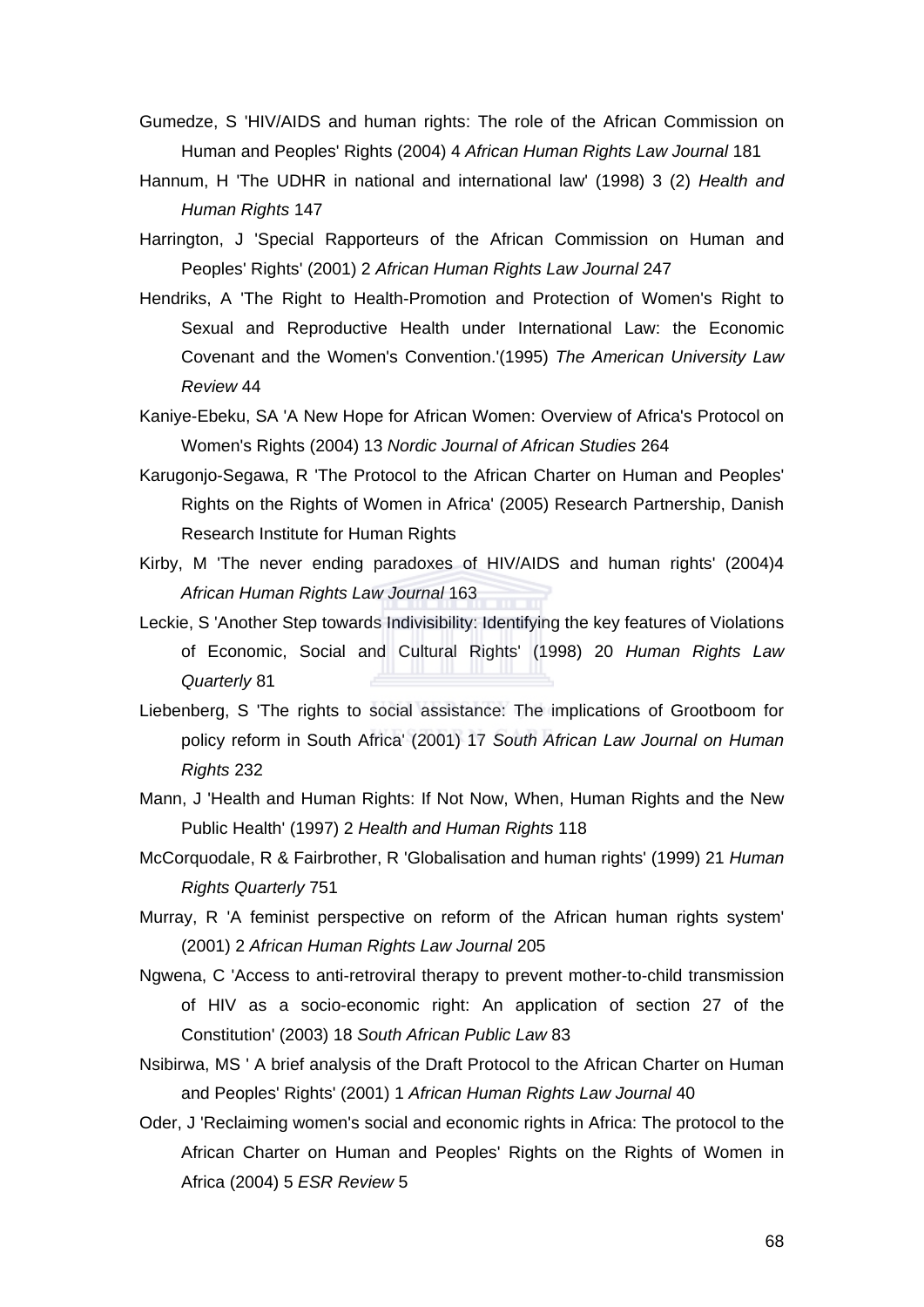- Gumedze, S 'HIV/AIDS and human rights: The role of the African Commission on Human and Peoples' Rights (2004) 4 *African Human Rights Law Journal* 181
- Hannum, H 'The UDHR in national and international law' (1998) 3 (2) *Health and Human Rights* 147
- Harrington, J 'Special Rapporteurs of the African Commission on Human and Peoples' Rights' (2001) 2 *African Human Rights Law Journal* 247
- Hendriks, A 'The Right to Health-Promotion and Protection of Women's Right to Sexual and Reproductive Health under International Law: the Economic Covenant and the Women's Convention.'(1995) *The American University Law Review* 44
- Kaniye-Ebeku, SA 'A New Hope for African Women: Overview of Africa's Protocol on Women's Rights (2004) 13 *Nordic Journal of African Studies* 264
- Karugonjo-Segawa, R 'The Protocol to the African Charter on Human and Peoples' Rights on the Rights of Women in Africa' (2005) Research Partnership, Danish Research Institute for Human Rights
- Kirby, M 'The never ending paradoxes of HIV/AIDS and human rights' (2004)4 *African Human Rights Law Journal* 163
- Leckie, S 'Another Step towards Indivisibility: Identifying the key features of Violations of Economic, Social and Cultural Rights' (1998) 20 *Human Rights Law Quarterly* 81
- Liebenberg, S 'The rights to social assistance: The implications of Grootboom for policy reform in South Africa' (2001) 17 *South African Law Journal on Human Rights* 232
- Mann, J 'Health and Human Rights: If Not Now, When, Human Rights and the New Public Health' (1997) 2 *Health and Human Rights* 118
- McCorquodale, R & Fairbrother, R 'Globalisation and human rights' (1999) 21 *Human Rights Quarterly* 751
- Murray, R 'A feminist perspective on reform of the African human rights system' (2001) 2 *African Human Rights Law Journal* 205
- Ngwena, C 'Access to anti-retroviral therapy to prevent mother-to-child transmission of HIV as a socio-economic right: An application of section 27 of the Constitution' (2003) 18 *South African Public Law* 83
- Nsibirwa, MS ' A brief analysis of the Draft Protocol to the African Charter on Human and Peoples' Rights' (2001) 1 *African Human Rights Law Journal* 40
- Oder, J 'Reclaiming women's social and economic rights in Africa: The protocol to the African Charter on Human and Peoples' Rights on the Rights of Women in Africa (2004) 5 *ESR Review* 5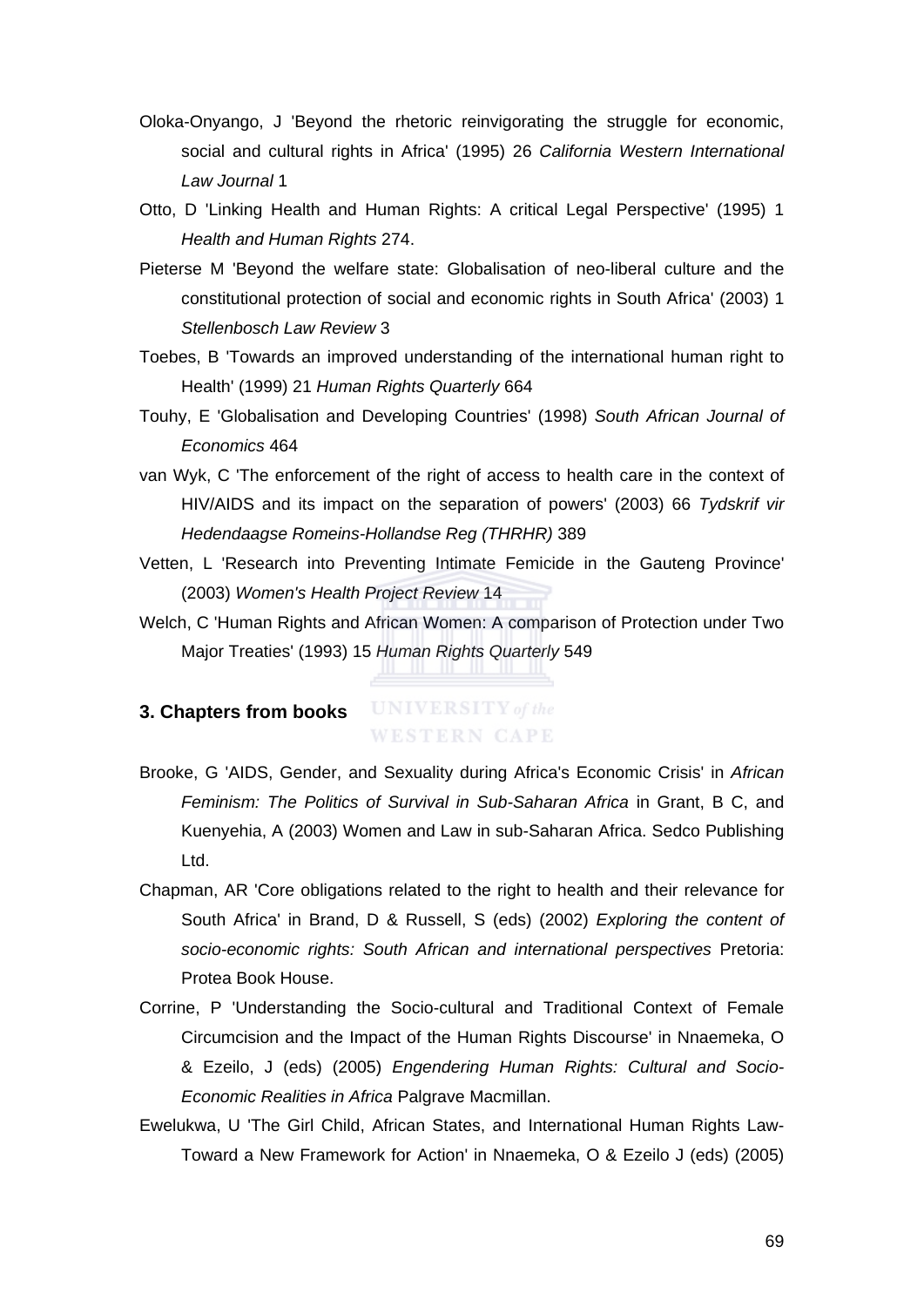- Oloka-Onyango, J 'Beyond the rhetoric reinvigorating the struggle for economic, social and cultural rights in Africa' (1995) 26 *California Western International Law Journal* 1
- Otto, D 'Linking Health and Human Rights: A critical Legal Perspective' (1995) 1 *Health and Human Rights* 274.
- Pieterse M 'Beyond the welfare state: Globalisation of neo-liberal culture and the constitutional protection of social and economic rights in South Africa' (2003) 1 *Stellenbosch Law Review* 3
- Toebes, B 'Towards an improved understanding of the international human right to Health' (1999) 21 *Human Rights Quarterly* 664
- Touhy, E 'Globalisation and Developing Countries' (1998) *South African Journal of Economics* 464
- van Wyk, C 'The enforcement of the right of access to health care in the context of HIV/AIDS and its impact on the separation of powers' (2003) 66 *Tydskrif vir Hedendaagse Romeins-Hollandse Reg (THRHR)* 389
- Vetten, L 'Research into Preventing Intimate Femicide in the Gauteng Province' (2003) *Women's Health Project Review* 14
- Welch, C 'Human Rights and African Women: A comparison of Protection under Two Major Treaties' (1993) 15 *Human Rights Quarterly* 549

#### **UNIVERSITY** of the **3. Chapters from books WESTERN CAPE**

- Brooke, G 'AIDS, Gender, and Sexuality during Africa's Economic Crisis' in *African Feminism: The Politics of Survival in Sub-Saharan Africa* in Grant, B C, and Kuenyehia, A (2003) Women and Law in sub-Saharan Africa. Sedco Publishing Ltd.
- Chapman, AR 'Core obligations related to the right to health and their relevance for South Africa' in Brand, D & Russell, S (eds) (2002) *Exploring the content of socio-economic rights: South African and international perspectives* Pretoria: Protea Book House.
- Corrine, P 'Understanding the Socio-cultural and Traditional Context of Female Circumcision and the Impact of the Human Rights Discourse' in Nnaemeka, O & Ezeilo, J (eds) (2005) *Engendering Human Rights: Cultural and Socio-Economic Realities in Africa* Palgrave Macmillan.
- Ewelukwa, U 'The Girl Child, African States, and International Human Rights Law-Toward a New Framework for Action' in Nnaemeka, O & Ezeilo J (eds) (2005)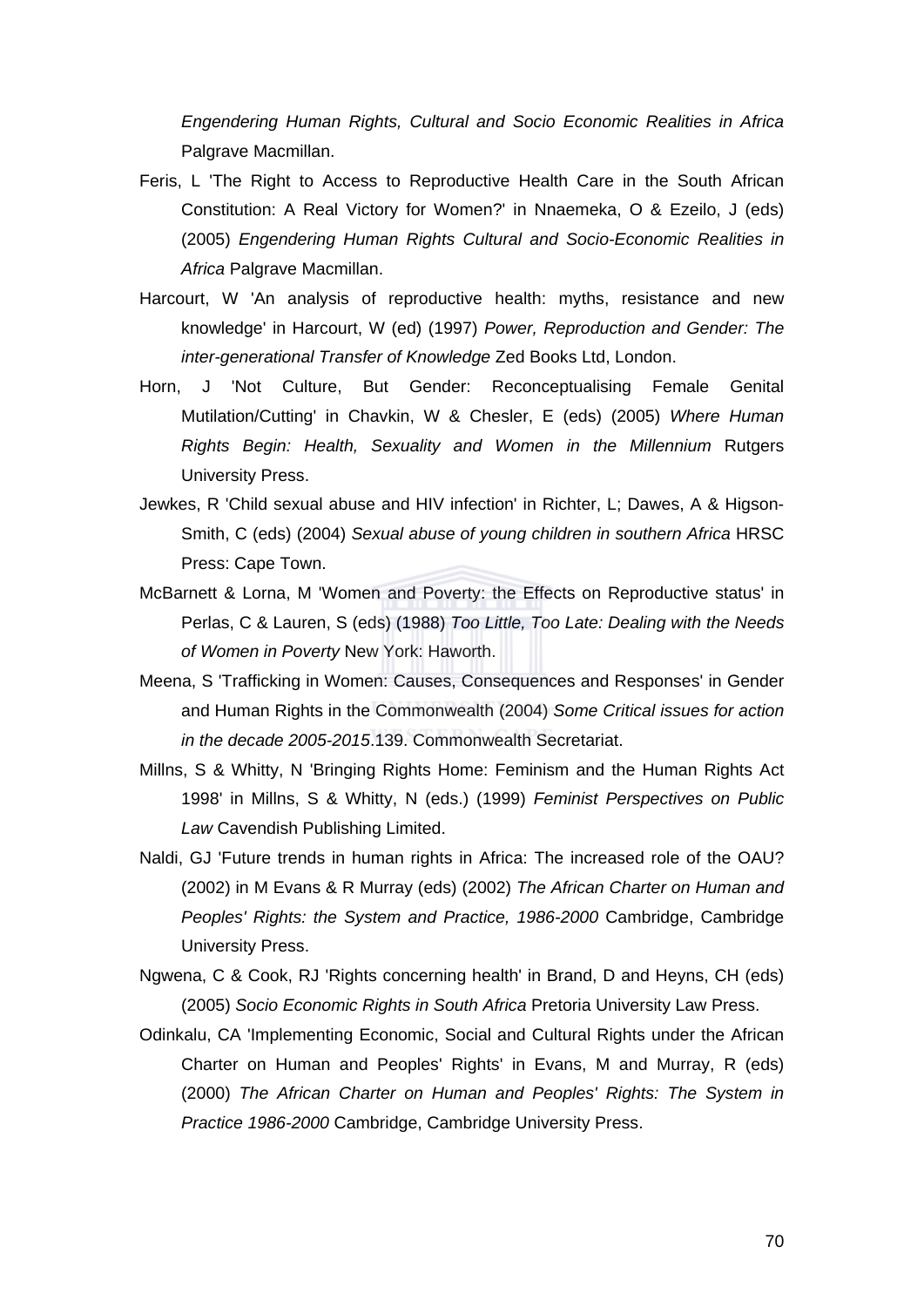*Engendering Human Rights, Cultural and Socio Economic Realities in Africa* Palgrave Macmillan.

- Feris, L 'The Right to Access to Reproductive Health Care in the South African Constitution: A Real Victory for Women?' in Nnaemeka, O & Ezeilo, J (eds) (2005) *Engendering Human Rights Cultural and Socio-Economic Realities in Africa* Palgrave Macmillan.
- Harcourt, W 'An analysis of reproductive health: myths, resistance and new knowledge' in Harcourt, W (ed) (1997) *Power, Reproduction and Gender: The inter-generational Transfer of Knowledge* Zed Books Ltd, London.
- Horn, J 'Not Culture, But Gender: Reconceptualising Female Genital Mutilation/Cutting' in Chavkin, W & Chesler, E (eds) (2005) *Where Human Rights Begin: Health, Sexuality and Women in the Millennium* Rutgers University Press.
- Jewkes, R 'Child sexual abuse and HIV infection' in Richter, L; Dawes, A & Higson-Smith, C (eds) (2004) *Sexual abuse of young children in southern Africa* HRSC Press: Cape Town.
- McBarnett & Lorna, M 'Women and Poverty: the Effects on Reproductive status' in Perlas, C & Lauren, S (eds) (1988) *Too Little, Too Late: Dealing with the Needs of Women in Poverty* New York: Haworth.
- Meena, S 'Trafficking in Women: Causes, Consequences and Responses' in Gender and Human Rights in the Commonwealth (2004) *Some Critical issues for action in the decade 2005-2015*.139. Commonwealth Secretariat.
- Millns, S & Whitty, N 'Bringing Rights Home: Feminism and the Human Rights Act 1998' in Millns, S & Whitty, N (eds.) (1999) *Feminist Perspectives on Public Law* Cavendish Publishing Limited.
- Naldi, GJ 'Future trends in human rights in Africa: The increased role of the OAU? (2002) in M Evans & R Murray (eds) (2002) *The African Charter on Human and Peoples' Rights: the System and Practice, 1986-2000* Cambridge, Cambridge University Press.
- Ngwena, C & Cook, RJ 'Rights concerning health' in Brand, D and Heyns, CH (eds) (2005) *Socio Economic Rights in South Africa* Pretoria University Law Press.
- Odinkalu, CA 'Implementing Economic, Social and Cultural Rights under the African Charter on Human and Peoples' Rights' in Evans, M and Murray, R (eds) (2000) *The African Charter on Human and Peoples' Rights: The System in Practice 1986-2000* Cambridge, Cambridge University Press.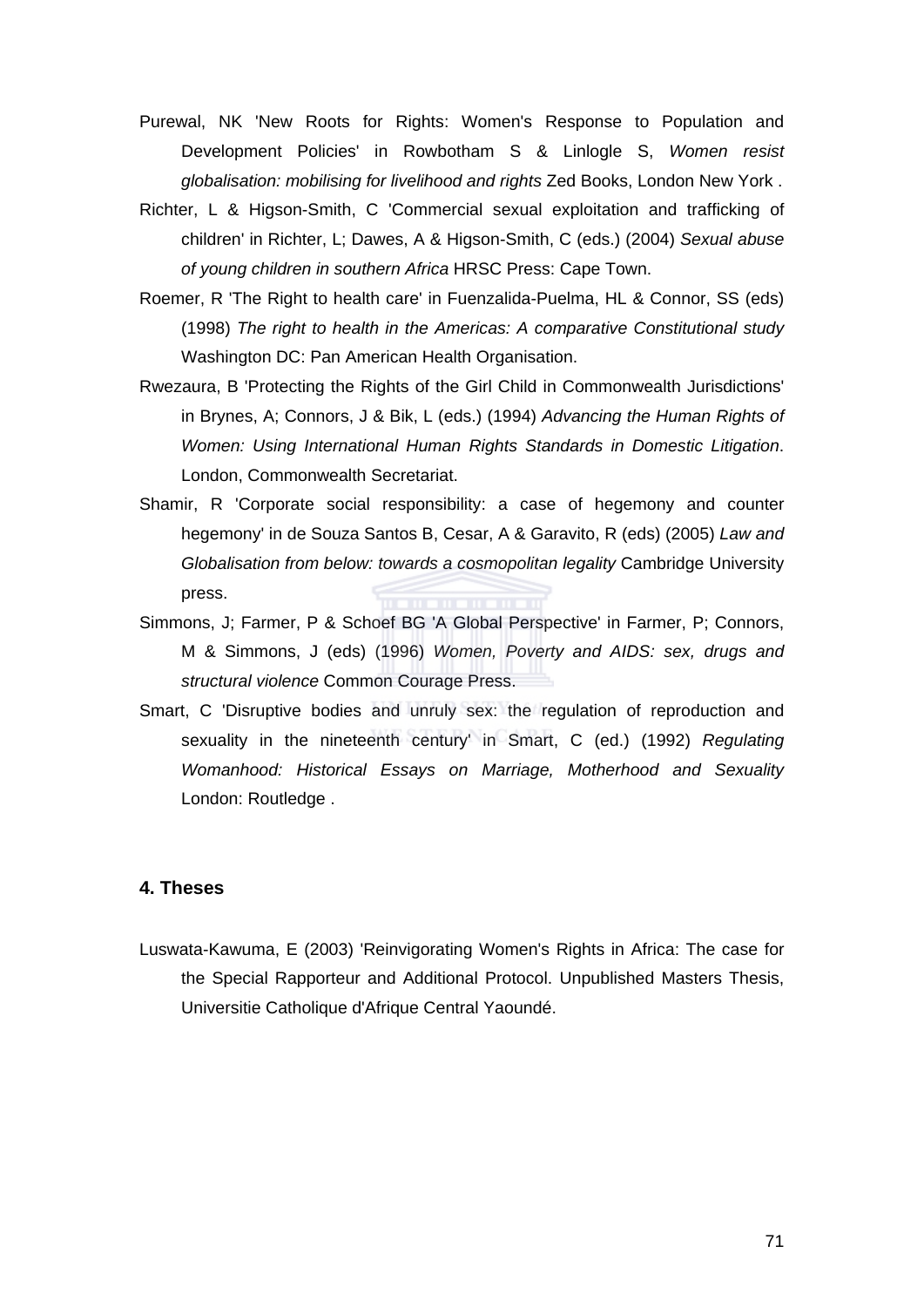- Purewal, NK 'New Roots for Rights: Women's Response to Population and Development Policies' in Rowbotham S & Linlogle S, *Women resist globalisation: mobilising for livelihood and rights* Zed Books, London New York .
- Richter, L & Higson-Smith, C 'Commercial sexual exploitation and trafficking of children' in Richter, L; Dawes, A & Higson-Smith, C (eds.) (2004) *Sexual abuse of young children in southern Africa* HRSC Press: Cape Town.
- Roemer, R 'The Right to health care' in Fuenzalida-Puelma, HL & Connor, SS (eds) (1998) *The right to health in the Americas: A comparative Constitutional study* Washington DC: Pan American Health Organisation.
- Rwezaura, B 'Protecting the Rights of the Girl Child in Commonwealth Jurisdictions' in Brynes, A; Connors, J & Bik, L (eds.) (1994) *Advancing the Human Rights of Women: Using International Human Rights Standards in Domestic Litigation*. London, Commonwealth Secretariat.
- Shamir, R 'Corporate social responsibility: a case of hegemony and counter hegemony' in de Souza Santos B, Cesar, A & Garavito, R (eds) (2005) *Law and Globalisation from below: towards a cosmopolitan legality* Cambridge University press.
- Simmons, J; Farmer, P & Schoef BG 'A Global Perspective' in Farmer, P; Connors, M & Simmons, J (eds) (1996) *Women, Poverty and AIDS: sex, drugs and structural violence* Common Courage Press.
- Smart, C 'Disruptive bodies and unruly sex: the regulation of reproduction and sexuality in the nineteenth century' in Smart, C (ed.) (1992) *Regulating Womanhood: Historical Essays on Marriage, Motherhood and Sexuality* London: Routledge .

### **4. Theses**

Luswata-Kawuma, E (2003) 'Reinvigorating Women's Rights in Africa: The case for the Special Rapporteur and Additional Protocol. Unpublished Masters Thesis, Universitie Catholique d'Afrique Central Yaoundé.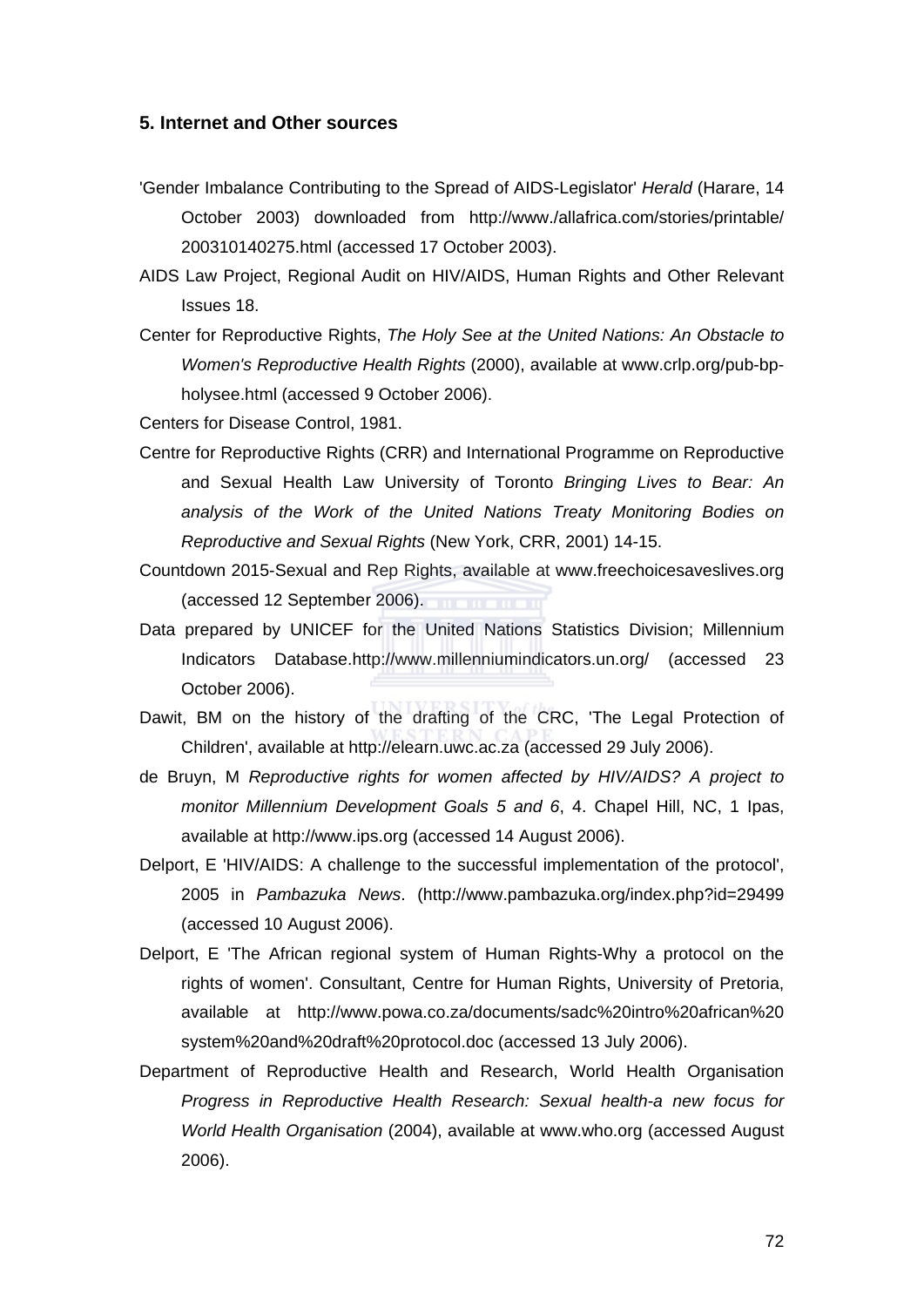#### **5. Internet and Other sources**

- 'Gender Imbalance Contributing to the Spread of AIDS-Legislator' *Herald* (Harare, 14 October 2003) downloaded from [http://www./allafrica.com/stories/printable/](http://www./allafrica.com/stories/printable/200310140275.html)  [200310140275.html](http://www./allafrica.com/stories/printable/200310140275.html) (accessed 17 October 2003).
- AIDS Law Project, Regional Audit on HIV/AIDS, Human Rights and Other Relevant Issues 18.
- Center for Reproductive Rights, *The Holy See at the United Nations: An Obstacle to Women's Reproductive Health Rights* (2000), available at [www.crlp.org/pub-bp](http://www.crlp.org/pub-bp-holysee.html%20(accesssed)[holysee.html \(accessed](http://www.crlp.org/pub-bp-holysee.html%20(accesssed) 9 October 2006).

Centers for Disease Control, 1981.

- Centre for Reproductive Rights (CRR) and International Programme on Reproductive and Sexual Health Law University of Toronto *Bringing Lives to Bear: An analysis of the Work of the United Nations Treaty Monitoring Bodies on Reproductive and Sexual Rights* (New York, CRR, 2001) 14-15.
- Countdown 2015-Sexual and Rep Rights, available at www.freechoicesaveslives.org (accessed 12 September 2006).
- Data prepared by UNICEF for the United Nations Statistics Division; Millennium Indicators Database.http://www.millenniumindicators.un.org/ (accessed 23 October 2006).
- Dawit, BM on the history of the drafting of the CRC, 'The Legal Protection of Children', available at http://elearn.uwc.ac.za (accessed 29 July 2006).
- de Bruyn, M *Reproductive rights for women affected by HIV/AIDS? A project to monitor Millennium Development Goals 5 and 6*, 4. Chapel Hill, NC, 1 Ipas, available at http://www.ips.org (accessed 14 August 2006).
- Delport, E 'HIV/AIDS: A challenge to the successful implementation of the protocol', 2005 in *Pambazuka News*. (<http://www.pambazuka.org/index.php?id=29499> (accessed 10 August 2006).
- Delport, E 'The African regional system of Human Rights-Why a protocol on the rights of women'. Consultant, Centre for Human Rights, University of Pretoria, available at [http://www.powa.co.za/documents/sadc%20intro%20african%20](http://www.powa.co.za/documents/sadc%20intro%20african%20system%20and%20draft%20protocol.doc)  [system%20and%20draft%20protocol.doc](http://www.powa.co.za/documents/sadc%20intro%20african%20system%20and%20draft%20protocol.doc) (accessed 13 July 2006).
- Department of Reproductive Health and Research, World Health Organisation *Progress in Reproductive Health Research: Sexual health-a new focus for World Health Organisation* (2004), available at [www.who.org](http://www.who.org/) (accessed August 2006).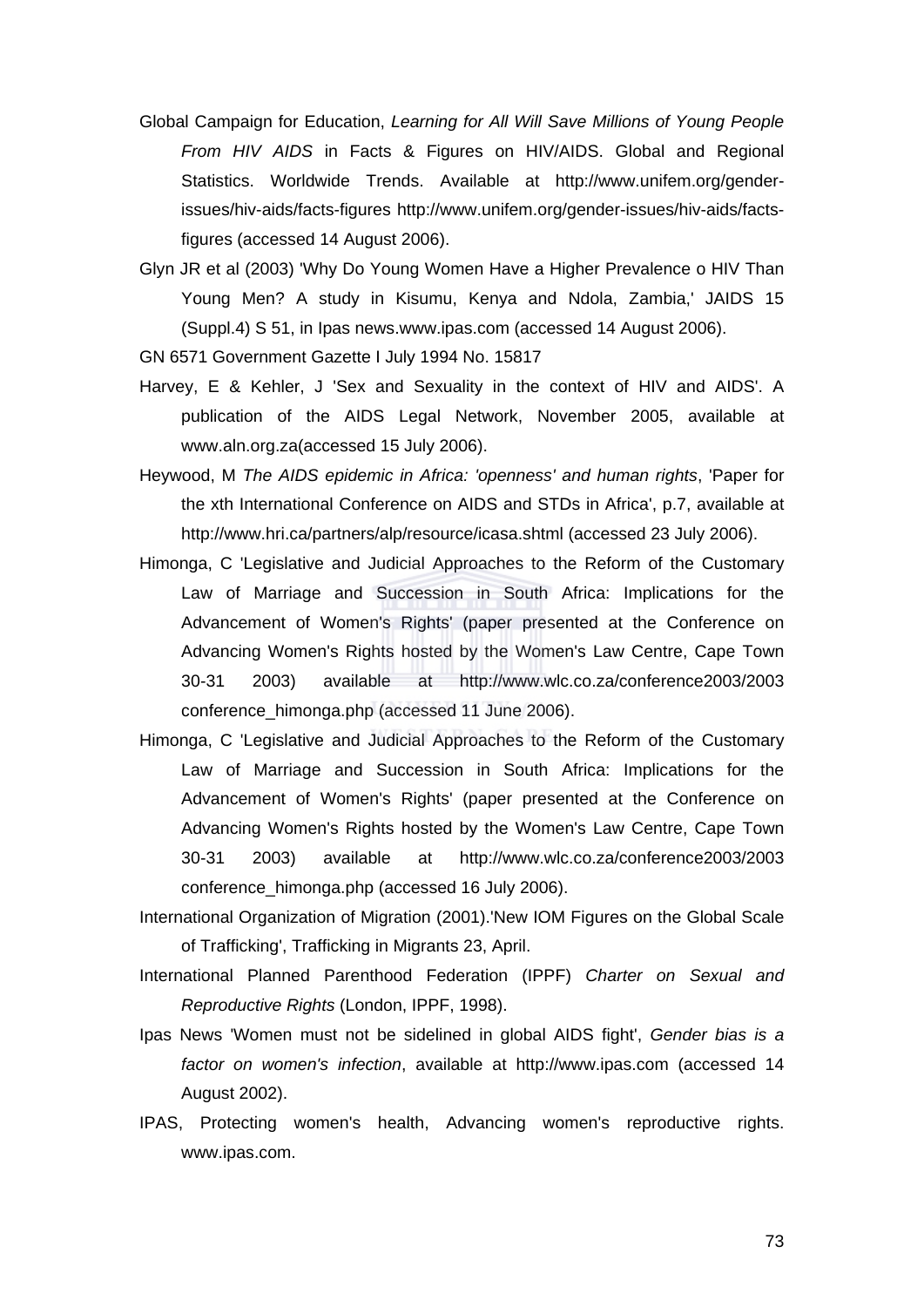- Global Campaign for Education, *Learning for All Will Save Millions of Young People From HIV AIDS* in Facts & Figures on HIV/AIDS. Global and Regional Statistics. Worldwide Trends. Available at http://www.unifem.org/genderissues/hiv-aids/facts-figures [http://www.unifem.org/gender-issues/hiv-aids/facts](http://www.unifem.org/gender-issues/hiv-aids/facts-figures)[figures](http://www.unifem.org/gender-issues/hiv-aids/facts-figures) (accessed 14 August 2006).
- Glyn JR et al (2003) 'Why Do Young Women Have a Higher Prevalence o HIV Than Young Men? A study in Kisumu, Kenya and Ndola, Zambia,' JAIDS 15 (Suppl.4) S 51, in Ipas news.www.ipas.com (accessed 14 August 2006).

GN 6571 Government Gazette I July 1994 No. 15817

- Harvey, E & Kehler, J 'Sex and Sexuality in the context of HIV and AIDS'. A publication of the AIDS Legal Network, November 2005, available at [www.aln.org.za\(accessed](http://www.aln.org.za(accessed/) 15 July 2006).
- Heywood, M *The AIDS epidemic in Africa: 'openness' and human rights*, 'Paper for the xth International Conference on AIDS and STDs in Africa', p.7, available at [http://www.hri.ca/partners/alp/resource/icasa.shtml](http://www.hri.ca/partners/alp/resource/icasa.shtml-) (accessed 23 July 2006).
- Himonga, C 'Legislative and Judicial Approaches to the Reform of the Customary Law of Marriage and Succession in South Africa: Implications for the Advancement of Women's Rights' (paper presented at the Conference on Advancing Women's Rights hosted by the Women's Law Centre, Cape Town 30-31 2003) available at http://www.wlc.co.za/conference2003/2003 conference\_himonga.php (accessed 11 June 2006).
- Himonga, C 'Legislative and Judicial Approaches to the Reform of the Customary Law of Marriage and Succession in South Africa: Implications for the Advancement of Women's Rights' (paper presented at the Conference on Advancing Women's Rights hosted by the Women's Law Centre, Cape Town 30-31 2003) available at [http://www.wlc.co.za/conference2003/2003](http://www.wlc.co.za/conference2003/2003conference_himonga.php)  [conference\\_himonga.php](http://www.wlc.co.za/conference2003/2003conference_himonga.php) (accessed 16 July 2006).
- International Organization of Migration (2001).'New IOM Figures on the Global Scale of Trafficking', Trafficking in Migrants 23, April.
- International Planned Parenthood Federation (IPPF) *Charter on Sexual and Reproductive Rights* (London, IPPF, 1998).
- Ipas News 'Women must not be sidelined in global AIDS fight', *Gender bias is a factor on women's infection*, available at http:/[/www.ipas.com](http://www.ipas.com/) (accessed 14 August 2002).
- IPAS, Protecting women's health, Advancing women's reproductive rights. [www.ipas.com.](http://www.ipas.com/)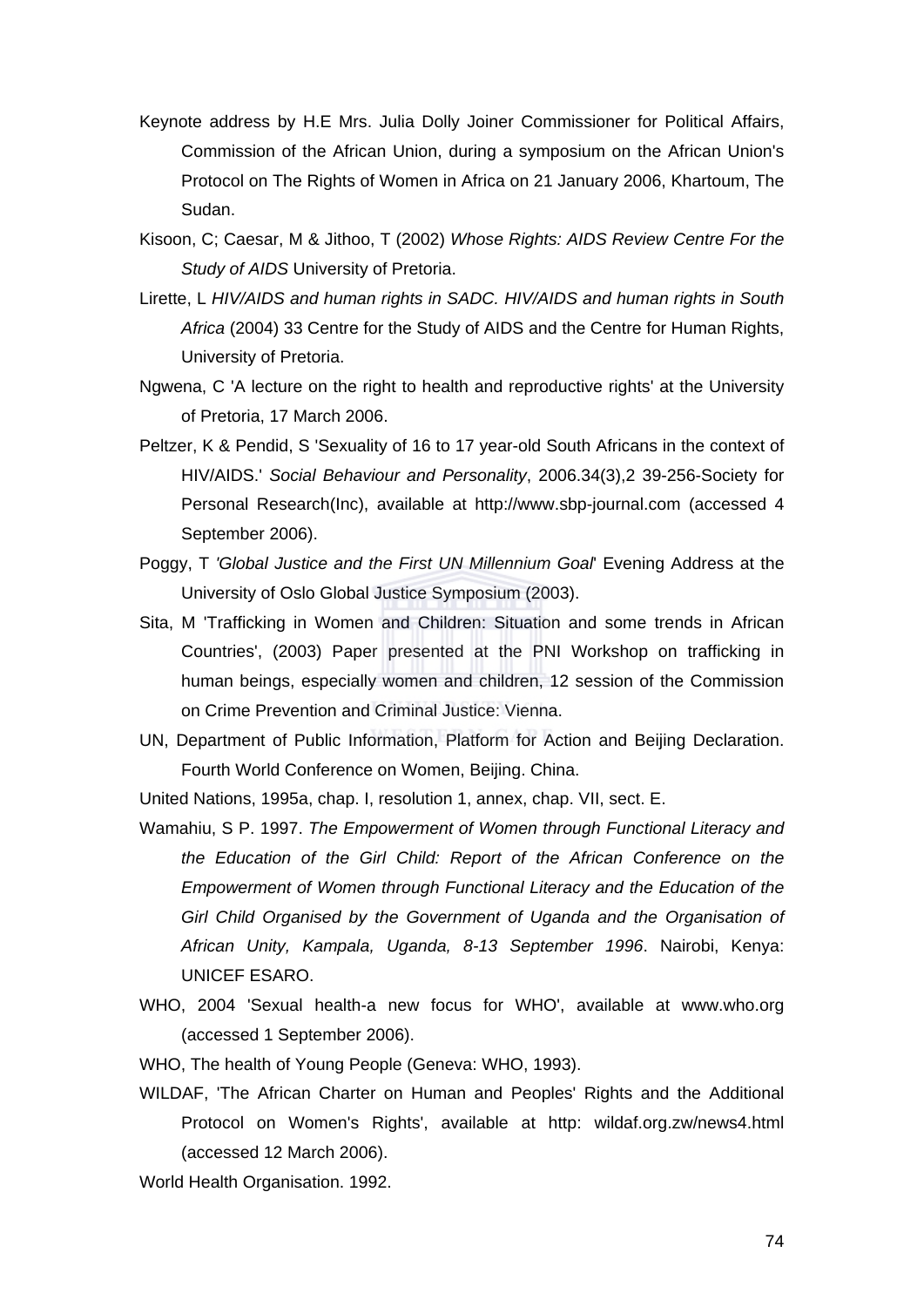- Keynote address by H.E Mrs. Julia Dolly Joiner Commissioner for Political Affairs, Commission of the African Union, during a symposium on the African Union's Protocol on The Rights of Women in Africa on 21 January 2006, Khartoum, The Sudan.
- Kisoon, C; Caesar, M & Jithoo, T (2002) *Whose Rights: AIDS Review Centre For the Study of AIDS* University of Pretoria.
- Lirette, L *HIV/AIDS and human rights in SADC. HIV/AIDS and human rights in South Africa* (2004) 33 Centre for the Study of AIDS and the Centre for Human Rights, University of Pretoria.
- Ngwena, C 'A lecture on the right to health and reproductive rights' at the University of Pretoria, 17 March 2006.
- Peltzer, K & Pendid, S 'Sexuality of 16 to 17 year-old South Africans in the context of HIV/AIDS.' *Social Behaviour and Personality*, 2006.34(3),2 39-256-Society for Personal Research(Inc), available at [http://www.sbp-journal.com \(accessed](http://www.sbp-journal.com(accessed/) 4 September 2006).
- Poggy, T *'Global Justice and the First UN Millennium Goal*' Evening Address at the University of Oslo Global Justice Symposium (2003).
- Sita, M 'Trafficking in Women and Children: Situation and some trends in African Countries', (2003) Paper presented at the PNI Workshop on trafficking in human beings, especially women and children, 12 session of the Commission on Crime Prevention and Criminal Justice: Vienna.
- UN, Department of Public Information, Platform for Action and Beijing Declaration. Fourth World Conference on Women, Beijing. China.

United Nations, 1995a, chap. I, resolution 1, annex, chap. VII, sect. E.

- Wamahiu, S P. 1997. *The Empowerment of Women through Functional Literacy and the Education of the Girl Child: Report of the African Conference on the Empowerment of Women through Functional Literacy and the Education of the Girl Child Organised by the Government of Uganda and the Organisation of African Unity, Kampala, Uganda, 8-13 September 1996*. Nairobi, Kenya: UNICEF ESARO.
- WHO, 2004 'Sexual health-a new focus for WHO', available at www.who.org (accessed 1 September 2006).
- WHO, The health of Young People (Geneva: WHO, 1993).
- WILDAF, 'The African Charter on Human and Peoples' Rights and the Additional Protocol on Women's Rights', available at http: wildaf.org.zw/news4.html (accessed 12 March 2006).
- World Health Organisation. 1992.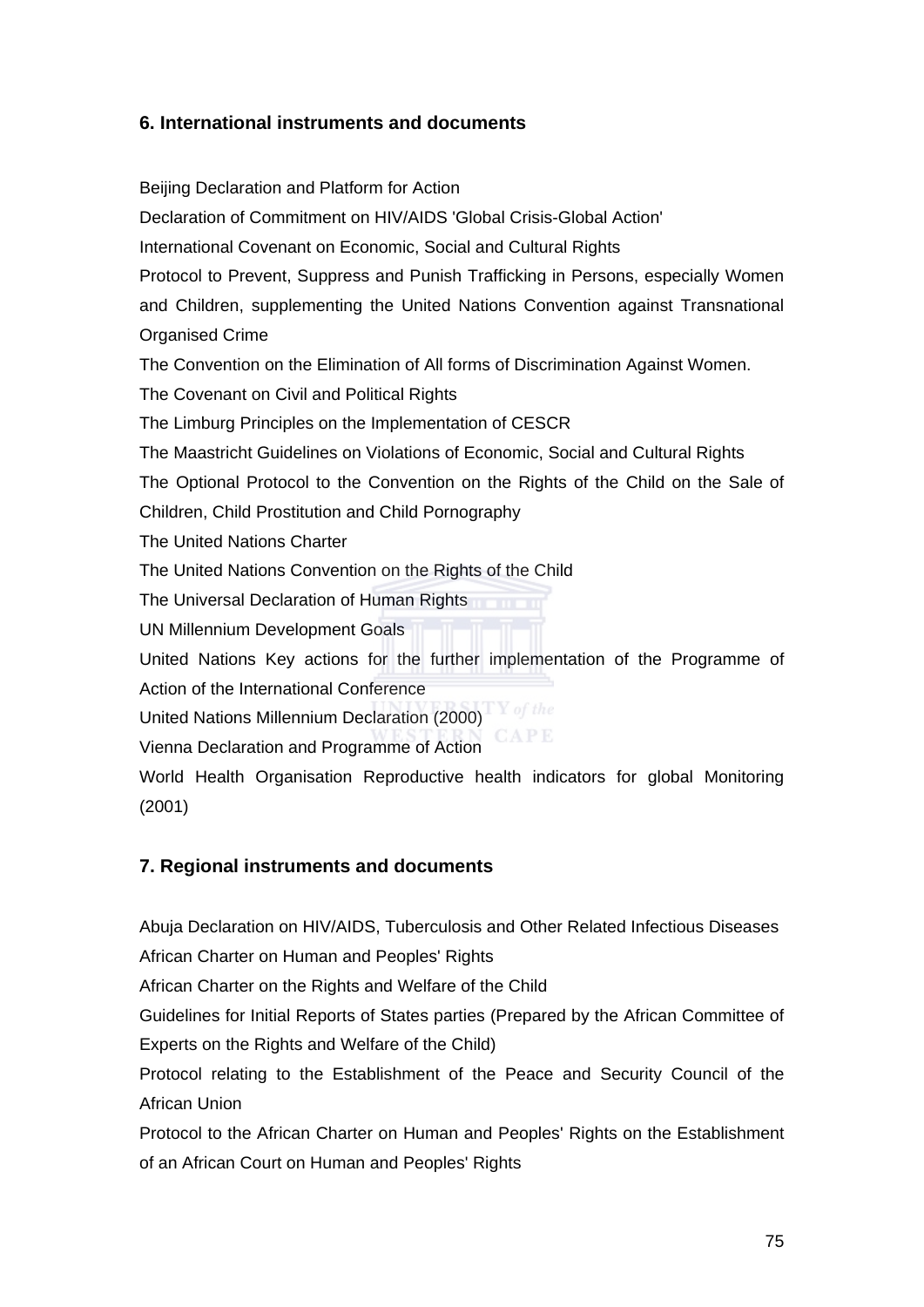## **6. International instruments and documents**

Beijing Declaration and Platform for Action Declaration of Commitment on HIV/AIDS 'Global Crisis-Global Action' International Covenant on Economic, Social and Cultural Rights Protocol to Prevent, Suppress and Punish Trafficking in Persons, especially Women and Children, supplementing the United Nations Convention against Transnational Organised Crime The Convention on the Elimination of All forms of Discrimination Against Women. The Covenant on Civil and Political Rights The Limburg Principles on the Implementation of CESCR The Maastricht Guidelines on Violations of Economic, Social and Cultural Rights The Optional Protocol to the Convention on the Rights of the Child on the Sale of Children, Child Prostitution and Child Pornography The United Nations Charter The United Nations Convention on the Rights of the Child The Universal Declaration of Human Rights UN Millennium Development Goals United Nations Key actions for the further implementation of the Programme of Action of the International Conference United Nations Millennium Declaration (2000)<sup>NY</sup> of the Vienna Declaration and Programme of Action

World Health Organisation Reproductive health indicators for global Monitoring (2001)

## **7. Regional instruments and documents**

Abuja Declaration on HIV/AIDS, Tuberculosis and Other Related Infectious Diseases African Charter on Human and Peoples' Rights

African Charter on the Rights and Welfare of the Child

Guidelines for Initial Reports of States parties (Prepared by the African Committee of Experts on the Rights and Welfare of the Child)

Protocol relating to the Establishment of the Peace and Security Council of the African Union

Protocol to the African Charter on Human and Peoples' Rights on the Establishment of an African Court on Human and Peoples' Rights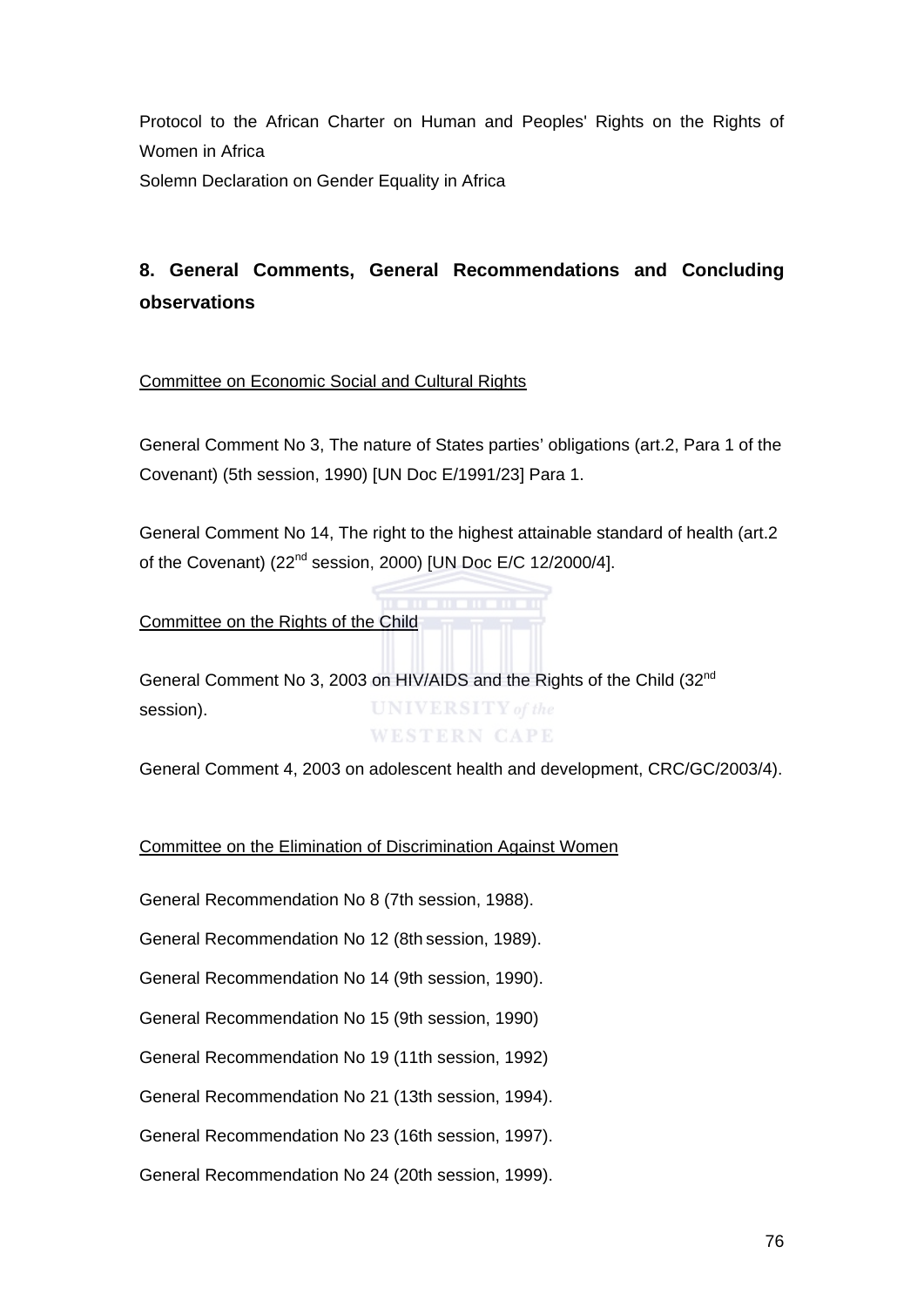Protocol to the African Charter on Human and Peoples' Rights on the Rights of Women in Africa Solemn Declaration on Gender Equality in Africa

# **8. General Comments, General Recommendations and Concluding observations**

## Committee on Economic Social and Cultural Rights

General Comment No 3, The nature of States parties' obligations (art.2, Para 1 of the Covenant) (5th session, 1990) [UN Doc E/1991/23] Para 1.

General Comment No 14, The right to the highest attainable standard of health (art.2 of the Covenant) (22<sup>nd</sup> session, 2000) [UN Doc E/C 12/2000/4].

Committee on the Rights of the Child

General Comment No 3, 2003 on HIV/AIDS and the Rights of the Child (32nd **UNIVERSITY** of the session). **WESTERN CAPE** 

General Comment 4, 2003 on adolescent health and development, CRC/GC/2003/4).

## Committee on the Elimination of Discrimination Against Women

General Recommendation No 8 (7th session, 1988).

General Recommendation No 12 (8th session, 1989).

General Recommendation No 14 (9th session, 1990).

General Recommendation No 15 (9th session, 1990)

General Recommendation No 19 (11th session, 1992)

General Recommendation No 21 (13th session, 1994).

General Recommendation No 23 (16th session, 1997).

General Recommendation No 24 (20th session, 1999).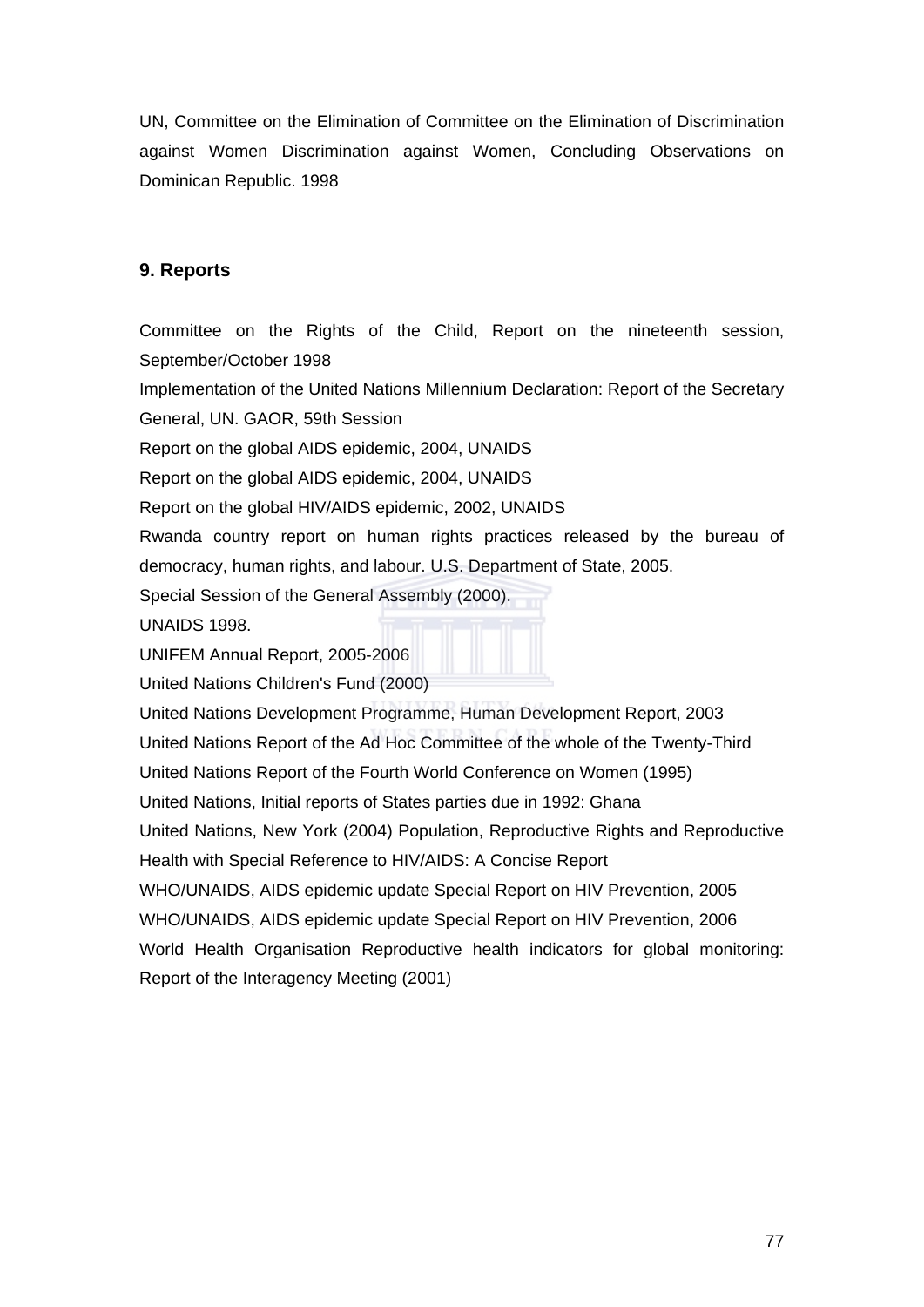UN, Committee on the Elimination of Committee on the Elimination of Discrimination against Women Discrimination against Women, Concluding Observations on Dominican Republic. 1998

## **9. Reports**

Committee on the Rights of the Child, Report on the nineteenth session, September/October 1998

Implementation of the United Nations Millennium Declaration: Report of the Secretary General, UN. GAOR, 59th Session

Report on the global AIDS epidemic, 2004, UNAIDS

Report on the global AIDS epidemic, 2004, UNAIDS

Report on the global HIV/AIDS epidemic, 2002, UNAIDS

Rwanda country report on human rights practices released by the bureau of democracy, human rights, and labour. U.S. Department of State, 2005.

Special Session of the General Assembly (2000).

UNAIDS 1998.

UNIFEM Annual Report, 2005-2006

United Nations Children's Fund (2000)

United Nations Development Programme, Human Development Report, 2003

United Nations Report of the Ad Hoc Committee of the whole of the Twenty-Third

United Nations Report of the Fourth World Conference on Women (1995)

United Nations, Initial reports of States parties due in 1992: Ghana

United Nations, New York (2004) Population, Reproductive Rights and Reproductive

Health with Special Reference to HIV/AIDS: A Concise Report

WHO/UNAIDS, AIDS epidemic update Special Report on HIV Prevention, 2005

WHO/UNAIDS, AIDS epidemic update Special Report on HIV Prevention, 2006

World Health Organisation Reproductive health indicators for global monitoring: Report of the Interagency Meeting (2001)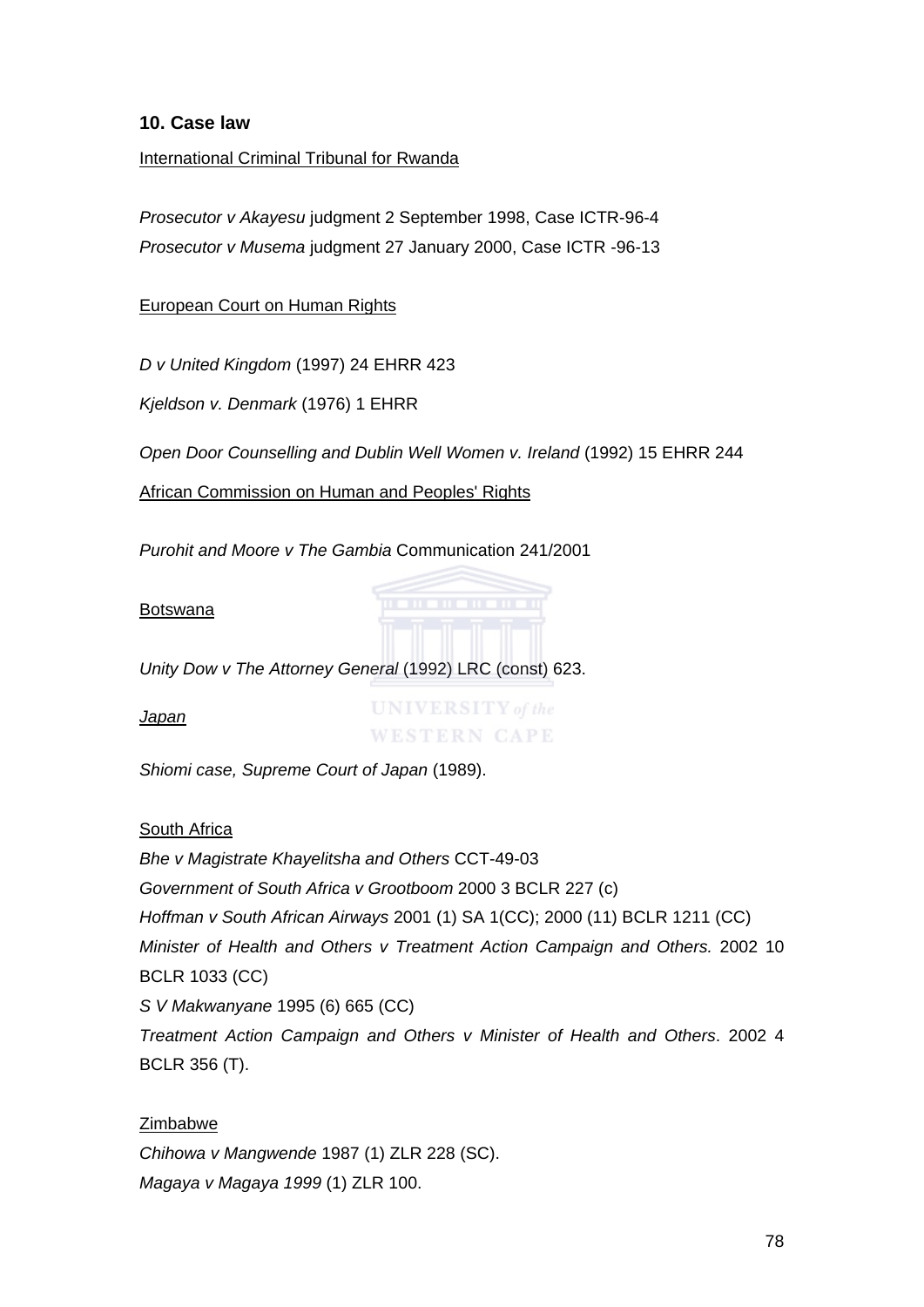## **10. Case law**

### International Criminal Tribunal for Rwanda

*Prosecutor v Akayesu* judgment 2 September 1998, Case ICTR-96-4 *Prosecutor v Musema* judgment 27 January 2000, Case ICTR -96-13

### European Court on Human Rights

*D v United Kingdom* (1997) 24 EHRR 423

*Kjeldson v. Denmark* (1976) 1 EHRR

*Open Door Counselling and Dublin Well Women v. Ireland* (1992) 15 EHRR 244

African Commission on Human and Peoples' Rights

*Purohit and Moore v The Gambia* Communication 241/2001

**Botswana** 

*Unity Dow v The Attorney General* (1992) LRC (const) 623.

### *Japan*

**UNIVERSITY** of the **WESTERN CAPE** 

*Shiomi case, Supreme Court of Japan* (1989).

South Africa

*Bhe v Magistrate Khayelitsha and Others* CCT-49-03

*Government of South Africa v Grootboom* 2000 3 BCLR 227 (c)

*Hoffman v South African Airways* 2001 (1) SA 1(CC); 2000 (11) BCLR 1211 (CC)

*Minister of Health and Others v Treatment Action Campaign and Others.* 2002 10 BCLR 1033 (CC)

*S V Makwanyane* 1995 (6) 665 (CC)

*Treatment Action Campaign and Others v Minister of Health and Others*. 2002 4 BCLR 356 (T).

### **Zimbabwe**

*Chihowa v Mangwende* 1987 (1) ZLR 228 (SC). *Magaya v Magaya 1999* (1) ZLR 100.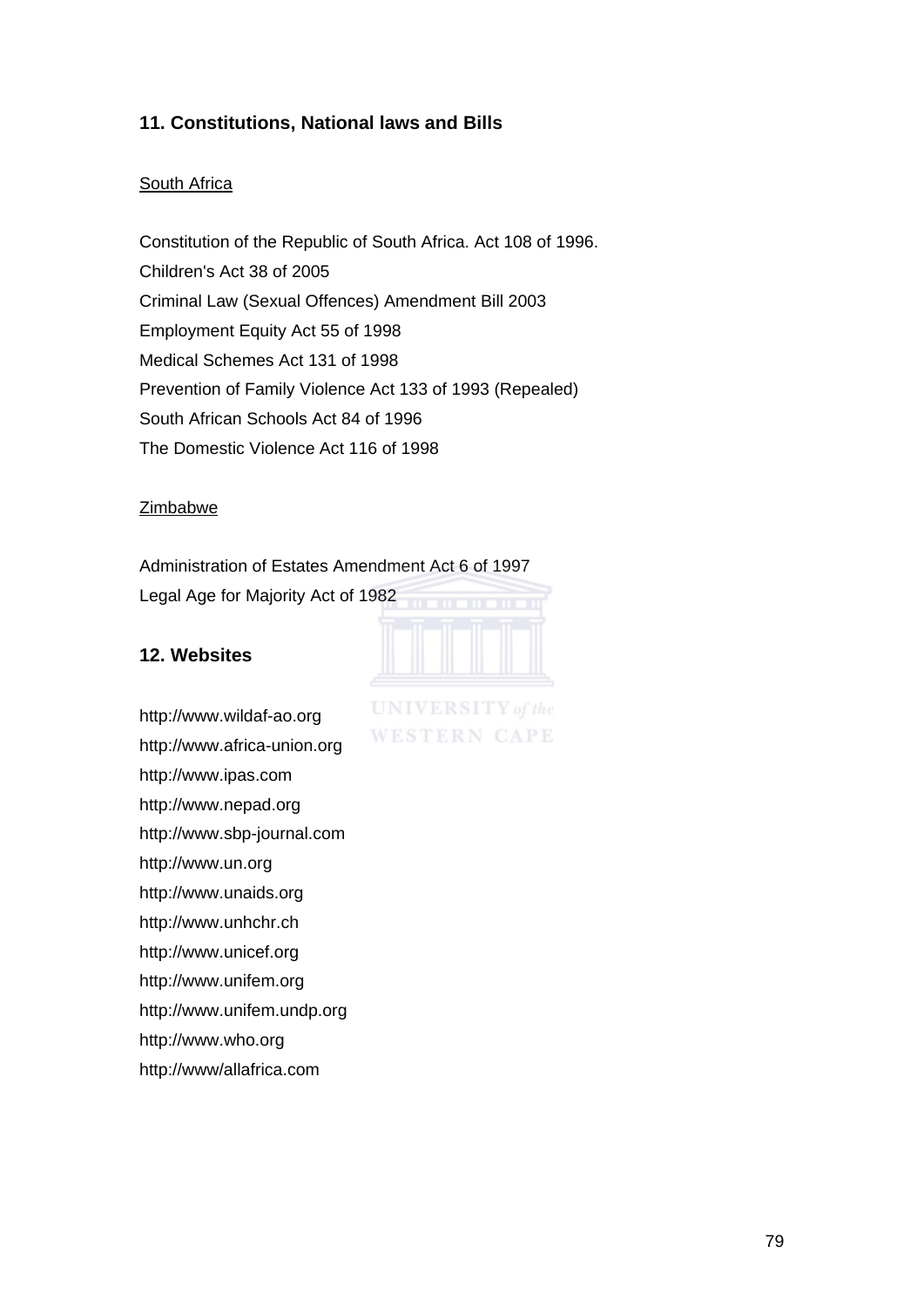## **11. Constitutions, National laws and Bills**

### South Africa

Constitution of the Republic of South Africa. Act 108 of 1996. Children's Act 38 of 2005 Criminal Law (Sexual Offences) Amendment Bill 2003 Employment Equity Act 55 of 1998 Medical Schemes Act 131 of 1998 Prevention of Family Violence Act 133 of 1993 (Repealed) South African Schools Act 84 of 1996 The Domestic Violence Act 116 of 1998

### Zimbabwe

Administration of Estates Amendment Act 6 of 1997 Legal Age for Majority Act of 1982

## **12. Websites**

http://www.wildaf-ao.org http://www.africa-union.org http:/[/www.ipas.com](http://www.ipas.com/) http:/[/www.nepad.org](http://www.nepad.org/) [http://www.sbp-journal.com](http://www.sbp-journal.com/) http://www.un.org http:/[/www.unaids.org](http://www.unaids.org/) http://www.unhchr.ch http:/[/www.unicef.org](http://www.unicef.org/) http:/[/www.unifem.org](http://www.unifem.org/) http:/[/www.unifem.undp.org](http://www.unifem.undp.org/) http://www.who.org http://www/allafrica.com



**UNIVERSITY** of the **WESTERN CAPE**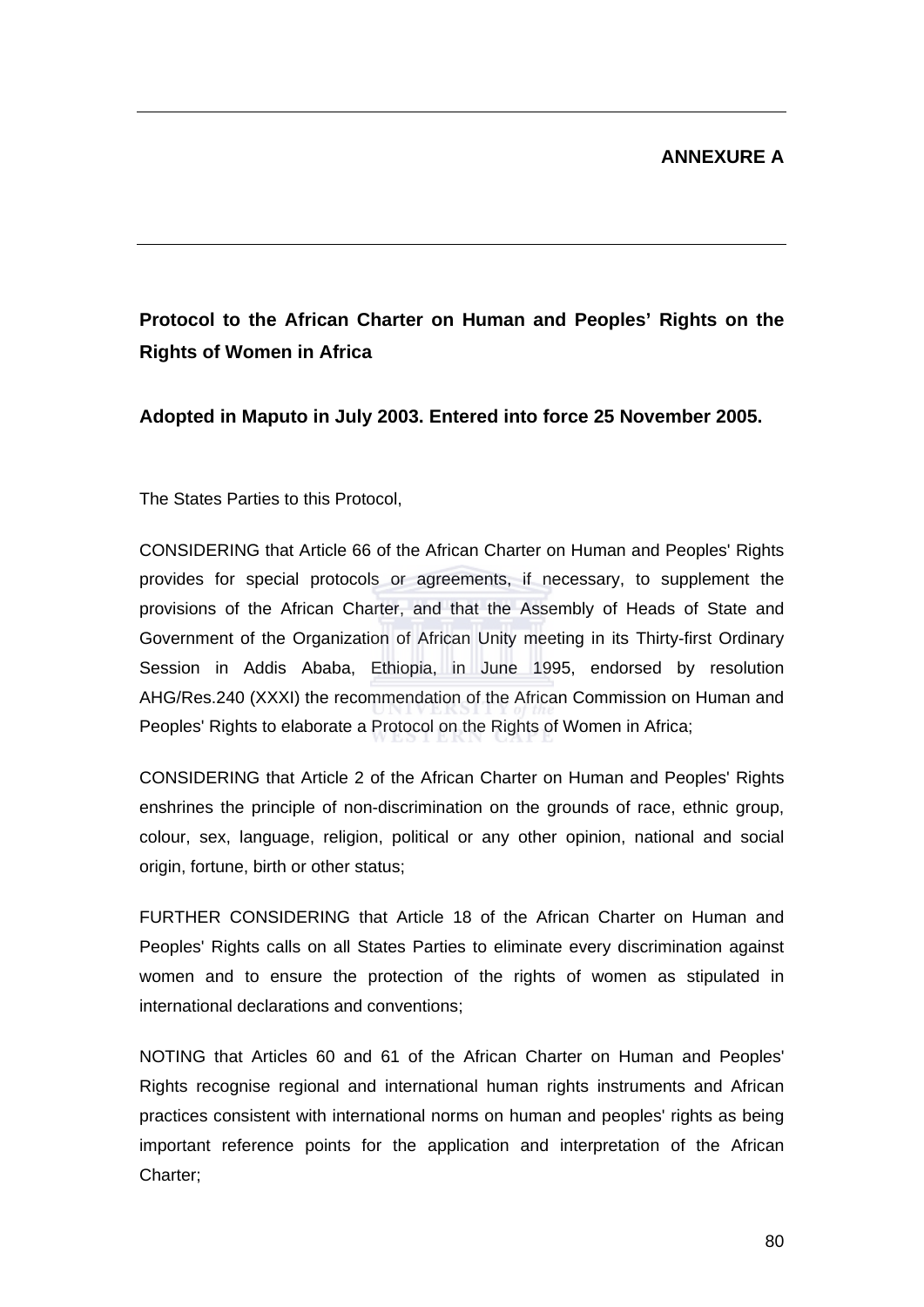## **ANNEXURE A**

# **Protocol to the African Charter on Human and Peoples' Rights on the Rights of Women in Africa**

### **Adopted in Maputo in July 2003. Entered into force 25 November 2005.**

The States Parties to this Protocol,

CONSIDERING that Article 66 of the African Charter on Human and Peoples' Rights provides for special protocols or agreements, if necessary, to supplement the provisions of the African Charter, and that the Assembly of Heads of State and Government of the Organization of African Unity meeting in its Thirty-first Ordinary Session in Addis Ababa, Ethiopia, in June 1995, endorsed by resolution AHG/Res.240 (XXXI) the recommendation of the African Commission on Human and Peoples' Rights to elaborate a Protocol on the Rights of Women in Africa;

CONSIDERING that Article 2 of the African Charter on Human and Peoples' Rights enshrines the principle of non-discrimination on the grounds of race, ethnic group, colour, sex, language, religion, political or any other opinion, national and social origin, fortune, birth or other status;

FURTHER CONSIDERING that Article 18 of the African Charter on Human and Peoples' Rights calls on all States Parties to eliminate every discrimination against women and to ensure the protection of the rights of women as stipulated in international declarations and conventions;

NOTING that Articles 60 and 61 of the African Charter on Human and Peoples' Rights recognise regional and international human rights instruments and African practices consistent with international norms on human and peoples' rights as being important reference points for the application and interpretation of the African Charter;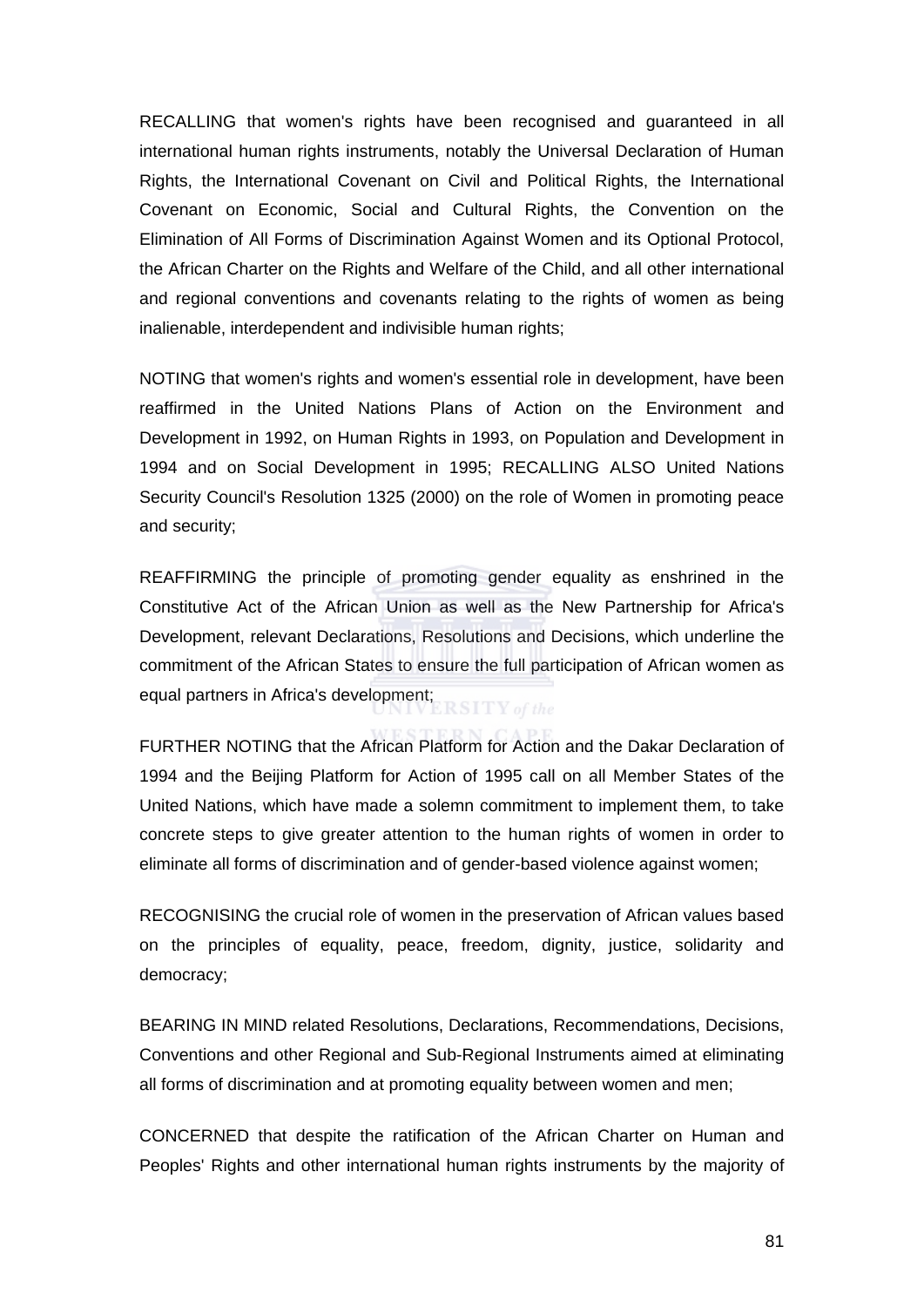RECALLING that women's rights have been recognised and guaranteed in all international human rights instruments, notably the Universal Declaration of Human Rights, the International Covenant on Civil and Political Rights, the International Covenant on Economic, Social and Cultural Rights, the Convention on the Elimination of All Forms of Discrimination Against Women and its Optional Protocol, the African Charter on the Rights and Welfare of the Child, and all other international and regional conventions and covenants relating to the rights of women as being inalienable, interdependent and indivisible human rights;

NOTING that women's rights and women's essential role in development, have been reaffirmed in the United Nations Plans of Action on the Environment and Development in 1992, on Human Rights in 1993, on Population and Development in 1994 and on Social Development in 1995; RECALLING ALSO United Nations Security Council's Resolution 1325 (2000) on the role of Women in promoting peace and security;

REAFFIRMING the principle of promoting gender equality as enshrined in the Constitutive Act of the African Union as well as the New Partnership for Africa's Development, relevant Declarations, Resolutions and Decisions, which underline the commitment of the African States to ensure the full participation of African women as equal partners in Africa's development;

FURTHER NOTING that the African Platform for Action and the Dakar Declaration of 1994 and the Beijing Platform for Action of 1995 call on all Member States of the United Nations, which have made a solemn commitment to implement them, to take concrete steps to give greater attention to the human rights of women in order to eliminate all forms of discrimination and of gender-based violence against women;

RECOGNISING the crucial role of women in the preservation of African values based on the principles of equality, peace, freedom, dignity, justice, solidarity and democracy;

BEARING IN MIND related Resolutions, Declarations, Recommendations, Decisions, Conventions and other Regional and Sub-Regional Instruments aimed at eliminating all forms of discrimination and at promoting equality between women and men;

CONCERNED that despite the ratification of the African Charter on Human and Peoples' Rights and other international human rights instruments by the majority of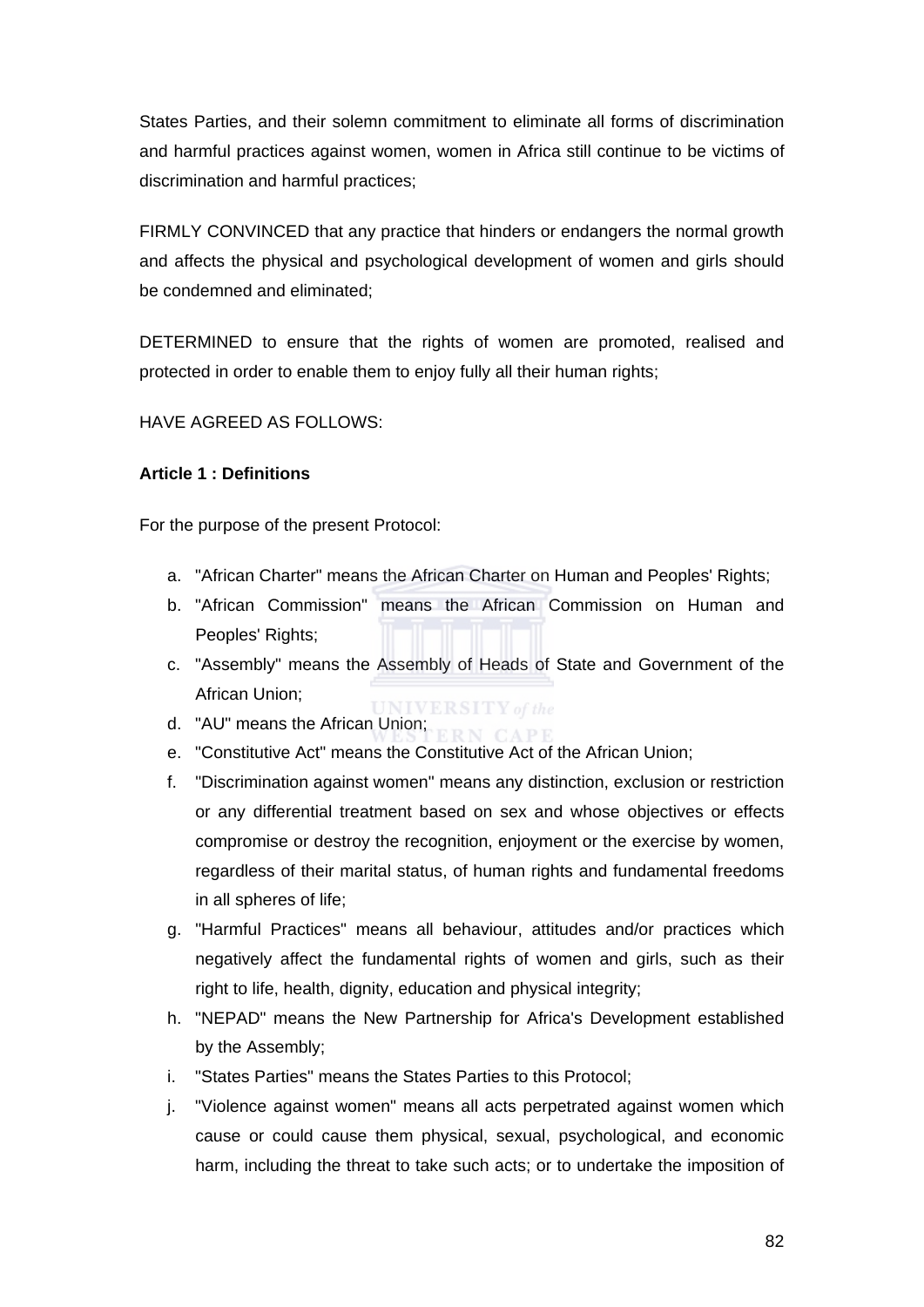States Parties, and their solemn commitment to eliminate all forms of discrimination and harmful practices against women, women in Africa still continue to be victims of discrimination and harmful practices;

FIRMLY CONVINCED that any practice that hinders or endangers the normal growth and affects the physical and psychological development of women and girls should be condemned and eliminated;

DETERMINED to ensure that the rights of women are promoted, realised and protected in order to enable them to enjoy fully all their human rights;

HAVE AGREED AS FOLLOWS:

### **Article 1 : Definitions**

For the purpose of the present Protocol:

- a. "African Charter" means the African Charter on Human and Peoples' Rights;
- b. "African Commission" means the African Commission on Human and Peoples' Rights;
- c. "Assembly" means the Assembly of Heads of State and Government of the African Union;
- d. "AU" means the African Union;<br>d. "AU" means the African Union;
- e. "Constitutive Act" means the Constitutive Act of the African Union;
- f. "Discrimination against women" means any distinction, exclusion or restriction or any differential treatment based on sex and whose objectives or effects compromise or destroy the recognition, enjoyment or the exercise by women, regardless of their marital status, of human rights and fundamental freedoms in all spheres of life;
- g. "Harmful Practices" means all behaviour, attitudes and/or practices which negatively affect the fundamental rights of women and girls, such as their right to life, health, dignity, education and physical integrity;
- h. "NEPAD" means the New Partnership for Africa's Development established by the Assembly;
- i. "States Parties" means the States Parties to this Protocol;
- j. "Violence against women" means all acts perpetrated against women which cause or could cause them physical, sexual, psychological, and economic harm, including the threat to take such acts; or to undertake the imposition of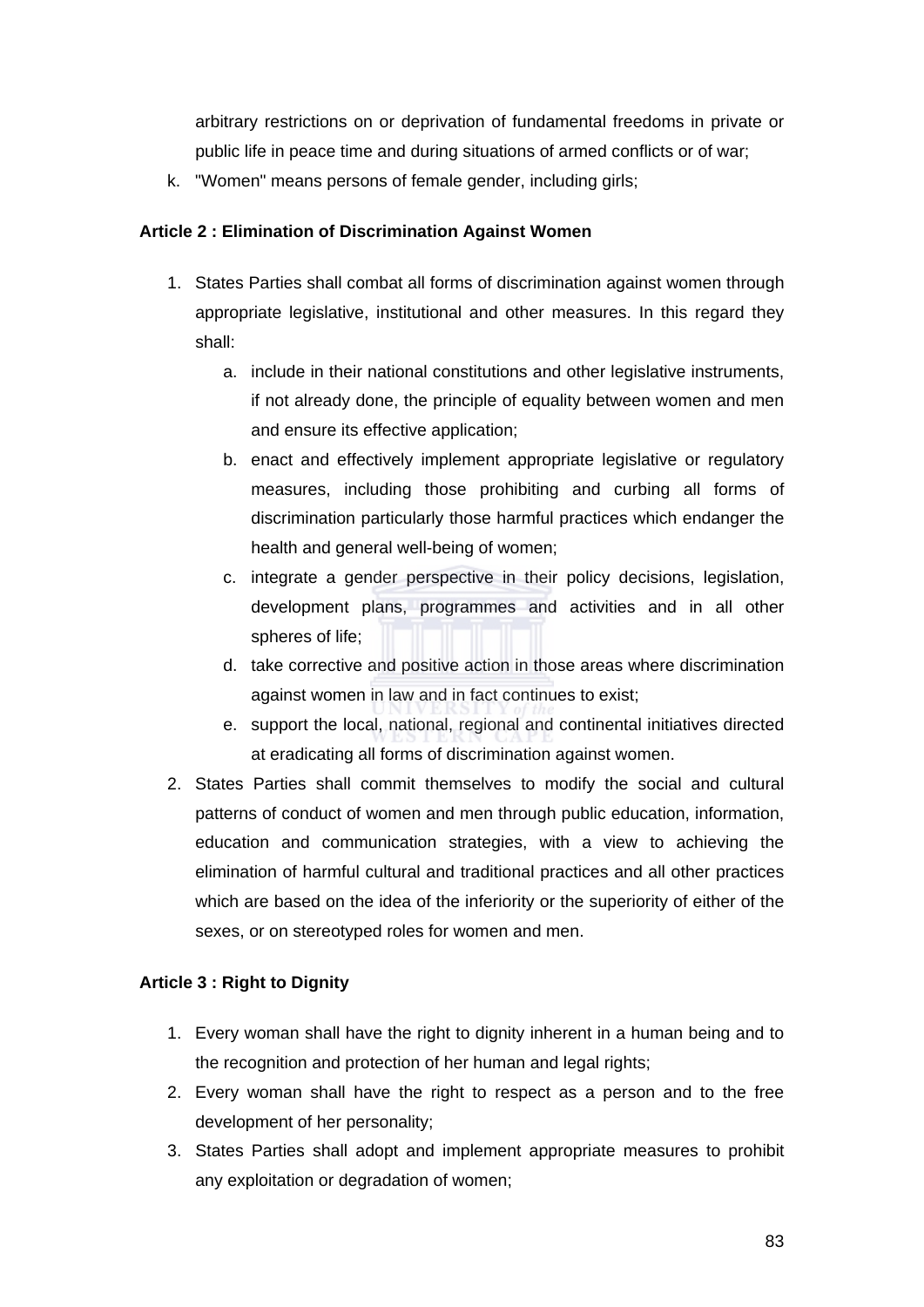arbitrary restrictions on or deprivation of fundamental freedoms in private or public life in peace time and during situations of armed conflicts or of war;

k. "Women" means persons of female gender, including girls;

### **Article 2 : Elimination of Discrimination Against Women**

- 1. States Parties shall combat all forms of discrimination against women through appropriate legislative, institutional and other measures. In this regard they shall:
	- a. include in their national constitutions and other legislative instruments, if not already done, the principle of equality between women and men and ensure its effective application;
	- b. enact and effectively implement appropriate legislative or regulatory measures, including those prohibiting and curbing all forms of discrimination particularly those harmful practices which endanger the health and general well-being of women;
	- c. integrate a gender perspective in their policy decisions, legislation, development plans, programmes and activities and in all other spheres of life;
	- d. take corrective and positive action in those areas where discrimination against women in law and in fact continues to exist;
	- e. support the local, national, regional and continental initiatives directed at eradicating all forms of discrimination against women.
- 2. States Parties shall commit themselves to modify the social and cultural patterns of conduct of women and men through public education, information, education and communication strategies, with a view to achieving the elimination of harmful cultural and traditional practices and all other practices which are based on the idea of the inferiority or the superiority of either of the sexes, or on stereotyped roles for women and men.

## **Article 3 : Right to Dignity**

- 1. Every woman shall have the right to dignity inherent in a human being and to the recognition and protection of her human and legal rights;
- 2. Every woman shall have the right to respect as a person and to the free development of her personality;
- 3. States Parties shall adopt and implement appropriate measures to prohibit any exploitation or degradation of women;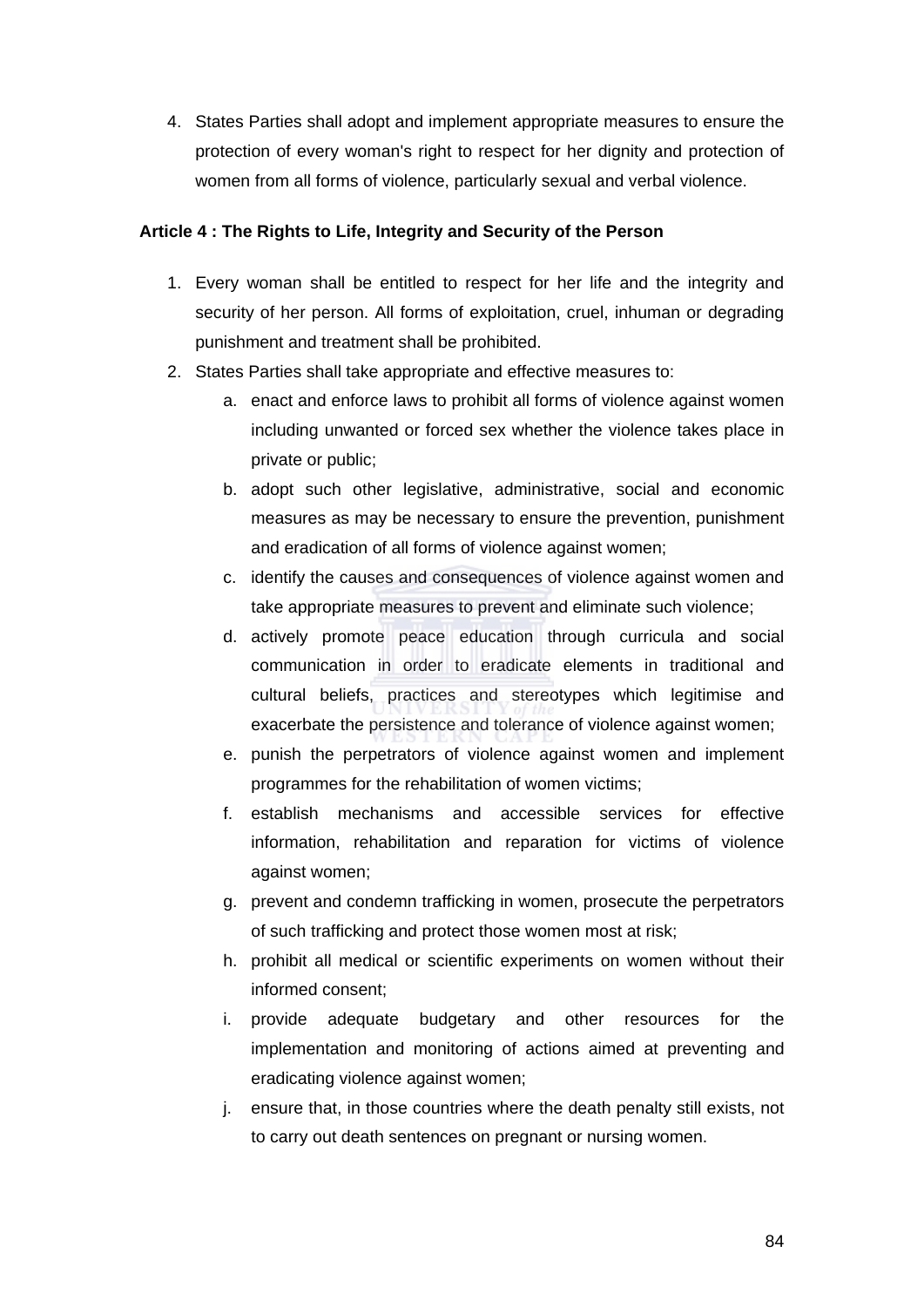4. States Parties shall adopt and implement appropriate measures to ensure the protection of every woman's right to respect for her dignity and protection of women from all forms of violence, particularly sexual and verbal violence.

### **Article 4 : The Rights to Life, Integrity and Security of the Person**

- 1. Every woman shall be entitled to respect for her life and the integrity and security of her person. All forms of exploitation, cruel, inhuman or degrading punishment and treatment shall be prohibited.
- 2. States Parties shall take appropriate and effective measures to:
	- a. enact and enforce laws to prohibit all forms of violence against women including unwanted or forced sex whether the violence takes place in private or public;
	- b. adopt such other legislative, administrative, social and economic measures as may be necessary to ensure the prevention, punishment and eradication of all forms of violence against women;
	- c. identify the causes and consequences of violence against women and take appropriate measures to prevent and eliminate such violence;
	- d. actively promote peace education through curricula and social communication in order to eradicate elements in traditional and cultural beliefs, practices and stereotypes which legitimise and exacerbate the persistence and tolerance of violence against women;
	- e. punish the perpetrators of violence against women and implement programmes for the rehabilitation of women victims;
	- f. establish mechanisms and accessible services for effective information, rehabilitation and reparation for victims of violence against women;
	- g. prevent and condemn trafficking in women, prosecute the perpetrators of such trafficking and protect those women most at risk;
	- h. prohibit all medical or scientific experiments on women without their informed consent;
	- i. provide adequate budgetary and other resources for the implementation and monitoring of actions aimed at preventing and eradicating violence against women;
	- j. ensure that, in those countries where the death penalty still exists, not to carry out death sentences on pregnant or nursing women.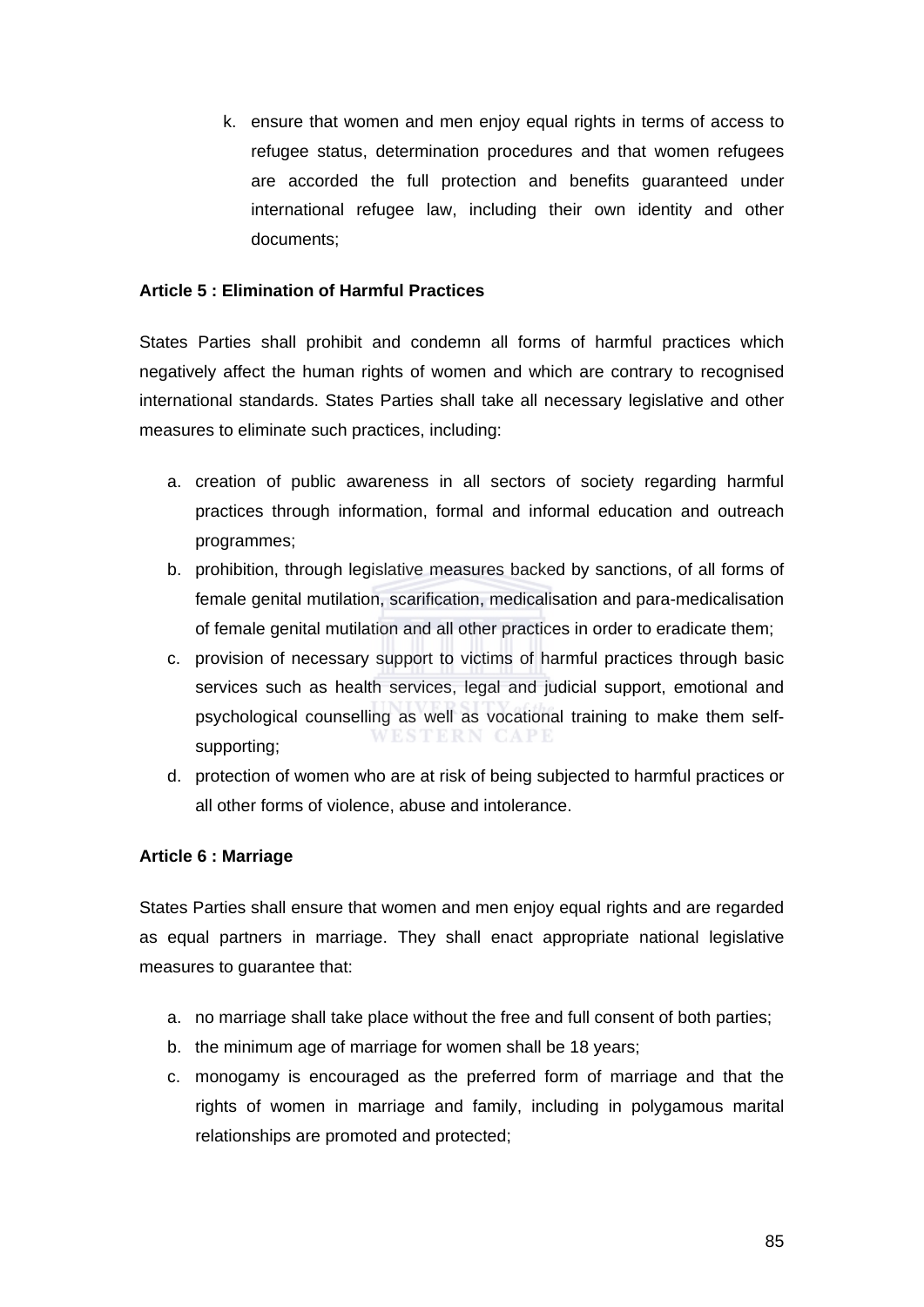k. ensure that women and men enjoy equal rights in terms of access to refugee status, determination procedures and that women refugees are accorded the full protection and benefits guaranteed under international refugee law, including their own identity and other documents;

### **Article 5 : Elimination of Harmful Practices**

States Parties shall prohibit and condemn all forms of harmful practices which negatively affect the human rights of women and which are contrary to recognised international standards. States Parties shall take all necessary legislative and other measures to eliminate such practices, including:

- a. creation of public awareness in all sectors of society regarding harmful practices through information, formal and informal education and outreach programmes;
- b. prohibition, through legislative measures backed by sanctions, of all forms of female genital mutilation, scarification, medicalisation and para-medicalisation of female genital mutilation and all other practices in order to eradicate them;
- c. provision of necessary support to victims of harmful practices through basic services such as health services, legal and judicial support, emotional and psychological counselling as well as vocational training to make them selfsupporting;
- d. protection of women who are at risk of being subjected to harmful practices or all other forms of violence, abuse and intolerance.

## **Article 6 : Marriage**

States Parties shall ensure that women and men enjoy equal rights and are regarded as equal partners in marriage. They shall enact appropriate national legislative measures to guarantee that:

- a. no marriage shall take place without the free and full consent of both parties;
- b. the minimum age of marriage for women shall be 18 years;
- c. monogamy is encouraged as the preferred form of marriage and that the rights of women in marriage and family, including in polygamous marital relationships are promoted and protected;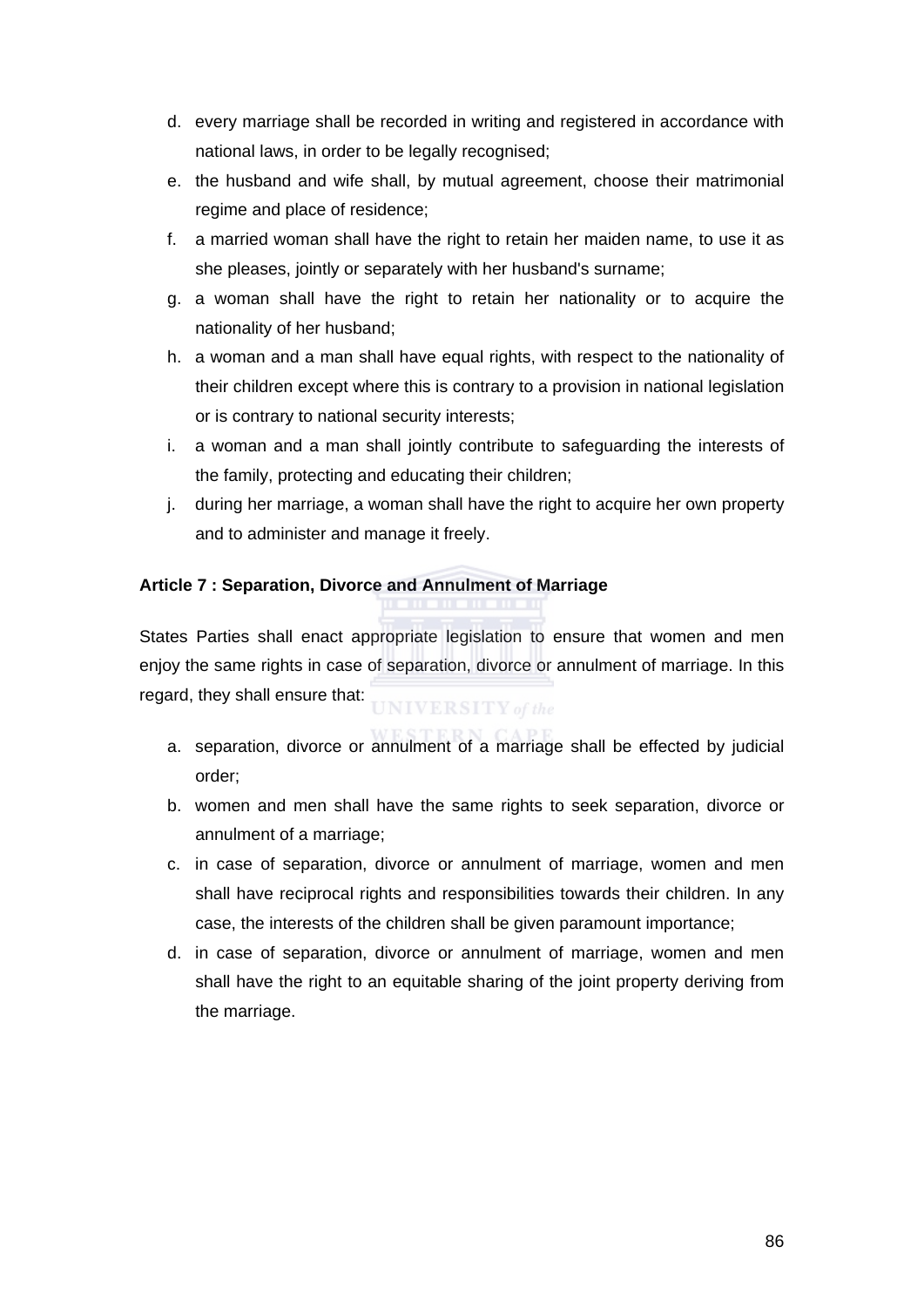- d. every marriage shall be recorded in writing and registered in accordance with national laws, in order to be legally recognised;
- e. the husband and wife shall, by mutual agreement, choose their matrimonial regime and place of residence;
- f. a married woman shall have the right to retain her maiden name, to use it as she pleases, jointly or separately with her husband's surname;
- g. a woman shall have the right to retain her nationality or to acquire the nationality of her husband;
- h. a woman and a man shall have equal rights, with respect to the nationality of their children except where this is contrary to a provision in national legislation or is contrary to national security interests;
- i. a woman and a man shall jointly contribute to safeguarding the interests of the family, protecting and educating their children;
- j. during her marriage, a woman shall have the right to acquire her own property and to administer and manage it freely.

## **Article 7 : Separation, Divorce and Annulment of Marriage**

States Parties shall enact appropriate legislation to ensure that women and men enjoy the same rights in case of separation, divorce or annulment of marriage. In this regard, they shall ensure that:

## **INIVERSITY** of the

- a. separation, divorce or annulment of a marriage shall be effected by judicial order;
- b. women and men shall have the same rights to seek separation, divorce or annulment of a marriage;
- c. in case of separation, divorce or annulment of marriage, women and men shall have reciprocal rights and responsibilities towards their children. In any case, the interests of the children shall be given paramount importance;
- d. in case of separation, divorce or annulment of marriage, women and men shall have the right to an equitable sharing of the joint property deriving from the marriage.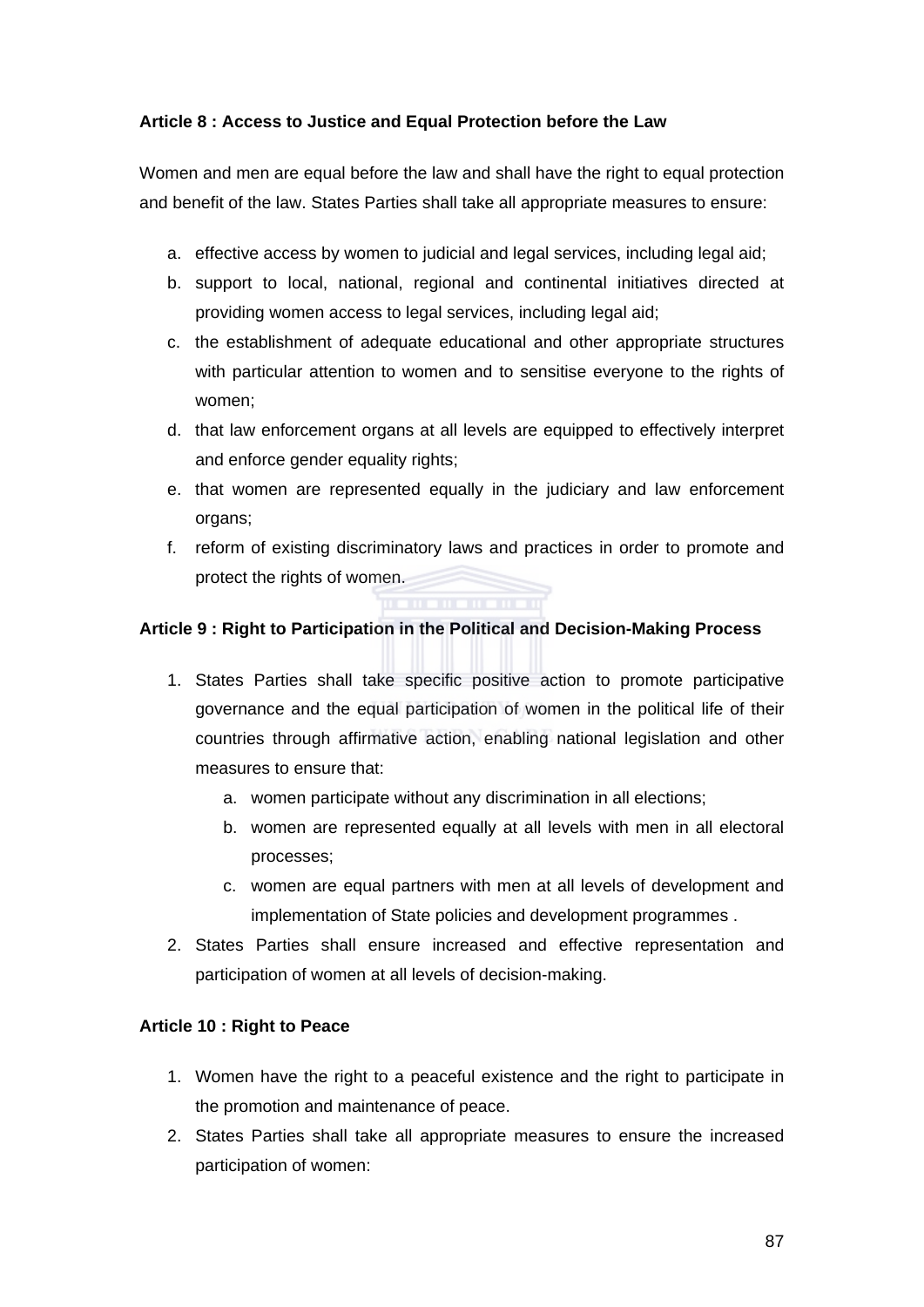## **Article 8 : Access to Justice and Equal Protection before the Law**

Women and men are equal before the law and shall have the right to equal protection and benefit of the law. States Parties shall take all appropriate measures to ensure:

- a. effective access by women to judicial and legal services, including legal aid;
- b. support to local, national, regional and continental initiatives directed at providing women access to legal services, including legal aid;
- c. the establishment of adequate educational and other appropriate structures with particular attention to women and to sensitise everyone to the rights of women;
- d. that law enforcement organs at all levels are equipped to effectively interpret and enforce gender equality rights;
- e. that women are represented equally in the judiciary and law enforcement organs;
- f. reform of existing discriminatory laws and practices in order to promote and protect the rights of women.

## **Article 9 : Right to Participation in the Political and Decision-Making Process**

- 1. States Parties shall take specific positive action to promote participative governance and the equal participation of women in the political life of their countries through affirmative action, enabling national legislation and other measures to ensure that:
	- a. women participate without any discrimination in all elections;
	- b. women are represented equally at all levels with men in all electoral processes;
	- c. women are equal partners with men at all levels of development and implementation of State policies and development programmes .
- 2. States Parties shall ensure increased and effective representation and participation of women at all levels of decision-making.

## **Article 10 : Right to Peace**

- 1. Women have the right to a peaceful existence and the right to participate in the promotion and maintenance of peace.
- 2. States Parties shall take all appropriate measures to ensure the increased participation of women: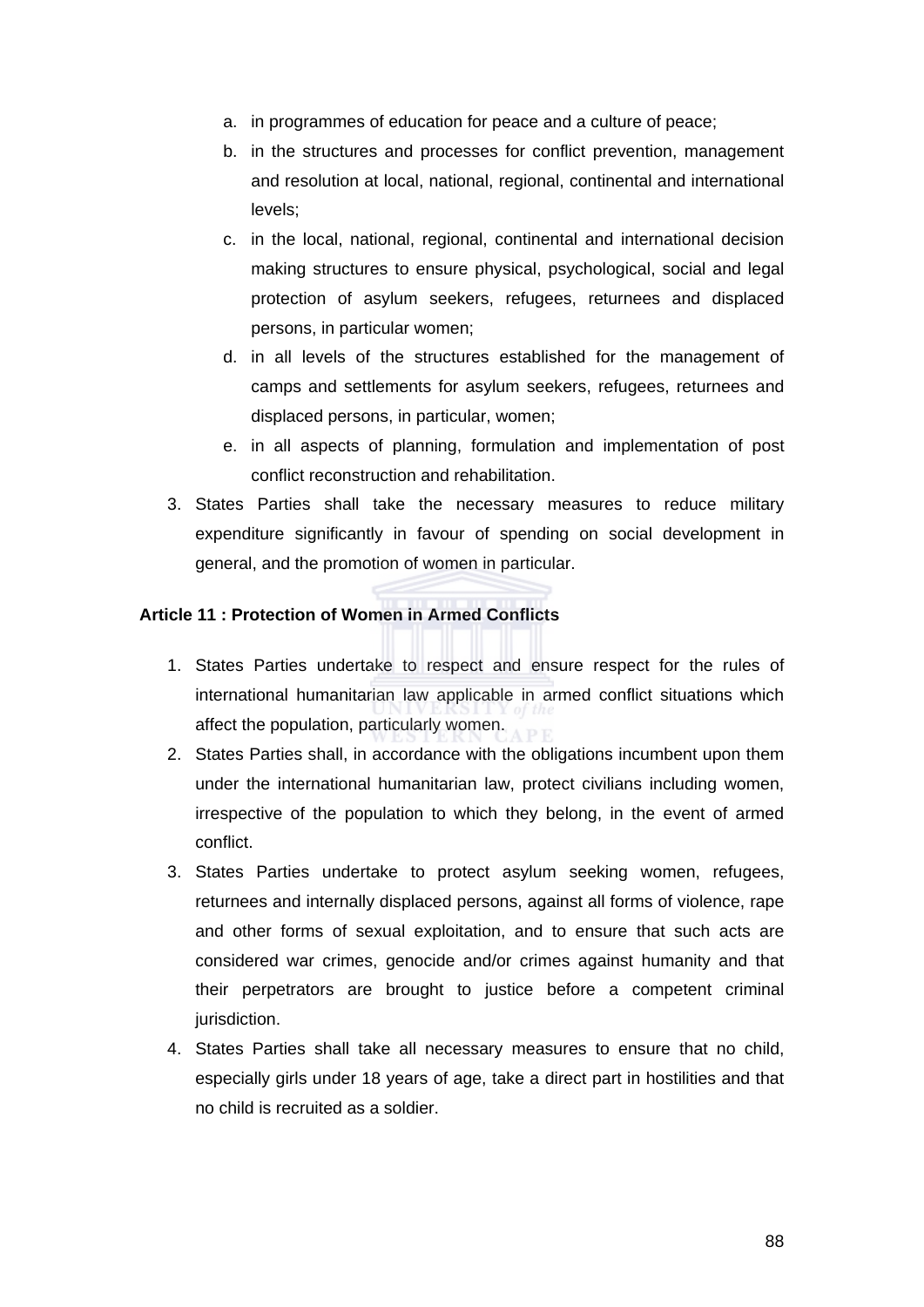- a. in programmes of education for peace and a culture of peace;
- b. in the structures and processes for conflict prevention, management and resolution at local, national, regional, continental and international levels;
- c. in the local, national, regional, continental and international decision making structures to ensure physical, psychological, social and legal protection of asylum seekers, refugees, returnees and displaced persons, in particular women;
- d. in all levels of the structures established for the management of camps and settlements for asylum seekers, refugees, returnees and displaced persons, in particular, women;
- e. in all aspects of planning, formulation and implementation of post conflict reconstruction and rehabilitation.
- 3. States Parties shall take the necessary measures to reduce military expenditure significantly in favour of spending on social development in general, and the promotion of women in particular.

### **Article 11 : Protection of Women in Armed Conflicts**

- 1. States Parties undertake to respect and ensure respect for the rules of international humanitarian law applicable in armed conflict situations which affect the population, particularly women.
- 2. States Parties shall, in accordance with the obligations incumbent upon them under the international humanitarian law, protect civilians including women, irrespective of the population to which they belong, in the event of armed conflict.
- 3. States Parties undertake to protect asylum seeking women, refugees, returnees and internally displaced persons, against all forms of violence, rape and other forms of sexual exploitation, and to ensure that such acts are considered war crimes, genocide and/or crimes against humanity and that their perpetrators are brought to justice before a competent criminal jurisdiction.
- 4. States Parties shall take all necessary measures to ensure that no child, especially girls under 18 years of age, take a direct part in hostilities and that no child is recruited as a soldier.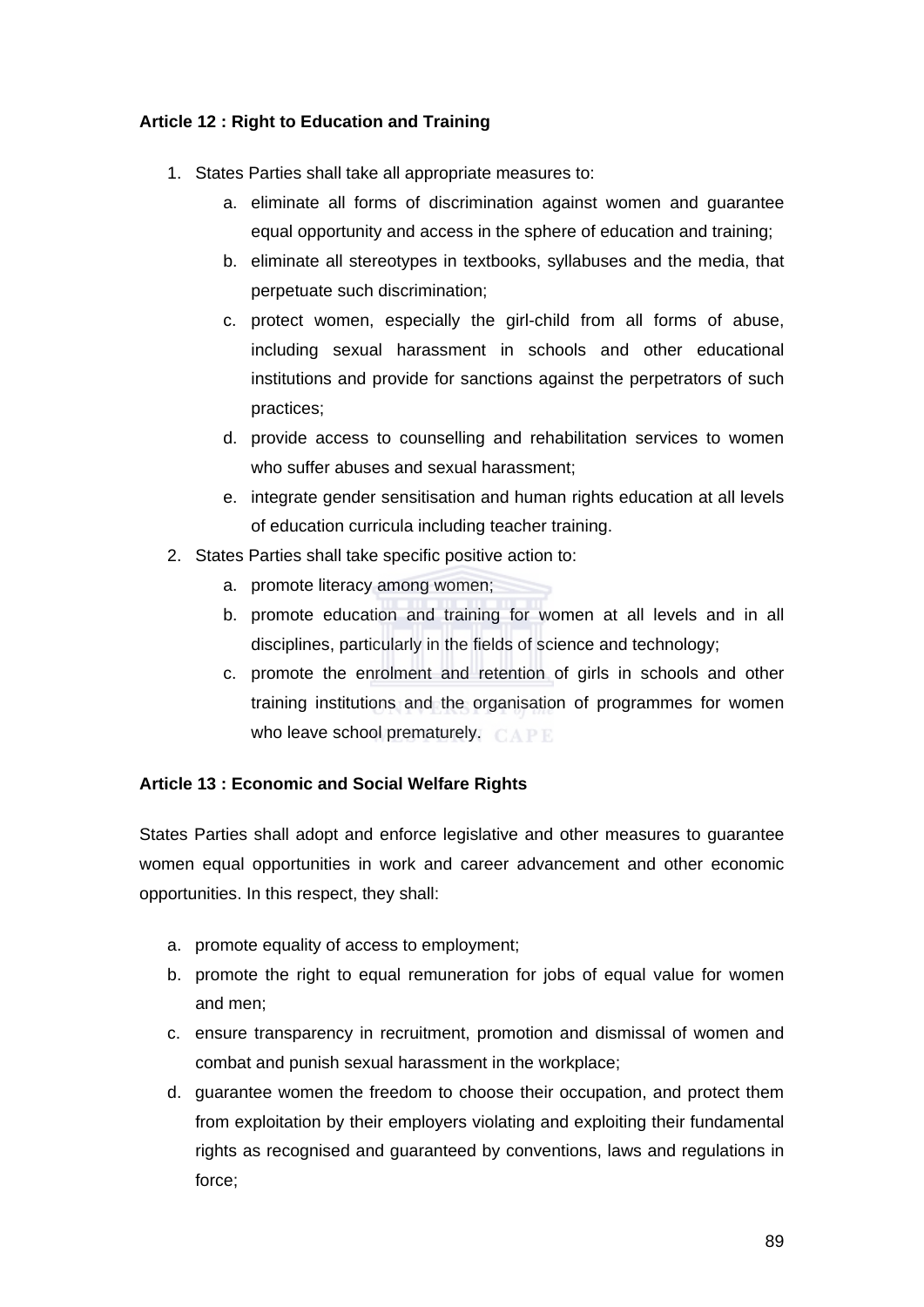## **Article 12 : Right to Education and Training**

- 1. States Parties shall take all appropriate measures to:
	- a. eliminate all forms of discrimination against women and guarantee equal opportunity and access in the sphere of education and training;
	- b. eliminate all stereotypes in textbooks, syllabuses and the media, that perpetuate such discrimination;
	- c. protect women, especially the girl-child from all forms of abuse, including sexual harassment in schools and other educational institutions and provide for sanctions against the perpetrators of such practices;
	- d. provide access to counselling and rehabilitation services to women who suffer abuses and sexual harassment;
	- e. integrate gender sensitisation and human rights education at all levels of education curricula including teacher training.
- 2. States Parties shall take specific positive action to:
	- a. promote literacy among women;
	- b. promote education and training for women at all levels and in all disciplines, particularly in the fields of science and technology;
	- c. promote the enrolment and retention of girls in schools and other training institutions and the organisation of programmes for women who leave school prematurely.  $CAPE$

## **Article 13 : Economic and Social Welfare Rights**

States Parties shall adopt and enforce legislative and other measures to guarantee women equal opportunities in work and career advancement and other economic opportunities. In this respect, they shall:

- a. promote equality of access to employment;
- b. promote the right to equal remuneration for jobs of equal value for women and men;
- c. ensure transparency in recruitment, promotion and dismissal of women and combat and punish sexual harassment in the workplace;
- d. guarantee women the freedom to choose their occupation, and protect them from exploitation by their employers violating and exploiting their fundamental rights as recognised and guaranteed by conventions, laws and regulations in force;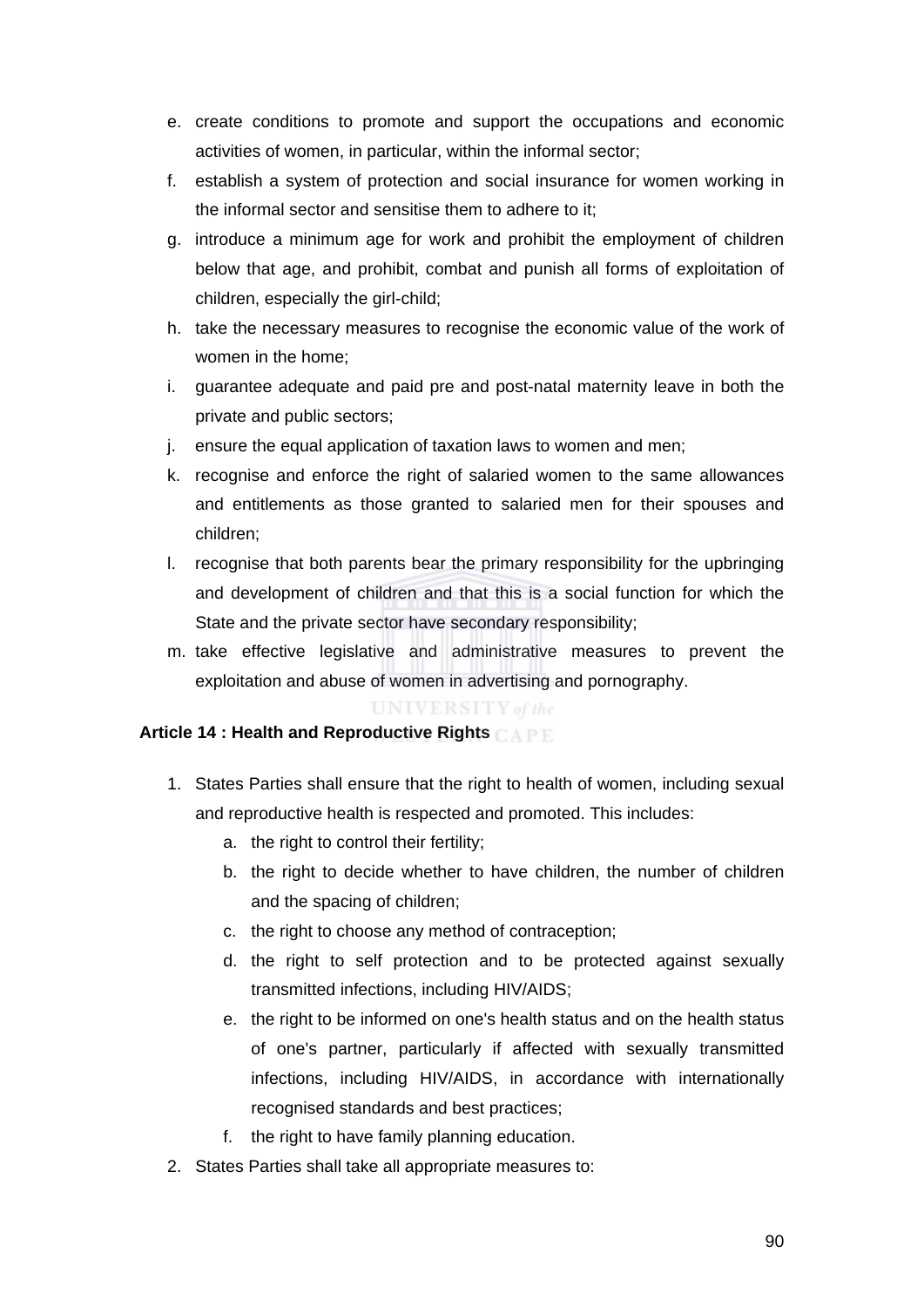- e. create conditions to promote and support the occupations and economic activities of women, in particular, within the informal sector;
- f. establish a system of protection and social insurance for women working in the informal sector and sensitise them to adhere to it;
- g. introduce a minimum age for work and prohibit the employment of children below that age, and prohibit, combat and punish all forms of exploitation of children, especially the girl-child;
- h. take the necessary measures to recognise the economic value of the work of women in the home;
- i. guarantee adequate and paid pre and post-natal maternity leave in both the private and public sectors;
- j. ensure the equal application of taxation laws to women and men;
- k. recognise and enforce the right of salaried women to the same allowances and entitlements as those granted to salaried men for their spouses and children;
- l. recognise that both parents bear the primary responsibility for the upbringing and development of children and that this is a social function for which the State and the private sector have secondary responsibility;
- m. take effective legislative and administrative measures to prevent the exploitation and abuse of women in advertising and pornography.

### **UNIVERSITY** of the

### **Article 14 : Health and Reproductive Rights**

- 1. States Parties shall ensure that the right to health of women, including sexual and reproductive health is respected and promoted. This includes:
	- a. the right to control their fertility;
	- b. the right to decide whether to have children, the number of children and the spacing of children;
	- c. the right to choose any method of contraception;
	- d. the right to self protection and to be protected against sexually transmitted infections, including HIV/AIDS;
	- e. the right to be informed on one's health status and on the health status of one's partner, particularly if affected with sexually transmitted infections, including HIV/AIDS, in accordance with internationally recognised standards and best practices;
	- f. the right to have family planning education.
- 2. States Parties shall take all appropriate measures to: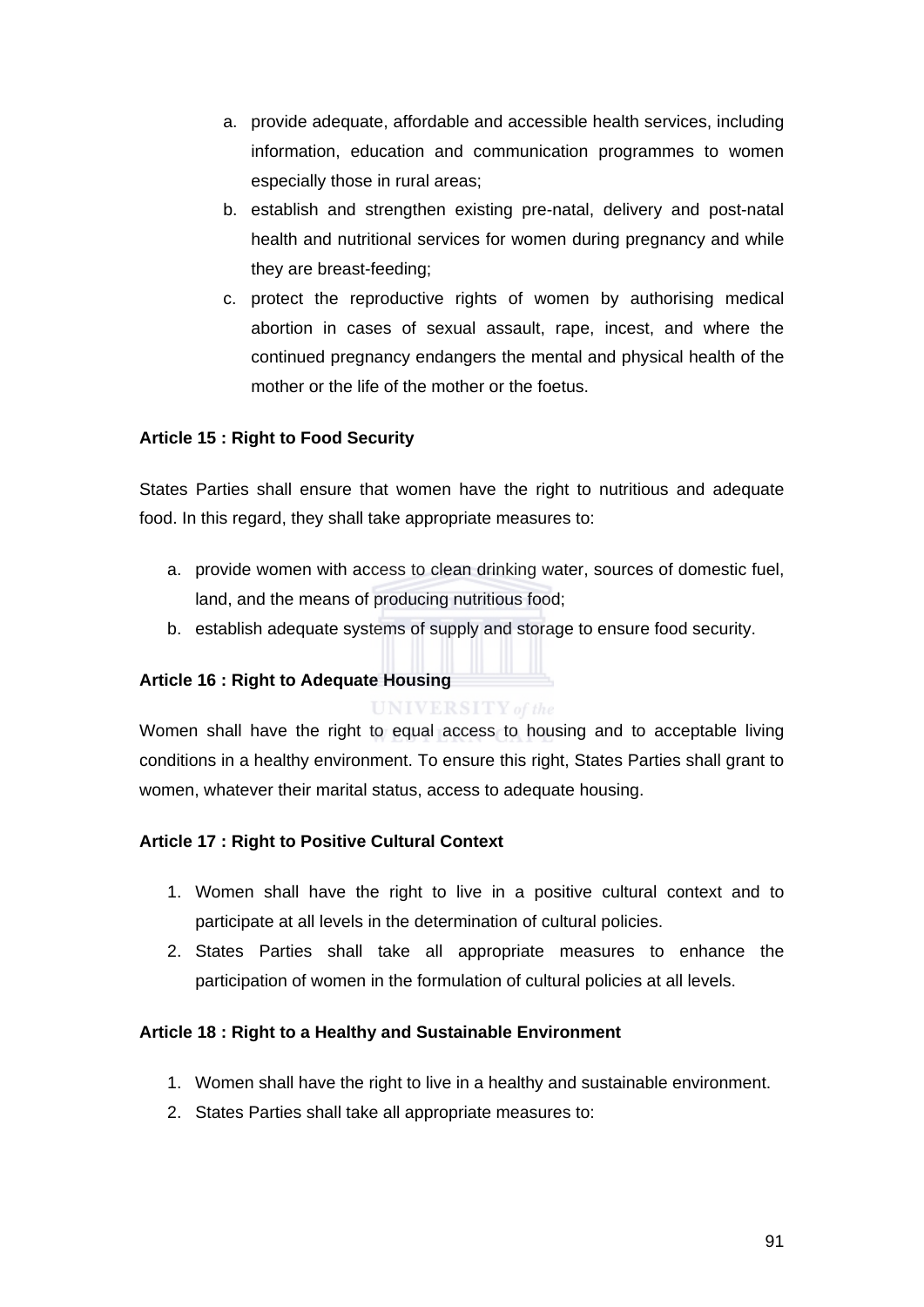- a. provide adequate, affordable and accessible health services, including information, education and communication programmes to women especially those in rural areas;
- b. establish and strengthen existing pre-natal, delivery and post-natal health and nutritional services for women during pregnancy and while they are breast-feeding;
- c. protect the reproductive rights of women by authorising medical abortion in cases of sexual assault, rape, incest, and where the continued pregnancy endangers the mental and physical health of the mother or the life of the mother or the foetus.

### **Article 15 : Right to Food Security**

States Parties shall ensure that women have the right to nutritious and adequate food. In this regard, they shall take appropriate measures to:

- a. provide women with access to clean drinking water, sources of domestic fuel, land, and the means of producing nutritious food;
- b. establish adequate systems of supply and storage to ensure food security.

## **Article 16 : Right to Adequate Housing**

### **UNIVERSITY** of the

Women shall have the right to equal access to housing and to acceptable living conditions in a healthy environment. To ensure this right, States Parties shall grant to women, whatever their marital status, access to adequate housing.

### **Article 17 : Right to Positive Cultural Context**

- 1. Women shall have the right to live in a positive cultural context and to participate at all levels in the determination of cultural policies.
- 2. States Parties shall take all appropriate measures to enhance the participation of women in the formulation of cultural policies at all levels.

### **Article 18 : Right to a Healthy and Sustainable Environment**

- 1. Women shall have the right to live in a healthy and sustainable environment.
- 2. States Parties shall take all appropriate measures to: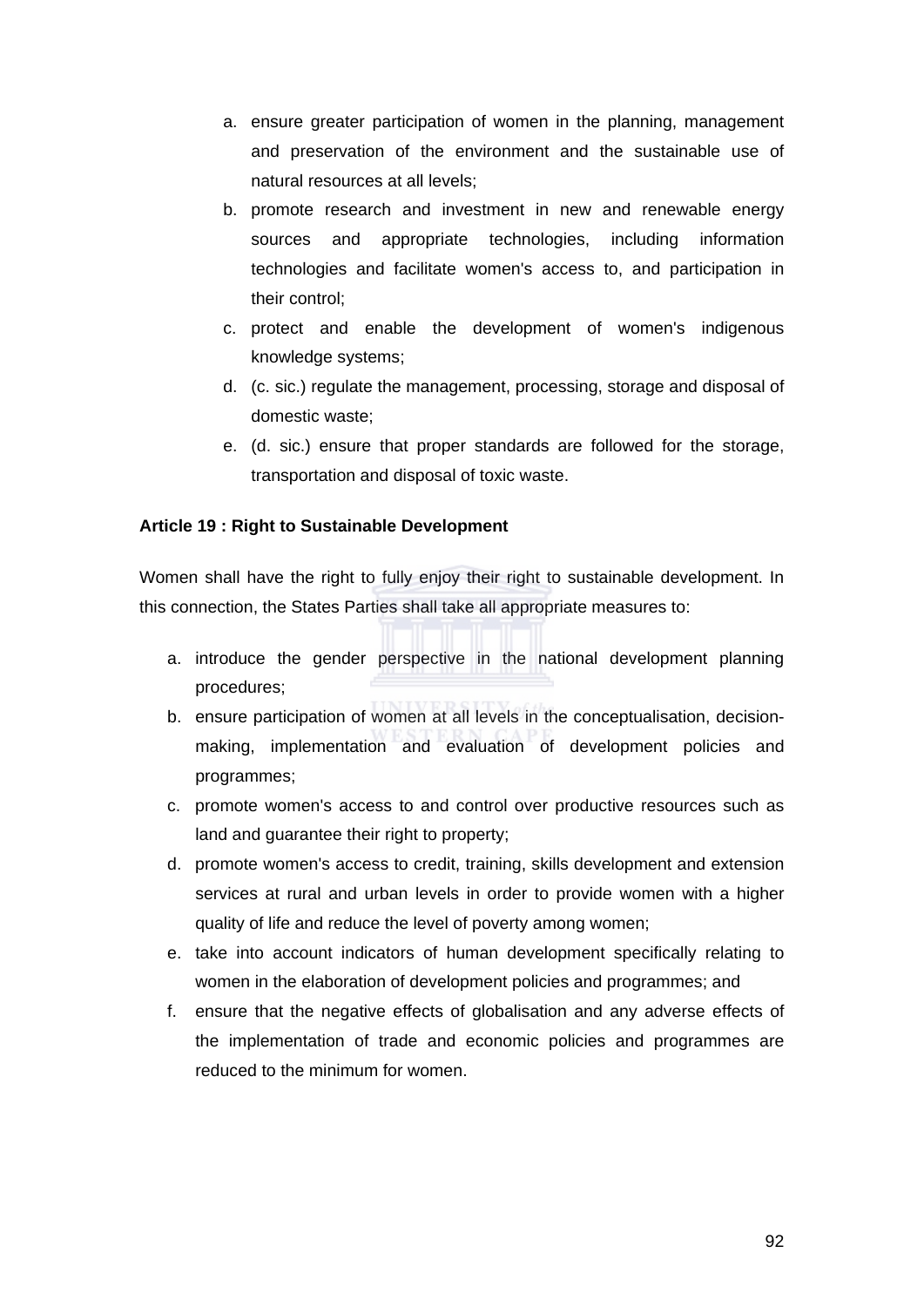- a. ensure greater participation of women in the planning, management and preservation of the environment and the sustainable use of natural resources at all levels;
- b. promote research and investment in new and renewable energy sources and appropriate technologies, including information technologies and facilitate women's access to, and participation in their control;
- c. protect and enable the development of women's indigenous knowledge systems;
- d. (c. sic.) regulate the management, processing, storage and disposal of domestic waste;
- e. (d. sic.) ensure that proper standards are followed for the storage, transportation and disposal of toxic waste.

## **Article 19 : Right to Sustainable Development**

Women shall have the right to fully enjoy their right to sustainable development. In this connection, the States Parties shall take all appropriate measures to:

- a. introduce the gender perspective in the national development planning procedures;
- b. ensure participation of women at all levels in the conceptualisation, decisionmaking, implementation and evaluation of development policies and programmes;
- c. promote women's access to and control over productive resources such as land and guarantee their right to property;
- d. promote women's access to credit, training, skills development and extension services at rural and urban levels in order to provide women with a higher quality of life and reduce the level of poverty among women;
- e. take into account indicators of human development specifically relating to women in the elaboration of development policies and programmes; and
- f. ensure that the negative effects of globalisation and any adverse effects of the implementation of trade and economic policies and programmes are reduced to the minimum for women.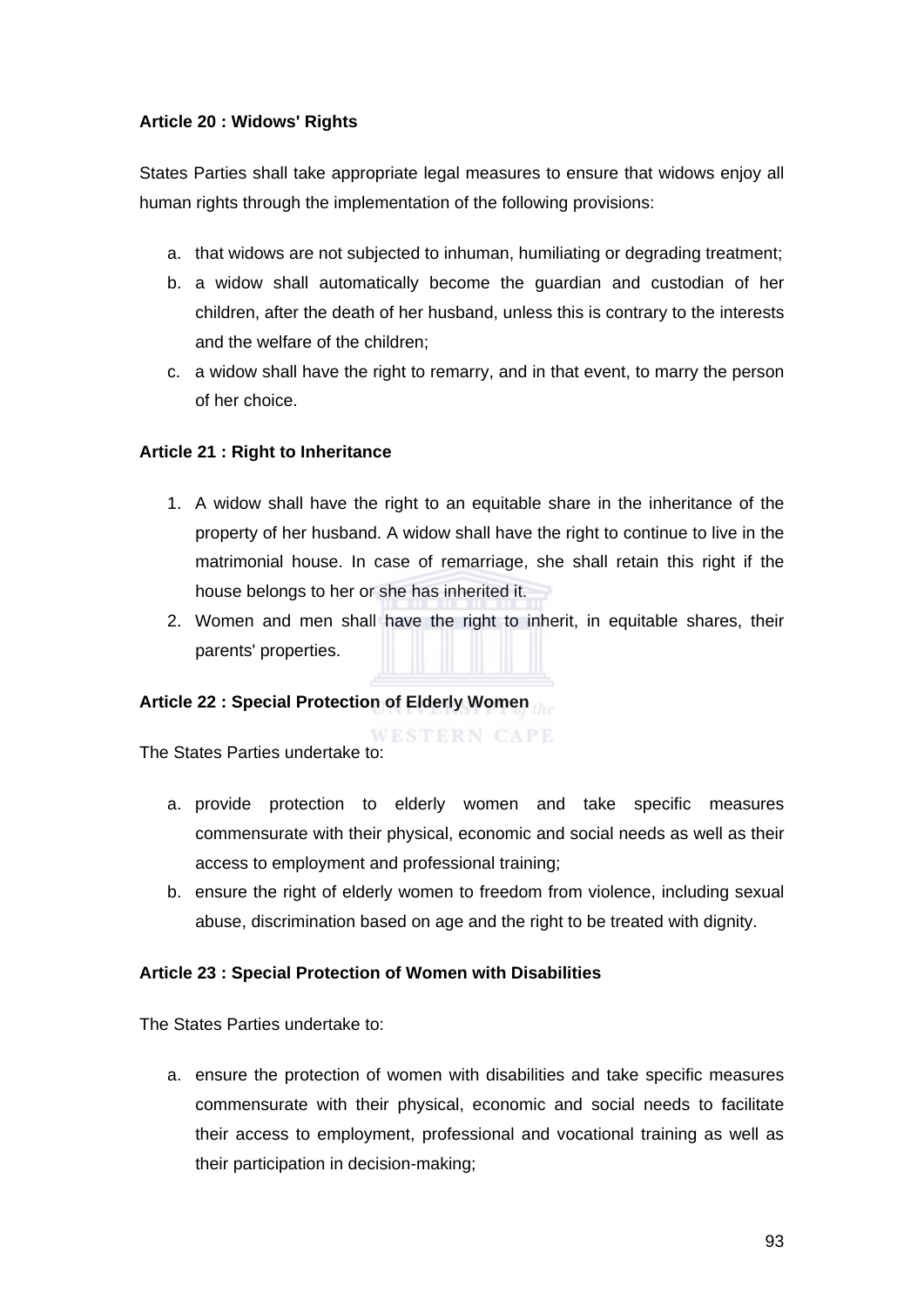## **Article 20 : Widows' Rights**

States Parties shall take appropriate legal measures to ensure that widows enjoy all human rights through the implementation of the following provisions:

- a. that widows are not subjected to inhuman, humiliating or degrading treatment;
- b. a widow shall automatically become the guardian and custodian of her children, after the death of her husband, unless this is contrary to the interests and the welfare of the children;
- c. a widow shall have the right to remarry, and in that event, to marry the person of her choice.

### **Article 21 : Right to Inheritance**

- 1. A widow shall have the right to an equitable share in the inheritance of the property of her husband. A widow shall have the right to continue to live in the matrimonial house. In case of remarriage, she shall retain this right if the house belongs to her or she has inherited it.
- 2. Women and men shall have the right to inherit, in equitable shares, their parents' properties.

## **Article 22 : Special Protection of Elderly Women**

**WESTERN CAPE** The States Parties undertake to:

- a. provide protection to elderly women and take specific measures commensurate with their physical, economic and social needs as well as their access to employment and professional training;
- b. ensure the right of elderly women to freedom from violence, including sexual abuse, discrimination based on age and the right to be treated with dignity.

### **Article 23 : Special Protection of Women with Disabilities**

The States Parties undertake to:

a. ensure the protection of women with disabilities and take specific measures commensurate with their physical, economic and social needs to facilitate their access to employment, professional and vocational training as well as their participation in decision-making;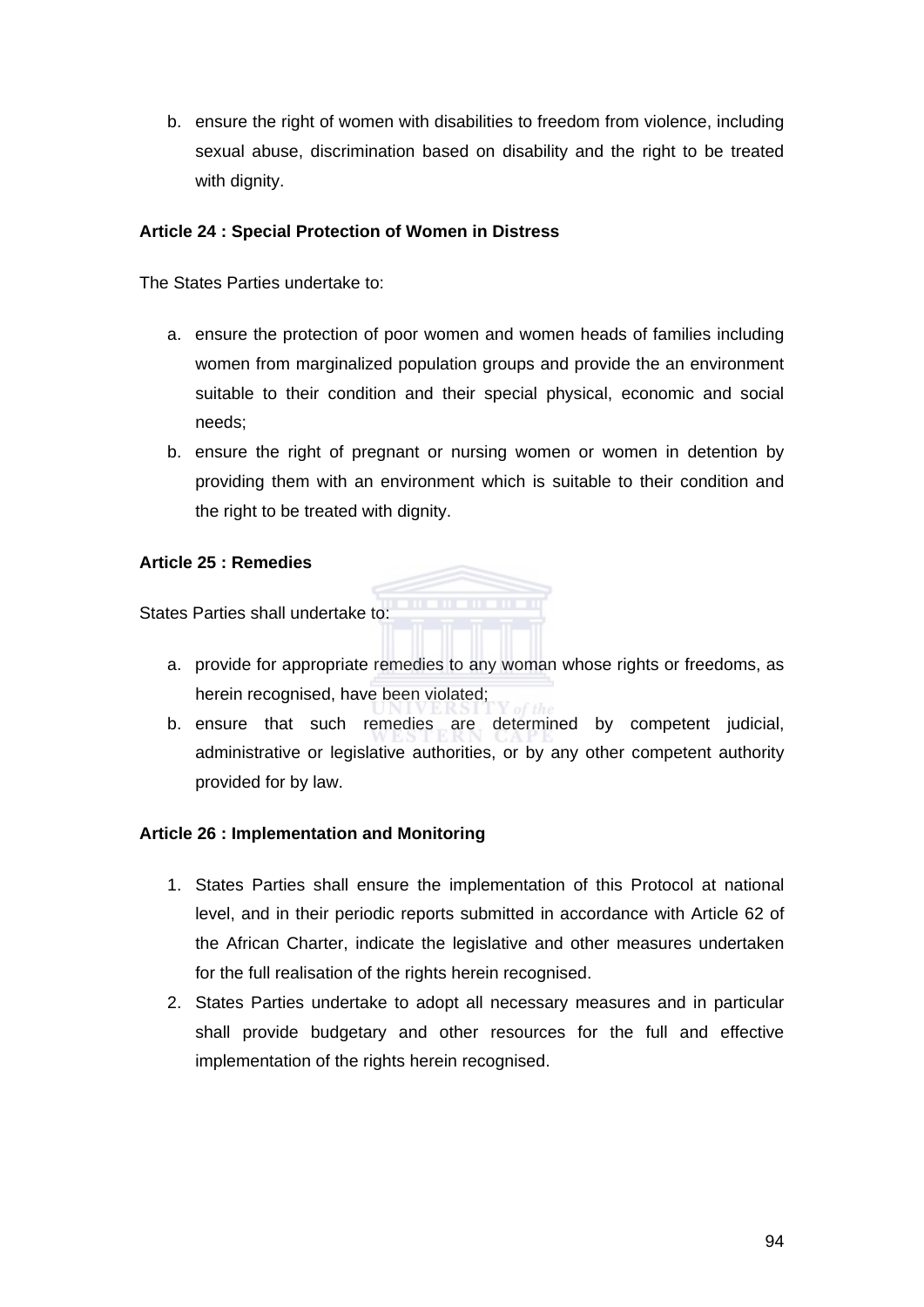b. ensure the right of women with disabilities to freedom from violence, including sexual abuse, discrimination based on disability and the right to be treated with dianity.

### **Article 24 : Special Protection of Women in Distress**

The States Parties undertake to:

- a. ensure the protection of poor women and women heads of families including women from marginalized population groups and provide the an environment suitable to their condition and their special physical, economic and social needs;
- b. ensure the right of pregnant or nursing women or women in detention by providing them with an environment which is suitable to their condition and the right to be treated with dignity.

## **Article 25 : Remedies**

States Parties shall undertake to:

- a. provide for appropriate remedies to any woman whose rights or freedoms, as herein recognised, have been violated;
- b. ensure that such remedies are determined by competent judicial, administrative or legislative authorities, or by any other competent authority provided for by law.

### **Article 26 : Implementation and Monitoring**

- 1. States Parties shall ensure the implementation of this Protocol at national level, and in their periodic reports submitted in accordance with Article 62 of the African Charter, indicate the legislative and other measures undertaken for the full realisation of the rights herein recognised.
- 2. States Parties undertake to adopt all necessary measures and in particular shall provide budgetary and other resources for the full and effective implementation of the rights herein recognised.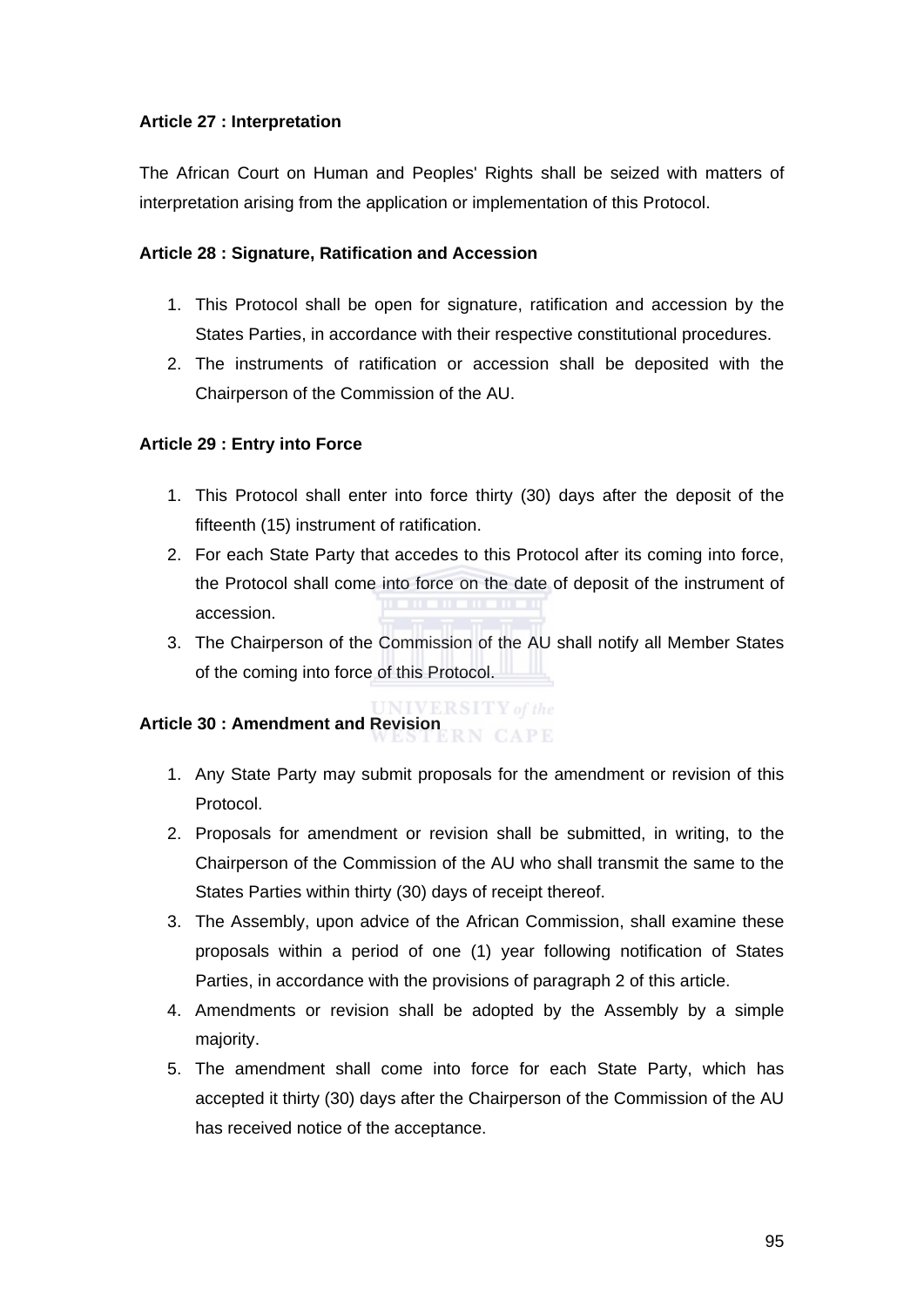### **Article 27 : Interpretation**

The African Court on Human and Peoples' Rights shall be seized with matters of interpretation arising from the application or implementation of this Protocol.

### **Article 28 : Signature, Ratification and Accession**

- 1. This Protocol shall be open for signature, ratification and accession by the States Parties, in accordance with their respective constitutional procedures.
- 2. The instruments of ratification or accession shall be deposited with the Chairperson of the Commission of the AU.

## **Article 29 : Entry into Force**

- 1. This Protocol shall enter into force thirty (30) days after the deposit of the fifteenth (15) instrument of ratification.
- 2. For each State Party that accedes to this Protocol after its coming into force, the Protocol shall come into force on the date of deposit of the instrument of accession.
- 3. The Chairperson of the Commission of the AU shall notify all Member States of the coming into force of this Protocol.

#### **Article 30 : Amendment and Revision**  RN CAPE

- 1. Any State Party may submit proposals for the amendment or revision of this Protocol.
- 2. Proposals for amendment or revision shall be submitted, in writing, to the Chairperson of the Commission of the AU who shall transmit the same to the States Parties within thirty (30) days of receipt thereof.
- 3. The Assembly, upon advice of the African Commission, shall examine these proposals within a period of one (1) year following notification of States Parties, in accordance with the provisions of paragraph 2 of this article.
- 4. Amendments or revision shall be adopted by the Assembly by a simple majority.
- 5. The amendment shall come into force for each State Party, which has accepted it thirty (30) days after the Chairperson of the Commission of the AU has received notice of the acceptance.